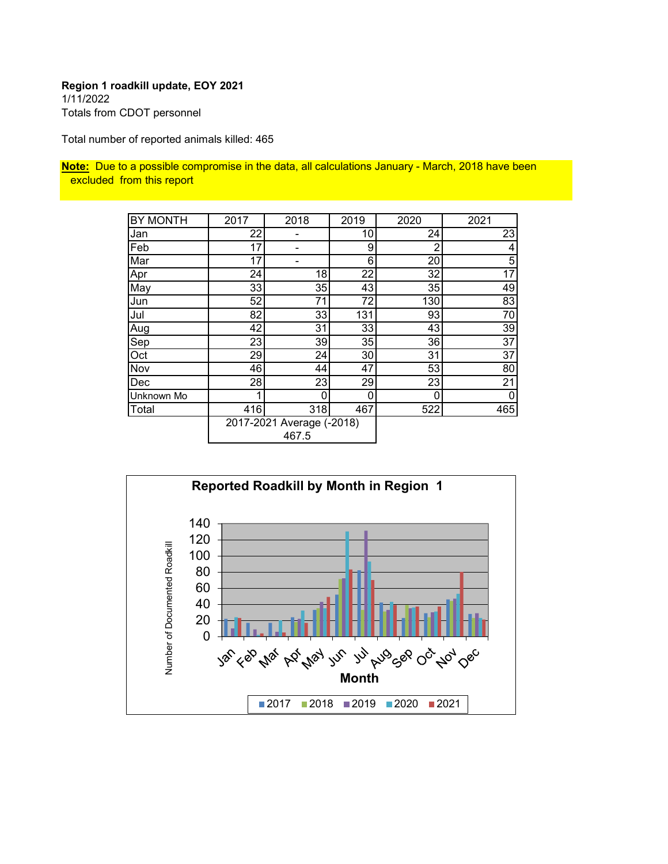#### **Region 1 roadkill update, EOY 2021** 1/11/2022 Totals from CDOT personnel

Total number of reported animals killed: 465

**Note:** Due to a possible compromise in the data, all calculations January - March, 2018 have been excluded from this report

| <b>BY MONTH</b> | 2017 | 2018                      | 2019 | 2020 | 2021 |
|-----------------|------|---------------------------|------|------|------|
| Jan             | 22   |                           | 10   | 24   | 23   |
| Feb             | 17   |                           | 9    | 2    | 4    |
| Mar             | 17   |                           | 6    | 20   | 5    |
| Apr             | 24   | 18                        | 22   | 32   | 17   |
| May             | 33   | 35                        | 43   | 35   | 49   |
| Jun             | 52   | 71                        | 72   | 130  | 83   |
| Jul             | 82   | 33                        | 131  | 93   | 70   |
| Aug             | 42   | 31                        | 33   | 43   | 39   |
| Sep             | 23   | 39                        | 35   | 36   | 37   |
| Oct             | 29   | 24                        | 30   | 31   | 37   |
| Nov             | 46   | 44                        | 47   | 53   | 80   |
| Dec             | 28   | 23                        | 29   | 23   | 21   |
| Unknown Mo      |      | 0                         | 0    | 0    | 0    |
| Total           | 416  | 318                       | 467  | 522  | 465  |
|                 |      | 2017-2021 Average (-2018) |      |      |      |
|                 |      | 467.5                     |      |      |      |

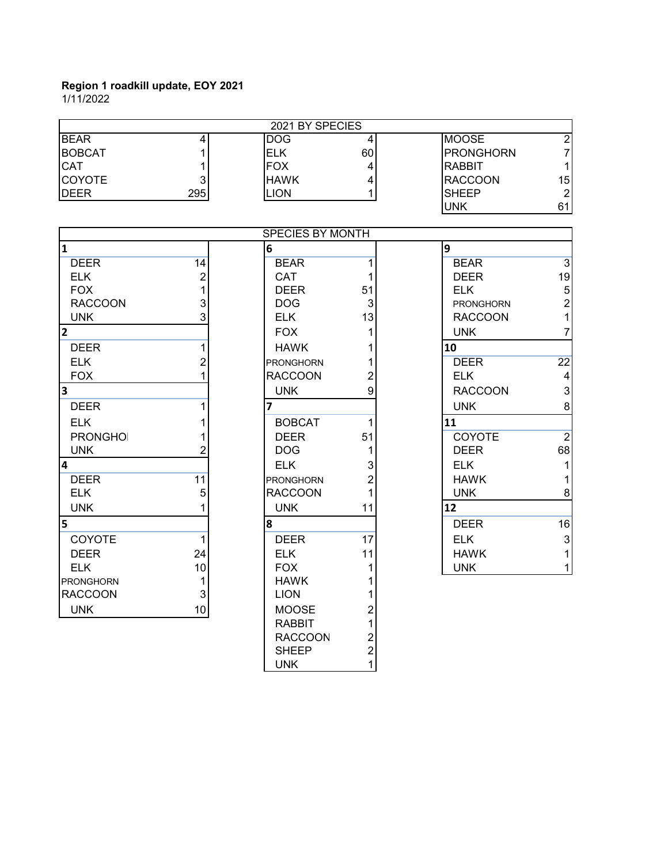1/11/2022

|                         |                | 2021 BY SPECIES  |                |                  |                           |
|-------------------------|----------------|------------------|----------------|------------------|---------------------------|
| <b>BEAR</b>             | 4              | <b>DOG</b>       | 4              | <b>MOOSE</b>     | $\overline{2}$            |
| <b>BOBCAT</b>           | 1              | <b>ELK</b>       | 60             | <b>PRONGHORN</b> | $\overline{7}$            |
| <b>CAT</b>              | 1              | <b>FOX</b>       | 4              | <b>RABBIT</b>    | 1                         |
| <b>COYOTE</b>           | 3              | <b>HAWK</b>      | 4              | <b>RACCOON</b>   | 15                        |
| <b>DEER</b>             | 295            | <b>LION</b>      | 1              | <b>SHEEP</b>     | $\overline{2}$            |
|                         |                |                  |                | <b>UNK</b>       | 61                        |
|                         |                | SPECIES BY MONTH |                |                  |                           |
| 1                       |                | $6\phantom{a}$   |                | 9                |                           |
| <b>DEER</b>             | 14             | <b>BEAR</b>      | 1              | <b>BEAR</b>      | $\overline{3}$            |
| <b>ELK</b>              | $\overline{c}$ | CAT              |                | <b>DEER</b>      | 19                        |
| <b>FOX</b>              | $\overline{1}$ | <b>DEER</b>      | 51             | <b>ELK</b>       | 5                         |
| <b>RACCOON</b>          | 3              | <b>DOG</b>       | 3              | <b>PRONGHORN</b> | $\overline{c}$            |
| <b>UNK</b>              | 3              | <b>ELK</b>       | 13             | <b>RACCOON</b>   | 1                         |
| $\overline{2}$          |                | <b>FOX</b>       | 1              | <b>UNK</b>       | $\overline{7}$            |
| <b>DEER</b>             | 1              | <b>HAWK</b>      |                | 10               |                           |
| <b>ELK</b>              | $\overline{c}$ | <b>PRONGHORN</b> |                | <b>DEER</b>      | $\overline{22}$           |
| <b>FOX</b>              | $\overline{1}$ | <b>RACCOON</b>   | $\overline{c}$ | <b>ELK</b>       | 4                         |
| $\overline{\mathbf{3}}$ |                | <b>UNK</b>       | 9              | <b>RACCOON</b>   | $\ensuremath{\mathsf{3}}$ |
| <b>DEER</b>             | 1              | $\overline{7}$   |                | <b>UNK</b>       | 8                         |
| <b>ELK</b>              | 1              | <b>BOBCAT</b>    | 1              | 11               |                           |
| <b>PRONGHOI</b>         | 1              | <b>DEER</b>      | 51             | COYOTE           | $\overline{2}$            |
| <b>UNK</b>              | $\overline{2}$ | <b>DOG</b>       | 1              | <b>DEER</b>      | 68                        |
| $\overline{4}$          |                | <b>ELK</b>       | 3              | <b>ELK</b>       | 1                         |
| <b>DEER</b>             | 11             | <b>PRONGHORN</b> | $\overline{2}$ | <b>HAWK</b>      | 1                         |
| <b>ELK</b>              | 5              | <b>RACCOON</b>   | 1              | <b>UNK</b>       | 8                         |
| <b>UNK</b>              | 1              | <b>UNK</b>       | 11             | 12               |                           |
| 5                       |                | 8                |                | <b>DEER</b>      | 16                        |
| COYOTE                  | 1              | <b>DEER</b>      | 17             | <b>ELK</b>       | $\ensuremath{\mathsf{3}}$ |
| <b>DEER</b>             | 24             | <b>ELK</b>       | 11             | <b>HAWK</b>      |                           |
| <b>ELK</b>              | 10             | <b>FOX</b>       | 1              | <b>UNK</b>       | 1                         |
| <b>PRONGHORN</b>        | 1              | <b>HAWK</b>      |                |                  |                           |
| <b>RACCOON</b>          | 3              | <b>LION</b>      |                |                  |                           |
| <b>UNK</b>              | 10             | <b>MOOSE</b>     | $\overline{2}$ |                  |                           |
|                         |                | <b>RABBIT</b>    | 1              |                  |                           |
|                         |                | <b>RACCOON</b>   | $\overline{c}$ |                  |                           |
|                         |                | <b>SHEEP</b>     | $\overline{2}$ |                  |                           |

UNK 1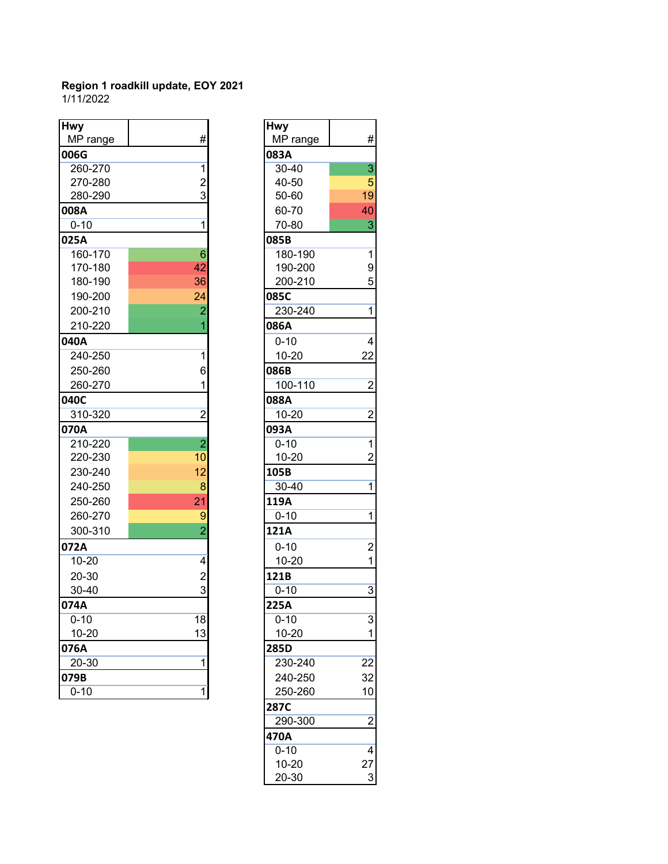#### **Region 1 roadkill update, EOY 2021** 1/11/2022

| <b>Hwy</b> |                | <b>Hwy</b> |                |
|------------|----------------|------------|----------------|
| MP range   | #              | MP range   | #              |
| 006G       |                | 083A       |                |
| 260-270    | $\mathbf{1}$   | 30-40      | 3              |
| 270-280    | $\overline{2}$ | 40-50      | 5              |
| 280-290    | 3              | 50-60      | 19             |
| 008A       |                | 60-70      | 40             |
| $0 - 10$   | $\mathbf{1}$   | 70-80      | 3              |
| 025A       |                | 085B       |                |
| 160-170    | 6              | 180-190    | $\overline{1}$ |
| 170-180    | 42             | 190-200    | 9              |
| 180-190    | 36             | 200-210    | 5              |
| 190-200    | 24             | 085C       |                |
| 200-210    | $\overline{2}$ | 230-240    | $\mathbf{1}$   |
| 210-220    | 1              | 086A       |                |
| 040A       |                | $0 - 10$   | $\overline{4}$ |
| 240-250    | $\overline{1}$ | 10-20      | 22             |
| 250-260    | 6              | 086B       |                |
| 260-270    | 1              | 100-110    | $\overline{c}$ |
| 040C       |                | 088A       |                |
| 310-320    | $\overline{2}$ | 10-20      | $\overline{c}$ |
| 070A       |                | 093A       |                |
| 210-220    | $\overline{2}$ | $0 - 10$   | $\overline{1}$ |
| 220-230    | 10             | 10-20      | $\overline{c}$ |
| 230-240    | 12             | 105B       |                |
| 240-250    | 8              | 30-40      | 1              |
| 250-260    | 21             | 119A       |                |
| 260-270    | 9              | $0 - 10$   | $\mathbf 1$    |
| 300-310    | $\overline{2}$ | 121A       |                |
| 072A       |                | $0 - 10$   | $\overline{2}$ |
| $10 - 20$  | 4              | 10-20      | 1              |
| 20-30      | $\overline{2}$ | 121B       |                |
| $30 - 40$  | 3              | $0 - 10$   | 3              |
| 074A       |                | 225A       |                |
| $0 - 10$   | 18             | $0 - 10$   | 3              |
| $10 - 20$  | 13             | $10 - 20$  | 1              |
| 076A       |                | 285D       |                |
| 20-30      | $\mathbf{1}$   | 230-240    | 22             |
| 079B       |                | 240-250    | 32             |
| $0 - 10$   | 1              | 250-260    | 10             |

| wy<br>MP range | #              | <b>Hwy</b><br>MP range | #              |
|----------------|----------------|------------------------|----------------|
| 06G            |                | 083A                   |                |
| 260-270        | 1              | 30-40                  | 3              |
| 270-280        | $\overline{c}$ | 40-50                  | 5              |
| 280-290        | 3              | 50-60                  | 19             |
| <b>)8A</b>     |                | 60-70                  | 40             |
| $0 - 10$       | 1              | 70-80                  | 3              |
| 25A            |                | 085B                   |                |
| 160-170        | 6              | 180-190                | $\mathbf{1}$   |
| 170-180        | 42             | 190-200                | 9              |
| 180-190        | 36             | 200-210                | 5              |
| 190-200        | 24             | 085C                   |                |
| 200-210        | $\overline{2}$ | 230-240                | 1              |
| 210-220        | 1              | 086A                   |                |
| 10A            |                | $0 - 10$               | 4              |
| 240-250        | 1              | $10 - 20$              | 22             |
| 250-260        | 6              | 086B                   |                |
| 260-270        | 1              | 100-110                | $\overline{c}$ |
| 10C            |                | 088A                   |                |
| 310-320        | $\overline{2}$ | 10-20                  | 2              |
| 70A            |                | 093A                   |                |
| 210-220        | $\overline{a}$ | $0 - 10$               | $\mathbf{1}$   |
| 220-230        | 10             | $10 - 20$              | 2              |
| 230-240        | 12             | 105B                   |                |
| 240-250        | 8              | 30-40                  | 1              |
| 250-260        | 21             | 119A                   |                |
| 260-270        | 9              | $0 - 10$               | $\mathbf{1}$   |
| 300-310        | $\overline{2}$ | 121A                   |                |
| 72A            |                | $0 - 10$               | $\overline{2}$ |
| 10-20          | 4              | $10 - 20$              | 1              |
| 20-30          | $\overline{2}$ | 121B                   |                |
| 30-40          | 3              | $0 - 10$               | 3              |
| 74A            |                | 225A                   |                |
| $0 - 10$       | 18             | $0 - 10$               | 3              |
| $10 - 20$      | 13             | 10-20                  | 1              |
| 76A            |                | 285D                   |                |
| 20-30          | 1              | 230-240                | 22             |
| 79B            |                | 240-250                | 32             |
| 0-10           | 1              | 250-260                | 10             |
|                |                | 287C                   |                |
|                |                | 290-300                | $\overline{2}$ |
|                |                | 470A                   |                |
|                |                | $0 - 10$               | 4              |
|                |                | 10-20                  | 27             |
|                |                | 20-30                  | 3              |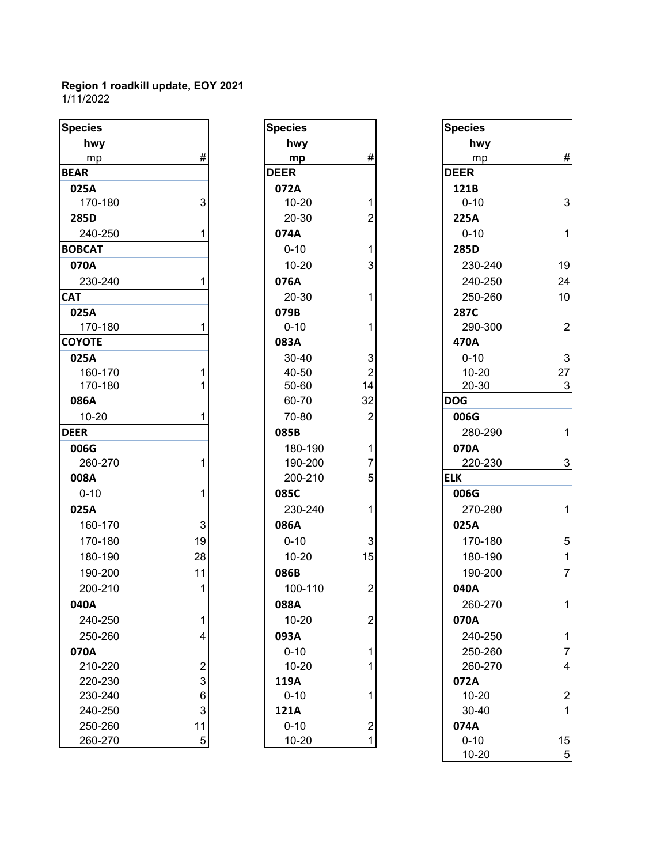#### **Region 1 roadkill update, EOY 2021** 1/11/2022

| <b>Species</b> |                | <b>Species</b> |                | <b>Species</b> |                |
|----------------|----------------|----------------|----------------|----------------|----------------|
| hwy            |                | hwy            |                | hwy            |                |
| mp             | #              | mp             | #              | mp             | #              |
| <b>BEAR</b>    |                | <b>DEER</b>    |                | <b>DEER</b>    |                |
| 025A           |                | 072A           |                | 121B           |                |
| 170-180        | 3              | $10 - 20$      | 1              | $0 - 10$       | 3              |
| 285D           |                | 20-30          | $\overline{2}$ | 225A           |                |
| 240-250        |                | 074A           |                | $0 - 10$       | $\mathbf{1}$   |
| <b>BOBCAT</b>  |                | $0 - 10$       |                | 285D           |                |
| 070A           |                | $10 - 20$      | $\overline{3}$ | 230-240        | 19             |
| 230-240        |                | 076A           |                | 240-250        | 24             |
| <b>CAT</b>     |                | 20-30          | 1              | 250-260        | 10             |
| 025A           |                | 079B           |                | 287C           |                |
| 170-180        |                | $0 - 10$       | 1              | 290-300        | $\overline{2}$ |
| <b>COYOTE</b>  |                | 083A           |                | 470A           |                |
| 025A           |                | 30-40          | 3              | $0 - 10$       | 3              |
| 160-170        |                | 40-50          | $\overline{2}$ | $10 - 20$      | 27             |
| 170-180        |                | 50-60          | 14             | 20-30          | 3              |
| 086A           |                | 60-70          | 32             | <b>DOG</b>     |                |
| $10 - 20$      |                | 70-80          | $\overline{2}$ | 006G           |                |
| <b>DEER</b>    |                | 085B           |                | 280-290        |                |
| 006G           |                | 180-190        | 1              | 070A           |                |
| 260-270        |                | 190-200        | 7              | 220-230        | 3              |
| 008A           |                | 200-210        | 5              | <b>ELK</b>     |                |
| $0 - 10$       |                | 085C           |                | 006G           |                |
| 025A           |                | 230-240        | 1              | 270-280        | $\mathbf 1$    |
| 160-170        | 3              | 086A           |                | 025A           |                |
| 170-180        | 19             | $0 - 10$       | 3              | 170-180        | 5              |
| 180-190        | 28             | $10 - 20$      | 15             | 180-190        | $\mathbf 1$    |
| 190-200        | 11             | 086B           |                | 190-200        | $\overline{7}$ |
| 200-210        |                | 100-110        | $\overline{2}$ | 040A           |                |
| 040A           |                | 088A           |                | 260-270        | 1              |
| 240-250        | 1              | $10 - 20$      | $\overline{2}$ | 070A           |                |
| 250-260        | 4              | 093A           |                | 240-250        | 1              |
| 070A           |                | $0 - 10$       | $\mathbf{1}$   | 250-260        | 7              |
| 210-220        | $\overline{c}$ | $10 - 20$      | 1              | 260-270        | 4              |
| 220-230        | 3              | 119A           |                | 072A           |                |
| 230-240        | 6              | $0 - 10$       | 1              | $10 - 20$      | $\overline{c}$ |
| 240-250        | 3              | 121A           |                | $30 - 40$      | 1              |
| 250-260        | 11             | $0 - 10$       | $\mathbf{2}$   | 074A           |                |
| 260-270        | 5              | $10 - 20$      | 1              | $0 - 10$       | 15             |

| Species     |                                                 |
|-------------|-------------------------------------------------|
| hwy         |                                                 |
| mp          | #                                               |
| <b>DEER</b> |                                                 |
| 072A        |                                                 |
| 10-20       |                                                 |
| 20-30       |                                                 |
| 074A        |                                                 |
| $0 - 10$    | $\begin{array}{c} 1 \\ 2 \\ 1 \\ 3 \end{array}$ |
| 10-20       |                                                 |
| 076A        |                                                 |
| 20-30       | 1                                               |
| 079B        |                                                 |
| $0 - 10$    | $\overline{1}$                                  |
| 083A        |                                                 |
| 30-40       |                                                 |
| 40-50       | $\begin{array}{c} 3 \\ 2 \\ 14 \end{array}$     |
| 50-60       |                                                 |
| 60-70       | 32                                              |
| 70-80       | $\overline{c}$                                  |
| 085B        |                                                 |
| 180-190     |                                                 |
| 190-200     |                                                 |
| 200-210     | $\begin{array}{c} 1 \\ 7 \\ 5 \end{array}$      |
| 085C        |                                                 |
| 230-240     | 1                                               |
| 086A        |                                                 |
| $0 - 10$    |                                                 |
| 10-20       | $\overline{15}$                                 |
| 086B        |                                                 |
| 100-110     | 2                                               |
| 088A        |                                                 |
| 10-20       |                                                 |
| 093A        |                                                 |
| $0 - 10$    | 1                                               |
| 10-20       | $\overline{1}$                                  |
| 119A        |                                                 |
| $0 - 10$    | 1                                               |
| 121A        |                                                 |
| $0 - 10$    |                                                 |
| 10-20       |                                                 |
|             |                                                 |

| ies        |                | <b>Species</b> |                | <b>Species</b> |  |
|------------|----------------|----------------|----------------|----------------|--|
| <b>nwy</b> |                | hwy            |                | hwy            |  |
| mp         | #              | mp             | #              | mp             |  |
|            |                | <b>DEER</b>    |                | <b>DEER</b>    |  |
| iА         |                | 072A           |                | 121B           |  |
| 70-180     | 3              | $10 - 20$      | 1              | $0 - 10$       |  |
| Di         |                | 20-30          | 2              | 225A           |  |
| 40-250     |                | 074A           |                | $0 - 10$       |  |
| <b>AT</b>  |                | $0 - 10$       |                | 285D           |  |
| )A         |                | $10 - 20$      | 3              | 230-240        |  |
| 30-240     |                | 076A           |                | 240-250        |  |
|            |                | 20-30          | 1              | 250-260        |  |
| ìА         |                | 079B           |                | 287C           |  |
| 70-180     |                | $0 - 10$       |                | 290-300        |  |
| <b>DTE</b> |                | 083A           |                | 470A           |  |
| ìА         |                | 30-40          | 3              | $0 - 10$       |  |
| 60-170     |                | 40-50          | $\overline{2}$ | $10 - 20$      |  |
| 70-180     |                | 50-60          | 14             | 20-30          |  |
| ìА         |                | 60-70          | 32             | <b>DOG</b>     |  |
| $0 - 20$   |                | 70-80          | $\overline{2}$ | 006G           |  |
|            |                | 085B           |                | 280-290        |  |
| iG         |                | 180-190        | 1              | 070A           |  |
| 60-270     | 1              | 190-200        | 7              | 220-230        |  |
| ìА         |                | 200-210        | 5              | <b>ELK</b>     |  |
| -10        | 1              | 085C           |                | 006G           |  |
| iΑ         |                | 230-240        |                | 270-280        |  |
| 60-170     | 3              | 086A           |                | 025A           |  |
| 70-180     | 19             | $0 - 10$       | 3              | 170-180        |  |
| 80-190     | 28             | $10 - 20$      | 15             | 180-190        |  |
| 90-200     | 11             | 086B           |                | 190-200        |  |
| 00-210     | 1              | 100-110        | 2              | 040A           |  |
| )A         |                | 088A           |                | 260-270        |  |
| 40-250     | 1              | $10 - 20$      | $\overline{c}$ | 070A           |  |
| 50-260     | 4              | 093A           |                | 240-250        |  |
| )A         |                | $0 - 10$       |                | 250-260        |  |
| 10-220     | $\overline{2}$ | $10 - 20$      |                | 260-270        |  |
| 20-230     | 3              | 119A           |                | 072A           |  |
| 30-240     | 6              | $0 - 10$       |                | $10 - 20$      |  |
| 40-250     | 3              | 121A           |                | 30-40          |  |
| 50-260     | 11             | $0 - 10$       | $\overline{2}$ | 074A           |  |
| 60-270     | 5              | $10 - 20$      | 1              | $0 - 10$       |  |
|            |                |                |                | $10 - 20$      |  |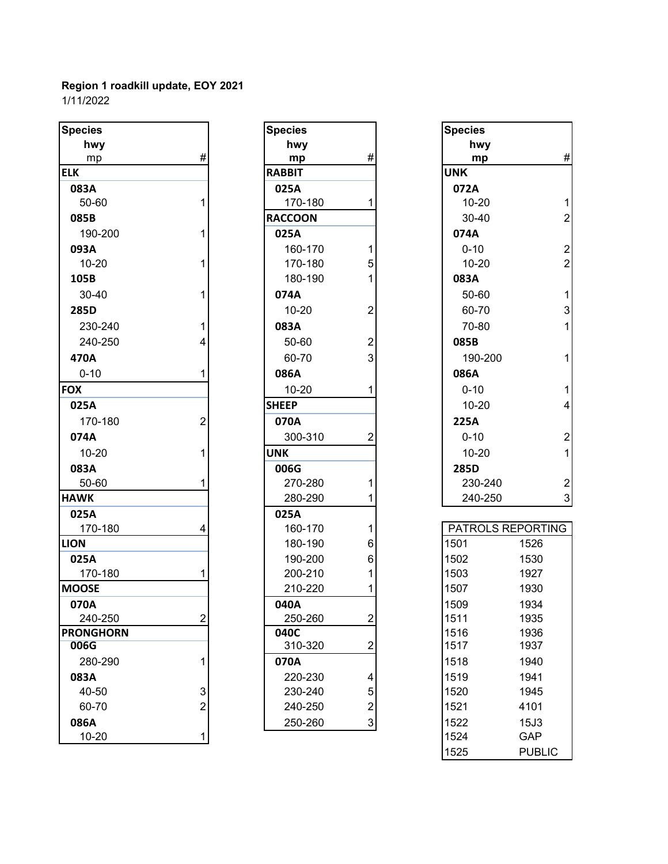1/11/2022

| <b>Species</b>   |                | <b>Species</b> |                         | <b>Species</b>     |                          |
|------------------|----------------|----------------|-------------------------|--------------------|--------------------------|
| hwy              |                | hwy            |                         | hwy                |                          |
| mp               | $\#$           | mp             | #                       | mp                 | #                        |
| <b>ELK</b>       |                | <b>RABBIT</b>  |                         | <b>UNK</b>         |                          |
| 083A             |                | 025A           |                         | 072A               |                          |
| 50-60            | 1              | 170-180        | 1                       | $10 - 20$          | 1                        |
| 085B             |                | <b>RACCOON</b> |                         | 30-40              | $\overline{2}$           |
| 190-200          | 1              | 025A           |                         | 074A               |                          |
| 093A             |                | 160-170        | 1                       | $0 - 10$           | $\overline{\mathbf{c}}$  |
| $10 - 20$        | 1              | 170-180        | 5                       | $10 - 20$          | $\overline{2}$           |
| 105B             |                | 180-190        |                         | 083A               |                          |
| 30-40            | 1              | 074A           |                         | 50-60              | $\mathbf 1$              |
| 285D             |                | $10 - 20$      | $\overline{2}$          | 60-70              | 3                        |
| 230-240          | 1              | 083A           |                         | 70-80              | $\mathbf{1}$             |
| 240-250          | 4              | 50-60          | $\overline{2}$          | 085B               |                          |
| 470A             |                | 60-70          | 3                       | 190-200            | 1                        |
| $0 - 10$         | 1              | 086A           |                         | 086A               |                          |
| <b>FOX</b>       |                | $10 - 20$      |                         | $0 - 10$           | $\mathbf{1}$             |
| 025A             |                | <b>SHEEP</b>   |                         | $10 - 20$          | $\overline{\mathcal{L}}$ |
| 170-180          | $\overline{2}$ | 070A           |                         | <b>225A</b>        |                          |
| 074A             |                | 300-310        | 2                       | $0 - 10$           | $\overline{c}$           |
| $10 - 20$        | 1              | <b>UNK</b>     |                         | $10 - 20$          | 1                        |
| 083A             |                | 006G           |                         | 285D               |                          |
| 50-60            | 1              | 270-280        |                         | 230-240            | $\overline{\mathbf{c}}$  |
| <b>HAWK</b>      |                | 280-290        |                         | 240-250            | 3                        |
| 025A             |                | 025A           |                         |                    |                          |
| 170-180          | 4              | 160-170        |                         | PATROLS REPORTING  |                          |
| <b>LION</b>      |                | 180-190        | 6                       | 1501<br>1526       |                          |
| 025A             |                | 190-200        | 6                       | 1502<br>1530       |                          |
| 170-180          |                | 200-210        |                         | 1503<br>1927       |                          |
| <b>MOOSE</b>     |                | 210-220        |                         | 1507<br>1930       |                          |
| 070A             |                | 040A           |                         | 1509<br>1934       |                          |
| 240-250          | $\overline{2}$ | 250-260        | $\overline{\mathbf{c}}$ | 1511<br>1935       |                          |
| <b>PRONGHORN</b> |                | 040C           |                         | 1516<br>1936       |                          |
| 006G             |                | 310-320        | $\overline{c}$          | 1517<br>1937       |                          |
| 280-290          | 1              | 070A           |                         | 1518<br>1940       |                          |
| 083A             |                | 220-230        | 4                       | 1519<br>1941       |                          |
| 40-50            | 3              | 230-240        | 5                       | 1520<br>1945       |                          |
| 60-70            | $\overline{2}$ | 240-250        | $\overline{\mathbf{c}}$ | 1521<br>4101       |                          |
| 086A             |                | 250-260        | $\mathbf{3}$            | 1522<br>15J3       |                          |
| $10 - 20$        | $\mathbf 1$    |                |                         | 1524<br><b>GAP</b> |                          |

| Species        |                                            |
|----------------|--------------------------------------------|
| hwy            |                                            |
| mp             | #                                          |
| RABBIT         |                                            |
| 025A           |                                            |
| 170-180        | 1                                          |
| <b>RACCOON</b> |                                            |
| 025A           |                                            |
| 160-170        |                                            |
| 170-180        | $\begin{array}{c} 1 \\ 5 \\ 1 \end{array}$ |
| 180-190        |                                            |
| 074A           |                                            |
| 10-20          |                                            |
| 083A           | $\begin{array}{c} 2 \\ 2 \\ 3 \end{array}$ |
| 50-60          |                                            |
| 60-70          |                                            |
| 086A           |                                            |
| 10-20          | 1                                          |
| <b>SHEEP</b>   |                                            |
| 070A           |                                            |
| 300-310        |                                            |
| UNK            |                                            |
| 006G           |                                            |
| 270-280        | 1                                          |
| 280-290        | 1                                          |
| 025A           |                                            |
| 160-170        | 1                                          |
| 180-190        |                                            |
| 190-200        | 6<br>6<br>1                                |
| 200-210        |                                            |
| 210-220        | $\overline{\mathbf{1}}$                    |
| 040A           |                                            |
| 250-260        |                                            |
| 040C           |                                            |
| 310-320        |                                            |
| 070A           |                                            |
| 220-230        | $\begin{array}{c} 4 \\ 5 \\ 2 \end{array}$ |
| 230-240        |                                            |
| 240-250        |                                            |
| 250-260        |                                            |

| cies       |                | <b>Species</b> |                  | <b>Species</b>    |                         |
|------------|----------------|----------------|------------------|-------------------|-------------------------|
| hwy        |                | hwy            |                  | hwy               |                         |
| mp         | $\#$           | mp             | $\#$             | mp                | $\#$                    |
|            |                | <b>RABBIT</b>  |                  | <b>UNK</b>        |                         |
| 33A        |                | 025A           |                  | 072A              |                         |
| 50-60      | 1              | 170-180        | 1                | $10 - 20$         | $\mathbf{1}$            |
| 35B        |                | <b>RACCOON</b> |                  | $30 - 40$         | $\overline{2}$          |
| 190-200    | 1              | 025A           |                  | 074A              |                         |
| 93A        |                | 160-170        | 1                | $0 - 10$          | $\overline{c}$          |
| 10-20      | 1              | 170-180        | 5                | $10 - 20$         | $\overline{2}$          |
| )5B        |                | 180-190        | 1                | 083A              |                         |
| 30-40      | 1              | 074A           |                  | 50-60             | $\mathbf{1}$            |
| 35D        |                | $10 - 20$      | $\boldsymbol{2}$ | 60-70             | $\mathbf{3}$            |
| 230-240    | 1              | 083A           |                  | 70-80             | $\mathbf{1}$            |
| 240-250    | 4              | 50-60          | $\overline{2}$   | 085B              |                         |
| 70A        |                | 60-70          | 3                | 190-200           | $\mathbf{1}$            |
| $0 - 10$   | 1              | 086A           |                  | 086A              |                         |
|            |                | $10 - 20$      | 1                | $0 - 10$          | $\mathbf{1}$            |
| 25A        |                | <b>SHEEP</b>   |                  | $10 - 20$         | $\overline{\mathbf{4}}$ |
| 170-180    | $\overline{2}$ | 070A           |                  | 225A              |                         |
| 74A        |                | 300-310        | $\overline{2}$   | $0 - 10$          | $\overline{c}$          |
| 10-20      |                | <b>UNK</b>     |                  | $10 - 20$         | $\mathbf{1}$            |
| 33A        |                | 006G           |                  | 285D              |                         |
| 50-60      | 1              | 270-280        | 1                | 230-240           | $\sqrt{2}$              |
| NΚ         |                | 280-290        |                  | 240-250           | 3                       |
| 25A        |                | 025A           |                  |                   |                         |
| 170-180    | 4              | 160-170        | 1                | PATROLS REPORTING |                         |
| N          |                | 180-190        | 6                | 1501<br>1526      |                         |
| 25A        |                | 190-200        | 6                | 1502<br>1530      |                         |
| 170-180    |                | 200-210        |                  | 1503<br>1927      |                         |
| <b>OSE</b> |                | 210-220        |                  | 1507<br>1930      |                         |
| 70A        |                | 040A           |                  | 1509<br>1934      |                         |
| つれい つらい    | <sub>2</sub>   | วรก วลก        | C.               | 1511<br>1035      |                         |

1525 PUBLIC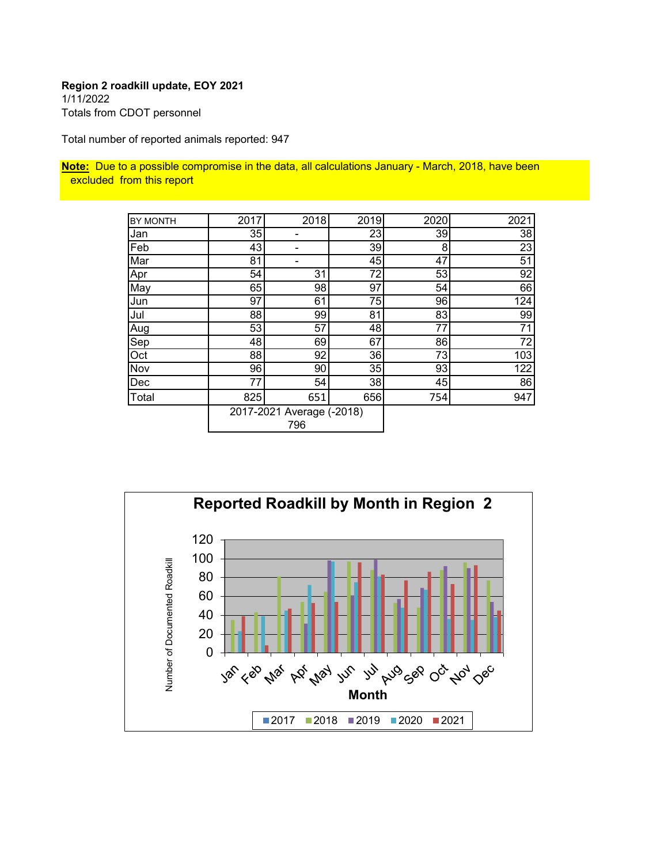#### **Region 2 roadkill update, EOY 2021** 1/11/2022 Totals from CDOT personnel

Total number of reported animals reported: 947

**Note:** Due to a possible compromise in the data, all calculations January - March, 2018, have been excluded from this report

| <b>BY MONTH</b> | 2017 | 2018                      | 2019 | 2020 | 2021 |
|-----------------|------|---------------------------|------|------|------|
| Jan             | 35   |                           | 23   | 39   | 38   |
| Feb             | 43   |                           | 39   | 8    | 23   |
| Mar             | 81   |                           | 45   | 47   | 51   |
| Apr             | 54   | 31                        | 72   | 53   | 92   |
| May             | 65   | 98                        | 97   | 54   | 66   |
| Jun             | 97   | 61                        | 75   | 96   | 124  |
| Jul             | 88   | 99                        | 81   | 83   | 99   |
| Aug             | 53   | 57                        | 48   | 77   | 71   |
| Sep             | 48   | 69                        | 67   | 86   | 72   |
| Oct             | 88   | 92                        | 36   | 73   | 103  |
| Nov             | 96   | 90                        | 35   | 93   | 122  |
| Dec             | 77   | 54                        | 38   | 45   | 86   |
| Total           | 825  | 651                       | 656  | 754  | 947  |
|                 |      | 2017-2021 Average (-2018) |      |      |      |
|                 |      | 796                       |      |      |      |

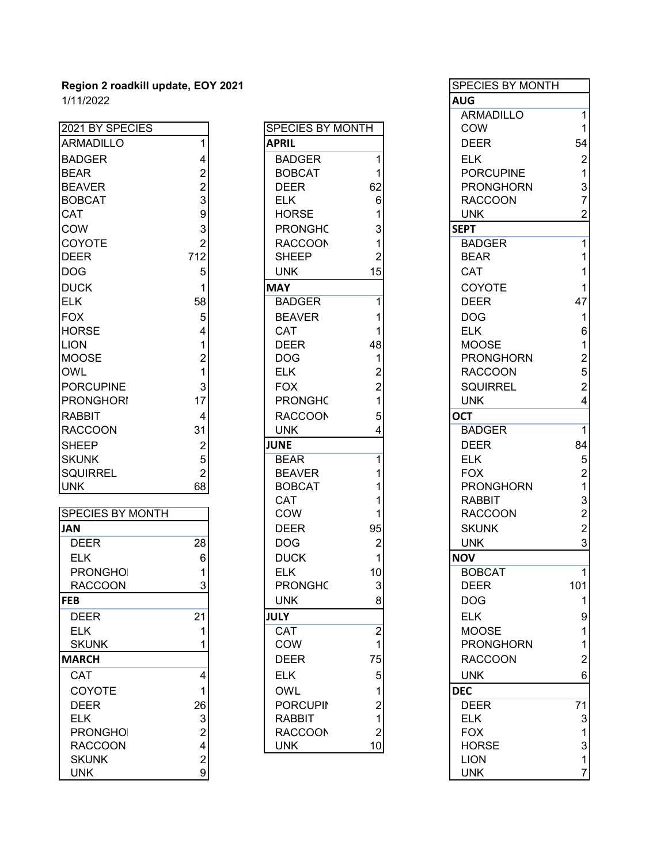| 2021 BY SPECIES         |                 | SPECIES BY MONTH |                | COW              | 1              |
|-------------------------|-----------------|------------------|----------------|------------------|----------------|
| ARMADILLO               | 1               | <b>APRIL</b>     |                | <b>DEER</b>      | 54             |
| <b>BADGER</b>           | 4               | <b>BADGER</b>    | 1              | <b>ELK</b>       | $\overline{2}$ |
| <b>BEAR</b>             | $\overline{2}$  | <b>BOBCAT</b>    | 1              | <b>PORCUPINE</b> | 1              |
| <b>BEAVER</b>           | $\overline{2}$  | <b>DEER</b>      | 62             | <b>PRONGHORN</b> | 3              |
| <b>BOBCAT</b>           | $\overline{3}$  | <b>ELK</b>       | $6\phantom{1}$ | <b>RACCOON</b>   | $\overline{7}$ |
| <b>CAT</b>              | $\overline{9}$  | <b>HORSE</b>     |                | <b>UNK</b>       | $\overline{2}$ |
| <b>COW</b>              | 3               | <b>PRONGHC</b>   | 3              | <b>SEPT</b>      |                |
| <b>COYOTE</b>           | $\overline{2}$  | <b>RACCOON</b>   | 1              | <b>BADGER</b>    | 1              |
| <b>DEER</b>             | 712             | <b>SHEEP</b>     | 2              | <b>BEAR</b>      |                |
| <b>DOG</b>              | 5               | <b>UNK</b>       | 15             | CAT              |                |
| <b>DUCK</b>             | 1               | <b>MAY</b>       |                | COYOTE           | 1              |
| <b>ELK</b>              | 58              | <b>BADGER</b>    | 1              | <b>DEER</b>      | 47             |
| <b>FOX</b>              | 5               | <b>BEAVER</b>    |                | <b>DOG</b>       | 1              |
| <b>HORSE</b>            | 4               | <b>CAT</b>       |                | <b>ELK</b>       | 6              |
| <b>LION</b>             | 1               | <b>DEER</b>      | 48             | <b>MOOSE</b>     | 1              |
| <b>MOOSE</b>            | $\overline{2}$  | <b>DOG</b>       | 1              | <b>PRONGHORN</b> | $\overline{a}$ |
| <b>OWL</b>              | $\overline{1}$  | <b>ELK</b>       | 2              | <b>RACCOON</b>   | 5              |
| <b>PORCUPINE</b>        | 3               | <b>FOX</b>       | $\overline{2}$ | <b>SQUIRREL</b>  | $\overline{2}$ |
| <b>PRONGHORI</b>        | 17              | <b>PRONGHC</b>   |                | <b>UNK</b>       | 4              |
| <b>RABBIT</b>           | 4               | <b>RACCOON</b>   | 5              | <b>OCT</b>       |                |
| <b>RACCOON</b>          | 31              | <b>UNK</b>       | 4              | <b>BADGER</b>    | 1              |
| <b>SHEEP</b>            | $\overline{c}$  | <b>JUNE</b>      |                | <b>DEER</b>      | 84             |
| <b>SKUNK</b>            | 5               | <b>BEAR</b>      | 1              | <b>ELK</b>       | 5              |
| <b>SQUIRREL</b>         | $\overline{2}$  | <b>BEAVER</b>    |                | <b>FOX</b>       | $\overline{2}$ |
| <b>UNK</b>              | 68              | <b>BOBCAT</b>    |                | <b>PRONGHORN</b> | 1              |
|                         |                 | CAT              |                | <b>RABBIT</b>    | 3              |
| <b>SPECIES BY MONTH</b> |                 | COW              |                | <b>RACCOON</b>   | $\overline{2}$ |
| <b>JAN</b>              |                 | <b>DEER</b>      | 95             | <b>SKUNK</b>     | $\overline{2}$ |
| <b>DEER</b>             | $\overline{28}$ | <b>DOG</b>       | $\overline{2}$ | <b>UNK</b>       | 3              |
| <b>ELK</b>              | $6\phantom{1}$  | <b>DUCK</b>      | 1              | <b>NOV</b>       |                |
| <b>PRONGHOI</b>         | 1               | <b>ELK</b>       | 10             | <b>BOBCAT</b>    | 1              |
| <b>RACCOON</b>          | 3               | <b>PRONGHC</b>   | 3              | <b>DEER</b>      | 101            |
| <b>FEB</b>              |                 | <b>UNK</b>       | 8              | <b>DOG</b>       | 1              |
| <b>DEER</b>             | 21              | <b>JULY</b>      |                | <b>ELK</b>       | 9              |
| <b>ELK</b>              | 1               | CAT              | $\overline{2}$ | <b>MOOSE</b>     | 1              |
| <b>SKUNK</b>            | 1               | COW              | 1              | <b>PRONGHORN</b> | 1              |
|                         |                 |                  |                |                  |                |

| 21 BY SPECIES   |                           | SPECIES BY MONTH |                  | C(               |
|-----------------|---------------------------|------------------|------------------|------------------|
| RMADILLO        | $\mathbf{1}$              | <b>APRIL</b>     |                  | DI               |
| ADGER           | 4                         | <b>BADGER</b>    | 1                | EL               |
| EAR             | $\overline{2}$            | <b>BOBCAT</b>    | 1                | P <sub>(</sub>   |
| EAVER           | $\overline{\mathbf{c}}$   | <b>DEER</b>      | 62               | $P$ F            |
| OBCAT           | 3                         | <b>ELK</b>       | 6                | R/               |
| AT              | 9                         | <b>HORSE</b>     | 1                | U                |
| OW              | $\ensuremath{\mathsf{3}}$ | <b>PRONGHC</b>   | 3                | SEP <sup>®</sup> |
| <b>OYOTE</b>    | $\overline{2}$            | <b>RACCOON</b>   | 1                | B/               |
| EER             | 712                       | <b>SHEEP</b>     | 2                | BE               |
| ОG              | 5                         | <b>UNK</b>       | 15               | C/               |
| <b>UCK</b>      | 1                         | <b>MAY</b>       |                  | C(               |
| LK              | 58                        | <b>BADGER</b>    | 1                | DI               |
| XC              | 5                         | <b>BEAVER</b>    | 1                | D <sub>(</sub>   |
| ORSE            | 4                         | <b>CAT</b>       | 1                | EL               |
| ON              | 1                         | <b>DEER</b>      | 48               | M                |
| <b>OOSE</b>     | $\overline{c}$            | <b>DOG</b>       | 1                | $P$ F            |
| WL              | $\mathbf{1}$              | <b>ELK</b>       | $\overline{2}$   | R/               |
| ORCUPINE        | 3                         | <b>FOX</b>       | $\overline{2}$   | S <sub>C</sub>   |
| RONGHORI        | 17                        | <b>PRONGHC</b>   | 1                | Uľ               |
| ABBIT           | 4                         | <b>RACCOON</b>   | 5                | <b>OCT</b>       |
| ACCOON          | 31                        | <b>UNK</b>       | 4                | B/               |
| HEEP            | $\overline{2}$            | <b>JUNE</b>      |                  | DI               |
| KUNK            | 5                         | <b>BEAR</b>      | 1                | EL               |
| QUIRREL         | $\overline{2}$            | <b>BEAVER</b>    | 1                | F <sub>C</sub>   |
| NΚ              | 68                        | <b>BOBCAT</b>    | 1                | $P$ F            |
|                 |                           | <b>CAT</b>       | 1                | R/               |
| PECIES BY MONTH |                           | COW              | 1                | R/               |
| ۱N              |                           | <b>DEER</b>      | 95               | Sł               |
| DEER            | 28                        | <b>DOG</b>       | $\overline{2}$   | U                |
| <b>ELK</b>      | 6                         | <b>DUCK</b>      | 1                | <b>NOV</b>       |
| <b>PRONGHOI</b> | 1                         | <b>ELK</b>       | 10               | B <sub>C</sub>   |
| <b>RACCOON</b>  | 3                         | <b>PRONGHC</b>   | 3                | DI               |
| EB.             |                           | <b>UNK</b>       | 8                | D <sub>(</sub>   |
| DEER            | 21                        | JULY             |                  | <u>EL</u>        |
| ELK             | 1                         | CAT              | $\boldsymbol{2}$ | M                |
| <b>SKUNK</b>    | 1                         | <b>COW</b>       | 1                | $P$ F            |
| <b>ARCH</b>     |                           | <b>DEER</b>      | 75               | R/               |
| CAT             | 4                         | <b>ELK</b>       | 5                | Uľ               |
| COYOTE          | 1                         | <b>OWL</b>       | 1                | <b>DEC</b>       |
| DEER            | 26                        | <b>PORCUPIN</b>  | $\overline{2}$   | DI               |
| ELK             | 3                         | <b>RABBIT</b>    | 1                | EL               |
| <b>PRONGHOI</b> | $\overline{c}$            | <b>RACCOON</b>   | $\overline{2}$   | F <sub>C</sub>   |
| <b>RACCOON</b>  | 4                         | <b>UNK</b>       | 10               | H <sub>(</sub>   |
|                 |                           |                  |                  |                  |

| Region 2 roadkill update, EOY 2021 |                |                  |                | <b>SPECIES BY MONTH</b>          |                           |
|------------------------------------|----------------|------------------|----------------|----------------------------------|---------------------------|
| 1/11/2022                          |                |                  |                | <b>AUG</b>                       |                           |
|                                    |                |                  |                | <b>ARMADILLO</b>                 | 1                         |
| 2021 BY SPECIES                    |                | SPECIES BY MONTH |                | <b>COW</b>                       | $\mathbf{1}$              |
| <b>ARMADILLO</b>                   |                | <b>APRIL</b>     |                | <b>DEER</b>                      | 54                        |
| <b>BADGER</b>                      |                | <b>BADGER</b>    |                | <b>ELK</b>                       | $\boldsymbol{2}$          |
| <b>BEAR</b>                        |                | <b>BOBCAT</b>    |                | <b>PORCUPINE</b>                 | 1                         |
| <b>BEAVER</b>                      | $\overline{2}$ | <b>DEER</b>      | 62             | <b>PRONGHORN</b>                 | 3                         |
| <b>BOBCAT</b>                      | 3              | <b>ELK</b>       | 6              | <b>RACCOON</b>                   | $\overline{7}$            |
| CAT                                | 9              | <b>HORSE</b>     |                | <b>UNK</b>                       | 2                         |
| COW                                | 3              | <b>PRONGHC</b>   |                | <b>SEPT</b>                      |                           |
| COYOTE                             | $\overline{2}$ | <b>RACCOON</b>   |                | <b>BADGER</b>                    | 1                         |
| <b>DEER</b>                        | 712            | <b>SHEEP</b>     |                | <b>BEAR</b>                      |                           |
| <b>DOG</b>                         | 5              | <b>UNK</b>       | 15             | CAT                              |                           |
| <b>DUCK</b>                        |                | <b>MAY</b>       |                | COYOTE                           |                           |
| <b>ELK</b>                         | 58             | <b>BADGER</b>    |                | <b>DEER</b>                      | 47                        |
| <b>FOX</b>                         | 5              | <b>BEAVER</b>    |                | <b>DOG</b>                       | 1                         |
| <b>HORSE</b>                       |                | CAT              |                | <b>ELK</b>                       | 6                         |
| <b>LION</b>                        |                | <b>DEER</b>      | 48             | <b>MOOSE</b>                     | 1                         |
| <b>MOOSE</b>                       |                | <b>DOG</b>       |                | <b>PRONGHORN</b>                 | $\overline{\mathbf{c}}$   |
| OWL                                |                | <b>ELK</b>       |                | <b>RACCOON</b>                   | 5                         |
| <b>PORCUPINE</b>                   |                | <b>FOX</b>       |                | <b>SQUIRREL</b>                  | $\overline{c}$            |
| <b>PRONGHORI</b>                   | 17             | <b>PRONGHC</b>   |                | <b>UNK</b>                       | 4                         |
| RABBIT                             | 4              | <b>RACCOON</b>   |                | <b>OCT</b>                       |                           |
| <b>RACCOON</b>                     | 31             | <b>UNK</b>       |                | <b>BADGER</b>                    | $\overline{1}$            |
| <b>SHEEP</b>                       | $\overline{2}$ | <b>JUNE</b>      |                | <b>DEER</b>                      | 84                        |
| <b>SKUNK</b>                       | 5              | <b>BEAR</b>      |                | <b>ELK</b>                       | $\mathbf 5$               |
| <b>SQUIRREL</b>                    |                | <b>BEAVER</b>    |                | <b>FOX</b>                       | $\overline{c}$            |
| <b>UNK</b>                         | 68             | <b>BOBCAT</b>    |                | <b>PRONGHORN</b>                 | 1                         |
|                                    |                | CAT              |                | <b>RABBIT</b>                    | 3                         |
| <b>SPECIES BY MONTH</b>            |                | COW              |                | <b>RACCOON</b>                   | $\overline{2}$            |
| <b>NAL</b>                         |                | <b>DEER</b>      | 95             | <b>SKUNK</b>                     | $\overline{2}$            |
| <b>DEER</b>                        | 28             | <b>DOG</b>       | 2              | <b>UNK</b>                       | 3                         |
| <b>ELK</b>                         | 6              | <b>DUCK</b>      | 1              | <b>NOV</b>                       |                           |
| <b>PRONGHOI</b>                    | 1              | <b>ELK</b>       | 10             | <b>BOBCAT</b>                    | $\mathbf{1}$              |
| <b>RACCOON</b>                     | 3              | <b>PRONGHC</b>   | 3              | <b>DEER</b>                      | 101                       |
| FEB                                |                | <b>UNK</b>       | 8              | <b>DOG</b>                       |                           |
|                                    | 21             | <b>JULY</b>      |                | <b>ELK</b>                       |                           |
| <b>DEER</b>                        |                |                  |                |                                  | 9                         |
| <b>ELK</b><br><b>SKUNK</b>         |                | CAT<br>COW       | $\overline{2}$ | <b>MOOSE</b><br><b>PRONGHORN</b> |                           |
|                                    |                | <b>DEER</b>      | 75             | <b>RACCOON</b>                   | $\overline{2}$            |
| <b>MARCH</b>                       |                |                  |                |                                  |                           |
| CAT                                | 4              | <b>ELK</b>       | 5              | <b>UNK</b>                       | $\,6$                     |
| COYOTE                             | 1              | <b>OWL</b>       |                | <b>DEC</b>                       |                           |
| <b>DEER</b>                        | 26             | <b>PORCUPIN</b>  |                | <b>DEER</b>                      | 71                        |
| <b>ELK</b>                         | $\mathbf{3}$   | <b>RABBIT</b>    |                | <b>ELK</b>                       | $\ensuremath{\mathsf{3}}$ |
| <b>PRONGHOI</b>                    | $\overline{2}$ | <b>RACCOON</b>   |                | <b>FOX</b>                       | 1                         |
| <b>RACCOON</b>                     | 4              | <b>UNK</b>       | 10             | <b>HORSE</b>                     | $\mathbf{3}$              |
| <b>SKUNK</b>                       | $\overline{c}$ |                  |                | <b>LION</b>                      | 1                         |
| <b>UNK</b>                         | 9              |                  |                | <b>UNK</b>                       | $\overline{7}$            |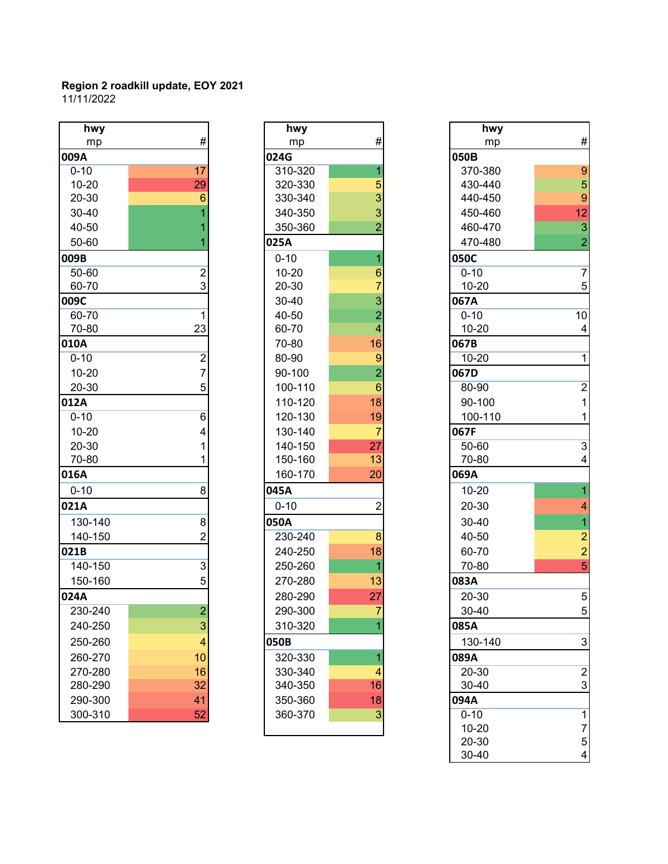| hwy       |                         | hwy       |                 | hwy       |                          |
|-----------|-------------------------|-----------|-----------------|-----------|--------------------------|
| mp        | $\#$                    | mp        | $\#$            | mp        | #                        |
| 009A      |                         | 024G      |                 | 050B      |                          |
| $0 - 10$  | 17                      | 310-320   |                 | 370-380   | 9                        |
| $10 - 20$ | 29                      | 320-330   | 5               | 430-440   | 5                        |
| 20-30     | 6                       | 330-340   | 3               | 440-450   | 9                        |
| 30-40     |                         | 340-350   | 3               | 450-460   | 12                       |
| 40-50     |                         | 350-360   |                 | 460-470   | $\overline{3}$           |
| 50-60     |                         | 025A      |                 | 470-480   | $\overline{a}$           |
| 009B      |                         | $0 - 10$  |                 | 050C      |                          |
| 50-60     | $\overline{\mathbf{c}}$ | $10 - 20$ | 6               | $0 - 10$  | $\overline{7}$           |
| 60-70     | 3                       | 20-30     |                 | $10 - 20$ | 5                        |
| 009C      |                         | 30-40     | 3               | 067A      |                          |
| 60-70     | 1                       | 40-50     | $\overline{2}$  | $0 - 10$  | 10                       |
| 70-80     | 23                      | 60-70     | 4               | $10 - 20$ | $\overline{\mathcal{A}}$ |
| 010A      |                         | 70-80     | 16              | 067B      |                          |
| $0 - 10$  | $\overline{2}$          | 80-90     | 9               | $10 - 20$ | 1                        |
| $10 - 20$ | $\overline{7}$          | 90-100    | $\overline{2}$  | 067D      |                          |
| 20-30     | 5                       | 100-110   | $6\phantom{1}6$ | 80-90     | $\overline{a}$           |
| 012A      |                         | 110-120   | 18              | 90-100    | $\overline{1}$           |
| $0 - 10$  | 6                       | 120-130   | 19              | 100-110   | 1                        |
| $10 - 20$ | 4                       | 130-140   | $\overline{7}$  | 067F      |                          |
| 20-30     |                         | 140-150   | 27              | 50-60     | $\overline{3}$           |
| 70-80     |                         | 150-160   | 13              | 70-80     | 4                        |
| 016A      |                         | 160-170   | 20              | 069A      |                          |
| $0 - 10$  | 8                       | 045A      |                 | $10 - 20$ | 1                        |
| 021A      |                         | $0 - 10$  | $\overline{2}$  | 20-30     | 4                        |
| 130-140   | 8                       | 050A      |                 | 30-40     | 1                        |
| 140-150   | $\overline{2}$          | 230-240   | 8               | 40-50     | $\overline{a}$           |
| 021B      |                         | 240-250   | 18              | 60-70     | $\overline{a}$           |
| 140-150   | $\overline{3}$          | 250-260   |                 | 70-80     | 5                        |
| 150-160   | 5                       | 270-280   | 13              | 083A      |                          |
| 024A      |                         | 280-290   | 27              | 20-30     | 5                        |
| 230-240   | $\overline{2}$          | 290-300   | $\overline{7}$  | 30-40     | 5                        |
| 240-250   | $\mathbf{3}$            | 310-320   |                 | 085A      |                          |
| 250-260   | 4                       | 050B      |                 | 130-140   | 3                        |
| 260-270   | 10                      | 320-330   |                 | 089A      |                          |
| 270-280   | 16                      | 330-340   | 4               | 20-30     | $\overline{c}$           |
| 280-290   | 32                      | 340-350   | 16              | 30-40     | 3                        |
| 290-300   | 41                      | 350-360   | 18              | 094A      |                          |
| 300-310   | 52                      | 360-370   | 3               | $0 - 10$  | 1                        |

| hwy       |                             |
|-----------|-----------------------------|
| mp        | #                           |
| 024G      |                             |
| 310-320   | $\overline{1}$              |
| 320-330   |                             |
| 330-340   |                             |
| 340-350   | $\frac{1}{3}$ $\frac{3}{2}$ |
| 350-360   |                             |
| 025A      |                             |
| $0 - 10$  | $\overline{\mathbf{1}}$     |
| $10 - 20$ |                             |
| 20-30     | 6732                        |
| 30-40     |                             |
| 40-50     |                             |
| 60-70     | 4                           |
| 70-80     | 16                          |
| 80-90     |                             |
| 90-100    | $\frac{9}{2}$               |
| 100-110   | 6                           |
| 110-120   | 18                          |
| 120-130   | 19                          |
| 130-140   | 7                           |
| 140-150   | 27                          |
| 150-160   | 13                          |
| 160-170   | 20                          |
| 045A      |                             |
| $0 - 10$  | 2                           |
| 050A      |                             |
| 230-240   | 8                           |
| 240-250   | 18                          |
| 250-260   | 1                           |
| 270-280   | 13                          |
| 280-290   | 27                          |
| 290-300   | 7                           |
| 310-320   | 1                           |
| 050B      |                             |
| 320-330   | 1                           |
| 330-340   | 4                           |
| 340-350   | 16                          |
| 350-360   | 18                          |
| 360-370   | 3                           |
|           |                             |
|           |                             |

| hwy       |                         | hwy       |                 | hwy       |                           |
|-----------|-------------------------|-----------|-----------------|-----------|---------------------------|
| mp        | #                       | mp        | #               | mp        | $\#$                      |
| )9A       |                         | 024G      |                 | 050B      |                           |
| $0 - 10$  | 17                      | 310-320   | 1               | 370-380   | $\boldsymbol{9}$          |
| $10 - 20$ | 29                      | 320-330   | 5               | 430-440   | 5                         |
| 20-30     | 6                       | 330-340   | 3               | 440-450   | $\boldsymbol{9}$          |
| 30-40     |                         | 340-350   | 3               | 450-460   | 12                        |
| 40-50     |                         | 350-360   | $\overline{2}$  | 460-470   | $\mathsf 3$               |
| 50-60     |                         | 025A      |                 | 470-480   | $\overline{2}$            |
| )9B       |                         | $0 - 10$  | 1               | 050C      |                           |
| 50-60     | 2                       | $10 - 20$ | $6\phantom{1}6$ | $0 - 10$  | $\overline{7}$            |
| 60-70     | 3                       | 20-30     | 7               | $10 - 20$ | $\sqrt{5}$                |
| )9C       |                         | 30-40     | 3               | 067A      |                           |
| 60-70     | 1                       | 40-50     | $\overline{2}$  | $0 - 10$  | 10                        |
| 70-80     | 23                      | 60-70     | $\overline{4}$  | $10 - 20$ | $\overline{\mathbf{4}}$   |
| LOA       |                         | 70-80     | 16              | 067B      |                           |
| $0 - 10$  | $\overline{\mathbf{c}}$ | 80-90     | $\overline{9}$  | $10 - 20$ | $\overline{1}$            |
| $10 - 20$ | $\overline{7}$          | 90-100    | $\overline{2}$  | 067D      |                           |
| 20-30     | 5                       | 100-110   | $6\phantom{1}$  | 80-90     | $\overline{2}$            |
| L2A       |                         | 110-120   | 18              | 90-100    | $\mathbf{1}$              |
| $0 - 10$  | 6                       | 120-130   | 19              | 100-110   | 1                         |
| $10 - 20$ | 4                       | 130-140   | $\overline{7}$  | 067F      |                           |
| 20-30     |                         | 140-150   | 27              | 50-60     | $\overline{3}$            |
| 70-80     |                         | 150-160   | 13              | 70-80     | $\overline{\mathbf{4}}$   |
| L6A       |                         | 160-170   | 20              | 069A      |                           |
| $0 - 10$  | 8                       | 045A      |                 | $10 - 20$ | $\overline{1}$            |
| 21A       |                         | $0 - 10$  | $\overline{2}$  | 20-30     | $\overline{\mathbf{4}}$   |
| 130-140   | 8                       | 050A      |                 | 30-40     | $\overline{1}$            |
| 140-150   | 2                       | 230-240   | 8               | 40-50     | $\overline{c}$            |
| 21B       |                         | 240-250   | 18              | 60-70     | $\frac{2}{5}$             |
| 140-150   | $\overline{3}$          | 250-260   | $\overline{1}$  | 70-80     |                           |
| 150-160   | 5                       | 270-280   | 13              | 083A      |                           |
| 24A       |                         | 280-290   | 27              | 20-30     | $\mathbf 5$               |
| 230-240   | $\overline{c}$          | 290-300   | 7               | 30-40     | 5                         |
| 240-250   | 3                       | 310-320   |                 | 085A      |                           |
| 250-260   | 4                       | 050B      |                 | 130-140   | $\ensuremath{\mathsf{3}}$ |
| 260-270   | 10                      | 320-330   | 1               | 089A      |                           |
| 270-280   | 16                      | 330-340   | $\overline{4}$  | 20-30     | $\overline{2}$            |
| 280-290   | 32                      | 340-350   | 16              | 30-40     | $\ensuremath{\mathsf{3}}$ |
| 290-300   | 41                      | 350-360   | 18              | 094A      |                           |
| 300-310   | 52                      | 360-370   | $\mathbf{3}$    | $0 - 10$  | $\mathbf{1}$              |
|           |                         |           |                 | $10 - 20$ | $\overline{7}$            |
|           |                         |           |                 | 20-30     | $\mathbf 5$               |
|           |                         |           |                 | 30-40     | 4                         |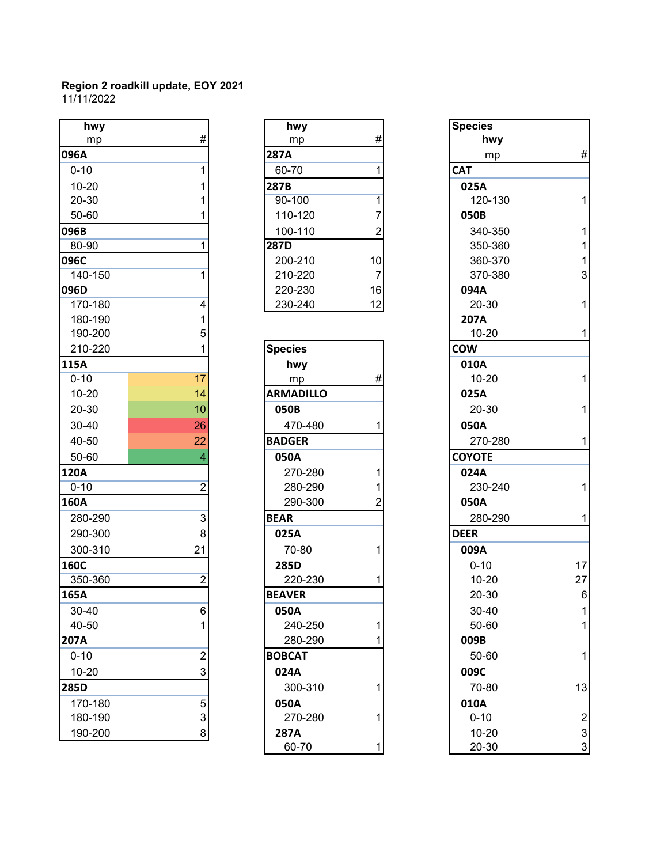| hwy         |                   | hwy              |    | <b>Species</b> |                 |
|-------------|-------------------|------------------|----|----------------|-----------------|
| mp          | $\#$              | mp               | #  | hwy            |                 |
| 096A        |                   | <b>287A</b>      |    | mp             | #               |
| $0 - 10$    | 1                 | 60-70            |    | <b>CAT</b>     |                 |
| $10 - 20$   |                   | 287B             |    | 025A           |                 |
| 20-30       |                   | 90-100           | 1  | 120-130        | 1               |
| 50-60       |                   | 110-120          | 7  | 050B           |                 |
| 096B        |                   | 100-110          | 2  | 340-350        | 1               |
| 80-90       | 1                 | 287D             |    | 350-360        | 1               |
| 096C        |                   | 200-210          | 10 | 360-370        | $\mathbf{1}$    |
| 140-150     | 1                 | 210-220          | 7  | 370-380        | 3               |
| 096D        |                   | 220-230          | 16 | 094A           |                 |
| 170-180     | 4                 | 230-240          | 12 | 20-30          | 1               |
| 180-190     | 1                 |                  |    | 207A           |                 |
| 190-200     | 5                 |                  |    | $10 - 20$      | 1               |
| 210-220     |                   | <b>Species</b>   |    | <b>COW</b>     |                 |
| 115A        |                   | hwy              |    | 010A           |                 |
| $0 - 10$    | 17                | mp               | #  | $10 - 20$      | 1               |
| $10 - 20$   | 14                | <b>ARMADILLO</b> |    | 025A           |                 |
| 20-30       | 10                | 050B             |    | 20-30          | 1               |
| 30-40       | 26                | 470-480          |    | 050A           |                 |
| 40-50       | 22                | <b>BADGER</b>    |    | 270-280        | 1               |
| 50-60       | 4                 | 050A             |    | <b>COYOTE</b>  |                 |
| 120A        |                   | 270-280          |    | 024A           |                 |
| $0 - 10$    | $\overline{2}$    | 280-290          |    | 230-240        | 1               |
| 160A        |                   | 290-300          | 2  | 050A           |                 |
| 280-290     | 3                 | <b>BEAR</b>      |    | 280-290        | 1               |
| 290-300     | 8                 | 025A             |    | <b>DEER</b>    |                 |
| 300-310     | 21                | 70-80            |    | 009A           |                 |
| <b>160C</b> |                   | 285D             |    | $0 - 10$       | 17              |
| 350-360     | $\overline{2}$    | 220-230          |    | $10 - 20$      | 27              |
| 165A        |                   | <b>BEAVER</b>    |    | 20-30          | $6\phantom{1}6$ |
| $30 - 40$   | 6                 | 050A             |    | $30 - 40$      |                 |
| 40-50       |                   | 240-250          | 1  | 50-60          |                 |
| <b>207A</b> |                   | 280-290          |    | 009B           |                 |
| $0 - 10$    | $\overline{2}$    | <b>BOBCAT</b>    |    | 50-60          |                 |
| $10 - 20$   | 3                 | 024A             |    | 009C           |                 |
| 285D        |                   | 300-310          |    | 70-80          | 13              |
| 170-180     |                   | 050A             |    | 010A           |                 |
| 180-190     | 5<br>$\mathbf{3}$ | 270-280          | 1  | $0 - 10$       | $\overline{a}$  |
| 190-200     | 8                 | 287A             |    | $10 - 20$      | 3               |
|             |                   |                  |    |                |                 |

| hwy                | #              |
|--------------------|----------------|
| mp<br>287A         |                |
|                    |                |
| 60-70              | 1              |
| 287B<br>90-100     | 1              |
| 110-120            | 7              |
| 100-110            | $\overline{2}$ |
| $\overline{287}$ D |                |
| 200-210            | 10             |
| 210-220            | 7              |
| 220-230            | 16             |
| 230-240            | 12             |
|                    |                |
|                    |                |
| <b>Species</b>     |                |
| hwy                |                |
| mp                 | #              |
| <b>ARMADILLO</b>   |                |
| 050B               |                |
| 470-480            | 1              |
| <b>BADGER</b>      |                |
| 050A               |                |
| 270-280            | 1              |
| 280-290            | 1              |
| 290-300            | $\overline{2}$ |
| <b>BEAR</b>        |                |
| 025A               |                |
| 70-80              | 1              |
| 285D               |                |
| 220-230            | 1              |
| <b>BEAVER</b>      |                |
| 050A               |                |
| 240-250            | 1              |
| 280-290            | 1              |
| <b>BOBCAT</b>      |                |
| 024A               |                |
| 300-310            | 1              |
| 050A               |                |
| 270-280            | 1              |
| 287A               |                |
| 60-70              | 1              |

| hwy       |                         | hwy              |    | <b>Species</b> |                |
|-----------|-------------------------|------------------|----|----------------|----------------|
| mp        | #                       | mp               | #  | hwy            |                |
| 96A       |                         | 287A             |    | mp             | $\#$           |
| $0 - 10$  |                         | 60-70            | 1  | <b>CAT</b>     |                |
| 10-20     |                         | 287B             |    | 025A           |                |
| 20-30     |                         | 90-100           | 1  | 120-130        | 1              |
| 50-60     |                         | 110-120          |    | 050B           |                |
| 96B       |                         | 100-110          | 2  | 340-350        | 1              |
| 80-90     |                         | 287D             |    | 350-360        |                |
| 96C       |                         | 200-210          | 10 | 360-370        | 1              |
| 140-150   |                         | 210-220          | 7  | 370-380        | $\mathbf{3}$   |
| 96D       |                         | 220-230          | 16 | 094A           |                |
| 170-180   | 4                       | 230-240          | 12 | 20-30          | 1              |
| 180-190   |                         |                  |    | 207A           |                |
| 190-200   |                         |                  |    | $10 - 20$      | 1              |
| 210-220   |                         | <b>Species</b>   |    | <b>COW</b>     |                |
| L5A       |                         | hwy              |    | 010A           |                |
| $0 - 10$  | 17                      | mp               | #  | $10 - 20$      | 1              |
| $10 - 20$ | 14                      | <b>ARMADILLO</b> |    | 025A           |                |
| 20-30     | 10                      | 050B             |    | 20-30          | 1              |
| 30-40     | 26                      | 470-480          |    | 050A           |                |
| 40-50     | 22                      | <b>BADGER</b>    |    | 270-280        | 1              |
| 50-60     | 4                       | 050A             |    | <b>COYOTE</b>  |                |
| 20A       |                         | 270-280          |    | 024A           |                |
| $0 - 10$  | 2                       | 280-290          |    | 230-240        | 1              |
| 50A       |                         | 290-300          | 2  | 050A           |                |
| 280-290   | 3                       | <b>BEAR</b>      |    | 280-290        | 1              |
| 290-300   | 8                       | 025A             |    | <b>DEER</b>    |                |
| 300-310   | 21                      | 70-80            |    | 009A           |                |
| 50C       |                         | 285D             |    | $0 - 10$       | 17             |
| 350-360   | $\overline{2}$          | 220-230          | 1  | $10 - 20$      | 27             |
| 55A       |                         | <b>BEAVER</b>    |    | 20-30          | $\,6$          |
| 30-40     | 6                       | 050A             |    | 30-40          |                |
| 40-50     |                         | 240-250          | 1  | 50-60          | 1              |
| )7A       |                         | 280-290          |    | 009B           |                |
| $0 - 10$  | $\overline{\mathbf{c}}$ | <b>BOBCAT</b>    |    | 50-60          | 1              |
| $10 - 20$ | 3                       | 024A             |    | 009C           |                |
| 35D       |                         | 300-310          | 1  | 70-80          | 13             |
| 170-180   | 5                       | 050A             |    | 010A           |                |
| 180-190   | 3                       | 270-280          |    | $0 - 10$       | $\overline{2}$ |
| 190-200   | 8                       | 287A             |    | $10 - 20$      | $\mathsf 3$    |
|           |                         | 60-70            | 1  | 20-30          | $\mathbf{3}$   |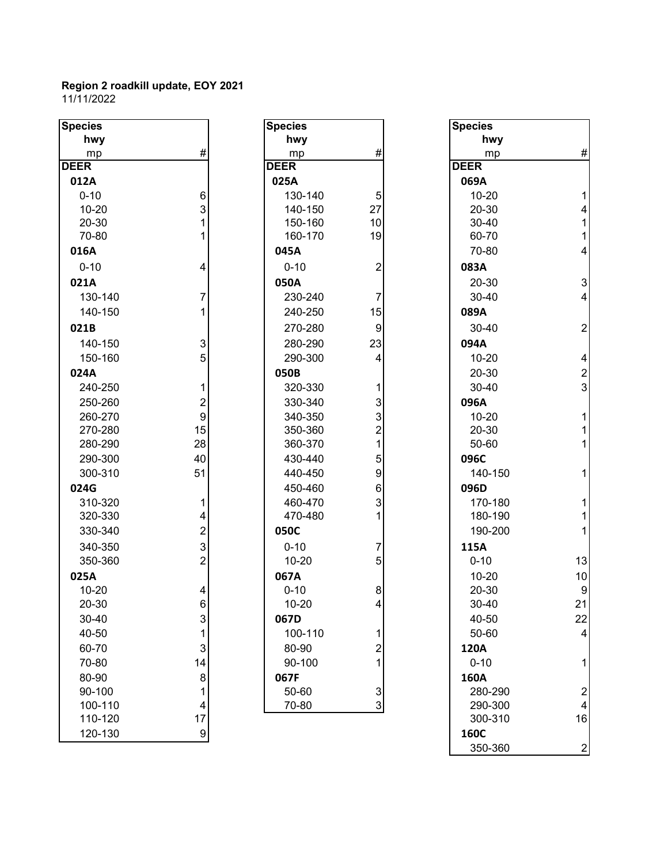| <b>Species</b> |                           | <b>Species</b> |                         | <b>Species</b> |                          |
|----------------|---------------------------|----------------|-------------------------|----------------|--------------------------|
| hwy            |                           | hwy            |                         | hwy            |                          |
| mp             | #                         | mp             | #                       | mp             | #                        |
| <b>DEER</b>    |                           | <b>DEER</b>    |                         | <b>DEER</b>    |                          |
| 012A           |                           | 025A           |                         | 069A           |                          |
| $0 - 10$       | 6                         | 130-140        | 5                       | $10 - 20$      | 1                        |
| $10 - 20$      | 3                         | 140-150        | 27                      | 20-30          | 4                        |
| 20-30          | 1                         | 150-160        | 10                      | 30-40          |                          |
| 70-80          | 1                         | 160-170        | 19                      | 60-70          | 1                        |
| 016A           |                           | 045A           |                         | 70-80          | $\overline{4}$           |
| $0 - 10$       | 4                         | $0 - 10$       | $\boldsymbol{2}$        | 083A           |                          |
| 021A           |                           | 050A           |                         | 20-30          | 3                        |
| 130-140        | 7                         | 230-240        | 7                       | 30-40          | $\overline{\mathcal{A}}$ |
| 140-150        | 1                         | 240-250        | 15                      | 089A           |                          |
| 021B           |                           | 270-280        | 9                       | 30-40          | $\overline{2}$           |
| 140-150        | $\ensuremath{\mathsf{3}}$ | 280-290        | 23                      | 094A           |                          |
| 150-160        | 5                         | 290-300        | 4                       | $10 - 20$      | 4                        |
| 024A           |                           | 050B           |                         | 20-30          | $\overline{a}$           |
| 240-250        | 1                         | 320-330        | 1                       | 30-40          | 3                        |
| 250-260        | 2                         | 330-340        | 3                       | 096A           |                          |
| 260-270        | 9                         | 340-350        | 3                       | $10 - 20$      | 1                        |
| 270-280        | 15                        | 350-360        | $\overline{2}$          | 20-30          | 1                        |
| 280-290        | 28                        | 360-370        | 1                       | 50-60          | 1                        |
| 290-300        | 40                        | 430-440        | 5                       | 096C           |                          |
| 300-310        | 51                        | 440-450        | 9                       | 140-150        |                          |
| 024G           |                           | 450-460        | 6                       | 096D           |                          |
| 310-320        | 1                         | 460-470        | 3                       | 170-180        | 1                        |
| 320-330        | 4                         | 470-480        | 1                       | 180-190        | 1                        |
| 330-340        | $\overline{c}$            | 050C           |                         | 190-200        | 1                        |
| 340-350        | 3                         | $0 - 10$       | 7                       | 115A           |                          |
| 350-360        | $\overline{2}$            | $10 - 20$      | 5                       | $0 - 10$       | 13                       |
| 025A           |                           | 067A           |                         | $10 - 20$      | 10                       |
| $10 - 20$      | 4                         | $0 - 10$       | 8                       | 20-30          | 9                        |
| $20 - 30$      | 6 <sup>1</sup>            | $10 - 20$      | $\overline{4}$          | 30-40          | 21                       |
| 30-40          | $\ensuremath{\mathsf{3}}$ | 067D           |                         | 40-50          | 22                       |
| 40-50          | 1                         | 100-110        | 1                       | 50-60          | $\overline{4}$           |
| 60-70          | 3                         | 80-90          | $\overline{\mathbf{c}}$ | 120A           |                          |
| 70-80          | 14                        | 90-100         | 1                       | $0 - 10$       | 1                        |
| 80-90          | 8                         | 067F           |                         | 160A           |                          |
| 90-100         | 1                         | 50-60          | $\mathbf{3}$            | 280-290        | $\overline{a}$           |
| 100-110        | 4                         | 70-80          | $\overline{3}$          | 290-300        | 4                        |
| 110-120        | 17                        |                |                         | 300-310        | 16                       |
| 120-130        | $\overline{9}$            |                |                         | <b>160C</b>    |                          |
|                |                           |                |                         | 350-360        | $\overline{c}$           |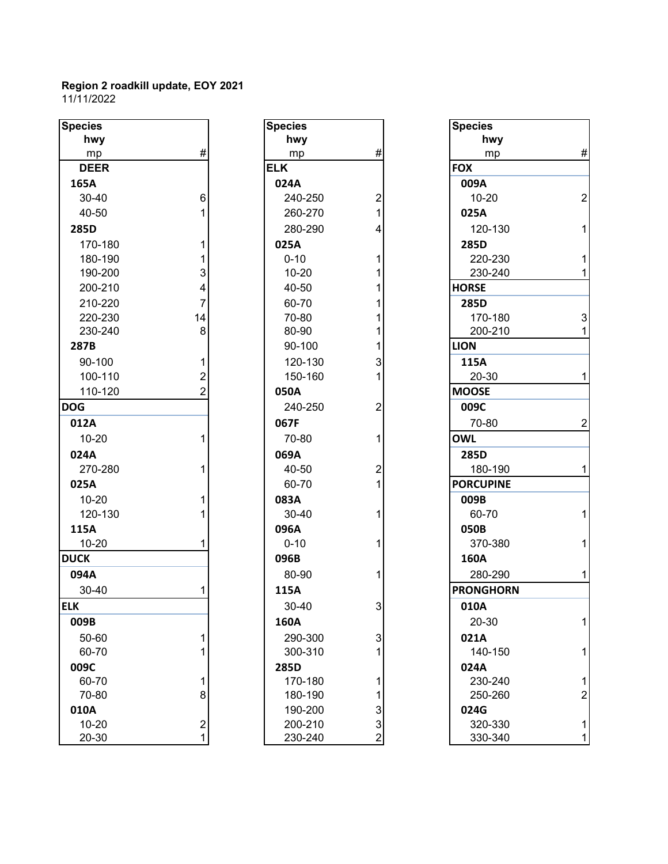| hwy<br>hwy<br>hwy<br>#<br>#<br>mp<br>mp<br>mp<br><b>ELK</b><br><b>FOX</b><br><b>DEER</b><br>024A<br>009A<br>165A<br>6<br>240-250<br>$\overline{c}$<br>$10 - 20$<br>$30 - 40$<br>1<br>40-50<br>1<br>260-270<br>025A<br>285D<br>280-290<br>4<br>120-130<br>170-180<br>025A<br>1<br>285D<br>$0 - 10$<br>180-190<br>1<br>220-230<br>1<br>3<br>230-240<br>190-200<br>$10 - 20$<br>1<br>4<br>40-50<br><b>HORSE</b><br>200-210<br>1<br>$\overline{7}$<br>210-220<br>60-70<br>1<br>285D<br>70-80<br>220-230<br>14<br>170-180<br>1<br>8<br>80-90<br>230-240<br>1<br>200-210<br>90-100<br>1<br><b>LION</b><br>287B<br>90-100<br>1<br>120-130<br>3<br>115A<br>100-110<br>$\overline{2}$<br>150-160<br>1<br>20-30<br>$\overline{2}$<br>110-120<br><b>MOOSE</b><br>050A<br><b>DOG</b><br>$\overline{2}$<br>240-250<br>009C<br>067F<br>70-80<br>012A<br>1<br><b>OWL</b><br>$10 - 20$<br>70-80<br>1<br>024A<br>069A<br>285D<br>$\overline{2}$<br>270-280<br>40-50<br>180-190<br>1<br>1<br><b>PORCUPINE</b><br>025A<br>60-70<br>$10 - 20$<br>083A<br>1<br>009B<br>120-130<br>30-40<br>60-70<br>1<br>115A<br>096A<br>050B<br>$10 - 20$<br>$0 - 10$<br>1<br>370-380<br>1<br><b>DUCK</b><br>160A<br>096B<br>80-90<br>094A<br>1<br>280-290<br>30-40<br>115A<br><b>PRONGHORN</b><br>1<br>3<br><b>ELK</b><br>30-40<br>010A<br>20-30<br>009B<br>160A<br>3<br>1<br>021A<br>50-60<br>290-300<br>1<br>140-150<br>60-70<br>300-310<br>1<br>009C<br>024A<br>285D<br>60-70<br>1<br>170-180<br>1<br>230-240<br>8<br>70-80<br>180-190<br>1<br>250-260<br>3<br>010A<br>024G<br>190-200<br>3<br>$\overline{c}$<br>$10 - 20$<br>200-210<br>320-330 | <b>Species</b> | <b>Species</b> | <b>Species</b> |
|------------------------------------------------------------------------------------------------------------------------------------------------------------------------------------------------------------------------------------------------------------------------------------------------------------------------------------------------------------------------------------------------------------------------------------------------------------------------------------------------------------------------------------------------------------------------------------------------------------------------------------------------------------------------------------------------------------------------------------------------------------------------------------------------------------------------------------------------------------------------------------------------------------------------------------------------------------------------------------------------------------------------------------------------------------------------------------------------------------------------------------------------------------------------------------------------------------------------------------------------------------------------------------------------------------------------------------------------------------------------------------------------------------------------------------------------------------------------------------------------------------------------------------------------------------------------------------------------------------------|----------------|----------------|----------------|
|                                                                                                                                                                                                                                                                                                                                                                                                                                                                                                                                                                                                                                                                                                                                                                                                                                                                                                                                                                                                                                                                                                                                                                                                                                                                                                                                                                                                                                                                                                                                                                                                                  |                |                |                |
|                                                                                                                                                                                                                                                                                                                                                                                                                                                                                                                                                                                                                                                                                                                                                                                                                                                                                                                                                                                                                                                                                                                                                                                                                                                                                                                                                                                                                                                                                                                                                                                                                  |                |                |                |
|                                                                                                                                                                                                                                                                                                                                                                                                                                                                                                                                                                                                                                                                                                                                                                                                                                                                                                                                                                                                                                                                                                                                                                                                                                                                                                                                                                                                                                                                                                                                                                                                                  |                |                |                |
|                                                                                                                                                                                                                                                                                                                                                                                                                                                                                                                                                                                                                                                                                                                                                                                                                                                                                                                                                                                                                                                                                                                                                                                                                                                                                                                                                                                                                                                                                                                                                                                                                  |                |                |                |
|                                                                                                                                                                                                                                                                                                                                                                                                                                                                                                                                                                                                                                                                                                                                                                                                                                                                                                                                                                                                                                                                                                                                                                                                                                                                                                                                                                                                                                                                                                                                                                                                                  |                |                |                |
|                                                                                                                                                                                                                                                                                                                                                                                                                                                                                                                                                                                                                                                                                                                                                                                                                                                                                                                                                                                                                                                                                                                                                                                                                                                                                                                                                                                                                                                                                                                                                                                                                  |                |                |                |
|                                                                                                                                                                                                                                                                                                                                                                                                                                                                                                                                                                                                                                                                                                                                                                                                                                                                                                                                                                                                                                                                                                                                                                                                                                                                                                                                                                                                                                                                                                                                                                                                                  |                |                |                |
|                                                                                                                                                                                                                                                                                                                                                                                                                                                                                                                                                                                                                                                                                                                                                                                                                                                                                                                                                                                                                                                                                                                                                                                                                                                                                                                                                                                                                                                                                                                                                                                                                  |                |                |                |
|                                                                                                                                                                                                                                                                                                                                                                                                                                                                                                                                                                                                                                                                                                                                                                                                                                                                                                                                                                                                                                                                                                                                                                                                                                                                                                                                                                                                                                                                                                                                                                                                                  |                |                |                |
|                                                                                                                                                                                                                                                                                                                                                                                                                                                                                                                                                                                                                                                                                                                                                                                                                                                                                                                                                                                                                                                                                                                                                                                                                                                                                                                                                                                                                                                                                                                                                                                                                  |                |                |                |
|                                                                                                                                                                                                                                                                                                                                                                                                                                                                                                                                                                                                                                                                                                                                                                                                                                                                                                                                                                                                                                                                                                                                                                                                                                                                                                                                                                                                                                                                                                                                                                                                                  |                |                |                |
|                                                                                                                                                                                                                                                                                                                                                                                                                                                                                                                                                                                                                                                                                                                                                                                                                                                                                                                                                                                                                                                                                                                                                                                                                                                                                                                                                                                                                                                                                                                                                                                                                  |                |                |                |
|                                                                                                                                                                                                                                                                                                                                                                                                                                                                                                                                                                                                                                                                                                                                                                                                                                                                                                                                                                                                                                                                                                                                                                                                                                                                                                                                                                                                                                                                                                                                                                                                                  |                |                |                |
|                                                                                                                                                                                                                                                                                                                                                                                                                                                                                                                                                                                                                                                                                                                                                                                                                                                                                                                                                                                                                                                                                                                                                                                                                                                                                                                                                                                                                                                                                                                                                                                                                  |                |                |                |
|                                                                                                                                                                                                                                                                                                                                                                                                                                                                                                                                                                                                                                                                                                                                                                                                                                                                                                                                                                                                                                                                                                                                                                                                                                                                                                                                                                                                                                                                                                                                                                                                                  |                |                |                |
|                                                                                                                                                                                                                                                                                                                                                                                                                                                                                                                                                                                                                                                                                                                                                                                                                                                                                                                                                                                                                                                                                                                                                                                                                                                                                                                                                                                                                                                                                                                                                                                                                  |                |                |                |
|                                                                                                                                                                                                                                                                                                                                                                                                                                                                                                                                                                                                                                                                                                                                                                                                                                                                                                                                                                                                                                                                                                                                                                                                                                                                                                                                                                                                                                                                                                                                                                                                                  |                |                |                |
|                                                                                                                                                                                                                                                                                                                                                                                                                                                                                                                                                                                                                                                                                                                                                                                                                                                                                                                                                                                                                                                                                                                                                                                                                                                                                                                                                                                                                                                                                                                                                                                                                  |                |                |                |
|                                                                                                                                                                                                                                                                                                                                                                                                                                                                                                                                                                                                                                                                                                                                                                                                                                                                                                                                                                                                                                                                                                                                                                                                                                                                                                                                                                                                                                                                                                                                                                                                                  |                |                |                |
|                                                                                                                                                                                                                                                                                                                                                                                                                                                                                                                                                                                                                                                                                                                                                                                                                                                                                                                                                                                                                                                                                                                                                                                                                                                                                                                                                                                                                                                                                                                                                                                                                  |                |                |                |
|                                                                                                                                                                                                                                                                                                                                                                                                                                                                                                                                                                                                                                                                                                                                                                                                                                                                                                                                                                                                                                                                                                                                                                                                                                                                                                                                                                                                                                                                                                                                                                                                                  |                |                |                |
|                                                                                                                                                                                                                                                                                                                                                                                                                                                                                                                                                                                                                                                                                                                                                                                                                                                                                                                                                                                                                                                                                                                                                                                                                                                                                                                                                                                                                                                                                                                                                                                                                  |                |                |                |
|                                                                                                                                                                                                                                                                                                                                                                                                                                                                                                                                                                                                                                                                                                                                                                                                                                                                                                                                                                                                                                                                                                                                                                                                                                                                                                                                                                                                                                                                                                                                                                                                                  |                |                |                |
|                                                                                                                                                                                                                                                                                                                                                                                                                                                                                                                                                                                                                                                                                                                                                                                                                                                                                                                                                                                                                                                                                                                                                                                                                                                                                                                                                                                                                                                                                                                                                                                                                  |                |                |                |
|                                                                                                                                                                                                                                                                                                                                                                                                                                                                                                                                                                                                                                                                                                                                                                                                                                                                                                                                                                                                                                                                                                                                                                                                                                                                                                                                                                                                                                                                                                                                                                                                                  |                |                |                |
|                                                                                                                                                                                                                                                                                                                                                                                                                                                                                                                                                                                                                                                                                                                                                                                                                                                                                                                                                                                                                                                                                                                                                                                                                                                                                                                                                                                                                                                                                                                                                                                                                  |                |                |                |
|                                                                                                                                                                                                                                                                                                                                                                                                                                                                                                                                                                                                                                                                                                                                                                                                                                                                                                                                                                                                                                                                                                                                                                                                                                                                                                                                                                                                                                                                                                                                                                                                                  |                |                |                |
|                                                                                                                                                                                                                                                                                                                                                                                                                                                                                                                                                                                                                                                                                                                                                                                                                                                                                                                                                                                                                                                                                                                                                                                                                                                                                                                                                                                                                                                                                                                                                                                                                  |                |                |                |
|                                                                                                                                                                                                                                                                                                                                                                                                                                                                                                                                                                                                                                                                                                                                                                                                                                                                                                                                                                                                                                                                                                                                                                                                                                                                                                                                                                                                                                                                                                                                                                                                                  |                |                |                |
|                                                                                                                                                                                                                                                                                                                                                                                                                                                                                                                                                                                                                                                                                                                                                                                                                                                                                                                                                                                                                                                                                                                                                                                                                                                                                                                                                                                                                                                                                                                                                                                                                  |                |                |                |
|                                                                                                                                                                                                                                                                                                                                                                                                                                                                                                                                                                                                                                                                                                                                                                                                                                                                                                                                                                                                                                                                                                                                                                                                                                                                                                                                                                                                                                                                                                                                                                                                                  |                |                |                |
|                                                                                                                                                                                                                                                                                                                                                                                                                                                                                                                                                                                                                                                                                                                                                                                                                                                                                                                                                                                                                                                                                                                                                                                                                                                                                                                                                                                                                                                                                                                                                                                                                  |                |                |                |
|                                                                                                                                                                                                                                                                                                                                                                                                                                                                                                                                                                                                                                                                                                                                                                                                                                                                                                                                                                                                                                                                                                                                                                                                                                                                                                                                                                                                                                                                                                                                                                                                                  |                |                |                |
|                                                                                                                                                                                                                                                                                                                                                                                                                                                                                                                                                                                                                                                                                                                                                                                                                                                                                                                                                                                                                                                                                                                                                                                                                                                                                                                                                                                                                                                                                                                                                                                                                  |                |                |                |
|                                                                                                                                                                                                                                                                                                                                                                                                                                                                                                                                                                                                                                                                                                                                                                                                                                                                                                                                                                                                                                                                                                                                                                                                                                                                                                                                                                                                                                                                                                                                                                                                                  |                |                |                |
|                                                                                                                                                                                                                                                                                                                                                                                                                                                                                                                                                                                                                                                                                                                                                                                                                                                                                                                                                                                                                                                                                                                                                                                                                                                                                                                                                                                                                                                                                                                                                                                                                  |                |                |                |
|                                                                                                                                                                                                                                                                                                                                                                                                                                                                                                                                                                                                                                                                                                                                                                                                                                                                                                                                                                                                                                                                                                                                                                                                                                                                                                                                                                                                                                                                                                                                                                                                                  |                |                |                |
|                                                                                                                                                                                                                                                                                                                                                                                                                                                                                                                                                                                                                                                                                                                                                                                                                                                                                                                                                                                                                                                                                                                                                                                                                                                                                                                                                                                                                                                                                                                                                                                                                  |                |                |                |
|                                                                                                                                                                                                                                                                                                                                                                                                                                                                                                                                                                                                                                                                                                                                                                                                                                                                                                                                                                                                                                                                                                                                                                                                                                                                                                                                                                                                                                                                                                                                                                                                                  |                |                |                |
|                                                                                                                                                                                                                                                                                                                                                                                                                                                                                                                                                                                                                                                                                                                                                                                                                                                                                                                                                                                                                                                                                                                                                                                                                                                                                                                                                                                                                                                                                                                                                                                                                  |                |                |                |
| $\overline{c}$<br>$\mathbf{1}$<br>20-30<br>230-240<br>330-340                                                                                                                                                                                                                                                                                                                                                                                                                                                                                                                                                                                                                                                                                                                                                                                                                                                                                                                                                                                                                                                                                                                                                                                                                                                                                                                                                                                                                                                                                                                                                    |                |                |                |

| <b>Species</b> |                                                   |
|----------------|---------------------------------------------------|
| hwy            |                                                   |
| mp             | #                                                 |
| ELK            |                                                   |
| 024A           |                                                   |
| 240-250        | 2<br>1                                            |
| 260-270        |                                                   |
| 280-290        | 4                                                 |
| 025A           |                                                   |
| $0 - 10$       | 1                                                 |
| 10-20          | 1                                                 |
| 40-50          | 1                                                 |
| 60-70          | 1                                                 |
| 70-80          | 1                                                 |
| 80-90          | 1                                                 |
| 90-100         |                                                   |
| 120-130        | $\begin{array}{c} 1 \\ 3 \\ 1 \end{array}$        |
| 150-160        |                                                   |
| 050A           |                                                   |
| 240-250        | 2                                                 |
| 067F           |                                                   |
| 70-80          | 1                                                 |
| 069A           |                                                   |
| 40-50          | 2<br>1                                            |
| 60-70          |                                                   |
| 083A           |                                                   |
| 30-40          | 1                                                 |
| 096A           |                                                   |
| $0 - 10$       | 1                                                 |
| 096B           |                                                   |
| 80-90          | 1                                                 |
| 115A           |                                                   |
| 30-40          |                                                   |
| 160A           |                                                   |
| 290-300        |                                                   |
| 300-310        | 3<br>1                                            |
| 285D           |                                                   |
| 170-180        |                                                   |
| 180-190        | $\begin{array}{c}\n1 \\ 1 \\ 3 \\ 2\n\end{array}$ |
| 190-200        |                                                   |
| 200-210        |                                                   |
| 230-240        |                                                   |

| pecies      |                         | <b>Species</b> |                | <b>Species</b>   |                |
|-------------|-------------------------|----------------|----------------|------------------|----------------|
| hwy         |                         | hwy            |                | hwy              |                |
| mp          | $\#$                    | mp             | #              | mp               | #              |
| <b>DEER</b> |                         | <b>ELK</b>     |                | <b>FOX</b>       |                |
| 165A        |                         | 024A           |                | 009A             |                |
| 30-40       | 6                       | 240-250        | 2              | $10 - 20$        | $\overline{2}$ |
| 40-50       |                         | 260-270        | 1              | 025A             |                |
| 285D        |                         | 280-290        | 4              | 120-130          | $\mathbf{1}$   |
| 170-180     | 1                       | 025A           |                | 285D             |                |
| 180-190     |                         | $0 - 10$       |                | 220-230          | $\mathbf{1}$   |
| 190-200     | 3                       | $10 - 20$      |                | 230-240          | $\mathbf 1$    |
| 200-210     | 4                       | 40-50          |                | <b>HORSE</b>     |                |
| 210-220     | 7                       | 60-70          |                | 285D             |                |
| 220-230     | 14                      | 70-80          |                | 170-180          | 3              |
| 230-240     | 8                       | 80-90          |                | 200-210          | $\mathbf 1$    |
| 287B        |                         | 90-100         |                | <b>LION</b>      |                |
| 90-100      | 1                       | 120-130        | 3              | 115A             |                |
| 100-110     | $\overline{\mathbf{c}}$ | 150-160        |                | 20-30            | $\mathbf 1$    |
| 110-120     | $\overline{2}$          | 050A           |                | <b>MOOSE</b>     |                |
| ОG          |                         | 240-250        | 2              | 009C             |                |
| 012A        |                         | 067F           |                | 70-80            | $\overline{2}$ |
| $10 - 20$   |                         | 70-80          | 1              | <b>OWL</b>       |                |
| 024A        |                         | 069A           |                | 285D             |                |
| 270-280     |                         | 40-50          | 2              | 180-190          | $\mathbf 1$    |
| 025A        |                         | 60-70          |                | <b>PORCUPINE</b> |                |
| $10 - 20$   |                         | 083A           |                | 009B             |                |
| 120-130     |                         | 30-40          | 1              | 60-70            | $\mathbf 1$    |
| 115A        |                         | 096A           |                | 050B             |                |
| $10 - 20$   |                         | $0 - 10$       |                | 370-380          | $\mathbf 1$    |
| <b>UCK</b>  |                         | 096B           |                | 160A             |                |
| 094A        |                         | 80-90          | 1              | 280-290          | $\mathbf 1$    |
| 30-40       |                         | 115A           |                | <b>PRONGHORN</b> |                |
| K.          |                         | 30-40          | 3              | 010A             |                |
| 009B        |                         | 160A           |                | 20-30            | 1              |
| 50-60       | 1                       | 290-300        | 3              | 021A             |                |
| 60-70       |                         | 300-310        |                | 140-150          | 1              |
| 009C        |                         | 285D           |                | 024A             |                |
| 60-70       | 1                       | 170-180        | 1              | 230-240          | 1              |
| 70-80       | 8                       | 180-190        |                | 250-260          | $\overline{2}$ |
| 010A        |                         | 190-200        | 3              | 024G             |                |
| $10 - 20$   | $\overline{\mathbf{c}}$ | 200-210        | 3              | 320-330          | 1              |
| 20-30       | 1                       | 230-240        | $\overline{2}$ | 330-340          | $\mathbf 1$    |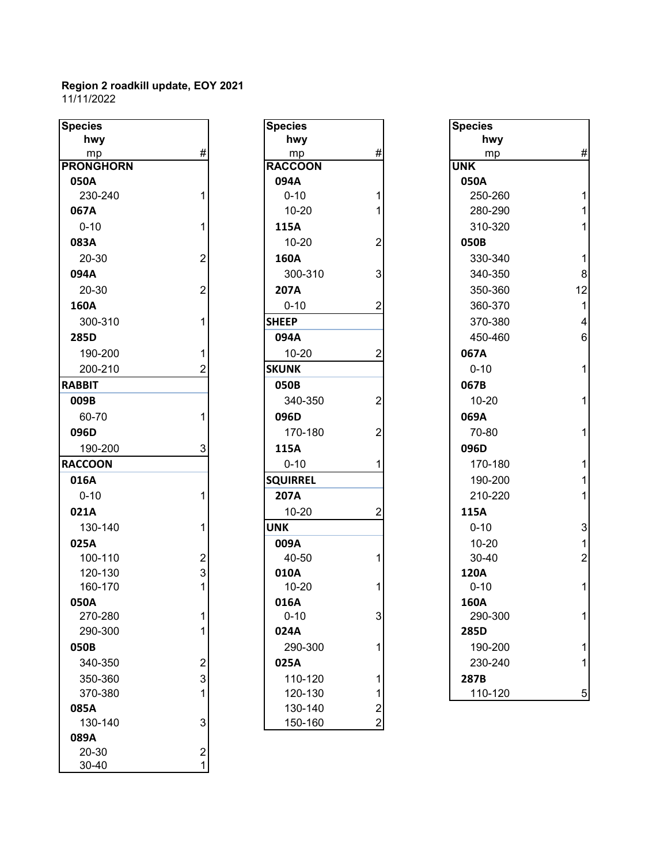| <b>Species</b>   |                         | <b>Species</b>  |                  | <b>Species</b> |                |
|------------------|-------------------------|-----------------|------------------|----------------|----------------|
| hwy              |                         | hwy             |                  | hwy            |                |
| mp               | $\#$                    | mp              | $\#$             | mp             | #              |
| <b>PRONGHORN</b> |                         | <b>RACCOON</b>  |                  | <b>UNK</b>     |                |
| 050A             |                         | 094A            |                  | 050A           |                |
| 230-240          | 1                       | $0 - 10$        |                  | 250-260        | 1              |
| 067A             |                         | $10 - 20$       |                  | 280-290        | 1              |
| $0 - 10$         | 1                       | 115A            |                  | 310-320        | 1              |
| 083A             |                         | $10 - 20$       | $\overline{2}$   | 050B           |                |
| 20-30            | $\overline{2}$          | 160A            |                  | 330-340        | 1              |
| 094A             |                         | 300-310         | 3                | 340-350        | 8              |
| 20-30            | $\overline{2}$          | 207A            |                  | 350-360        | 12             |
| 160A             |                         | $0 - 10$        | $\overline{2}$   | 360-370        | $\mathbf 1$    |
| 300-310          | 1                       | <b>SHEEP</b>    |                  | 370-380        | $\overline{4}$ |
| 285D             |                         | 094A            |                  | 450-460        | $6\phantom{a}$ |
| 190-200          | 1                       | $10 - 20$       | 2                | 067A           |                |
| 200-210          | 2                       | <b>SKUNK</b>    |                  | $0 - 10$       | 1              |
| <b>RABBIT</b>    |                         | 050B            |                  | 067B           |                |
| 009B             |                         | 340-350         | 2                | $10 - 20$      | 1              |
| 60-70            | 1                       | 096D            |                  | 069A           |                |
| 096D             |                         | 170-180         | 2                | 70-80          | 1              |
| 190-200          | 3                       | 115A            |                  | 096D           |                |
| <b>RACCOON</b>   |                         | $0 - 10$        |                  | 170-180        | 1              |
| 016A             |                         | <b>SQUIRREL</b> |                  | 190-200        | 1              |
| $0 - 10$         | 1                       | 207A            |                  | 210-220        | 1              |
| 021A             |                         | $10 - 20$       | $\boldsymbol{2}$ | 115A           |                |
| 130-140          | 1                       | <b>UNK</b>      |                  | $0 - 10$       | 3              |
| 025A             |                         | 009A            |                  | $10 - 20$      | $\mathbf{1}$   |
| 100-110          | $\overline{c}$          | 40-50           |                  | 30-40          | $\overline{c}$ |
| 120-130          | $\overline{3}$          | 010A            |                  | 120A           |                |
| 160-170          | 1                       | $10 - 20$       |                  | $0 - 10$       | 1              |
| 050A             |                         | 016A            |                  | 160A           |                |
| 270-280          | 1                       | $0 - 10$        | 3                | 290-300        | 1              |
| 290-300          | 1                       | 024A            |                  | 285D           |                |
| 050B             |                         | 290-300         | 1                | 190-200        |                |
| 340-350          | $\mathbf 2$             | 025A            |                  | 230-240        | 1              |
| 350-360          | 3                       | 110-120         | 1                | 287B           |                |
| 370-380          | 1                       | 120-130         | 1                | 110-120        | 5              |
| 085A             |                         | 130-140         | $\overline{c}$   |                |                |
| 130-140          | 3                       | 150-160         | $\overline{a}$   |                |                |
| 089A             |                         |                 |                  |                |                |
| 20-30            | $\overline{\mathbf{c}}$ |                 |                  |                |                |
| 30-40            | $\mathbf 1$             |                 |                  |                |                |

| $\overline{\text{cies}}$ |                         | <b>Species</b>  |                | <b>Species</b> |
|--------------------------|-------------------------|-----------------|----------------|----------------|
| hwy                      |                         | hwy             |                | hwy            |
| mp                       | #                       | mp              | $\#$           | mp             |
| <b>NGHORN</b>            |                         | <b>RACCOON</b>  |                | <b>UNK</b>     |
| ΟА                       |                         | 094A            |                | 050A           |
| 30-240                   | $\mathbf{1}$            | $0 - 10$        | $\mathbf{1}$   | 250-26         |
| 7Α                       |                         | $10 - 20$       | 1              | 280-29         |
| $-10$                    | 1                       | 115A            |                | 310-32         |
| ЗΑ                       |                         | 10-20           | $\overline{2}$ | 050B           |
| $20-30$                  | $\overline{2}$          | 160A            |                | 330-34         |
| 4Α                       |                         | 300-310         | 3              | 340-35         |
| $20 - 30$                | $\mathbf 2$             | 207A            |                | 350-36         |
| ΟА                       |                         | $0 - 10$        | $\overline{2}$ | 360-37         |
| 00-310                   | 1                       | <b>SHEEP</b>    |                | 370-38         |
| 5D                       |                         | 094A            |                | 450-46         |
| 90-200                   | 1                       | 10-20           | $\overline{2}$ | 067A           |
| $200 - 210$              | $\overline{2}$          | <b>SKUNK</b>    |                | $0 - 10$       |
| BIT                      |                         | 050B            |                | 067B           |
| 9В                       |                         | 340-350         | $\overline{2}$ | $10 - 20$      |
| $0 - 70$                 | 1                       | 096D            |                | 069A           |
| 6D                       |                         | 170-180         | $\overline{2}$ | 70-80          |
| 90-200                   | 3                       | 115A            |                | 096D           |
| COON                     |                         | $0 - 10$        | 1              | 170-18         |
| 6А                       |                         | <b>SQUIRREL</b> |                | 190-20         |
| $-10$                    | 1                       | 207A            |                | 210-22         |
| 1А                       |                         | 10-20           | $\overline{2}$ | 115A           |
| 30-140                   | 1                       | <b>UNK</b>      |                | $0 - 10$       |
| 5Α                       |                         | 009A            |                | $10 - 20$      |
| 00-110                   | $\overline{2}$          | 40-50           | 1              | $30 - 40$      |
| 20-130                   | 3                       | 010A            |                | 120A           |
| 60-170                   | $\mathbf{1}$            | $10 - 20$       | 1              | $0 - 10$       |
| 0A                       |                         | 016A            |                | 160A           |
| 270-280                  | 1                       | $0 - 10$        | 3              | 290-30         |
| 90-300                   | 1                       | 024A            |                | 285D           |
| OВ                       |                         | 290-300         | 1              | 190-20         |
| 140-350                  | $\overline{\mathbf{c}}$ | 025A            |                | 230-24         |
| 50-360                   | 3                       | 110-120         | 1              | 287B           |
| 370-380                  | 1                       | 120-130         | 1              | 110-12         |
| 5Α                       |                         | 130-140         | 2              |                |
| 30-140                   | 3                       | 150-160         | $\overline{2}$ |                |

| pecies          |                         | <b>Species</b>  |                | <b>Species</b> |                |
|-----------------|-------------------------|-----------------|----------------|----------------|----------------|
| hwy             |                         | hwy             |                | hwy            |                |
| mp              | $\#$                    | mp              | $\#$           | mp             | $\#$           |
| <b>RONGHORN</b> |                         | <b>RACCOON</b>  |                | <b>UNK</b>     |                |
| 050A            |                         | 094A            |                | 050A           |                |
| 230-240         |                         | $0 - 10$        | 1              | 250-260        |                |
| 067A            |                         | $10 - 20$       | 1              | 280-290        |                |
| $0 - 10$        |                         | 115A            |                | 310-320        |                |
| 083A            |                         | $10 - 20$       | $\overline{2}$ | 050B           |                |
| 20-30           | $\overline{2}$          | 160A            |                | 330-340        |                |
| 094A            |                         | 300-310         | 3              | 340-350        | 8              |
| 20-30           | $\overline{2}$          | 207A            |                | 350-360        | 12             |
| 160A            |                         | $0 - 10$        | 2              | 360-370        | 1              |
| 300-310         |                         | <b>SHEEP</b>    |                | 370-380        | 4              |
| 285D            |                         | 094A            |                | 450-460        | 6              |
| 190-200         |                         | $10 - 20$       | $\overline{c}$ | 067A           |                |
| 200-210         | 2                       | <b>SKUNK</b>    |                | $0 - 10$       |                |
| <b>ABBIT</b>    |                         | 050B            |                | 067B           |                |
| 009B            |                         | 340-350         | 2              | $10 - 20$      |                |
| 60-70           |                         | 096D            |                | 069A           |                |
| 096D            |                         | 170-180         | $\overline{2}$ | 70-80          | 1              |
| 190-200         | 3                       | 115A            |                | 096D           |                |
| <b>ACCOON</b>   |                         | $0 - 10$        | 1              | 170-180        |                |
| 016A            |                         | <b>SQUIRREL</b> |                | 190-200        |                |
| $0 - 10$        |                         | 207A            |                | 210-220        | 1              |
| 021A            |                         | $10 - 20$       | $\overline{2}$ | 115A           |                |
| 130-140         |                         | <b>UNK</b>      |                | $0 - 10$       | 3              |
| 025A            |                         | 009A            |                | $10 - 20$      |                |
| 100-110         | $\overline{\mathbf{c}}$ | 40-50           | 1              | 30-40          | $\overline{2}$ |
| 120-130         | 3                       | 010A            |                | <b>120A</b>    |                |
| 160-170         |                         | $10 - 20$       | 1              | $0 - 10$       |                |
| 050A            |                         | 016A            |                | 160A           |                |
| 270-280         |                         | $0 - 10$        | 3              | 290-300        | 1              |
| 290-300         |                         | 024A            |                | 285D           |                |
| 050B            |                         | 290-300         | 1              | 190-200        |                |
| 340-350         | $\mathbf 2$             | 025A            |                | 230-240        |                |
| 350-360         | 3                       | 110-120         | 1              | 287B           |                |
| 370-380         | 1                       | 120-130         | 1              | 110-120        | 5              |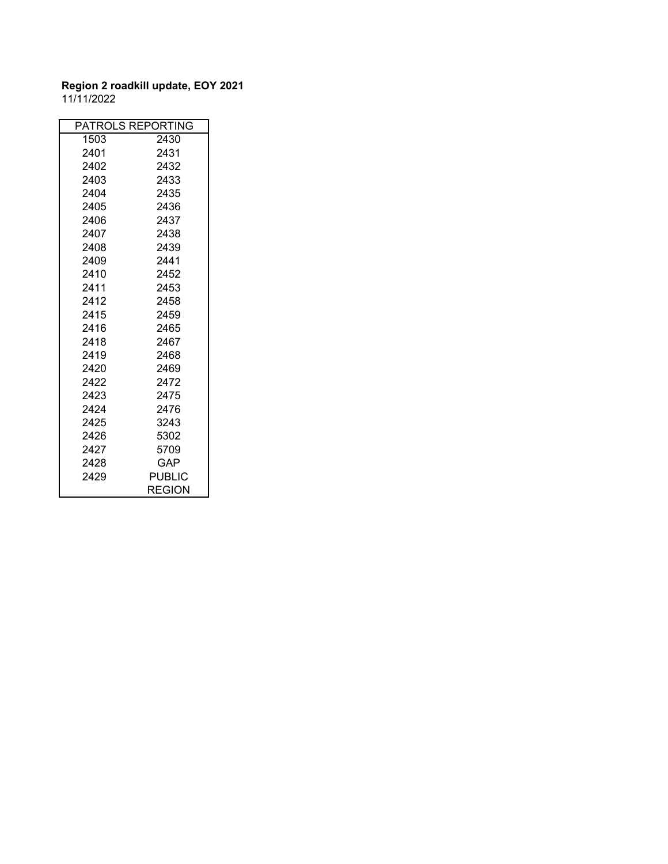|      | PATROLS REPORTING |
|------|-------------------|
| 1503 | 2430              |
| 2401 | 2431              |
| 2402 | 2432              |
| 2403 | 2433              |
| 2404 | 2435              |
| 2405 | 2436              |
| 2406 | 2437              |
| 2407 | 2438              |
| 2408 | 2439              |
| 2409 | 2441              |
| 2410 | 2452              |
| 2411 | 2453              |
| 2412 | 2458              |
| 2415 | 2459              |
| 2416 | 2465              |
| 2418 | 2467              |
| 2419 | 2468              |
| 2420 | 2469              |
| 2422 | 2472              |
| 2423 | 2475              |
| 2424 | 2476              |
| 2425 | 3243              |
| 2426 | 5302              |
| 2427 | 5709              |
| 2428 | GAP.              |
| 2429 | PUBLIC            |
|      | REGION            |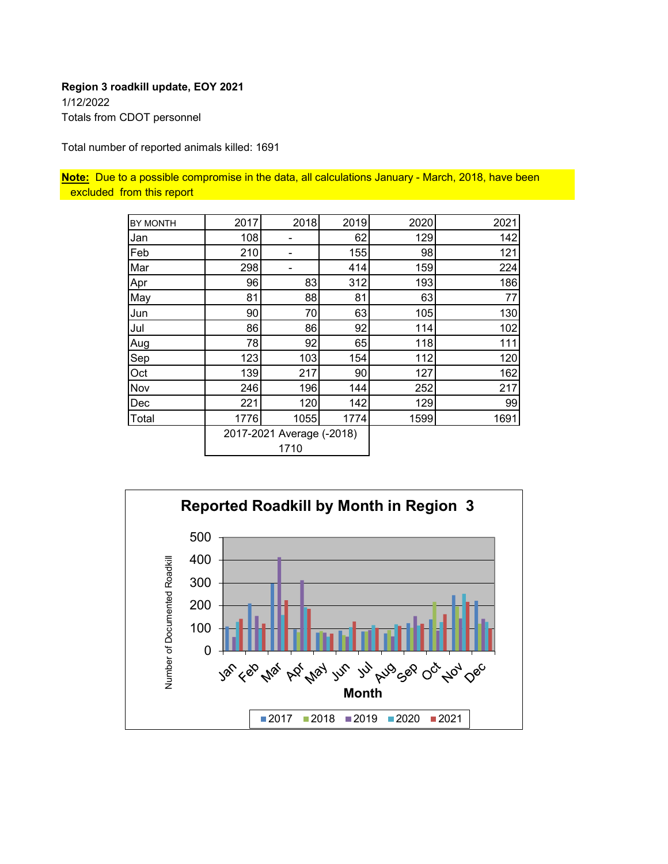### **Region 3 roadkill update, EOY 2021** 1/12/2022 Totals from CDOT personnel

Total number of reported animals killed: 1691

**Note:** Due to a possible compromise in the data, all calculations January - March, 2018, have been excluded from this report

| <b>BY MONTH</b> | 2017 | 2018                      | 2019 | 2020 | 2021 |
|-----------------|------|---------------------------|------|------|------|
| Jan             | 108  |                           | 62   | 129  | 142  |
| Feb             | 210  |                           | 155  | 98   | 121  |
| Mar             | 298  |                           | 414  | 159  | 224  |
| Apr             | 96   | 83                        | 312  | 193  | 186  |
| May             | 81   | 88                        | 81   | 63   | 77   |
| Jun             | 90   | 70                        | 63   | 105  | 130  |
| Jul             | 86   | 86                        | 92   | 114  | 102  |
| Aug             | 78   | 92                        | 65   | 118  | 111  |
| Sep             | 123  | 103                       | 154  | 112  | 120  |
| Oct             | 139  | 217                       | 90   | 127  | 162  |
| Nov             | 246  | 196                       | 144  | 252  | 217  |
| Dec             | 221  | 120                       | 142  | 129  | 99   |
| Total           | 1776 | 1055                      | 1774 | 1599 | 1691 |
|                 |      | 2017-2021 Average (-2018) |      |      |      |
|                 |      | 1710                      |      |      |      |

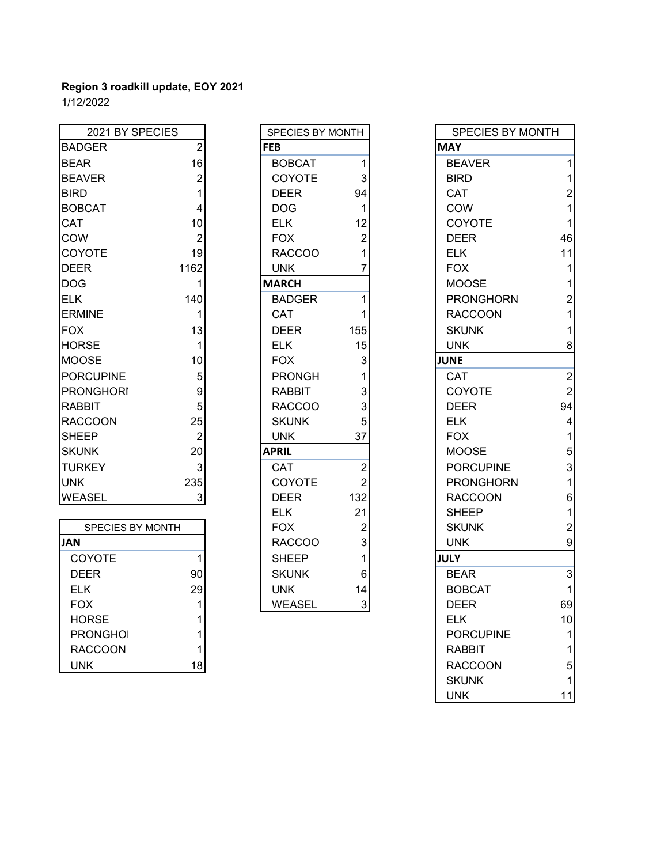| 2021 BY SPECIES  |                | SPECIES BY MONTH |     | <b>SPECIES BY MONTH</b> |                |
|------------------|----------------|------------------|-----|-------------------------|----------------|
| <b>BADGER</b>    | $\overline{2}$ | <b>FEB</b>       |     | <b>MAY</b>              |                |
| <b>BEAR</b>      | 16             | <b>BOBCAT</b>    |     | <b>BEAVER</b>           |                |
| <b>BEAVER</b>    | 2              | COYOTE           | 3   | <b>BIRD</b>             |                |
| <b>BIRD</b>      |                | <b>DEER</b>      | 94  | <b>CAT</b>              | $\overline{2}$ |
| <b>BOBCAT</b>    | 4              | <b>DOG</b>       |     | <b>COW</b>              |                |
| <b>CAT</b>       | 10             | <b>ELK</b>       | 12  | <b>COYOTE</b>           |                |
| <b>COW</b>       | $\overline{2}$ | <b>FOX</b>       | 2   | <b>DEER</b>             | 46             |
| <b>COYOTE</b>    | 19             | <b>RACCOO</b>    |     | <b>ELK</b>              | 11             |
| <b>IDEER</b>     | 1162           | <b>UNK</b>       |     | <b>FOX</b>              |                |
| <b>DOG</b>       |                | <b>MARCH</b>     |     | <b>MOOSE</b>            |                |
| <b>IELK</b>      | 140            | <b>BADGER</b>    |     | <b>PRONGHORN</b>        | $\overline{2}$ |
| <b>ERMINE</b>    |                | <b>CAT</b>       |     | <b>RACCOON</b>          |                |
| <b>FOX</b>       | 13             | <b>DEER</b>      | 155 | <b>SKUNK</b>            |                |
| <b>HORSE</b>     | 1              | <b>ELK</b>       | 15  | <b>UNK</b>              | 8              |
| <b>MOOSE</b>     | 10             | <b>FOX</b>       | 3   | <b>JUNE</b>             |                |
| <b>PORCUPINE</b> | 5              | <b>PRONGH</b>    |     | <b>CAT</b>              | $\overline{2}$ |
| <b>PRONGHORI</b> | 9              | <b>RABBIT</b>    | 3   | COYOTE                  | $\overline{2}$ |
| <b>RABBIT</b>    | 5              | <b>RACCOO</b>    | 3   | <b>DEER</b>             | 94             |
| <b>RACCOON</b>   | 25             | <b>SKUNK</b>     | 5   | <b>ELK</b>              | 4              |
| <b>SHEEP</b>     | $\overline{2}$ | <b>UNK</b>       | 37  | <b>FOX</b>              |                |
| <b>SKUNK</b>     | 20             | <b>APRIL</b>     |     | <b>MOOSE</b>            | 5              |
| <b>TURKEY</b>    | 3              | CAT              | 2   | <b>PORCUPINE</b>        | 3              |
| <b>UNK</b>       | 235            | <b>COYOTE</b>    | 2   | <b>PRONGHORN</b>        |                |
| <b>WEASEL</b>    | 3 <sup>1</sup> | <b>DEER</b>      | 132 | <b>RACCOON</b>          | 6              |

| <b>FOX</b><br>ŋ<br><b>SKUNK</b><br><b>SPECIES BY MONTH</b><br><b>RACCOO</b><br>3<br><b>UNK</b><br><b>JAN</b><br><b>COYOTE</b><br><b>SHEEP</b><br><b>JULY</b><br>6<br><b>BEAR</b><br>90<br><b>SKUNK</b><br><b>DEER</b><br>29<br><b>BOBCAT</b><br><b>ELK</b><br><b>UNK</b><br>14<br><b>FOX</b><br><b>WEASEL</b><br>3<br><b>DEER</b><br><b>HORSE</b><br><b>ELK</b><br><b>PRONGHOI</b><br><b>PORCUPINE</b><br><b>RACCOON</b><br><b>RABBIT</b><br>18<br><b>RACCOON</b><br><b>UNK</b> |  | --- | <u>.</u> . | ----- |    |
|---------------------------------------------------------------------------------------------------------------------------------------------------------------------------------------------------------------------------------------------------------------------------------------------------------------------------------------------------------------------------------------------------------------------------------------------------------------------------------|--|-----|------------|-------|----|
|                                                                                                                                                                                                                                                                                                                                                                                                                                                                                 |  |     |            |       | 2  |
|                                                                                                                                                                                                                                                                                                                                                                                                                                                                                 |  |     |            |       | 9  |
|                                                                                                                                                                                                                                                                                                                                                                                                                                                                                 |  |     |            |       |    |
|                                                                                                                                                                                                                                                                                                                                                                                                                                                                                 |  |     |            |       | 3  |
|                                                                                                                                                                                                                                                                                                                                                                                                                                                                                 |  |     |            |       |    |
|                                                                                                                                                                                                                                                                                                                                                                                                                                                                                 |  |     |            |       | 69 |
|                                                                                                                                                                                                                                                                                                                                                                                                                                                                                 |  |     |            |       | 10 |
|                                                                                                                                                                                                                                                                                                                                                                                                                                                                                 |  |     |            |       |    |
|                                                                                                                                                                                                                                                                                                                                                                                                                                                                                 |  |     |            |       |    |
|                                                                                                                                                                                                                                                                                                                                                                                                                                                                                 |  |     |            |       | 5  |

| SPECIES BY MONTH |                                                      |
|------------------|------------------------------------------------------|
| <b>FEB</b>       |                                                      |
| <b>BOBCAT</b>    | 1                                                    |
| COYOTE           | 3                                                    |
| <b>DEER</b>      | 94                                                   |
| <b>DOG</b>       | 1                                                    |
| <b>ELK</b>       | 12                                                   |
| <b>FOX</b>       |                                                      |
| <b>RACCOO</b>    | $\begin{array}{c} 2 \\ 1 \\ 7 \end{array}$           |
| UNK              |                                                      |
| <b>MARCH</b>     |                                                      |
| <b>BADGER</b>    | 1                                                    |
| CAT              | 1                                                    |
| <b>DEER</b>      | 155                                                  |
| <b>ELK</b>       | 15                                                   |
| <b>FOX</b>       |                                                      |
| <b>PRONGH</b>    | $\begin{array}{c} 3 \\ 1 \\ 3 \\ 3 \\ 5 \end{array}$ |
| RABBIT           |                                                      |
| <b>RACCOO</b>    |                                                      |
| <b>SKUNK</b>     |                                                      |
| UNK              | 37                                                   |
| <b>APRIL</b>     |                                                      |
| CAT              | $\overline{2}$                                       |
| COYOTE           | $\overline{c}$                                       |
| <b>DEER</b>      | 132                                                  |
| <b>ELK</b>       | 21                                                   |
| <b>FOX</b>       | $\overline{c}$                                       |
| <b>RACCOO</b>    | 3<br>1                                               |
| <b>SHEEP</b>     |                                                      |
| <b>SKUNK</b>     | 6                                                    |
| <b>UNK</b>       | 14                                                   |
| <b>WEASEL</b>    | 3                                                    |

| 2021 BY SPECIES  |                | SPECIES BY MONTH |                | <b>SPECIES BY MONTH</b> |                  |
|------------------|----------------|------------------|----------------|-------------------------|------------------|
| <b>BADGER</b>    | $\overline{2}$ | <b>FEB</b>       |                | <b>MAY</b>              |                  |
| <b>BEAR</b>      | 16             | <b>BOBCAT</b>    | 1              | <b>BEAVER</b>           | 1                |
| <b>BEAVER</b>    | $\overline{2}$ | COYOTE           | 3              | <b>BIRD</b>             | 1                |
| <b>BIRD</b>      |                | <b>DEER</b>      | 94             | <b>CAT</b>              | $\overline{2}$   |
| <b>BOBCAT</b>    | 4              | DOG              | 1              | COW                     | 1                |
| <b>CAT</b>       | 10             | <b>ELK</b>       | 12             | COYOTE                  | 1                |
| COW              | $\overline{2}$ | <b>FOX</b>       | 2              | <b>DEER</b>             | 46               |
| <b>COYOTE</b>    | 19             | <b>RACCOO</b>    |                | <b>ELK</b>              | 11               |
| <b>DEER</b>      | 1162           | <b>UNK</b>       |                | <b>FOX</b>              | 1                |
| DOG              | 1              | <b>MARCH</b>     |                | <b>MOOSE</b>            | 1                |
| ELK              | 140            | <b>BADGER</b>    |                | <b>PRONGHORN</b>        | $\overline{c}$   |
| <b>ERMINE</b>    | 1              | CAT              |                | <b>RACCOON</b>          | 1                |
| <b>FOX</b>       | 13             | <b>DEER</b>      | 155            | <b>SKUNK</b>            | 1                |
| <b>HORSE</b>     | $\mathbf{1}$   | <b>ELK</b>       | 15             | <b>UNK</b>              | 8                |
| <b>MOOSE</b>     | 10             | <b>FOX</b>       | 3              | <b>JUNE</b>             |                  |
| <b>PORCUPINE</b> | 5              | <b>PRONGH</b>    |                | CAT                     | $\boldsymbol{2}$ |
| <b>PRONGHORI</b> | 9              | <b>RABBIT</b>    | 3              | COYOTE                  | $\overline{2}$   |
| RABBIT           | 5              | <b>RACCOO</b>    | 3              | <b>DEER</b>             | 94               |
| <b>RACCOON</b>   | 25             | <b>SKUNK</b>     | 5              | <b>ELK</b>              | 4                |
| <b>SHEEP</b>     | $\overline{2}$ | <b>UNK</b>       | 37             | <b>FOX</b>              | $\mathbf{1}$     |
| <b>SKUNK</b>     | 20             | <b>APRIL</b>     |                | <b>MOOSE</b>            | 5                |
| <b>TURKEY</b>    | $\mathbf{3}$   | <b>CAT</b>       | $\overline{2}$ | <b>PORCUPINE</b>        | 3                |
| <b>UNK</b>       | 235            | COYOTE           | $\overline{c}$ | <b>PRONGHORN</b>        | $\mathbf{1}$     |
| WEASEL           | $\mathbf{3}$   | <b>DEER</b>      | 132            | <b>RACCOON</b>          | $\,6$            |
|                  |                | <b>ELK</b>       | 21             | <b>SHEEP</b>            | $\mathbf{1}$     |
| SPECIES BY MONTH |                | <b>FOX</b>       | $\overline{c}$ | <b>SKUNK</b>            | $\boldsymbol{2}$ |
| JAN              |                | <b>RACCOO</b>    | 3              | <b>UNK</b>              | $\boldsymbol{9}$ |
| COYOTE           | 1              | <b>SHEEP</b>     |                | <b>JULY</b>             |                  |
| <b>DEER</b>      | 90             | <b>SKUNK</b>     | 6              | <b>BEAR</b>             | $\sqrt{3}$       |
| <b>ELK</b>       | 29             | <b>UNK</b>       | 14             | <b>BOBCAT</b>           | 1                |
| <b>FOX</b>       | $\mathbf{1}$   | <b>WEASEL</b>    | 3 <sup>1</sup> | <b>DEER</b>             | 69               |
| <b>HORSE</b>     |                |                  |                | <b>ELK</b>              | 10               |
| <b>PRONGHOI</b>  |                |                  |                | <b>PORCUPINE</b>        | 1                |
| <b>RACCOON</b>   |                |                  |                | <b>RABBIT</b>           | 1                |
| <b>UNK</b>       | 18             |                  |                | <b>RACCOON</b>          | 5                |
|                  |                |                  |                | <b>SKUNK</b>            | 1                |
|                  |                |                  |                | <b>UNK</b>              | 11               |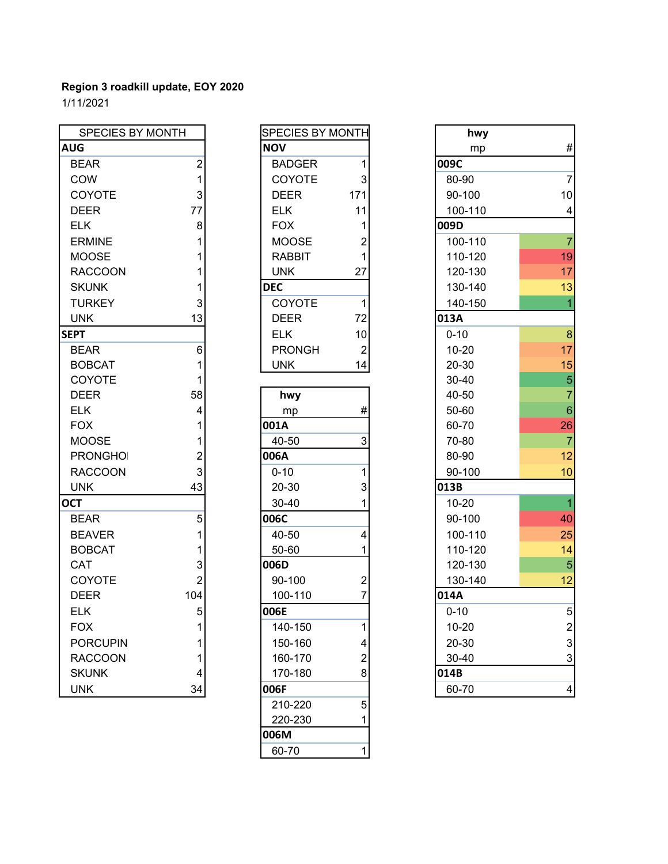| SPECIES BY MONTH |                 | <b>SPECIES BY MONTH</b> |                | hwy       |                          |
|------------------|-----------------|-------------------------|----------------|-----------|--------------------------|
| <b>AUG</b>       |                 | <b>NOV</b>              |                | mp        | #                        |
| <b>BEAR</b>      | $\overline{2}$  | <b>BADGER</b>           | $\mathbf{1}$   | 009C      |                          |
| COW              | 1               | COYOTE                  | $\mathbf{3}$   | 80-90     | $\overline{7}$           |
| COYOTE           | 3               | <b>DEER</b>             | 171            | 90-100    | 10                       |
| <b>DEER</b>      | 77              | <b>ELK</b>              | 11             | 100-110   | $\overline{\mathcal{A}}$ |
| <b>ELK</b>       | 8               | <b>FOX</b>              | 1              | 009D      |                          |
| <b>ERMINE</b>    | 1               | <b>MOOSE</b>            | $\overline{2}$ | 100-110   | $\overline{7}$           |
| <b>MOOSE</b>     | 1               | <b>RABBIT</b>           | 1              | 110-120   | 19                       |
| <b>RACCOON</b>   | 1               | <b>UNK</b>              | 27             | 120-130   | 17                       |
| <b>SKUNK</b>     |                 | <b>DEC</b>              |                | 130-140   | 13                       |
| <b>TURKEY</b>    | 3               | COYOTE                  | $\mathbf{1}$   | 140-150   | $\overline{1}$           |
| <b>UNK</b>       | 13              | <b>DEER</b>             | 72             | 013A      |                          |
| <b>SEPT</b>      |                 | <b>ELK</b>              | 10             | $0 - 10$  | 8                        |
| <b>BEAR</b>      | $6\phantom{1}6$ | <b>PRONGH</b>           | $\overline{2}$ | $10 - 20$ | 17                       |
| <b>BOBCAT</b>    | 1               | <b>UNK</b>              | 14             | 20-30     | 15                       |
| COYOTE           | 1               |                         |                | $30 - 40$ | 5                        |
| <b>DEER</b>      | 58              | hwy                     |                | 40-50     | $\overline{7}$           |
| <b>ELK</b>       | 4               | mp                      | #              | 50-60     | $\overline{6}$           |
| <b>FOX</b>       | 1               | 001A                    |                | 60-70     | 26                       |
| <b>MOOSE</b>     | 1               | 40-50                   | 3              | 70-80     | $\overline{7}$           |
| <b>PRONGHOI</b>  | $\overline{2}$  | 006A                    |                | 80-90     | 12                       |
| <b>RACCOON</b>   | 3               | $0 - 10$                | 1              | 90-100    | 10                       |
| <b>UNK</b>       | 43              | 20-30                   | 3              | 013B      |                          |
| <b>OCT</b>       |                 | 30-40                   | 1              | $10 - 20$ | $\overline{1}$           |
| <b>BEAR</b>      | 5               | 006C                    |                | 90-100    | 40                       |
| <b>BEAVER</b>    | 1               | 40-50                   | 4              | 100-110   | 25                       |
| <b>BOBCAT</b>    | 1               | 50-60                   | 1              | 110-120   | 14                       |
| CAT              | 3               | 006D                    |                | 120-130   | 5                        |
| COYOTE           | $\overline{2}$  | 90-100                  | $\overline{2}$ | 130-140   | 12                       |
| <b>DEER</b>      | 104             | 100-110                 | $\overline{7}$ | 014A      |                          |
| <b>ELK</b>       | 5               | 006E                    |                | $0 - 10$  | 5                        |
| <b>FOX</b>       | 1               | 140-150                 | 1              | $10 - 20$ | $\overline{2}$           |
| <b>PORCUPIN</b>  |                 | 150-160                 | 4              | 20-30     | 3                        |
| <b>RACCOON</b>   |                 | 160-170                 | $\overline{2}$ | 30-40     | 3                        |
| <b>SKUNK</b>     | 4               | 170-180                 | 8              | 014B      |                          |
| <b>UNK</b>       | 34              | 006F                    |                | 60-70     | $\overline{4}$           |

| SPECIES BY MONTH |                                            |
|------------------|--------------------------------------------|
| <b>NOV</b>       |                                            |
| <b>BADGER</b>    | 1                                          |
| COYOTE           | 3                                          |
| <b>DEER</b>      | 171                                        |
| <b>ELK</b>       | 11                                         |
| <b>FOX</b>       |                                            |
| <b>MOOSE</b>     | $\begin{array}{c} 1 \\ 2 \\ 1 \end{array}$ |
| <b>RABBIT</b>    |                                            |
| UNK              | 27                                         |
| <b>DEC</b>       |                                            |
| COYOTE           | 1                                          |
| DEER             | 72                                         |
| ELK              | 10                                         |
| <b>PRONGH</b>    | 2                                          |
| UNK              | 14                                         |
|                  |                                            |
| hwy              |                                            |
| <u>mp</u>        | #                                          |
| 001A             |                                            |
| 40-50            | 3                                          |
| 006A             |                                            |
| $0 - 10$         | 1                                          |
| 20-30            | 3                                          |
| 30-40            | 1                                          |
| 006C             |                                            |
| 40-50            | 4                                          |
| 50-60            | 1                                          |
| 006D             |                                            |
| 90-100           | $\overline{c}$                             |
| 100-110          |                                            |
| 006E             |                                            |
| 140-150          | 1                                          |
| 150-160          | 4                                          |
| 160-170          | $\overline{c}$                             |
| 170-180          | 8                                          |
| 006F             |                                            |
| 210-220          | 5                                          |
| 220-230          | 1                                          |
| 006M             |                                            |
| 60-70            | 1                                          |

| SPECIES BY MONTH |                | SPECIES BY MONTH |                  | hwy       |                           |
|------------------|----------------|------------------|------------------|-----------|---------------------------|
| UG               |                | <b>NOV</b>       |                  | mp        | $\#$                      |
| <b>BEAR</b>      | $\overline{2}$ | <b>BADGER</b>    | 1                | 009C      |                           |
| COW              | 1              | COYOTE           | 3                | 80-90     | $\overline{7}$            |
| COYOTE           | 3              | <b>DEER</b>      | 171              | 90-100    | 10                        |
| <b>DEER</b>      | 77             | <b>ELK</b>       | 11               | 100-110   | $\overline{\mathbf{4}}$   |
| ELK              | 8              | <b>FOX</b>       |                  | 009D      |                           |
| <b>ERMINE</b>    |                | <b>MOOSE</b>     | 2                | 100-110   | $\overline{7}$            |
| <b>MOOSE</b>     |                | <b>RABBIT</b>    | 1                | 110-120   | 19                        |
| <b>RACCOON</b>   |                | <b>UNK</b>       | 27               | 120-130   | 17                        |
| <b>SKUNK</b>     |                | <b>DEC</b>       |                  | 130-140   | 13                        |
| <b>TURKEY</b>    | 3              | COYOTE           | 1                | 140-150   | $\overline{1}$            |
| UNK              | 13             | <b>DEER</b>      | 72               | 013A      |                           |
| <b>PT:</b>       |                | <b>ELK</b>       | 10               | $0 - 10$  | $\bf{8}$                  |
| <b>BEAR</b>      | 6              | <b>PRONGH</b>    | $\boldsymbol{2}$ | $10 - 20$ | 17                        |
| <b>BOBCAT</b>    |                | <b>UNK</b>       | 14               | 20-30     | 15                        |
| COYOTE           |                |                  |                  | $30 - 40$ | $\overline{5}$            |
| <b>DEER</b>      | 58             | hwy              |                  | 40-50     | $\overline{7}$            |
| ELK              | 4              | mp               | #                | 50-60     | $6\phantom{1}$            |
| <b>FOX</b>       |                | 001A             |                  | 60-70     | 26                        |
| <b>MOOSE</b>     |                | 40-50            | 3                | 70-80     | $\overline{7}$            |
| <b>PRONGHOI</b>  | 2              | 006A             |                  | 80-90     | 12                        |
| <b>RACCOON</b>   | 3              | $0 - 10$         | 1                | 90-100    | 10                        |
| UNK              | 43             | 20-30            | 3                | 013B      |                           |
| CТ               |                | $30 - 40$        |                  | $10 - 20$ | $\overline{1}$            |
| <b>BEAR</b>      | 5              | 006C             |                  | 90-100    | 40                        |
| <b>BEAVER</b>    |                | 40-50            | 4                | 100-110   | 25                        |
| <b>BOBCAT</b>    |                | 50-60            |                  | 110-120   | 14                        |
| CAT              | 3              | 006D             |                  | 120-130   | $\overline{5}$            |
| COYOTE           | $\overline{2}$ | 90-100           | 2                | 130-140   | 12                        |
| <b>DEER</b>      | 104            | 100-110          | $\overline{7}$   | 014A      |                           |
| ELK              | 5              | 006E             |                  | $0 - 10$  | $\mathbf 5$               |
| FOX              | 1              | 140-150          | 1                | $10 - 20$ | $\overline{\mathbf{c}}$   |
| <b>PORCUPIN</b>  |                | 150-160          | 4                | 20-30     | 3                         |
| <b>RACCOON</b>   |                | 160-170          | 2                | 30-40     | $\ensuremath{\mathsf{3}}$ |
| <b>SKUNK</b>     | 4              | 170-180          | 8                | 014B      |                           |
| <b>UNK</b>       | 34             | 006F             |                  | 60-70     | 4                         |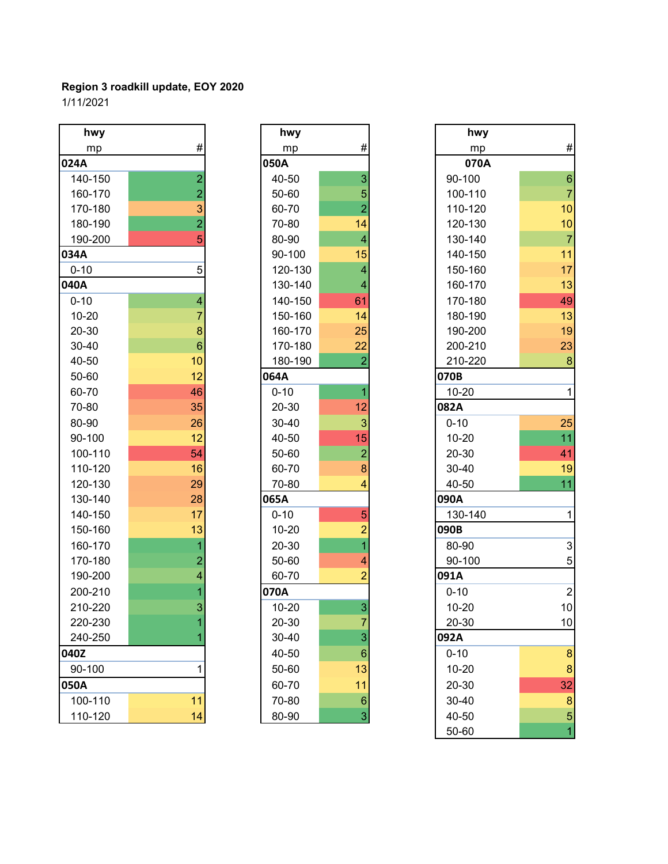| hwy       |                         | hwy       |                         | hwy       |                |
|-----------|-------------------------|-----------|-------------------------|-----------|----------------|
| mp        | #                       | mp        | $\#$                    | mp        | #              |
| 024A      |                         | 050A      |                         | 070A      |                |
| 140-150   | $\overline{2}$          | 40-50     | 3                       | 90-100    | $\overline{6}$ |
| 160-170   | $\overline{2}$          | 50-60     | 5                       | 100-110   | $\overline{7}$ |
| 170-180   | 3                       | 60-70     | $\overline{2}$          | 110-120   | 10             |
| 180-190   | $\overline{2}$          | 70-80     | 14                      | 120-130   | 10             |
| 190-200   | 5                       | 80-90     | $\overline{\mathbf{4}}$ | 130-140   | $\overline{7}$ |
| 034A      |                         | 90-100    | 15                      | 140-150   | 11             |
| $0 - 10$  | 5                       | 120-130   | $\overline{\mathbf{4}}$ | 150-160   | 17             |
| 040A      |                         | 130-140   | $\overline{4}$          | 160-170   | 13             |
| $0 - 10$  | $\overline{\mathbf{4}}$ | 140-150   | 61                      | 170-180   | 49             |
| $10 - 20$ | 7                       | 150-160   | 14                      | 180-190   | 13             |
| 20-30     | 8                       | 160-170   | 25                      | 190-200   | 19             |
| 30-40     | $6\phantom{1}6$         | 170-180   | 22                      | 200-210   | 23             |
| 40-50     | 10                      | 180-190   | $\overline{2}$          | 210-220   | 8              |
| 50-60     | 12                      | 064A      |                         | 070B      |                |
| 60-70     | 46                      | $0 - 10$  | $\overline{1}$          | $10 - 20$ | 1              |
| 70-80     | 35                      | 20-30     | 12                      | 082A      |                |
| 80-90     | 26                      | 30-40     | $\mathbf{3}$            | $0 - 10$  | 25             |
| 90-100    | 12                      | 40-50     | 15                      | $10 - 20$ | 11             |
| 100-110   | 54                      | 50-60     | $\overline{a}$          | 20-30     | 41             |
| 110-120   | 16                      | 60-70     | $\bf8$                  | 30-40     | 19             |
| 120-130   | 29                      | 70-80     | 4                       | 40-50     | 11             |
| 130-140   | 28                      | 065A      |                         | 090A      |                |
| 140-150   | 17                      | $0 - 10$  | 5                       | 130-140   | 1              |
| 150-160   | 13                      | $10 - 20$ | $\overline{a}$          | 090B      |                |
| 160-170   | $\overline{1}$          | 20-30     | $\overline{1}$          | 80-90     | 3              |
| 170-180   | $\overline{a}$          | 50-60     | 4                       | 90-100    | 5              |
| 190-200   | $\overline{\mathbf{4}}$ | 60-70     | $\overline{2}$          | 091A      |                |
| 200-210   |                         | 070A      |                         | $0 - 10$  | $\overline{2}$ |
| 210-220   | $\overline{3}$          | $10 - 20$ | 3                       | $10 - 20$ | 10             |
| 220-230   |                         | 20-30     | 7                       | 20-30     | 10             |
| 240-250   |                         | 30-40     | 3                       | 092A      |                |
| 040Z      |                         | 40-50     | $\,6\,$                 | $0 - 10$  | 8              |
| 90-100    | 1                       | 50-60     | 13                      | $10 - 20$ | 8              |
| 050A      |                         | 60-70     | 11                      | 20-30     | 32             |
| 100-110   | 11                      | 70-80     | $\,6\,$                 | 30-40     | 8              |
| 110-120   | 14                      | 80-90     | $\mathsf 3$             | 40-50     | 5              |

|                | hwy       |                |
|----------------|-----------|----------------|
| #              | mp        | #              |
|                | 050A      |                |
| $\overline{2}$ | 40-50     | 3              |
| $\overline{a}$ | 50-60     | 5              |
| 3              | 60-70     | $\overline{a}$ |
| $\overline{2}$ | 70-80     | 14             |
| 5              | 80-90     | 4              |
|                | 90-100    | 15             |
| 5              | 120-130   | 4              |
|                | 130-140   | 4              |
| 4              | 140-150   | 61             |
| $\overline{7}$ | 150-160   | 14             |
| 8              | 160-170   | 25             |
| 6              | 170-180   | 22             |
| 10             | 180-190   | $\overline{2}$ |
| 12             | 064A      |                |
| 46             | $0 - 10$  | $\overline{1}$ |
| 35             | 20-30     | 12             |
| 26             | 30-40     | 3              |
| 12             | 40-50     | 15             |
| 54             | 50-60     | $\overline{a}$ |
| 16             | 60-70     | 8              |
| 29             | 70-80     | 4              |
| 28             | 065A      |                |
| 17             | $0 - 10$  | 5              |
| 13             | $10 - 20$ | $\overline{c}$ |
| $\overline{1}$ | 20-30     | $\overline{1}$ |
| $\overline{a}$ | 50-60     | 4              |
| 4              | 60-70     | $\overline{c}$ |
| $\overline{1}$ | 070A      |                |
| 3              | $10 - 20$ | 3              |
| 1              | 20-30     | 7              |
| 1              | 30-40     | 3              |
|                | 40-50     | 6              |
| 1              | 50-60     | 13             |
|                | 60-70     | 11             |
| 11             | 70-80     | 6              |
| 14             | 80-90     | 3              |

| hwy       |                 | hwy       |                           | hwy       |                           |
|-----------|-----------------|-----------|---------------------------|-----------|---------------------------|
| mp        | $\#$            | mp        | $\#$                      | mp        | #                         |
| 24A       |                 | 050A      |                           | 070A      |                           |
| 140-150   | $\overline{2}$  | 40-50     | 3                         | 90-100    | $\,$ 6 $\,$               |
| 160-170   | 2               | 50-60     | 5                         | 100-110   | $\overline{7}$            |
| 170-180   | 3               | 60-70     | $\overline{2}$            | 110-120   | 10                        |
| 180-190   | $\overline{2}$  | 70-80     | 14                        | 120-130   | 10                        |
| 190-200   | 5               | 80-90     | $\overline{4}$            | 130-140   | $\overline{7}$            |
| 34A       |                 | 90-100    | 15                        | 140-150   | 11                        |
| $0 - 10$  | 5               | 120-130   | 4                         | 150-160   | 17                        |
| 10A       |                 | 130-140   | 4                         | 160-170   | 13                        |
| $0 - 10$  | 4               | 140-150   | 61                        | 170-180   | 49                        |
| $10 - 20$ | 7               | 150-160   | 14                        | 180-190   | 13                        |
| 20-30     | 8               | 160-170   | 25                        | 190-200   | 19                        |
| 30-40     | $6\phantom{1}6$ | 170-180   | 22                        | 200-210   | 23                        |
| 40-50     | 10              | 180-190   | $\overline{2}$            | 210-220   | 8                         |
| 50-60     | 12              | 064A      |                           | 070B      |                           |
| 60-70     | 46              | $0 - 10$  | 1                         | $10 - 20$ | 1                         |
| 70-80     | 35              | 20-30     | 12                        | 082A      |                           |
| 80-90     | 26              | 30-40     | 3                         | $0 - 10$  | 25                        |
| 90-100    | 12              | 40-50     | 15                        | $10 - 20$ | 11                        |
| 100-110   | 54              | 50-60     | $\overline{2}$            | 20-30     | 41                        |
| 110-120   | 16              | 60-70     | 8                         | 30-40     | 19                        |
| 120-130   | 29              | 70-80     | 4                         | 40-50     | 11                        |
| 130-140   | 28              | 065A      |                           | 090A      |                           |
| 140-150   | 17              | $0 - 10$  | 5                         | 130-140   | 1                         |
| 150-160   | 13              | $10 - 20$ | $\overline{2}$            | 090B      |                           |
| 160-170   |                 | 20-30     |                           | 80-90     | $\ensuremath{\mathsf{3}}$ |
| 170-180   | 2               | 50-60     | 4                         | 90-100    | 5                         |
| 190-200   | 4               | 60-70     | $\overline{2}$            | 091A      |                           |
| 200-210   |                 | 070A      |                           | $0 - 10$  | $\overline{2}$            |
| 210-220   | 3               | $10 - 20$ | $\overline{3}$            | $10 - 20$ | 10 <sup>1</sup>           |
| 220-230   |                 | 20-30     | 7                         | 20-30     | 10                        |
| 240-250   |                 | 30-40     | 3                         | 092A      |                           |
| 10Z       |                 | 40-50     | $\,6\,$                   | $0 - 10$  | 8                         |
| 90-100    |                 | 50-60     | 13                        | $10 - 20$ | $\boldsymbol{8}$          |
| 50A       |                 | 60-70     | 11                        | 20-30     | 32                        |
| 100-110   | 11              | 70-80     | $6\phantom{1}6$           | 30-40     | $\boldsymbol{8}$          |
| 110-120   | 14              | 80-90     | $\ensuremath{\mathsf{3}}$ | 40-50     | 5                         |
|           |                 |           |                           | 50-60     | 1                         |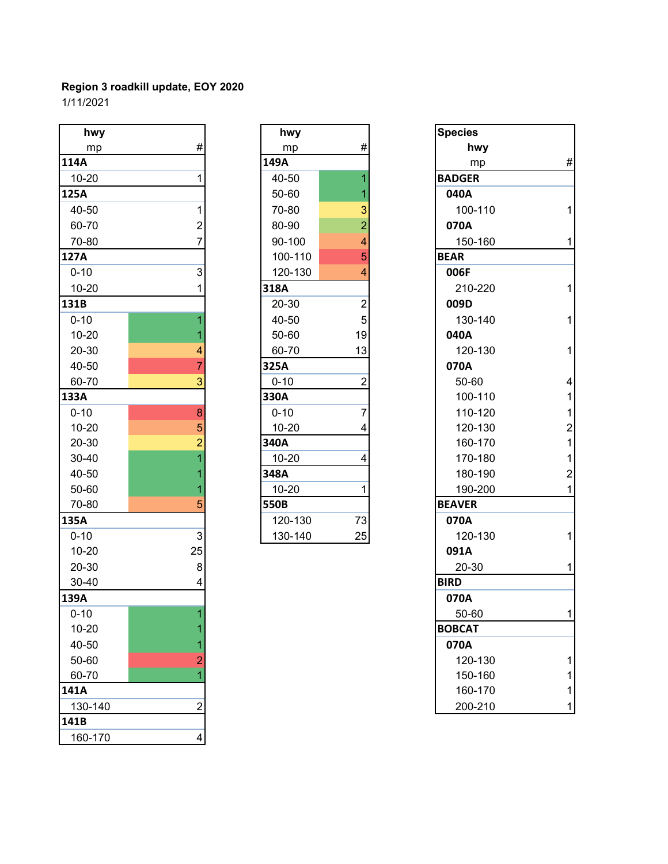| hwy       |                           | hwy       |                | <b>Species</b> |                |
|-----------|---------------------------|-----------|----------------|----------------|----------------|
| mp        | $\#$                      | mp        | $\#$           | hwy            |                |
| 114A      |                           | 149A      |                | mp             | #              |
| $10 - 20$ | 1                         | 40-50     | 1              | <b>BADGER</b>  |                |
| 125A      |                           | 50-60     |                | 040A           |                |
| 40-50     | 1                         | 70-80     | 3              | 100-110        | 1              |
| 60-70     | $\overline{c}$            | 80-90     | $\overline{2}$ | 070A           |                |
| 70-80     | 7                         | 90-100    | 4              | 150-160        | 1              |
| 127A      |                           | 100-110   | 5              | <b>BEAR</b>    |                |
| $0 - 10$  | 3                         | 120-130   | 4              | 006F           |                |
| $10 - 20$ | 1                         | 318A      |                | 210-220        | 1              |
| 131B      |                           | 20-30     | $\overline{2}$ | 009D           |                |
| $0 - 10$  | 1                         | 40-50     | 5              | 130-140        | 1              |
| $10 - 20$ |                           | 50-60     | 19             | 040A           |                |
| 20-30     | 4                         | 60-70     | 13             | 120-130        | 1              |
| 40-50     | 7                         | 325A      |                | 070A           |                |
| 60-70     | 3                         | $0 - 10$  | $\overline{2}$ | 50-60          | $\overline{4}$ |
| 133A      |                           | 330A      |                | 100-110        | 1              |
| $0 - 10$  | 8                         | $0 - 10$  | 7              | 110-120        | 1              |
| $10 - 20$ | 5                         | $10 - 20$ | 4              | 120-130        | $\overline{a}$ |
| $20 - 30$ | $\overline{c}$            | 340A      |                | 160-170        | $\mathbf{1}$   |
| 30-40     |                           | $10 - 20$ | 4              | 170-180        | $\mathbf{1}$   |
| 40-50     |                           | 348A      |                | 180-190        | $\overline{2}$ |
| 50-60     |                           | $10 - 20$ | 1              | 190-200        | 1              |
| 70-80     | 5                         | 550B      |                | <b>BEAVER</b>  |                |
| 135A      |                           | 120-130   | 73             | 070A           |                |
| $0 - 10$  | $\ensuremath{\mathsf{3}}$ | 130-140   | 25             | 120-130        | 1              |
| $10 - 20$ | 25                        |           |                | 091A           |                |
| 20-30     | 8                         |           |                | 20-30          | 1              |
| 30-40     | 4                         |           |                | <b>BIRD</b>    |                |
| 139A      |                           |           |                | 070A           |                |
| $0 - 10$  |                           |           |                | 50-60          |                |
| $10 - 20$ |                           |           |                | <b>BOBCAT</b>  |                |
| 40-50     |                           |           |                | 070A           |                |
| 50-60     | 2                         |           |                | 120-130        |                |
| 60-70     |                           |           |                | 150-160        |                |
| 141A      |                           |           |                | 160-170        |                |
| 130-140   | $\overline{c}$            |           |                | 200-210        | 1              |
| 141B      |                           |           |                |                |                |
| 160-170   | 4                         |           |                |                |                |

| hwy       |                         |
|-----------|-------------------------|
| mp        | #                       |
| 149A      |                         |
| 40-50     | $\overline{1}$          |
| 50-60     | $\overline{\mathbf{1}}$ |
| 70-80     |                         |
| 80-90     | $\frac{3}{2}$           |
| 90-100    | $\overline{4}$          |
| 100-110   | 5                       |
| 120-130   | $\overline{4}$          |
| 318A      |                         |
| 20-30     |                         |
| 40-50     | $\frac{2}{5}$           |
| 50-60     | 19                      |
| 60-70     | 13                      |
| 325A      |                         |
| $0 - 10$  | $\overline{c}$          |
| 330A      |                         |
| $0 - 10$  | 7                       |
| 10-20     | 4                       |
| 340A      |                         |
| 10-20     | 4                       |
| 348A      |                         |
| $10 - 20$ | 1                       |
| 550B      |                         |
| 120-130   | 73                      |
| 130-140   | 25                      |

| hwy       |                           | hwy       |                         | <b>Species</b> |                         |
|-----------|---------------------------|-----------|-------------------------|----------------|-------------------------|
| mp        | #                         | mp        | #                       | hwy            |                         |
| L4A       |                           | 149A      |                         | mp             | $\#$                    |
| $10 - 20$ | 1                         | 40-50     |                         | <b>BADGER</b>  |                         |
| 25A       |                           | 50-60     |                         | 040A           |                         |
| 40-50     | 1                         | 70-80     | 3                       | 100-110        | $\mathbf{1}$            |
| 60-70     | 2                         | 80-90     | $\overline{2}$          | 070A           |                         |
| 70-80     | 7                         | 90-100    | 4                       | 150-160        | $\mathbf{1}$            |
| 27A       |                           | 100-110   | 5                       | <b>BEAR</b>    |                         |
| $0 - 10$  | 3                         | 120-130   | 4                       | 006F           |                         |
| $10 - 20$ |                           | 318A      |                         | 210-220        | $\mathbf 1$             |
| 31B       |                           | 20-30     | $\overline{\mathbf{c}}$ | 009D           |                         |
| $0 - 10$  |                           | 40-50     | 5                       | 130-140        | $\mathbf{1}$            |
| $10 - 20$ |                           | 50-60     | 19                      | 040A           |                         |
| 20-30     | 4                         | 60-70     | 13                      | 120-130        | $\mathbf{1}$            |
| 40-50     | 7                         | 325A      |                         | 070A           |                         |
| 60-70     | 3                         | $0 - 10$  | $\overline{2}$          | 50-60          | $\overline{\mathbf{4}}$ |
| 33A       |                           | 330A      |                         | 100-110        | $\mathbf{1}$            |
| $0 - 10$  | 8                         | $0 - 10$  | 7                       | 110-120        | $\mathbf{1}$            |
| $10 - 20$ | 5                         | $10 - 20$ | 4                       | 120-130        | $\overline{\mathbf{c}}$ |
| 20-30     |                           | 340A      |                         | 160-170        | $\mathbf{1}$            |
| 30-40     |                           | $10 - 20$ | 4                       | 170-180        | $\mathbf{1}$            |
| 40-50     |                           | 348A      |                         | 180-190        | $\overline{\mathbf{c}}$ |
| 50-60     |                           | 10-20     | 1                       | 190-200        | $\mathbf{1}$            |
| 70-80     | 5                         | 550B      |                         | <b>BEAVER</b>  |                         |
| 35A       |                           | 120-130   | 73                      | 070A           |                         |
| $0 - 10$  | $\ensuremath{\mathsf{3}}$ | 130-140   | 25                      | 120-130        | $\mathbf 1$             |
| $10 - 20$ | 25                        |           |                         | 091A           |                         |
| 20-30     | 8                         |           |                         | 20-30          | $\mathbf{1}$            |
| 30-40     |                           |           |                         | <b>BIRD</b>    |                         |
| 39A       |                           |           |                         | 070A           |                         |
| $0 - 10$  | 1                         |           |                         | 50-60          | $\mathbf{1}$            |
| $10 - 20$ |                           |           |                         | <b>BOBCAT</b>  |                         |
| 40-50     |                           |           |                         | 070A           |                         |
| 50-60     |                           |           |                         | 120-130        | 1                       |
| 60-70     |                           |           |                         | 150-160        | 1                       |
| 11A       |                           |           |                         | 160-170        | 1                       |
| 130-140   | $\overline{c}$            |           |                         | 200-210        | 1                       |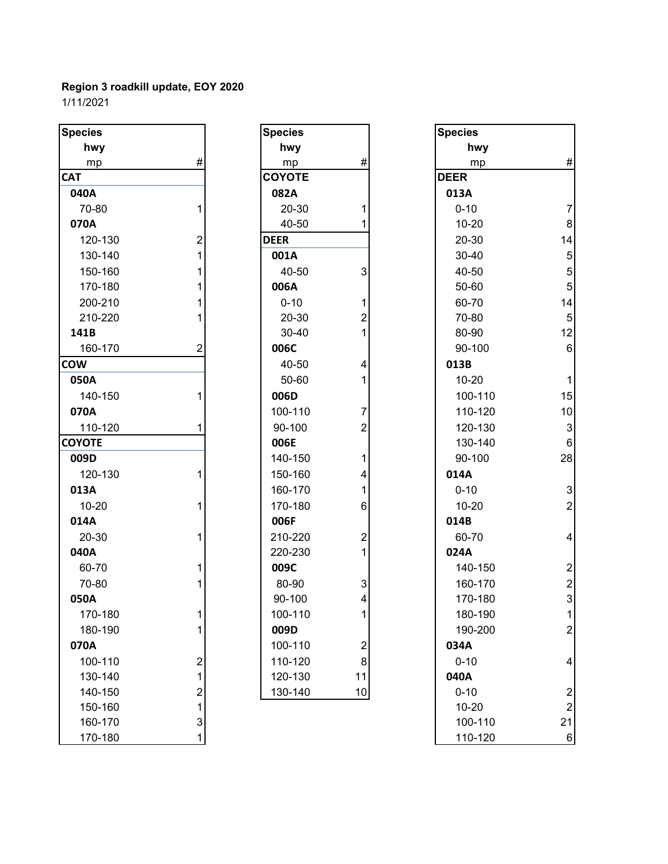| <b>Species</b> |                                       | <b>Species</b> |                           | <b>Species</b> |                          |
|----------------|---------------------------------------|----------------|---------------------------|----------------|--------------------------|
| hwy            |                                       | hwy            |                           | hwy            |                          |
| mp             | #                                     | mp             | #                         | mp             | #                        |
| <b>CAT</b>     |                                       | <b>COYOTE</b>  |                           | <b>DEER</b>    |                          |
| 040A           |                                       | 082A           |                           | 013A           |                          |
| 70-80          | 1                                     | 20-30          |                           | $0 - 10$       | $\overline{7}$           |
| 070A           |                                       | 40-50          | 1                         | $10 - 20$      | 8                        |
| 120-130        | $\overline{2}$                        | <b>DEER</b>    |                           | 20-30          | 14                       |
| 130-140        | 1                                     | 001A           |                           | 30-40          | 5                        |
| 150-160        | 1                                     | 40-50          | $\ensuremath{\mathsf{3}}$ | 40-50          | 5                        |
| 170-180        |                                       | 006A           |                           | 50-60          | 5                        |
| 200-210        |                                       | $0 - 10$       | 1                         | 60-70          | 14                       |
| 210-220        |                                       | 20-30          | $\boldsymbol{2}$          | 70-80          | 5                        |
| 141B           |                                       | 30-40          | 1                         | 80-90          | 12                       |
| 160-170        | 2                                     | 006C           |                           | 90-100         | $6\phantom{a}$           |
| <b>COW</b>     |                                       | 40-50          | 4                         | 013B           |                          |
| 050A           |                                       | 50-60          | 1                         | $10 - 20$      | 1                        |
| 140-150        |                                       | 006D           |                           | 100-110        | 15                       |
| 070A           |                                       | 100-110        | 7                         | 110-120        | 10                       |
| 110-120        |                                       | 90-100         | $\overline{2}$            | 120-130        | 3                        |
| <b>COYOTE</b>  |                                       | 006E           |                           | 130-140        | $6\phantom{1}6$          |
| 009D           |                                       | 140-150        | 1                         | 90-100         | 28                       |
| 120-130        | 1                                     | 150-160        | 4                         | 014A           |                          |
| 013A           |                                       | 160-170        | 1                         | $0 - 10$       | 3                        |
| $10 - 20$      | 1                                     | 170-180        | $\,6$                     | $10 - 20$      | $\overline{a}$           |
| 014A           |                                       | 006F           |                           | 014B           |                          |
| 20-30          | 1                                     | 210-220        | $\overline{\mathbf{c}}$   | 60-70          | $\overline{\mathcal{A}}$ |
| 040A           |                                       | 220-230        | 1                         | 024A           |                          |
| 60-70          |                                       | 009C           |                           | 140-150        | $\overline{\mathbf{c}}$  |
| 70-80          |                                       | 80-90          | 3                         | 160-170        | $\overline{a}$           |
| 050A           |                                       | 90-100         | 4                         | 170-180        | 3                        |
| 170-180        | 1                                     | 100-110        | 1                         | 180-190        |                          |
| 180-190        | 1                                     | 009D           |                           | 190-200        | $\overline{a}$           |
| 070A           |                                       | 100-110        | $\overline{c}$            | 034A           |                          |
| 100-110        | $\overline{\mathbf{c}}$               | 110-120        | $\bf 8$                   | $0 - 10$       | $\overline{4}$           |
| 130-140        | 1                                     | 120-130        | 11                        | 040A           |                          |
| 140-150        |                                       | 130-140        | 10                        | $0 - 10$       | $\overline{a}$           |
| 150-160        | $\begin{array}{c} 2 \\ 1 \end{array}$ |                |                           | $10 - 20$      | $\overline{c}$           |
| 160-170        | $\mathfrak{S}$                        |                |                           | 100-110        | 21                       |
| 170-180        |                                       |                |                           | 110-120        | 6                        |

| Species       |                                            |
|---------------|--------------------------------------------|
| hwy           |                                            |
| mp            | #                                          |
| <b>COYOTE</b> |                                            |
| 082A          |                                            |
| 20-30         | 1                                          |
| 40-50         | 1                                          |
| <b>DEER</b>   |                                            |
| 001A          |                                            |
| 40-50         | 3                                          |
| 006A          |                                            |
| $0 - 10$      | $\begin{array}{c} 1 \\ 2 \\ 1 \end{array}$ |
| 20-30         |                                            |
| 30-40         |                                            |
| 006C          |                                            |
| 40-50         | 4                                          |
| 50-60         | 1                                          |
| 006D          |                                            |
| 100-110       | $\frac{7}{2}$                              |
| 90-100        |                                            |
| 006E          |                                            |
| 140-150       | $\mathbf{1}$                               |
| 150-160       | $\begin{array}{c} 4 \\ 1 \\ 6 \end{array}$ |
| 160-170       |                                            |
| 170-180       |                                            |
| 006F          |                                            |
| 210-220       | $\begin{array}{c} 2 \\ 1 \end{array}$      |
| 220-230       |                                            |
| 009C          |                                            |
| 80-90         | 3<br>4                                     |
| 90-100        |                                            |
| 100-110       | 1                                          |
| 009D          |                                            |
| 100-110       |                                            |
| 110-120       | 8                                          |
| 120-130       | 11                                         |
| 130-140       | 10                                         |

| pecies    |                         | <b>Species</b> |                           | <b>Species</b> |                         |
|-----------|-------------------------|----------------|---------------------------|----------------|-------------------------|
| hwy       |                         | hwy            |                           | hwy            |                         |
| mp        | #                       | mp             | $\#$                      | mp             | $\#$                    |
| АT        |                         | <b>COYOTE</b>  |                           | <b>DEER</b>    |                         |
| 040A      |                         | 082A           |                           | 013A           |                         |
| 70-80     | 1                       | 20-30          | 1                         | $0 - 10$       | $\overline{7}$          |
| 070A      |                         | 40-50          |                           | $10 - 20$      | 8                       |
| 120-130   | $\overline{2}$          | <b>DEER</b>    |                           | 20-30          | 14                      |
| 130-140   | 1                       | 001A           |                           | 30-40          | $\overline{5}$          |
| 150-160   |                         | 40-50          | 3                         | 40-50          | $\overline{5}$          |
| 170-180   |                         | 006A           |                           | 50-60          | $\overline{5}$          |
| 200-210   |                         | $0 - 10$       | 1                         | 60-70          | 14                      |
| 210-220   |                         | 20-30          | $\overline{2}$            | 70-80          | $\overline{5}$          |
| 141B      |                         | 30-40          |                           | 80-90          | 12                      |
| 160-170   | 2                       | 006C           |                           | 90-100         | $\,6\,$                 |
| WC        |                         | 40-50          | 4                         | 013B           |                         |
| 050A      |                         | 50-60          | 1                         | $10 - 20$      | $\mathbf{1}$            |
| 140-150   | 1                       | 006D           |                           | 100-110        | 15                      |
| 070A      |                         | 100-110        | $\overline{7}$            | 110-120        | 10                      |
| 110-120   | 1                       | 90-100         | $\overline{2}$            | 120-130        | $\mathbf{3}$            |
| ϽϒΟΤΕ     |                         | 006E           |                           | 130-140        | 6                       |
| 009D      |                         | 140-150        | 1                         | 90-100         | 28                      |
| 120-130   | 1                       | 150-160        | 4                         | 014A           |                         |
| 013A      |                         | 160-170        |                           | $0 - 10$       | $\mathbf{3}$            |
| $10 - 20$ | 1                       | 170-180        | 6                         | $10 - 20$      | $\boldsymbol{2}$        |
| 014A      |                         | 006F           |                           | 014B           |                         |
| 20-30     |                         | 210-220        | $\overline{c}$            | 60-70          | $\overline{\mathbf{4}}$ |
| 040A      |                         | 220-230        | 1                         | 024A           |                         |
| 60-70     |                         | 009C           |                           | 140-150        | $\boldsymbol{2}$        |
| 70-80     |                         | 80-90          | $\ensuremath{\mathsf{3}}$ | 160-170        | $\boldsymbol{2}$        |
| 050A      |                         | 90-100         | 4                         | 170-180        | $\mathbf 3$             |
| 170-180   |                         | 100-110        |                           | 180-190        | $\mathbf{1}$            |
| 180-190   | 1                       | 009D           |                           | 190-200        | $\boldsymbol{2}$        |
| 070A      |                         | 100-110        | $\boldsymbol{2}$          | 034A           |                         |
| 100-110   | $\overline{\mathbf{c}}$ | 110-120        | 8                         | $0 - 10$       | $\overline{\mathbf{4}}$ |
| 130-140   | 1                       | 120-130        | 11                        | 040A           |                         |
| 140-150   | $\overline{\mathbf{c}}$ | 130-140        | 10                        | $0 - 10$       | $\boldsymbol{2}$        |
| 150-160   | 1                       |                |                           | $10 - 20$      | $\overline{c}$          |
| 160-170   | $\mathbf{3}$            |                |                           | 100-110        | 21                      |
| 170-180   | 1                       |                |                           | 110-120        | 6                       |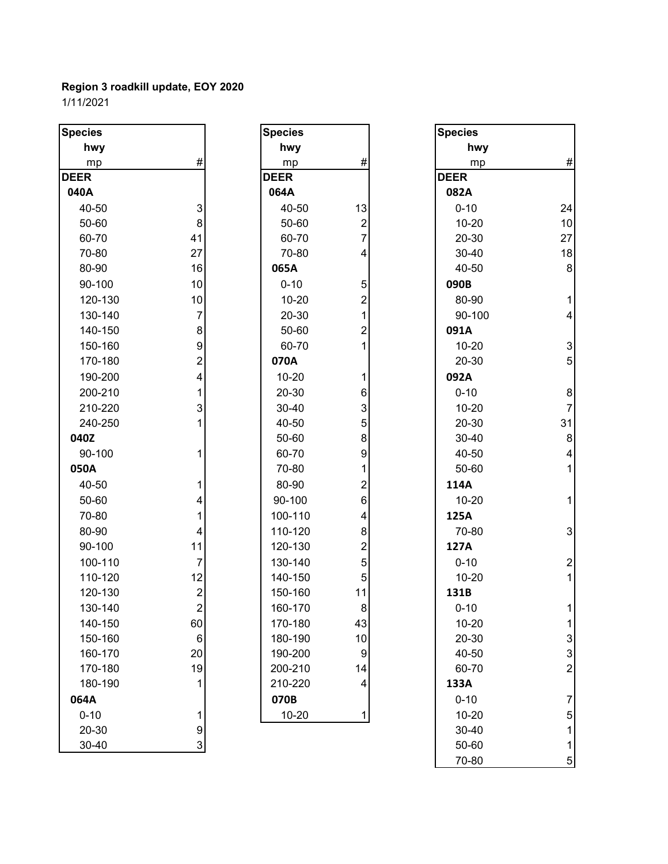| <b>Species</b> |                         | <b>Species</b> |                         | <b>Species</b> |                           |
|----------------|-------------------------|----------------|-------------------------|----------------|---------------------------|
| hwy            |                         | hwy            |                         | hwy            |                           |
| mp             | #                       | mp             | $\#$                    | mp             | $\#$                      |
| <b>DEER</b>    |                         | <b>DEER</b>    |                         | <b>DEER</b>    |                           |
| 040A           |                         | 064A           |                         | 082A           |                           |
| 40-50          | 3                       | 40-50          | 13                      | $0 - 10$       | 24                        |
| 50-60          | 8                       | 50-60          | $\overline{\mathbf{c}}$ | $10 - 20$      | 10                        |
| 60-70          | 41                      | 60-70          | $\overline{7}$          | 20-30          | 27                        |
| 70-80          | 27                      | 70-80          | 4                       | 30-40          | 18                        |
| 80-90          | 16                      | 065A           |                         | 40-50          | 8                         |
| 90-100         | 10                      | $0 - 10$       | 5                       | 090B           |                           |
| 120-130        | 10                      | $10 - 20$      | $\overline{2}$          | 80-90          |                           |
| 130-140        | $\overline{7}$          | 20-30          | 1                       | 90-100         | 4                         |
| 140-150        | 8                       | 50-60          | 2                       | 091A           |                           |
| 150-160        | 9                       | 60-70          |                         | $10 - 20$      | $\ensuremath{\mathsf{3}}$ |
| 170-180        | $\overline{c}$          | 070A           |                         | 20-30          | 5                         |
| 190-200        | 4                       | $10 - 20$      | 1                       | 092A           |                           |
| 200-210        | 1                       | 20-30          | 6                       | $0 - 10$       | 8                         |
| 210-220        | 3                       | 30-40          | 3                       | $10 - 20$      | $\overline{7}$            |
| 240-250        | 1                       | 40-50          | 5                       | 20-30          | 31                        |
| 040Z           |                         | 50-60          | 8                       | 30-40          | $\bf 8$                   |
| 90-100         | 1                       | 60-70          | 9                       | 40-50          | 4                         |
| 050A           |                         | 70-80          |                         | 50-60          |                           |
| 40-50          | 1                       | 80-90          | 2                       | 114A           |                           |
| 50-60          | 4                       | 90-100         | 6                       | $10 - 20$      |                           |
| 70-80          | 1                       | 100-110        | 4                       | 125A           |                           |
| 80-90          | 4                       | 110-120        | 8                       | 70-80          | 3                         |
| 90-100         | 11                      | 120-130        | 2                       | 127A           |                           |
| 100-110        | $\overline{7}$          | 130-140        | 5                       | $0 - 10$       | $\overline{\mathbf{c}}$   |
| 110-120        | 12                      | 140-150        | 5                       | $10 - 20$      |                           |
| 120-130        | $\overline{\mathbf{c}}$ | 150-160        | 11                      | 131B           |                           |
| 130-140        | $\overline{2}$          | 160-170        | 8                       | $0 - 10$       | 1                         |
| 140-150        | 60                      | 170-180        | 43                      | $10 - 20$      | 1                         |
| 150-160        | 6                       | 180-190        | 10                      | 20-30          | $\ensuremath{\mathsf{3}}$ |
| 160-170        | 20                      | 190-200        | 9                       | 40-50          | 3                         |
| 170-180        | 19                      | 200-210        | 14                      | 60-70          | $\overline{2}$            |
| 180-190        | 1                       | 210-220        | 4                       | 133A           |                           |
| 064A           |                         | 070B           |                         | $0 - 10$       | 7                         |
| $0 - 10$       | 1                       | $10 - 20$      | 1                       | $10 - 20$      | 5                         |
| 20-30          | 9                       |                |                         | 30-40          |                           |
| 30-40          | $\mathbf{3}$            |                |                         | 50-60          | 1                         |
|                |                         |                |                         | 70-80          | $\mathbf 5$               |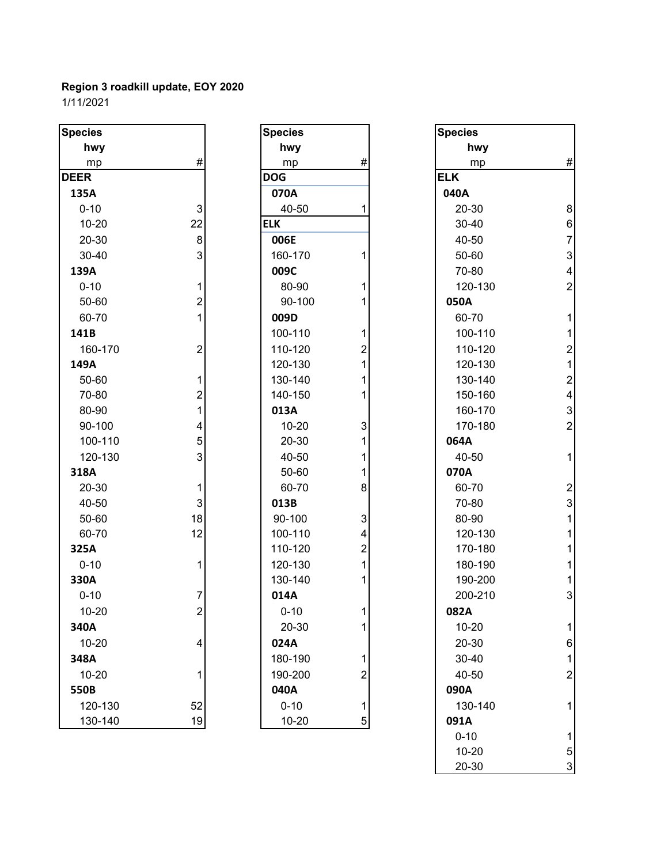| <b>Species</b> |                         | <b>Species</b> |                           | <b>Species</b> |                          |
|----------------|-------------------------|----------------|---------------------------|----------------|--------------------------|
| hwy            |                         | hwy            |                           | hwy            |                          |
| mp             | #                       | mp             | $\#$                      | mp             | #                        |
| <b>DEER</b>    |                         | <b>DOG</b>     |                           | <b>ELK</b>     |                          |
| 135A           |                         | 070A           |                           | 040A           |                          |
| $0 - 10$       | 3                       | 40-50          | 1                         | 20-30          | 8                        |
| $10 - 20$      | 22                      | <b>ELK</b>     |                           | 30-40          | $\boldsymbol{6}$         |
| 20-30          | 8                       | 006E           |                           | 40-50          | $\overline{7}$           |
| 30-40          | 3                       | 160-170        | 1                         | 50-60          | 3                        |
| 139A           |                         | 009C           |                           | 70-80          | $\overline{\mathcal{A}}$ |
| $0 - 10$       | 1                       | 80-90          | 1                         | 120-130        | $\overline{c}$           |
| 50-60          | $\overline{2}$          | 90-100         | 1                         | 050A           |                          |
| 60-70          | 1                       | 009D           |                           | 60-70          | 1                        |
| 141B           |                         | 100-110        | 1                         | 100-110        | 1                        |
| 160-170        | $\overline{\mathbf{c}}$ | 110-120        | 2                         | 110-120        | $\overline{\mathbf{c}}$  |
| 149A           |                         | 120-130        | 1                         | 120-130        | $\overline{1}$           |
| 50-60          | 1                       | 130-140        | 1                         | 130-140        | $\overline{\mathbf{c}}$  |
| 70-80          | $\overline{c}$          | 140-150        | 1                         | 150-160        | $\overline{\mathcal{A}}$ |
| 80-90          | 1                       | 013A           |                           | 160-170        | 3                        |
| 90-100         | 4                       | $10 - 20$      | $\ensuremath{\mathsf{3}}$ | 170-180        | $\overline{a}$           |
| 100-110        | 5                       | 20-30          | 1                         | 064A           |                          |
| 120-130        | 3                       | 40-50          | 1                         | 40-50          | 1                        |
| 318A           |                         | 50-60          | 1                         | 070A           |                          |
| 20-30          | 1                       | 60-70          | 8                         | 60-70          | $\overline{a}$           |
| 40-50          | 3                       | 013B           |                           | 70-80          | 3                        |
| 50-60          | 18                      | 90-100         | 3                         | 80-90          | 1                        |
| 60-70          | 12                      | 100-110        | 4                         | 120-130        |                          |
| 325A           |                         | 110-120        | $\overline{2}$            | 170-180        |                          |
| $0 - 10$       | 1                       | 120-130        | 1                         | 180-190        |                          |
| 330A           |                         | 130-140        | 1                         | 190-200        |                          |
| $0 - 10$       |                         | 014A           |                           | 200-210        | 3                        |
| $10 - 20$      | $\mathfrak{p}$          | $0 - 10$       | 1                         | 082A           |                          |
| 340A           |                         | 20-30          | 1                         | $10 - 20$      |                          |
| $10 - 20$      | 4                       | 024A           |                           | 20-30          | 6                        |
| 348A           |                         | 180-190        | $\mathbf 1$               | 30-40          | 1                        |
| $10 - 20$      | 1                       | 190-200        | $\boldsymbol{2}$          | 40-50          | $\overline{c}$           |
| 550B           |                         | 040A           |                           | 090A           |                          |
| 120-130        | 52                      | $0 - 10$       | $\mathbf 1$               | 130-140        |                          |
| 130-140        | 19                      | $10 - 20$      | 5                         | 091A           |                          |

| Species   |                                            |
|-----------|--------------------------------------------|
| hwy       |                                            |
| mp        | #                                          |
| DOG       |                                            |
| 070A      |                                            |
| 40-50     | 1                                          |
| ELK       |                                            |
| 006E      |                                            |
| 160-170   | 1                                          |
| 009C      |                                            |
| 80-90     | 1                                          |
| 90-100    | 1                                          |
| 009D      |                                            |
| 100-110   | 1                                          |
| 110-120   | $\begin{array}{c} 2 \\ 1 \\ 1 \end{array}$ |
| 120-130   |                                            |
| 130-140   |                                            |
| 140-150   | $\overline{1}$                             |
| 013A      |                                            |
| 10-20     |                                            |
| 20-30     |                                            |
| 40-50     | $\begin{array}{c} 3 \\ 1 \\ 1 \end{array}$ |
| 50-60     | $\overline{\mathbf{1}}$                    |
| 60-70     | 8                                          |
| 013B      |                                            |
| 90-100    |                                            |
| 100-110   | $\begin{array}{c} 3 \\ 4 \\ 2 \end{array}$ |
| 110-120   |                                            |
| 120-130   | $\overline{\mathbf{1}}$                    |
| 130-140   | $\overline{1}$                             |
| 014A      |                                            |
| $0 - 10$  | 1                                          |
| 20-30     | 1                                          |
| 024A      |                                            |
| 180-190   |                                            |
| 190-200   |                                            |
| 040A      | $\begin{array}{c} 1 \\ 2 \\ 1 \end{array}$ |
| $0 - 10$  |                                            |
| $10 - 20$ |                                            |

| cies      |                           | <b>Species</b> |                | <b>Species</b> |                           |
|-----------|---------------------------|----------------|----------------|----------------|---------------------------|
| hwy       |                           | hwy            |                | hwy            |                           |
| mp        | $\#$                      | mp             | #              | mp             | $\#$                      |
| ER.       |                           | <b>DOG</b>     |                | <b>ELK</b>     |                           |
| 35A       |                           | 070A           |                | 040A           |                           |
| $0 - 10$  | $\ensuremath{\mathsf{3}}$ | 40-50          | 1              | 20-30          | $\bf 8$                   |
| 10-20     | 22                        | <b>ELK</b>     |                | 30-40          | 6                         |
| 20-30     | $\bf 8$                   | 006E           |                | 40-50          | $\overline{7}$            |
| 30-40     | 3                         | 160-170        | 1              | 50-60          | $\ensuremath{\mathsf{3}}$ |
| 39A       |                           | 009C           |                | 70-80          | $\overline{\mathbf{4}}$   |
| $0 - 10$  | 1                         | 80-90          |                | 120-130        | $\overline{\mathbf{c}}$   |
| 50-60     | 2                         | 90-100         |                | 050A           |                           |
| 60-70     |                           | 009D           |                | 60-70          | $\mathbf{1}$              |
| 11 B      |                           | 100-110        | 1              | 100-110        | 1                         |
| 160-170   | $\overline{\mathbf{c}}$   | 110-120        | $\overline{c}$ | 110-120        | $\overline{c}$            |
| 19A       |                           | 120-130        | 1              | 120-130        | 1                         |
| 50-60     | 1                         | 130-140        |                | 130-140        | $\overline{2}$            |
| 70-80     | $\overline{c}$            | 140-150        | 1              | 150-160        | 4                         |
| 80-90     |                           | 013A           |                | 160-170        | $\mathfrak{B}$            |
| 90-100    | 4                         | $10 - 20$      | 3              | 170-180        | $\overline{c}$            |
| 100-110   | 5                         | 20-30          |                | 064A           |                           |
| 120-130   | 3                         | 40-50          |                | 40-50          | $\mathbf{1}$              |
| L8A       |                           | 50-60          | 1              | 070A           |                           |
| 20-30     | 1                         | 60-70          | 8              | 60-70          | $\overline{2}$            |
| 40-50     | 3                         | 013B           |                | 70-80          | $\mathfrak{B}$            |
| 50-60     | 18                        | 90-100         | 3              | 80-90          |                           |
| 60-70     | 12                        | 100-110        | 4              | 120-130        |                           |
| 25A       |                           | 110-120        | 2              | 170-180        |                           |
| $0 - 10$  | 1                         | 120-130        | 1              | 180-190        |                           |
| 30A       |                           | 130-140        |                | 190-200        |                           |
| $0 - 10$  | 7                         | 014A           |                | 200-210        | 3                         |
| $10 - 20$ | $\overline{2}$            | $0 - 10$       | $\mathbf{1}$   | 082A           |                           |
| 10A       |                           | 20-30          | 1              | $10 - 20$      | 1                         |
| 10-20     | 4                         | 024A           |                | 20-30          | 6                         |
| 18A       |                           | 180-190        | 1              | 30-40          | 1                         |
| 10-20     |                           | 190-200        | 2              | 40-50          | $\overline{c}$            |
| 50B       |                           | 040A           |                | 090A           |                           |
| 120-130   | 52                        | $0 - 10$       | 1              | 130-140        |                           |
| 130-140   | 19                        | $10 - 20$      | $\sqrt{5}$     | 091A           |                           |
|           |                           |                |                | $0 - 10$       | 1                         |
|           |                           |                |                | $10 - 20$      | 5                         |
|           |                           |                |                | 20-30          | 3                         |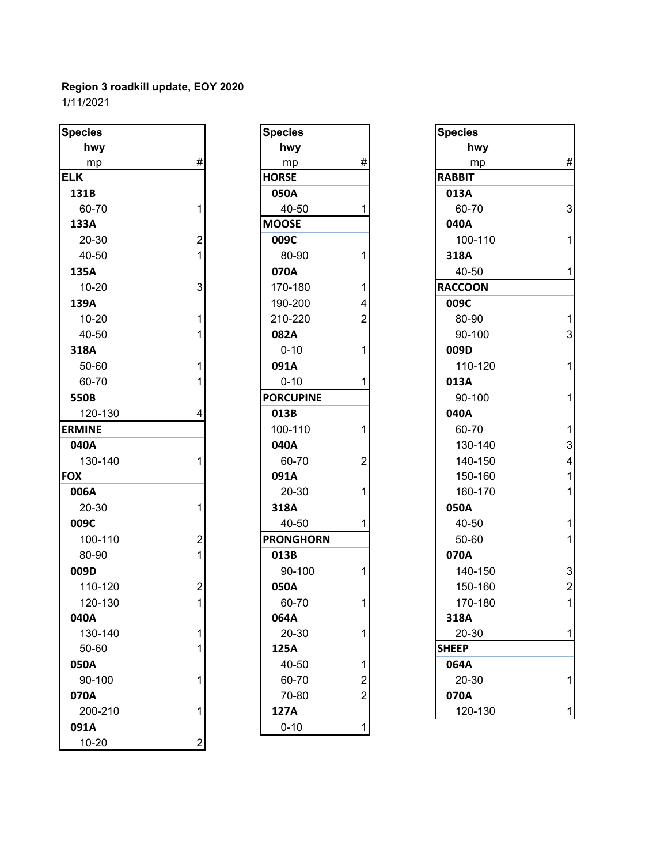| <b>Species</b> |                         | <b>Species</b>   |                         | <b>Species</b> |                |
|----------------|-------------------------|------------------|-------------------------|----------------|----------------|
| hwy            |                         | hwy              |                         | hwy            |                |
| mp             | #                       | mp               | #                       | mp             | #              |
| <b>ELK</b>     |                         | <b>HORSE</b>     |                         | <b>RABBIT</b>  |                |
| 131B           |                         | 050A             |                         | 013A           |                |
| 60-70          | 1                       | 40-50            |                         | 60-70          | 3              |
| 133A           |                         | <b>MOOSE</b>     |                         | 040A           |                |
| 20-30          | $\overline{c}$          | 009C             |                         | 100-110        | 1              |
| 40-50          | 1                       | 80-90            | 1                       | 318A           |                |
| 135A           |                         | 070A             |                         | 40-50          | 1              |
| $10 - 20$      | 3                       | 170-180          | 1                       | <b>RACCOON</b> |                |
| 139A           |                         | 190-200          | 4                       | 009C           |                |
| $10 - 20$      | 1                       | 210-220          | $\overline{2}$          | 80-90          | 1              |
| 40-50          |                         | 082A             |                         | 90-100         | 3              |
| 318A           |                         | $0 - 10$         | 1                       | 009D           |                |
| 50-60          | 1                       | 091A             |                         | 110-120        | 1              |
| 60-70          |                         | $0 - 10$         |                         | 013A           |                |
| 550B           |                         | <b>PORCUPINE</b> |                         | 90-100         | 1              |
| 120-130        | 4                       | 013B             |                         | 040A           |                |
| <b>ERMINE</b>  |                         | 100-110          | 1                       | 60-70          | 1              |
| 040A           |                         | 040A             |                         | 130-140        | 3              |
| 130-140        |                         | 60-70            | $\overline{2}$          | 140-150        | 4              |
| <b>FOX</b>     |                         | 091A             |                         | 150-160        | 1              |
| 006A           |                         | 20-30            | 1                       | 160-170        | 1              |
| $20 - 30$      | 1                       | 318A             |                         | 050A           |                |
| 009C           |                         | 40-50            | 1                       | 40-50          | 1              |
| 100-110        | $\overline{c}$          | <b>PRONGHORN</b> |                         | 50-60          | 1              |
| 80-90          | 1                       | 013B             |                         | 070A           |                |
| 009D           |                         | 90-100           | 1                       | 140-150        | 3              |
| 110-120        | $\overline{\mathbf{c}}$ | 050A             |                         | 150-160        | $\overline{a}$ |
| 120-130        | 1                       | 60-70            | 1                       | 170-180        | 1              |
| 040A           |                         | 064A             |                         | 318A           |                |
| 130-140        | 1                       | 20-30            | 1                       | 20-30          | 1              |
| 50-60          | 1                       | 125A             |                         | <b>SHEEP</b>   |                |
| 050A           |                         | 40-50            | 1                       | 064A           |                |
| 90-100         | 1                       | 60-70            | $\overline{\mathbf{c}}$ | 20-30          | 1              |
| 070A           |                         | 70-80            | $\overline{2}$          | 070A           |                |
| 200-210        | 1                       | 127A             |                         | 120-130        | 1              |
| 091A           |                         | $0 - 10$         | 1                       |                |                |
| $10 - 20$      | $\overline{2}$          |                  |                         |                |                |

| <b>Species</b>   |                |
|------------------|----------------|
| hwy              |                |
| mp               | #              |
| <b>HORSE</b>     |                |
| 050A             |                |
| 40-50            | 1              |
| <b>MOOSE</b>     |                |
| 009C             |                |
| 80-90            | 1              |
| 070A             |                |
| 170-180          | 1              |
| 190-200          | 4              |
| 210-220          | $\overline{c}$ |
| 082A             |                |
| $0 - 10$         | 1              |
| 091A             |                |
| $0 - 10$         | 1              |
| <b>PORCUPINE</b> |                |
| 013B             |                |
| 100-110          | 1              |
| 040A             |                |
| 60-70            | 2              |
| 091A             |                |
| 20-30            | 1              |
| 318A             |                |
| 40-50            | 1              |
| <b>PRONGHORN</b> |                |
| 013B             |                |
| 90-100           | 1              |
| 050A             |                |
| 60-70            | 1              |
| 064A             |                |
| 20-30            | 1              |
| 125A             |                |
| 40-50            | 1              |
| 60-70            | $\frac{2}{2}$  |
| 70-80            |                |
| 127A             |                |
| $0 - 10$         | 1              |

| pecies       |                | <b>Species</b>   |                | <b>Species</b> |                         |
|--------------|----------------|------------------|----------------|----------------|-------------------------|
| hwy          |                | hwy              |                | hwy            |                         |
| mp           | $\#$           | mp               | $\#$           | mp             | $\#$                    |
| LK.          |                | <b>HORSE</b>     |                | <b>RABBIT</b>  |                         |
| 131B         |                | 050A             |                | 013A           |                         |
| 60-70        |                | 40-50            | 1              | 60-70          | $\mathbf{3}$            |
| 133A         |                | <b>MOOSE</b>     |                | 040A           |                         |
| 20-30        | $\overline{2}$ | 009C             |                | 100-110        | $\mathbf{1}$            |
| 40-50        |                | 80-90            | 1              | 318A           |                         |
| 135A         |                | 070A             |                | 40-50          | $\mathbf{1}$            |
| $10 - 20$    | 3              | 170-180          | 1              | <b>RACCOON</b> |                         |
| 139A         |                | 190-200          | 4              | 009C           |                         |
| $10 - 20$    | 1              | 210-220          | $\overline{2}$ | 80-90          | $\mathbf{1}$            |
| 40-50        |                | 082A             |                | 90-100         | 3                       |
| 318A         |                | $0 - 10$         | 1              | 009D           |                         |
| 50-60        |                | 091A             |                | 110-120        | $\mathbf{1}$            |
| 60-70        |                | $0 - 10$         | 1              | 013A           |                         |
| 550B         |                | <b>PORCUPINE</b> |                | 90-100         | $\mathbf{1}$            |
| 120-130      | 4              | 013B             |                | 040A           |                         |
| <b>RMINE</b> |                | 100-110          | 1              | 60-70          | $\mathbf{1}$            |
| 040A         |                | 040A             |                | 130-140        | $\mathbf{3}$            |
| 130-140      |                | 60-70            | $\overline{2}$ | 140-150        | $\overline{\mathbf{4}}$ |
| ЭX           |                | 091A             |                | 150-160        | $\mathbf{1}$            |
| 006A         |                | 20-30            | 1              | 160-170        | $\mathbf{1}$            |
| 20-30        | 1              | 318A             |                | 050A           |                         |
| 009C         |                | 40-50            | 1              | 40-50          | $\mathbf{1}$            |
| 100-110      | 2              | <b>PRONGHORN</b> |                | 50-60          | $\mathbf{1}$            |
| 80-90        |                | 013B             |                | 070A           |                         |
| 009D         |                | 90-100           | 1              | 140-150        | 3                       |
| 110-120      | $\overline{c}$ | 050A             |                | 150-160        | $\sqrt{2}$              |
| 120-130      | 1              | 60-70            | 1              | 170-180        | $\mathbf{1}$            |
| 040A         |                | 064A             |                | 318A           |                         |
| 130-140      | 1              | 20-30            | 1              | 20-30          | $\mathbf{1}$            |
| 50-60        | 1              | 125A             |                | <b>SHEEP</b>   |                         |
| 050A         |                | 40-50            | 1              | 064A           |                         |
| 90-100       | 1              | 60-70            | 2              | 20-30          | $\mathbf{1}$            |
| 070A         |                | 70-80            | 2              | 070A           |                         |
| 200-210      | 1              | 127A             |                | 120-130        | $\mathbf{1}$            |
|              |                |                  |                |                |                         |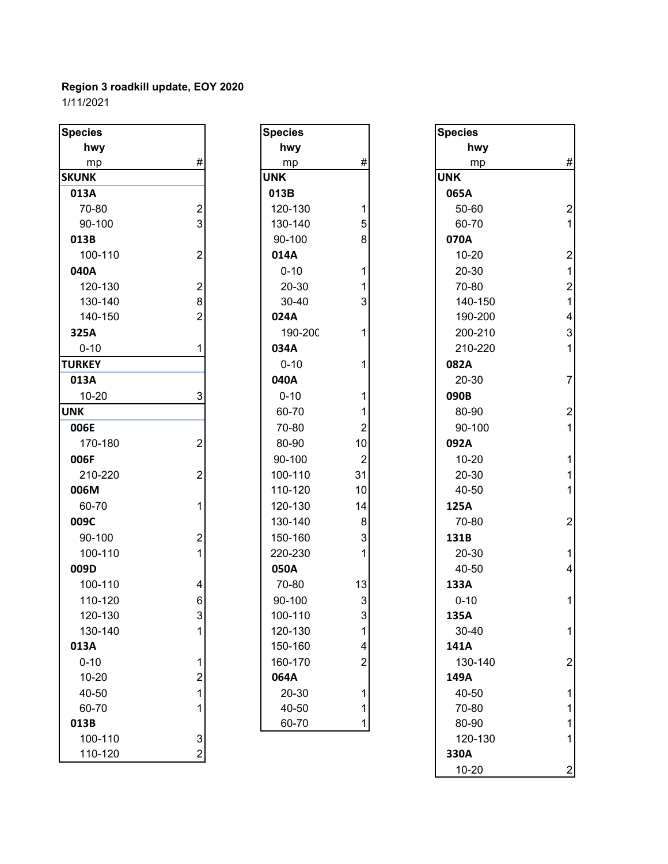| <b>Species</b> |                           | <b>Species</b> |                           | <b>Species</b> |                          |
|----------------|---------------------------|----------------|---------------------------|----------------|--------------------------|
| hwy            |                           | hwy            |                           | hwy            |                          |
| mp             | #                         | mp             | #                         | mp             | #                        |
| <b>SKUNK</b>   |                           | <b>UNK</b>     |                           | <b>UNK</b>     |                          |
| 013A           |                           | 013B           |                           | 065A           |                          |
| 70-80          | $\overline{\mathbf{c}}$   | 120-130        | 1                         | 50-60          | $\overline{2}$           |
| 90-100         | $\overline{3}$            | 130-140        | 5                         | 60-70          | 1                        |
| 013B           |                           | 90-100         | 8                         | 070A           |                          |
| 100-110        | $\overline{2}$            | 014A           |                           | $10 - 20$      | $\overline{a}$           |
| 040A           |                           | $0 - 10$       | 1                         | 20-30          | 1                        |
| 120-130        | $\overline{2}$            | 20-30          | 1                         | 70-80          | $\overline{a}$           |
| 130-140        | 8                         | 30-40          | 3                         | 140-150        | $\overline{1}$           |
| 140-150        | $\overline{2}$            | 024A           |                           | 190-200        | $\overline{\mathcal{A}}$ |
| 325A           |                           | 190-200        | 1                         | 200-210        | 3                        |
| $0 - 10$       | 1                         | 034A           |                           | 210-220        | 1                        |
| <b>TURKEY</b>  |                           | $0 - 10$       | 1                         | 082A           |                          |
| 013A           |                           | 040A           |                           | $20 - 30$      | $\overline{7}$           |
| $10 - 20$      | 3                         | $0 - 10$       | 1                         | 090B           |                          |
| <b>UNK</b>     |                           | 60-70          | 1                         | 80-90          | $\overline{a}$           |
| 006E           |                           | 70-80          | $\overline{2}$            | 90-100         | 1                        |
| 170-180        | $\overline{2}$            | 80-90          | 10                        | 092A           |                          |
| 006F           |                           | 90-100         | $\overline{2}$            | $10 - 20$      | 1                        |
| 210-220        | $\boldsymbol{2}$          | 100-110        | 31                        | 20-30          | 1                        |
| 006M           |                           | 110-120        | 10                        | 40-50          | 1                        |
| 60-70          | 1                         | 120-130        | 14                        | 125A           |                          |
| 009C           |                           | 130-140        | 8                         | 70-80          | $\overline{c}$           |
| 90-100         | $\boldsymbol{2}$          | 150-160        | $\mathbf{3}$              | 131B           |                          |
| 100-110        | $\mathbf{1}$              | 220-230        | $\mathbf{1}$              | 20-30          | 1                        |
| 009D           |                           | 050A           |                           | 40-50          | $\overline{\mathcal{A}}$ |
| 100-110        | 4                         | 70-80          | 13                        | 133A           |                          |
| 110-120        | 6                         | 90-100         | $\mathsf 3$               | $0 - 10$       | 1                        |
| 120-130        | $\ensuremath{\mathsf{3}}$ | 100-110        | $\ensuremath{\mathsf{3}}$ | 135A           |                          |
| 130-140        | 1                         | 120-130        | $\mathbf 1$               | 30-40          | 1                        |
| 013A           |                           | 150-160        | 4                         | 141A           |                          |
| $0 - 10$       | 1                         | 160-170        | $\overline{2}$            | 130-140        | $\overline{a}$           |
| $10 - 20$      | $\overline{c}$            | 064A           |                           | 149A           |                          |
| 40-50          | 1                         | 20-30          | 1                         | 40-50          |                          |
| 60-70          | 1                         | 40-50          | 1                         | 70-80          |                          |
| 013B           |                           | 60-70          | 1                         | 80-90          |                          |
| 100-110        | $\ensuremath{\mathsf{3}}$ |                |                           | 120-130        |                          |
| 110-120        | $\overline{2}$            |                |                           | 330A           |                          |

| <b>Species</b> |                                                  |
|----------------|--------------------------------------------------|
| hwy            |                                                  |
| mp             | #                                                |
| <b>UNK</b>     |                                                  |
| 013B           |                                                  |
| 120-130        | $\begin{array}{c} 1 \\ 5 \\ 8 \end{array}$       |
| 130-140        |                                                  |
| 90-100         |                                                  |
| 014A           |                                                  |
| $0 - 10$       | $\begin{array}{c} 1 \\ 1 \\ 3 \end{array}$       |
| 20-30          |                                                  |
| 30-40          |                                                  |
| 024A           |                                                  |
| 190-200        | $\overline{\mathbf{1}}$                          |
| 034A           |                                                  |
| $0 - 10$       | 1                                                |
| 040A           |                                                  |
| $0 - 10$       |                                                  |
| 60-70          | $\begin{array}{c} 1 \\ 1 \\ 2 \\ 10 \end{array}$ |
| 70-80          |                                                  |
| 80-90          |                                                  |
| 90-100         | $\overline{\mathbf{c}}$                          |
| 100-110        | 31                                               |
| 110-120        | 10                                               |
| 120-130        | 14                                               |
| 130-140        | 8                                                |
| 150-160        | 3                                                |
| 220-230        | $\overline{\mathbf{1}}$                          |
| 050A           |                                                  |
| 70-80          | 13                                               |
| 90-100         | 3                                                |
| 100-110        | 3                                                |
| 120-130        | $\frac{1}{4}$                                    |
| 150-160        |                                                  |
| 160-170        | $\overline{c}$                                   |
| 064A           |                                                  |
| 20-30          | 1                                                |
| 40-50          | 1<br>1                                           |
| 60-70          |                                                  |

| cies                     |                         | <b>Species</b> |                | <b>Species</b> |                          |
|--------------------------|-------------------------|----------------|----------------|----------------|--------------------------|
| hwy                      |                         | hwy            |                | hwy            |                          |
| mp                       | $\#$                    | mp             | #              | mp             | $\#$                     |
| <b>INK</b>               |                         | <b>UNK</b>     |                | <b>UNK</b>     |                          |
| L3A                      |                         | 013B           |                | 065A           |                          |
| 70-80                    | $\boldsymbol{2}$        | 120-130        | 1              | 50-60          | $\overline{\mathbf{c}}$  |
| 90-100                   | 3                       | 130-140        | 5              | 60-70          | $\overline{1}$           |
| L3B                      |                         | 90-100         | 8              | 070A           |                          |
| 100-110                  | $\overline{c}$          | 014A           |                | $10 - 20$      | $\overline{\mathbf{c}}$  |
| 10A                      |                         | $0 - 10$       | 1              | 20-30          | $\mathbf{1}$             |
| 120-130                  | $\boldsymbol{2}$        | 20-30          |                | 70-80          | $\sqrt{2}$               |
| 130-140                  | 8                       | 30-40          | 3              | 140-150        | $\overline{1}$           |
| 140-150                  | $\overline{2}$          | 024A           |                | 190-200        | $\overline{\mathbf{4}}$  |
| 25A                      |                         | 190-200        |                | 200-210        | $\mathsf 3$              |
| $0 - 10$                 |                         | 034A           |                | 210-220        | $\mathbf{1}$             |
| <b>RKEY</b>              |                         | $0 - 10$       | 1              | 082A           |                          |
| L3A                      |                         | 040A           |                | 20-30          | $\overline{\mathcal{I}}$ |
| 10-20                    | 3                       | $0 - 10$       | 1              | 090B           |                          |
| $\overline{\phantom{0}}$ |                         | 60-70          |                | 80-90          | $\overline{\mathbf{c}}$  |
| 06E                      |                         | 70-80          | $\overline{2}$ | 90-100         | $\mathbf{1}$             |
| 170-180                  | $\overline{c}$          | 80-90          | 10             | 092A           |                          |
| )6F                      |                         | 90-100         | $\overline{2}$ | $10 - 20$      | $\mathbf{1}$             |
| 210-220                  | $\overline{c}$          | 100-110        | 31             | 20-30          | $\mathbf{1}$             |
| 06M                      |                         | 110-120        | 10             | 40-50          | $\mathbf{1}$             |
| 60-70                    | 1                       | 120-130        | 14             | 125A           |                          |
| )9C                      |                         | 130-140        | 8              | 70-80          | $\boldsymbol{2}$         |
| 90-100                   | $\overline{\mathbf{c}}$ | 150-160        | 3              | 131B           |                          |
| 100-110                  |                         | 220-230        | 1              | 20-30          | $\mathbf{1}$             |
| )9D                      |                         | 050A           |                | 40-50          | $\overline{\mathbf{4}}$  |
| 100-110                  | 4                       | 70-80          | 13             | 133A           |                          |
| 110-120                  | 6                       | 90-100         | $\mathbf{3}$   | $0 - 10$       | $\mathbf{1}$             |
| 120-130                  | 3                       | 100-110        | 3              | 135A           |                          |
| 130-140                  |                         | 120-130        | 1              | 30-40          | 1                        |
| L3A                      |                         | 150-160        | 4              | 141A           |                          |
| $0 - 10$                 | 1.                      | 160-170        | $\overline{2}$ | 130-140        | $\boldsymbol{2}$         |
| 10-20                    | 2                       | 064A           |                | 149A           |                          |
| 40-50                    |                         | 20-30          | 1              | 40-50          | 1                        |
| 60-70                    |                         | 40-50          | 1              | 70-80          | 1                        |
| L3B                      |                         | 60-70          | 1              | 80-90          | 1                        |
| 100-110                  | 3                       |                |                | 120-130        | 1                        |
| 110-120                  | $\overline{2}$          |                |                | 330A           |                          |
|                          |                         |                |                | 10-20          | $\boldsymbol{2}$         |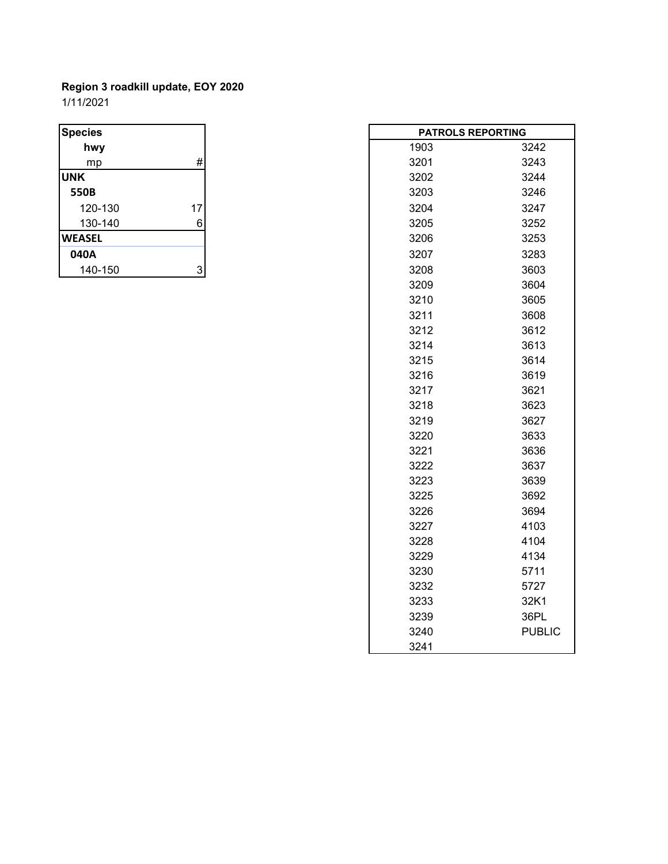# **Region 3 roadkill update, EOY 2020** 1/11/2021

| <b>Species</b> |    |
|----------------|----|
| hwy            |    |
| mp             | #  |
| <b>UNK</b>     |    |
| 550B           |    |
| 120-130        | 17 |
| 130-140        | 6  |
| <b>WEASEL</b>  |    |
| 040A           |    |
| 140-150        |    |

| <b>Species</b> |                           |  | <b>PATROLS REPORTING</b> |               |
|----------------|---------------------------|--|--------------------------|---------------|
| hwy            |                           |  | 1903                     | 3242          |
| mp             | $\#$                      |  | 3201                     | 3243          |
| <b>UNK</b>     |                           |  | 3202                     | 3244          |
| 550B           |                           |  | 3203                     | 3246          |
| 120-130        | 17                        |  | 3204                     | 3247          |
| 130-140        | $\,6$                     |  | 3205                     | 3252          |
| <b>WEASEL</b>  |                           |  | 3206                     | 3253          |
| 040A           |                           |  | 3207                     | 3283          |
| 140-150        | $\ensuremath{\mathsf{3}}$ |  | 3208                     | 3603          |
|                |                           |  | 3209                     | 3604          |
|                |                           |  | 3210                     | 3605          |
|                |                           |  | 3211                     | 3608          |
|                |                           |  | 3212                     | 3612          |
|                |                           |  | 3214                     | 3613          |
|                |                           |  | 3215                     | 3614          |
|                |                           |  | 3216                     | 3619          |
|                |                           |  | 3217                     | 3621          |
|                |                           |  | 3218                     | 3623          |
|                |                           |  | 3219                     | 3627          |
|                |                           |  | 3220                     | 3633          |
|                |                           |  | 3221                     | 3636          |
|                |                           |  | 3222                     | 3637          |
|                |                           |  | 3223                     | 3639          |
|                |                           |  | 3225                     | 3692          |
|                |                           |  | 3226                     | 3694          |
|                |                           |  | 3227                     | 4103          |
|                |                           |  | 3228                     | 4104          |
|                |                           |  | 3229                     | 4134          |
|                |                           |  | 3230                     | 5711          |
|                |                           |  | 3232                     | 5727          |
|                |                           |  | 3233                     | 32K1          |
|                |                           |  | 3239                     | 36PL          |
|                |                           |  | 3240                     | <b>PUBLIC</b> |
|                |                           |  | 3241                     |               |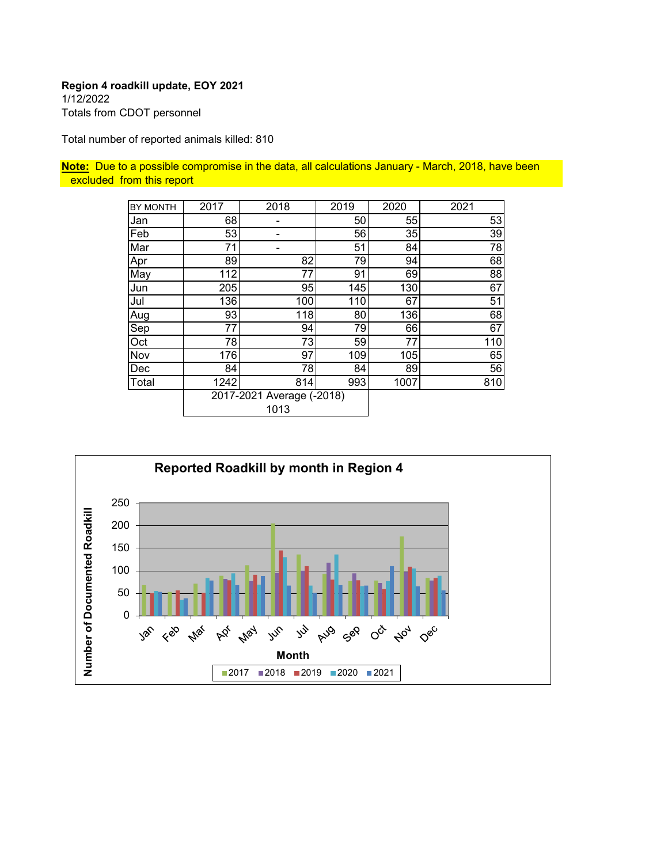1/12/2022 Totals from CDOT personnel

Total number of reported animals killed: 810

**Note:** Due to a possible compromise in the data, all calculations January - March, 2018, have been excluded from this report

| BY MONTH | 2017 | 2018                              | 2019 | 2020 | 2021 |
|----------|------|-----------------------------------|------|------|------|
| Jan      | 68   | -                                 | 50   | 55   | 53   |
| Feb      | 53   |                                   | 56   | 35   | 39   |
| Mar      | 71   |                                   | 51   | 84   | 78   |
| Apr      | 89   | 82                                | 79   | 94   | 68   |
| May      | 112  | 77                                | 91   | 69   | 88   |
| Jun      | 205  | 95                                | 145  | 130  | 67   |
| Jul      | 136  | 100                               | 110  | 67   | 51   |
| Aug      | 93   | 118                               | 80   | 136  | 68   |
| Sep      | 77   | 94                                | 79   | 66   | 67   |
| Oct      | 78   | 73                                | 59   | 77   | 110  |
| Nov      | 176  | 97                                | 109  | 105  | 65   |
| Dec      | 84   | 78                                | 84   | 89   | 56   |
| Total    | 1242 | 814                               | 993  | 1007 | 810  |
|          |      | 2017-2021 Average (-2018)<br>1013 |      |      |      |

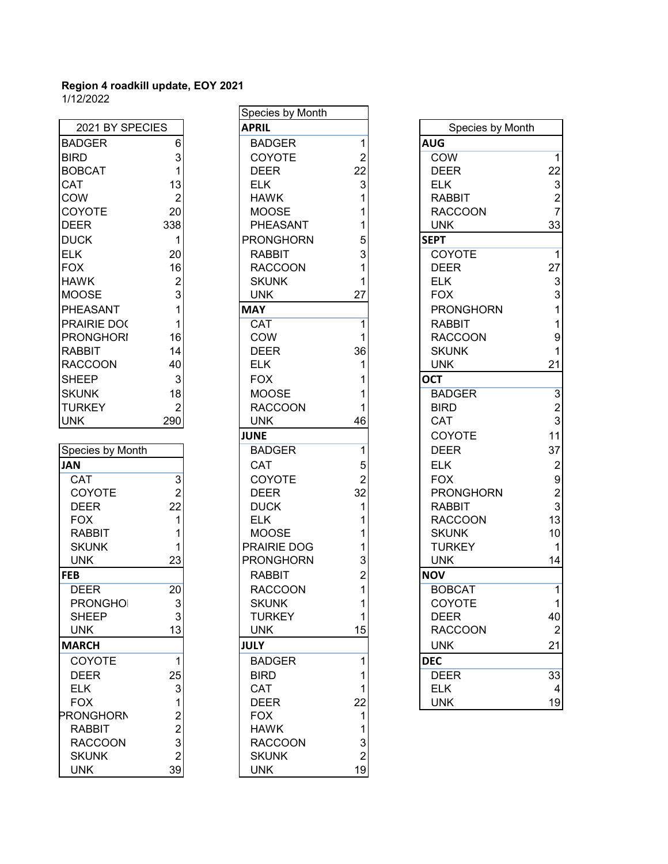| <b>BADGER</b><br>6<br>$\begin{array}{c} 3 \\ 1 \\ 13 \\ 2 \end{array}$<br>BIRD<br><b>BOBCAT</b><br>CAT<br>COW<br>20<br>COYOTE<br>338<br>DEER<br><b>DUCK</b><br>1<br><b>ELK</b><br>20<br><b>FOX</b><br>16<br>$\begin{array}{c} 2 \\ 3 \\ 1 \end{array}$<br><b>HAWK</b><br><b>MOOSE</b><br>PHEASANT<br>1<br>PRAIRIE DOC<br><b>PRONGHORI</b><br>16 |
|-------------------------------------------------------------------------------------------------------------------------------------------------------------------------------------------------------------------------------------------------------------------------------------------------------------------------------------------------|
|                                                                                                                                                                                                                                                                                                                                                 |
|                                                                                                                                                                                                                                                                                                                                                 |
|                                                                                                                                                                                                                                                                                                                                                 |
|                                                                                                                                                                                                                                                                                                                                                 |
|                                                                                                                                                                                                                                                                                                                                                 |
|                                                                                                                                                                                                                                                                                                                                                 |
|                                                                                                                                                                                                                                                                                                                                                 |
|                                                                                                                                                                                                                                                                                                                                                 |
|                                                                                                                                                                                                                                                                                                                                                 |
|                                                                                                                                                                                                                                                                                                                                                 |
|                                                                                                                                                                                                                                                                                                                                                 |
|                                                                                                                                                                                                                                                                                                                                                 |
|                                                                                                                                                                                                                                                                                                                                                 |
|                                                                                                                                                                                                                                                                                                                                                 |
|                                                                                                                                                                                                                                                                                                                                                 |
|                                                                                                                                                                                                                                                                                                                                                 |
| 14<br><b>RABBIT</b>                                                                                                                                                                                                                                                                                                                             |
| <b>RACCOON</b><br>40                                                                                                                                                                                                                                                                                                                            |
| <b>SHEEP</b><br>3                                                                                                                                                                                                                                                                                                                               |
| <b>SKUNK</b><br>18                                                                                                                                                                                                                                                                                                                              |
| TURKEY<br>$\overline{c}$                                                                                                                                                                                                                                                                                                                        |
| <b>UNK</b><br>290                                                                                                                                                                                                                                                                                                                               |
|                                                                                                                                                                                                                                                                                                                                                 |
| Species by Month                                                                                                                                                                                                                                                                                                                                |
| <b>JAN</b>                                                                                                                                                                                                                                                                                                                                      |
| $\overline{CAT}$                                                                                                                                                                                                                                                                                                                                |
| COYOTE                                                                                                                                                                                                                                                                                                                                          |
| $\begin{array}{c} 3 \\ 2 \\ 22 \\ 1 \end{array}$<br><b>DEER</b>                                                                                                                                                                                                                                                                                 |
| <b>FOX</b>                                                                                                                                                                                                                                                                                                                                      |
| $\overline{\mathbf{1}}$<br>RABBIT                                                                                                                                                                                                                                                                                                               |
| <b>SKUNK</b><br>1                                                                                                                                                                                                                                                                                                                               |
| 23<br><b>UNK</b>                                                                                                                                                                                                                                                                                                                                |
| <b>FEB</b>                                                                                                                                                                                                                                                                                                                                      |
| <b>DEER</b><br>20                                                                                                                                                                                                                                                                                                                               |
| 3<br>PRONGHOI                                                                                                                                                                                                                                                                                                                                   |
| <b>SHEEP</b><br>3                                                                                                                                                                                                                                                                                                                               |
| <b>UNK</b>                                                                                                                                                                                                                                                                                                                                      |
| <b>MARCH</b>                                                                                                                                                                                                                                                                                                                                    |
| COYOTE                                                                                                                                                                                                                                                                                                                                          |
| <b>DEER</b>                                                                                                                                                                                                                                                                                                                                     |
| <b>ELK</b>                                                                                                                                                                                                                                                                                                                                      |
| <b>FOX</b>                                                                                                                                                                                                                                                                                                                                      |
| <b>PRONGHORN</b>                                                                                                                                                                                                                                                                                                                                |
| <b>RABBIT</b>                                                                                                                                                                                                                                                                                                                                   |
| <b>RACCOON</b>                                                                                                                                                                                                                                                                                                                                  |
| <b>SKUNK</b>                                                                                                                                                                                                                                                                                                                                    |
| 1253122323<br><b>UNK</b>                                                                                                                                                                                                                                                                                                                        |

|                    |                |             | Species by Month |                |                  |
|--------------------|----------------|-------------|------------------|----------------|------------------|
| 2021 BY SPECIES    |                |             | <b>APRIL</b>     |                | Species by Month |
| <b>BADGER</b>      | 6              |             | <b>BADGER</b>    | 1              | <b>AUG</b>       |
| <b>BIRD</b>        | 3              |             | COYOTE           | $\overline{2}$ | <b>COW</b>       |
| <b>BOBCAT</b>      | 1              |             | <b>DEER</b>      | 22             | <b>DEER</b>      |
| <b>CAT</b>         | 13             |             | <b>ELK</b>       | 3              | <b>ELK</b>       |
| <b>COW</b>         | $\overline{2}$ |             | <b>HAWK</b>      |                | <b>RABBIT</b>    |
| COYOTE             | 20             |             | <b>MOOSE</b>     |                | <b>RACCOON</b>   |
| <b>DEER</b>        | 338            |             | PHEASANT         |                | <b>UNK</b>       |
| <b>DUCK</b>        | 1              |             | <b>PRONGHORN</b> | 5              | <b>SEPT</b>      |
| <b>ELK</b>         | 20             |             | <b>RABBIT</b>    | 3              | COYOTE           |
| <b>FOX</b>         | 16             |             | <b>RACCOON</b>   |                | <b>DEER</b>      |
| <b>HAWK</b>        | $\overline{2}$ |             | <b>SKUNK</b>     |                | <b>ELK</b>       |
| <b>MOOSE</b>       | 3              |             | <b>UNK</b>       | 27             | <b>FOX</b>       |
| PHEASANT           | 1              | <b>MAY</b>  |                  |                | <b>PRONGHORN</b> |
| <b>PRAIRIE DOC</b> | 1              |             | <b>CAT</b>       | 1              | <b>RABBIT</b>    |
| <b>PRONGHORI</b>   | 16             |             | <b>COW</b>       |                | <b>RACCOON</b>   |
| <b>RABBIT</b>      | 14             |             | <b>DEER</b>      | 36             | <b>SKUNK</b>     |
| <b>RACCOON</b>     | 40             |             | <b>ELK</b>       |                | <b>UNK</b>       |
|                    |                |             |                  |                |                  |
| <b>SHEEP</b>       | 3              |             | <b>FOX</b>       |                | <b>OCT</b>       |
| <b>SKUNK</b>       | 18             |             | <b>MOOSE</b>     |                | <b>BADGER</b>    |
| <b>TURKEY</b>      | $\overline{2}$ |             | <b>RACCOON</b>   |                | <b>BIRD</b>      |
| <b>UNK</b>         | 290            |             | <b>UNK</b>       | 46             | <b>CAT</b>       |
|                    |                |             | <b>JUNE</b>      |                | COYOTE           |
| Species by Month   |                |             | <b>BADGER</b>    | 1              | <b>DEER</b>      |
| <b>JAN</b>         |                |             | <b>CAT</b>       | 5              | <b>ELK</b>       |
| CAT                | $\overline{3}$ |             | COYOTE           |                | <b>FOX</b>       |
| COYOTE             | $\overline{2}$ |             | <b>DEER</b>      | 32             | <b>PRONGHORN</b> |
| <b>DEER</b>        | 22             |             | <b>DUCK</b>      |                | <b>RABBIT</b>    |
| <b>FOX</b>         | 1              |             | <b>ELK</b>       |                | <b>RACCOON</b>   |
| <b>RABBIT</b>      | 1              |             | <b>MOOSE</b>     |                | <b>SKUNK</b>     |
| <b>SKUNK</b>       | 1              |             | PRAIRIE DOG      |                | <b>TURKEY</b>    |
| <b>UNK</b>         | 23             |             | <b>PRONGHORN</b> | 3              | <b>UNK</b>       |
| <b>FEB</b>         |                |             | <b>RABBIT</b>    | 2              | <b>NOV</b>       |
| <b>DEER</b>        | 20             |             | <b>RACCOON</b>   | $\mathbf{1}$   | <b>BOBCAT</b>    |
| <b>PRONGHOI</b>    | 3              |             | <b>SKUNK</b>     |                | COYOTE           |
| <b>SHEEP</b>       | 3              |             | <b>TURKEY</b>    |                | <b>DEER</b>      |
| <b>UNK</b>         | 13             |             | <b>UNK</b>       | 15             | <b>RACCOON</b>   |
| <b>MARCH</b>       |                | <b>JULY</b> |                  |                | <b>UNK</b>       |
| COYOTE             | 1              |             | <b>BADGER</b>    |                | <b>DEC</b>       |
| <b>DEER</b>        | 25             |             | <b>BIRD</b>      |                | <b>DEER</b>      |
| <b>ELK</b>         | 3              |             | <b>CAT</b>       |                | <b>ELK</b>       |
| <b>FOX</b>         |                |             | <b>DEER</b>      | 22             | <b>UNK</b>       |
| <b>PRONGHORN</b>   | 2              |             | <b>FOX</b>       |                |                  |
| <b>RABBIT</b>      | $\overline{2}$ |             | <b>HAWK</b>      |                |                  |
| <b>RACCOON</b>     | 3              |             | <b>RACCOON</b>   | 3              |                  |
| <b>SKUNK</b>       | $\overline{2}$ |             | <b>SKUNK</b>     | $\overline{2}$ |                  |
| <b>UNK</b>         | 39             |             | <b>UNK</b>       | 19             |                  |
|                    |                |             |                  |                |                  |

|                  |                           | opooloo by mornin |                |                  |                           |
|------------------|---------------------------|-------------------|----------------|------------------|---------------------------|
| 2021 BY SPECIES  |                           | <b>APRIL</b>      |                | Species by Month |                           |
| <b>BADGER</b>    | 6                         | <b>BADGER</b>     |                | <b>AUG</b>       |                           |
| <b>BIRD</b>      | 3                         | COYOTE            | $\overline{2}$ | COW              | $\overline{1}$            |
| <b>BOBCAT</b>    | 1                         | <b>DEER</b>       | 22             | <b>DEER</b>      | 22                        |
| CAT              | 13                        | <b>ELK</b>        | 3              | <b>ELK</b>       | $\sqrt{3}$                |
| COW              | $\overline{2}$            | <b>HAWK</b>       |                | <b>RABBIT</b>    | $\frac{2}{7}$             |
| COYOTE           | 20                        | <b>MOOSE</b>      |                | <b>RACCOON</b>   |                           |
| DEER             | 338                       | <b>PHEASANT</b>   |                | <b>UNK</b>       | 33                        |
| <b>DUCK</b>      | 1                         | <b>PRONGHORN</b>  | 5              | <b>SEPT</b>      |                           |
| ELK              | 20                        | <b>RABBIT</b>     | 3              | <b>COYOTE</b>    | $\overline{1}$            |
| <b>FOX</b>       | 16                        | <b>RACCOON</b>    |                | <b>DEER</b>      | 27                        |
| <b>HAWK</b>      | $\overline{2}$            | <b>SKUNK</b>      |                | <b>ELK</b>       | $\ensuremath{\mathsf{3}}$ |
| MOOSE            | 3                         | <b>UNK</b>        | 27             | <b>FOX</b>       | $\overline{3}$            |
| PHEASANT         |                           | <b>MAY</b>        |                | <b>PRONGHORN</b> | $\mathbf{1}$              |
| PRAIRIE DOC      | 1                         | <b>CAT</b>        |                | <b>RABBIT</b>    | $\mathbf{1}$              |
| <b>PRONGHORI</b> | 16                        | COW               |                | <b>RACCOON</b>   | $\boldsymbol{9}$          |
| RABBIT           | 14                        | <b>DEER</b>       | 36             | <b>SKUNK</b>     | $\mathbf{1}$              |
| <b>RACCOON</b>   | 40                        | <b>ELK</b>        |                | <b>UNK</b>       | 21                        |
| <b>SHEEP</b>     | $\mathbf{3}$              | <b>FOX</b>        |                | <b>OCT</b>       |                           |
| <b>SKUNK</b>     | 18                        | <b>MOOSE</b>      |                | <b>BADGER</b>    | $\overline{3}$            |
| <b>TURKEY</b>    | $\overline{2}$            | <b>RACCOON</b>    |                | <b>BIRD</b>      | $\frac{2}{3}$             |
| <b>UNK</b>       | 290                       | <b>UNK</b>        | 46             | <b>CAT</b>       |                           |
|                  |                           | <b>JUNE</b>       |                | COYOTE           | 11                        |
| Species by Month |                           | <b>BADGER</b>     |                | <b>DEER</b>      | 37                        |
| JAN              |                           | <b>CAT</b>        | 5              | <b>ELK</b>       | $\sqrt{2}$                |
| CAT              | $\overline{3}$            | COYOTE            | $\overline{2}$ | <b>FOX</b>       | $\boldsymbol{9}$          |
| COYOTE           | $\overline{2}$            | <b>DEER</b>       | 32             | <b>PRONGHORN</b> | $\sqrt{2}$                |
| <b>DEER</b>      | 22                        | <b>DUCK</b>       |                | <b>RABBIT</b>    | $\mathbf{3}$              |
| <b>FOX</b>       | 1                         | <b>ELK</b>        |                | <b>RACCOON</b>   | 13                        |
| <b>RABBIT</b>    |                           | <b>MOOSE</b>      |                | <b>SKUNK</b>     | 10                        |
| <b>SKUNK</b>     | 1                         | PRAIRIE DOG       |                | <b>TURKEY</b>    | $\mathbf{1}$              |
| <b>UNK</b>       | 23                        | <b>PRONGHORN</b>  | 3              | <b>UNK</b>       | 14                        |
| FEB              |                           | <b>RABBIT</b>     | 2              | <b>NOV</b>       |                           |
| <b>DEER</b>      | 20                        | <b>RACCOON</b>    |                | <b>BOBCAT</b>    | $\mathbf{1}$              |
| <b>PRONGHOI</b>  | $\overline{3}$            | <b>SKUNK</b>      |                | COYOTE           | $\mathbf{1}$              |
| <b>SHEEP</b>     | 3                         | <b>TURKEY</b>     |                | <b>DEER</b>      | 40                        |
| <b>UNK</b>       | 13                        | <b>UNK</b>        | 15             | <b>RACCOON</b>   | $\overline{c}$            |
| <b>MARCH</b>     |                           | <b>JULY</b>       |                | <b>UNK</b>       | 21                        |
| <b>COYOTE</b>    | $\mathbf{1}$              | <b>BADGER</b>     |                | <b>DEC</b>       |                           |
| <b>DEER</b>      | 25                        | <b>BIRD</b>       |                | <b>DEER</b>      | 33                        |
| <b>ELK</b>       | $\ensuremath{\mathsf{3}}$ | <b>CAT</b>        |                | <b>ELK</b>       | 4                         |
| <b>FOX</b>       | 1                         | <b>DEER</b>       | 22             | <b>UNK</b>       | 19                        |
|                  |                           |                   |                |                  |                           |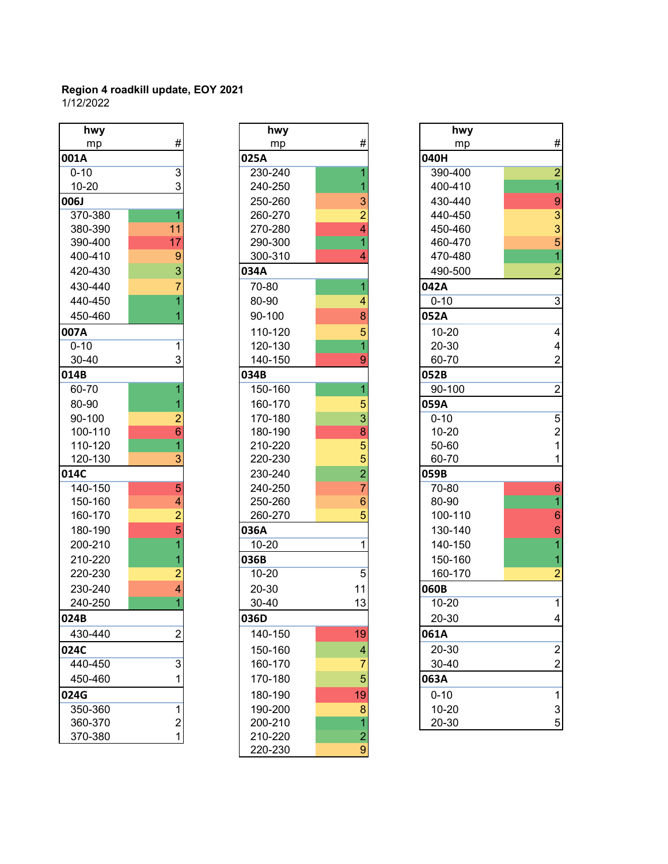| hwy       |                                                                                   |
|-----------|-----------------------------------------------------------------------------------|
| mp        | #                                                                                 |
| 001A      |                                                                                   |
| $0 - 10$  | $\frac{3}{3}$                                                                     |
| $10 - 20$ |                                                                                   |
| 006J      |                                                                                   |
| 370-380   | 1                                                                                 |
| 380-390   | 11                                                                                |
| 390-400   | 17                                                                                |
| 400-410   |                                                                                   |
| 420-430   | $\frac{9}{7}$                                                                     |
| 430-440   |                                                                                   |
| 440-450   | $\frac{1}{1}$                                                                     |
| 450-460   |                                                                                   |
| 007A      |                                                                                   |
| $0 - 10$  | $\overline{1}$                                                                    |
| 30-40     | 3                                                                                 |
| 014B      |                                                                                   |
| 60-70     | $\overline{\mathbf{1}}$                                                           |
| 80-90     |                                                                                   |
| 90-100    |                                                                                   |
| 100-110   | $\frac{1}{2}$ $\frac{2}{6}$ $\frac{6}{1}$ $\frac{3}{2}$                           |
| 110-120   |                                                                                   |
| 120-130   |                                                                                   |
| 014C      |                                                                                   |
| 140-150   |                                                                                   |
| 150-160   |                                                                                   |
| 160-170   |                                                                                   |
| 180-190   |                                                                                   |
| 200-210   |                                                                                   |
| 210-220   |                                                                                   |
| 220-230   | $\frac{5}{4}$<br>$\frac{4}{2}$<br>$\frac{5}{1}$<br>$\frac{1}{2}$<br>$\frac{1}{4}$ |
| 230-240   |                                                                                   |
| 240-250   | $\overline{1}$                                                                    |
| 024B      |                                                                                   |
| 430-440   |                                                                                   |
| 024C      |                                                                                   |
| 440-450   | 3                                                                                 |
| 450-460   | 1                                                                                 |
| 024G      |                                                                                   |
| 350-360   | $\overline{\mathbf{1}}$                                                           |
| 360-370   | $\overline{c}$                                                                    |
| 370-380   |                                                                                   |

| hwy       |                | hwy       |                | hwy       |
|-----------|----------------|-----------|----------------|-----------|
| mp        | #              | mp        | #              | mp        |
| 001A      |                | 025A      |                | 040H      |
| $0 - 10$  | $\overline{3}$ | 230-240   |                | 390-400   |
| $10 - 20$ | 3              | 240-250   | 1              | 400-410   |
| 006J      |                | 250-260   | 3              | 430-440   |
| 370-380   | 1              | 260-270   | $\overline{2}$ | 440-450   |
| 380-390   | 11             | 270-280   | $\overline{4}$ | 450-460   |
| 390-400   | 17             | 290-300   | 1              | 460-470   |
| 400-410   | 9              | 300-310   | 4              | 470-480   |
| 420-430   | 3              | 034A      |                | 490-500   |
| 430-440   | 7              | 70-80     | 1              | 042A      |
| 440-450   | 1              | 80-90     | 4              | $0 - 10$  |
| 450-460   |                | 90-100    | 8              | 052A      |
| 007A      |                | 110-120   | 5              | 10-20     |
| $0 - 10$  | $\mathbf{1}$   | 120-130   | $\overline{1}$ | $20 - 30$ |
| 30-40     | 3              | 140-150   | 9              | 60-70     |
| 014B      |                | 034B      |                | 052B      |
| 60-70     | 1              | 150-160   | 1              | 90-100    |
| 80-90     | 1              | 160-170   | 5              | 059A      |
| 90-100    | $\overline{2}$ | 170-180   | 3              | $0 - 10$  |
| 100-110   | $\overline{6}$ | 180-190   | 8              | $10 - 20$ |
| 110-120   | $\overline{1}$ | 210-220   | 5              | 50-60     |
| 120-130   | 3              | 220-230   | 5              | 60-70     |
| 014C      |                | 230-240   | $\overline{2}$ | 059B      |
| 140-150   | 5              | 240-250   | $\overline{7}$ | 70-80     |
| 150-160   | 4              | 250-260   | 6              | 80-90     |
| 160-170   | $\overline{2}$ | 260-270   | 5              | 100-110   |
| 180-190   | 5              | 036A      |                | 130-140   |
| 200-210   | 1              | $10 - 20$ | 1              | 140-150   |
| 210-220   | 1              | 036B      |                | 150-160   |
| 220-230   | $\overline{2}$ | 10-20     | 5              | 160-170   |
| 230-240   | 4              | 20-30     | 11             | 060B      |
| 240-250   | $\overline{1}$ | 30-40     | 13             | $10 - 20$ |
| 024B      |                | 036D      |                | 20-30     |
| 430-440   | $\overline{2}$ | 140-150   | 19             | 061A      |
| 024C      |                | 150-160   | 4              | 20-30     |
| 440-450   | 3              | 160-170   | 7              | 30-40     |
| 450-460   | 1              | 170-180   | 5              | 063A      |
| 024G      |                | 180-190   | 19             | $0 - 10$  |
| 350-360   | 1              | 190-200   | 8              | 10-20     |
| 360-370   | $\overline{2}$ | 200-210   |                | 20-30     |
| 370-380   | $\mathbf{1}$   | 210-220   | $\overline{c}$ |           |
|           |                | 220-230   | 9              |           |

| hwy         |                | hwy       |                | hwy       |                           |
|-------------|----------------|-----------|----------------|-----------|---------------------------|
| mp          | #              | mp        | #              | mp        | $\#$                      |
| 001A        |                | 025A      |                | 040H      |                           |
| $0 - 10$    | $\overline{3}$ | 230-240   |                | 390-400   | $\overline{c}$            |
| $10 - 20$   | 3              | 240-250   |                | 400-410   | $\overline{1}$            |
| <b>006J</b> |                | 250-260   | 3              | 430-440   | 9                         |
| 370-380     | 1              | 260-270   | $\overline{2}$ | 440-450   | $\frac{3}{5}$             |
| 380-390     | 11             | 270-280   | 4              | 450-460   |                           |
| 390-400     | 17             | 290-300   |                | 460-470   |                           |
| 400-410     | 9              | 300-310   | 4              | 470-480   | $\overline{1}$            |
| 420-430     | 3              | 034A      |                | 490-500   | $\overline{2}$            |
| 430-440     |                | 70-80     |                | 042A      |                           |
| 440-450     |                | 80-90     | 4              | $0 - 10$  | $\overline{3}$            |
| 450-460     |                | 90-100    | 8              | 052A      |                           |
| 007A        |                | 110-120   | 5              | $10 - 20$ | 4                         |
| $0 - 10$    | 1              | 120-130   |                | 20-30     | 4                         |
| 30-40       | 3              | 140-150   | 9              | 60-70     | $\overline{2}$            |
| 014B        |                | 034B      |                | 052B      |                           |
| 60-70       |                | 150-160   |                | 90-100    | $\overline{2}$            |
| 80-90       |                | 160-170   | 5              | 059A      |                           |
| 90-100      | 2              | 170-180   | 3              | $0 - 10$  | $\overline{5}$            |
| 100-110     | 6              | 180-190   | 8              | $10 - 20$ | $\overline{\mathbf{c}}$   |
| 110-120     |                | 210-220   | 5              | 50-60     | 1                         |
| 120-130     | 3              | 220-230   | 5              | 60-70     | 1                         |
| 014C        |                | 230-240   | $\overline{2}$ | 059B      |                           |
| 140-150     | 5              | 240-250   | 7              | 70-80     | $6\phantom{1}6$           |
| 150-160     | 4              | 250-260   | 6              | 80-90     |                           |
| 160-170     | $\overline{2}$ | 260-270   | 5              | 100-110   | $6\phantom{1}6$           |
| 180-190     | 5              | 036A      |                | 130-140   | $\boldsymbol{6}$          |
| 200-210     |                | $10 - 20$ | 1              | 140-150   | 1                         |
| 210-220     |                | 036B      |                | 150-160   | 1                         |
| 220-230     | 2              | $10 - 20$ | 5              | 160-170   | 2                         |
| 230-240     | 4              | 20-30     | 11             | 060B      |                           |
| 240-250     |                | 30-40     | 13             | $10 - 20$ | $\mathbf{1}$              |
| 024B        |                | 036D      |                | 20-30     | $\overline{\mathbf{4}}$   |
| 430-440     | $\overline{c}$ | 140-150   | 19             | 061A      |                           |
| 024C        |                | 150-160   | 4              | 20-30     | $\overline{\mathbf{c}}$   |
| 440-450     | 3              | 160-170   | 7              | 30-40     | $\overline{c}$            |
| 450-460     | 1              | 170-180   | 5              | 063A      |                           |
| 024G        |                | 180-190   | 19             | $0 - 10$  | 1                         |
| 350-360     | 1              | 190-200   | 8              | $10 - 20$ | $\ensuremath{\mathsf{3}}$ |
| 360-370     | $\overline{c}$ | 200-210   |                | 20-30     | $\mathbf 5$               |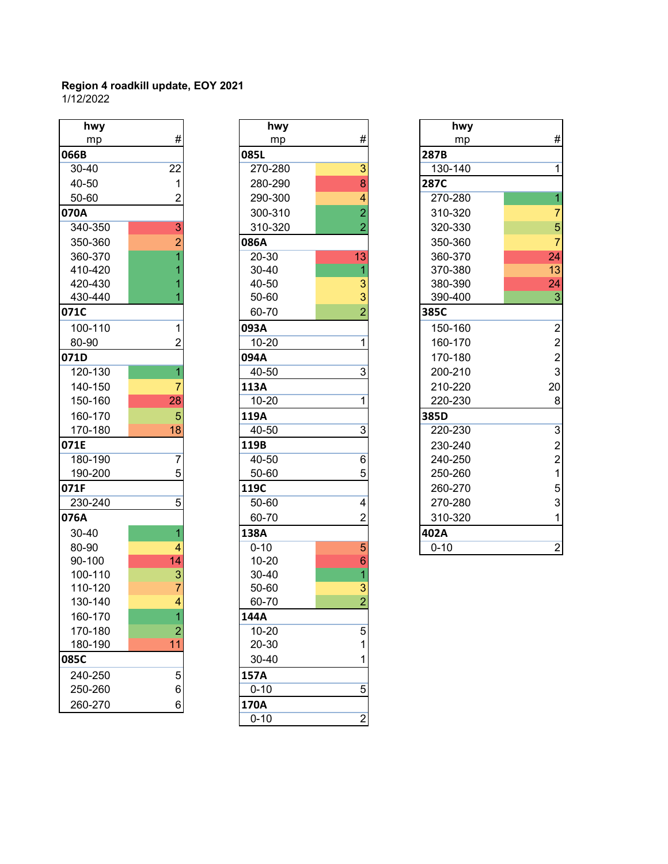| hwy                |                               |                  |
|--------------------|-------------------------------|------------------|
| mp                 | #                             |                  |
| 066B               |                               | 085L             |
| 30-40              | 22                            | 270              |
| 40-50              | 1                             | 280              |
| 50-60              | $\overline{2}$                | 290              |
| 070A               |                               | 300              |
| 340-350            | $\overline{3}$                | 310              |
| 350-360            | $\overline{2}$                | 086A             |
| 360-370            | $\overline{1}$                | $20 -$           |
| 410-420            | $\overline{1}$                | $30 -$           |
| 420-430            | $\overline{1}$                | 40-              |
| 430-440            | $\overline{1}$                | $50-$            |
| 071C               |                               | $60 -$           |
| 100-110            | $\overline{1}$                | 093A             |
| 80-90              | $\overline{2}$                | $10 -$           |
| 071D               |                               | 094A             |
| 120-130            | $\overline{1}$                | $40 -$           |
| 140-150            | $\overline{7}$                | 113A             |
| 150-160            | 28                            | $10 -$           |
| 160-170            | 5                             | 119A             |
| 170-180            | 18                            | $40 -$           |
| 071E               |                               | 119B             |
| 180-190            | 7                             | $40 -$           |
| 190-200            | 5                             | $50-$            |
| 071F               |                               | 119C             |
| 230-240            | 5                             | $50-$            |
| 076A               |                               | 60-              |
| 30-40              | $\overline{1}$                | 138A             |
| 80-90              | 4                             | $0 - 1$          |
| 90-100             | 14                            | $10 -$           |
| 100-110            | 3                             | $30 -$           |
| 110-120            | 7<br>$\overline{\mathcal{A}}$ | $50-$            |
| 130-140            |                               | 60-              |
| 160-170            | 1                             | 144A             |
| 170-180<br>180-190 | $\overline{2}$<br>11          | $10 -$<br>$20 -$ |
| 085C               |                               |                  |
|                    |                               | $30 -$           |
| 240-250            | 5                             | 157A             |
| 250-260            | 6                             | $0 - 1$          |
| 260-270            | 6                             | 170A             |

| hwy     |                | hwy       |                  | hwy      |
|---------|----------------|-----------|------------------|----------|
| mp      | #              | mp        | #                | mp       |
| 066B    |                | 085L      |                  | 287B     |
| 30-40   | 22             | 270-280   | 3                | 130-140  |
| 40-50   | $\mathbf{1}$   | 280-290   | 8                | 287C     |
| 50-60   | $\overline{2}$ | 290-300   | 4                | 270-280  |
| 070A    |                | 300-310   | $\overline{2}$   | 310-320  |
| 340-350 | $\overline{3}$ | 310-320   | $\overline{2}$   | 320-330  |
| 350-360 | $\overline{2}$ | 086A      |                  | 350-360  |
| 360-370 |                | 20-30     | 13               | 360-370  |
| 410-420 |                | 30-40     | 1                | 370-380  |
| 420-430 |                | 40-50     | 3                | 380-390  |
| 430-440 |                | 50-60     | 3                | 390-400  |
| 071C    |                | 60-70     | $\overline{2}$   | 385C     |
| 100-110 | 1              | 093A      |                  | 150-160  |
| 80-90   | $\overline{2}$ | $10 - 20$ | 1                | 160-170  |
| 071D    |                | 094A      |                  | 170-180  |
| 120-130 | 1              | 40-50     | $\overline{3}$   | 200-210  |
| 140-150 | $\overline{7}$ | 113A      |                  | 210-220  |
| 150-160 | 28             | $10 - 20$ | 1                | 220-230  |
| 160-170 | 5              | 119A      |                  | 385D     |
| 170-180 | 18             | 40-50     | $\overline{3}$   | 220-230  |
| 071E    |                | 119B      |                  | 230-240  |
| 180-190 | $\overline{7}$ | 40-50     | 6                | 240-250  |
| 190-200 | 5              | 50-60     | 5                | 250-260  |
| 071F    |                | 119C      |                  | 260-270  |
| 230-240 | 5              | $50 - 60$ | 4                | 270-280  |
| 076A    |                | 60-70     | $\overline{2}$   | 310-320  |
| 30-40   | 1              | 138A      |                  | 402A     |
| 80-90   | 4              | $0 - 10$  | 5                | $0 - 10$ |
| 90-100  | 14             | 10-20     | $\boldsymbol{6}$ |          |
| 100-110 | 3              | 30-40     | 1                |          |
| 110-120 | $\overline{7}$ | 50-60     | 3                |          |
| 130-140 | 4              | 60-70     | $\overline{2}$   |          |
| 160-170 | 1              | 144A      |                  |          |
| 170-180 | $\overline{a}$ | $10 - 20$ | 5                |          |
| 180-190 | 11             | 20-30     | 1                |          |
| 085C    |                | 30-40     | 1                |          |
| 240-250 | 5              | 157A      |                  |          |
| 250-260 | 6              | $0 - 10$  | 5                |          |
| 260-270 | 6              | 170A      |                  |          |
|         |                | $0 - 10$  | $\overline{2}$   |          |

| hwy           |                 | hwy       |                | hwy         |                  |
|---------------|-----------------|-----------|----------------|-------------|------------------|
| mp            | #               | mp        | $\#$           | mp          | $\#$             |
| 066B          |                 | 085L      |                | 287B        |                  |
| 30-40         | $\overline{22}$ | 270-280   | 3              | 130-140     | 1                |
| 40-50         | 1               | 280-290   | 8              | <b>287C</b> |                  |
| 50-60         | 2               | 290-300   | 4              | 270-280     |                  |
| 070A          |                 | 300-310   | 2              | 310-320     |                  |
| 340-350       | 3               | 310-320   | $\overline{2}$ | 320-330     | 5                |
| 350-360       |                 | 086A      |                | 350-360     |                  |
| 360-370       |                 | 20-30     | 13             | 360-370     | 24               |
| 410-420       |                 | $30 - 40$ |                | 370-380     | 13               |
| 420-430       |                 | 40-50     | 3              | 380-390     | 24               |
| 430-440       |                 | 50-60     | 3              | 390-400     | 3                |
| 071C          |                 | 60-70     | $\overline{2}$ | 385C        |                  |
| 100-110       | 1               | 093A      |                | 150-160     | $\overline{2}$   |
| 80-90         |                 | $10 - 20$ | 1              | 160-170     | $\overline{c}$   |
| 071D          |                 | 094A      |                | 170-180     | $\overline{c}$   |
| 120-130       |                 | 40-50     | 3              | 200-210     | 3                |
| 140-150       |                 | 113A      |                | 210-220     | 20               |
| 150-160       | 28              | $10 - 20$ |                | 220-230     | 8                |
| 160-170       | 5               | 119A      |                | 385D        |                  |
| 170-180       | 18              | $40 - 50$ | $\overline{3}$ | 220-230     | $\overline{3}$   |
| 071E          |                 | 119B      |                | 230-240     | $\overline{c}$   |
| 180-190       | 7               | 40-50     | 6              | 240-250     | $\overline{c}$   |
| 190-200       | 5               | 50-60     | 5              | 250-260     |                  |
| 071F          |                 | 119C      |                | 260-270     | 5                |
| 230-240       | 5               | 50-60     | 4              | 270-280     | 3                |
| 076A          |                 | 60-70     | 2              | 310-320     |                  |
| 30-40         |                 | 138A      |                | 402A        |                  |
| 80-90         |                 | $0 - 10$  | 5              | $0 - 10$    | $\boldsymbol{2}$ |
| $\sim$ $\sim$ |                 | $\sim$ 00 |                |             |                  |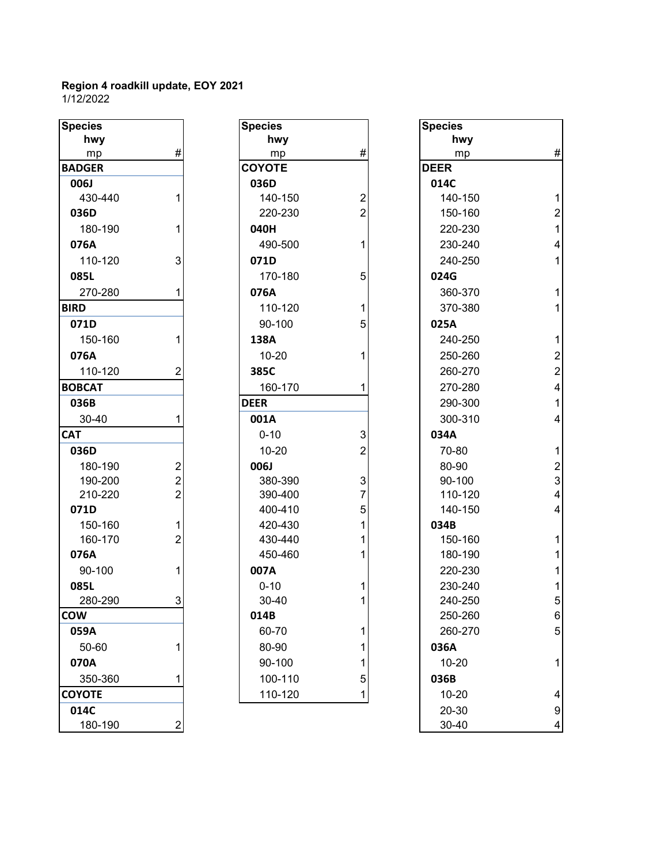| <b>Species</b> |                |
|----------------|----------------|
| hwy            |                |
| mp             | #              |
| <b>BADGER</b>  |                |
| <b>006J</b>    |                |
| 430-440        | 1              |
| 036D           |                |
| 180-190        | 1              |
| 076A           |                |
| 110-120        | 3              |
| 085L           |                |
| 270-280        | 1              |
| <b>BIRD</b>    |                |
| 071D           |                |
| 150-160        | 1              |
| 076A           |                |
| 110-120        |                |
| <b>BOBCAT</b>  |                |
| 036B           |                |
| 30-40          | 1              |
| <b>CAT</b>     |                |
| 036D           |                |
| 180-190        |                |
| 190-200        |                |
| 210-220        |                |
| 071D           | $222$ $12$     |
| 150-160        |                |
| 160-170        |                |
| 076A           |                |
| 90-100         | $\overline{1}$ |
| 085L           |                |
| 280-290        | 3              |
| <b>COW</b>     |                |
| 059A           |                |
| 50-60          | 1              |
| 070A           |                |
| 350-360        | 1              |
| <b>COYOTE</b>  |                |
| 014C           |                |
| 180-190        |                |

| <b>Species</b> |                         | <b>Species</b> |                           | <b>Species</b> |
|----------------|-------------------------|----------------|---------------------------|----------------|
| hwy            |                         | hwy            |                           | hwy            |
| mp             | $\#$                    | mp             | #                         | mp             |
| <b>BADGER</b>  |                         | <b>COYOTE</b>  |                           | <b>DEER</b>    |
| 006J           |                         | 036D           |                           | 014C           |
| 430-440        | 1                       | 140-150        | $\overline{2}$            | 140-15         |
| 036D           |                         | 220-230        | $\overline{2}$            | 150-16         |
| 180-190        | 1                       | 040H           |                           | 220-23         |
| 076A           |                         | 490-500        | 1                         | 230-24         |
| 110-120        | 3                       | 071D           |                           | 240-25         |
| 085L           |                         | 170-180        | 5                         | 024G           |
| 270-280        | 1                       | 076A           |                           | 360-37         |
| <b>BIRD</b>    |                         | 110-120        | 1                         | 370-38         |
| 071D           |                         | 90-100         | 5                         | 025A           |
| 150-160        | 1                       | 138A           |                           | 240-25         |
| 076A           |                         | $10 - 20$      | 1                         | 250-26         |
| 110-120        | 2                       | 385C           |                           | 260-27         |
| <b>BOBCAT</b>  |                         | 160-170        | 1                         | 270-28         |
| 036B           |                         | <b>DEER</b>    |                           | 290-30         |
| 30-40          | 1                       | 001A           |                           | 300-31         |
| <b>CAT</b>     |                         | $0 - 10$       | $\ensuremath{\mathsf{3}}$ | 034A           |
| 036D           |                         | $10 - 20$      | $\overline{2}$            | 70-80          |
| 180-190        | $\overline{\mathbf{c}}$ | 006J           |                           | 80-90          |
| 190-200        | $\overline{c}$          | 380-390        | 3                         | 90-100         |
| 210-220        | $\overline{2}$          | 390-400        | 7                         | 110-12         |
| 071D           |                         | 400-410        | 5                         | 140-15         |
| 150-160        | 1                       | 420-430        | 1                         | 034B           |
| 160-170        | $\overline{2}$          | 430-440        | 1                         | 150-16         |
| 076A           |                         | 450-460        | 1                         | 180-19         |
| 90-100         | 1                       | 007A           |                           | 220-23         |
| 085L           |                         | $0 - 10$       | 1                         | 230-24         |
| 280-290        | 3                       | 30-40          | 1                         | 240-25         |
| COW            |                         | 014B           |                           | 250-26         |
| 059A           |                         | 60-70          | 1                         | 260-27         |
| 50-60          | 1                       | 80-90          | 1                         | 036A           |
| 070A           |                         | 90-100         | 1                         | $10 - 20$      |
| 350-360        | 1                       | 100-110        | 5                         | 036B           |
| <b>COYOTE</b>  |                         | 110-120        | 1                         | $10 - 20$      |
| 01AC           |                         |                |                           | _ חפ_חפ        |

| <b>Species</b> |                         | <b>Species</b> |                | <b>Species</b> |                         |
|----------------|-------------------------|----------------|----------------|----------------|-------------------------|
| hwy            |                         | hwy            |                | hwy            |                         |
| mp             | $\#$                    | mp             | #              | mp             | $\#$                    |
| <b>BADGER</b>  |                         | <b>COYOTE</b>  |                | <b>DEER</b>    |                         |
| 006J           |                         | 036D           |                | 014C           |                         |
| 430-440        | 1                       | 140-150        | 2              | 140-150        | $\mathbf{1}$            |
| 036D           |                         | 220-230        | $\overline{2}$ | 150-160        | $\overline{2}$          |
| 180-190        | 1                       | 040H           |                | 220-230        | $\mathbf{1}$            |
| 076A           |                         | 490-500        | 1              | 230-240        | $\overline{\mathbf{4}}$ |
| 110-120        | 3                       | 071D           |                | 240-250        | $\mathbf{1}$            |
| 085L           |                         | 170-180        | 5              | 024G           |                         |
| 270-280        | 1                       | 076A           |                | 360-370        | $\mathbf{1}$            |
| <b>BIRD</b>    |                         | 110-120        |                | 370-380        | $\mathbf{1}$            |
| 071D           |                         | 90-100         | 5              | 025A           |                         |
| 150-160        | 1                       | 138A           |                | 240-250        | $\mathbf{1}$            |
| 076A           |                         | $10 - 20$      |                | 250-260        | $\boldsymbol{2}$        |
| 110-120        | 2                       | 385C           |                | 260-270        | $\overline{2}$          |
| <b>BOBCAT</b>  |                         | 160-170        |                | 270-280        | $\overline{\mathbf{4}}$ |
| 036B           |                         | <b>DEER</b>    |                | 290-300        | $\mathbf{1}$            |
| 30-40          | 1                       | 001A           |                | 300-310        | $\overline{\mathbf{4}}$ |
| <b>CAT</b>     |                         | $0 - 10$       | 3              | 034A           |                         |
| 036D           |                         | $10 - 20$      | 2              | 70-80          | $\mathbf{1}$            |
| 180-190        | $\overline{c}$          | 006J           |                | 80-90          | $\overline{\mathbf{c}}$ |
| 190-200        | $\overline{c}$          | 380-390        | 3              | 90-100         | 3                       |
| 210-220        | $\overline{2}$          | 390-400        | $\overline{7}$ | 110-120        | $\overline{\mathbf{4}}$ |
| 071D           |                         | 400-410        | 5              | 140-150        | $\overline{\mathbf{4}}$ |
| 150-160        | $\mathbf{1}$            | 420-430        | 1              | 034B           |                         |
| 160-170        | $\overline{2}$          | 430-440        |                | 150-160        | $\mathbf{1}$            |
| 076A           |                         | 450-460        |                | 180-190        | $\mathbf{1}$            |
| 90-100         | 1                       | 007A           |                | 220-230        | $\mathbf{1}$            |
| 085L           |                         | $0 - 10$       |                | 230-240        | $\mathbf{1}$            |
| 280-290        | $\overline{3}$          | 30-40          | 1              | 240-250        | 5                       |
| <b>COW</b>     |                         | 014B           |                | 250-260        | 6                       |
| 059A           |                         | 60-70          | 1              | 260-270        | 5                       |
| 50-60          | 1                       | 80-90          | 1              | 036A           |                         |
| 070A           |                         | 90-100         |                | $10 - 20$      | $\mathbf{1}$            |
| 350-360        | 1                       | 100-110        | 5              | 036B           |                         |
| <b>COYOTE</b>  |                         | 110-120        | 1              | $10 - 20$      | 4                       |
| 014C           |                         |                |                | 20-30          | 9                       |
| 180-190        | $\overline{\mathbf{c}}$ |                |                | 30-40          | 4                       |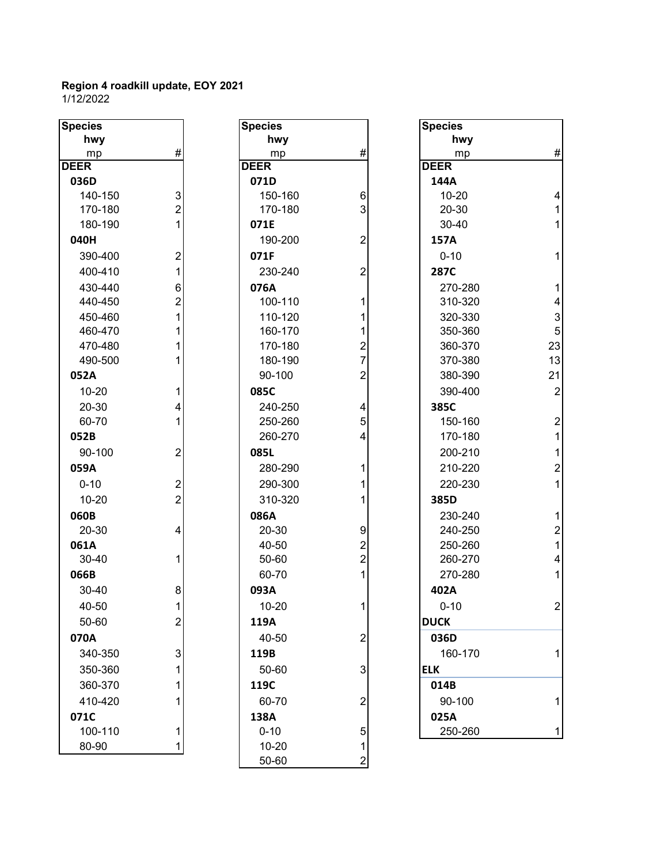| hwy<br>hwy<br>hwy<br>$\#$<br>#<br>#<br>mp<br>mp<br>mp<br><b>DEER</b><br><b>DEER</b><br>144A<br>036D<br>071D<br>140-150<br>$\ensuremath{\mathsf{3}}$<br>$10 - 20$<br>150-160<br>4<br>6<br>$\overline{2}$<br>3<br>20-30<br>170-180<br>170-180<br>$\mathbf 1$<br>180-190<br>1<br>30-40<br>$\mathbf{1}$<br>071E<br>040H<br>190-200<br>$\overline{2}$<br>157A<br>$\overline{2}$<br>071F<br>390-400<br>$0 - 10$<br>1<br>1<br>400-410<br>230-240<br>$\overline{c}$<br><b>287C</b><br>430-440<br>$\mathbf 1$<br>6<br>076A<br>270-280<br>$\overline{2}$<br>$\overline{4}$<br>440-450<br>100-110<br>310-320<br>1<br>3<br>1<br>110-120<br>450-460<br>320-330<br>5<br>460-470<br>160-170<br>1<br>350-360<br>23<br>470-480<br>170-180<br>$\overline{2}$<br>360-370<br>$\overline{7}$<br>13<br>490-500<br>180-190<br>370-380<br>21<br>$\overline{2}$<br>052A<br>90-100<br>380-390<br>$\overline{2}$<br>085C<br>390-400<br>$10 - 20$<br>1<br>20-30<br>240-250<br>385C<br>4<br>4<br>5<br>60-70<br>$\overline{2}$<br>250-260<br>150-160<br>$\mathbf{1}$<br>052B<br>260-270<br>170-180<br>4<br>90-100<br>$\overline{2}$<br>085L<br>200-210<br>$\mathbf{1}$<br>$\overline{c}$<br>059A<br>280-290<br>210-220<br>1<br>$0 - 10$<br>$\overline{2}$<br>290-300<br>220-230<br>1<br>1<br>$\overline{2}$<br>$10 - 20$<br>310-320<br>385D<br>086A<br>060B<br>230-240<br>$\mathbf{1}$<br>$\overline{c}$<br>20-30<br>20-30<br>9<br>240-250<br>4<br>$\overline{1}$<br>$\overline{2}$<br>061A<br>40-50<br>250-260<br>$\overline{2}$<br>$\overline{\mathcal{A}}$<br>30-40<br>50-60<br>260-270<br>1<br>066B<br>60-70<br>1<br>270-280<br>30-40<br>093A<br>402A<br>8<br>1<br>$10 - 20$<br>$\overline{2}$<br>40-50<br>1<br>$0 - 10$<br>$\overline{2}$<br>50-60<br><b>DUCK</b><br>119A<br>070A<br>036D<br>40-50<br>$\overline{2}$<br>$\mathbf{3}$<br>340-350<br>119B<br>160-170<br>1<br>50-60<br>350-360<br>3<br><b>ELK</b><br>119C<br>014B<br>360-370<br>410-420<br>60-70<br>90-100<br>$\overline{2}$<br>1<br>138A<br>071C<br>025A<br>100-110<br>$0 - 10$<br>250-260<br>1<br>5<br>1<br>80-90<br>$10 - 20$<br>1 | <b>Species</b> | <b>Species</b> |   | <b>Species</b> |  |
|---------------------------------------------------------------------------------------------------------------------------------------------------------------------------------------------------------------------------------------------------------------------------------------------------------------------------------------------------------------------------------------------------------------------------------------------------------------------------------------------------------------------------------------------------------------------------------------------------------------------------------------------------------------------------------------------------------------------------------------------------------------------------------------------------------------------------------------------------------------------------------------------------------------------------------------------------------------------------------------------------------------------------------------------------------------------------------------------------------------------------------------------------------------------------------------------------------------------------------------------------------------------------------------------------------------------------------------------------------------------------------------------------------------------------------------------------------------------------------------------------------------------------------------------------------------------------------------------------------------------------------------------------------------------------------------------------------------------------------------------------------------------------------------------------------------------------------------------------------------------------------------------------------------------------------------------------------------------------------------------------------------------------------------------------------------------------|----------------|----------------|---|----------------|--|
|                                                                                                                                                                                                                                                                                                                                                                                                                                                                                                                                                                                                                                                                                                                                                                                                                                                                                                                                                                                                                                                                                                                                                                                                                                                                                                                                                                                                                                                                                                                                                                                                                                                                                                                                                                                                                                                                                                                                                                                                                                                                           |                |                |   |                |  |
|                                                                                                                                                                                                                                                                                                                                                                                                                                                                                                                                                                                                                                                                                                                                                                                                                                                                                                                                                                                                                                                                                                                                                                                                                                                                                                                                                                                                                                                                                                                                                                                                                                                                                                                                                                                                                                                                                                                                                                                                                                                                           |                |                |   |                |  |
|                                                                                                                                                                                                                                                                                                                                                                                                                                                                                                                                                                                                                                                                                                                                                                                                                                                                                                                                                                                                                                                                                                                                                                                                                                                                                                                                                                                                                                                                                                                                                                                                                                                                                                                                                                                                                                                                                                                                                                                                                                                                           | <b>DEER</b>    |                |   |                |  |
|                                                                                                                                                                                                                                                                                                                                                                                                                                                                                                                                                                                                                                                                                                                                                                                                                                                                                                                                                                                                                                                                                                                                                                                                                                                                                                                                                                                                                                                                                                                                                                                                                                                                                                                                                                                                                                                                                                                                                                                                                                                                           |                |                |   |                |  |
|                                                                                                                                                                                                                                                                                                                                                                                                                                                                                                                                                                                                                                                                                                                                                                                                                                                                                                                                                                                                                                                                                                                                                                                                                                                                                                                                                                                                                                                                                                                                                                                                                                                                                                                                                                                                                                                                                                                                                                                                                                                                           |                |                |   |                |  |
|                                                                                                                                                                                                                                                                                                                                                                                                                                                                                                                                                                                                                                                                                                                                                                                                                                                                                                                                                                                                                                                                                                                                                                                                                                                                                                                                                                                                                                                                                                                                                                                                                                                                                                                                                                                                                                                                                                                                                                                                                                                                           |                |                |   |                |  |
|                                                                                                                                                                                                                                                                                                                                                                                                                                                                                                                                                                                                                                                                                                                                                                                                                                                                                                                                                                                                                                                                                                                                                                                                                                                                                                                                                                                                                                                                                                                                                                                                                                                                                                                                                                                                                                                                                                                                                                                                                                                                           |                |                |   |                |  |
|                                                                                                                                                                                                                                                                                                                                                                                                                                                                                                                                                                                                                                                                                                                                                                                                                                                                                                                                                                                                                                                                                                                                                                                                                                                                                                                                                                                                                                                                                                                                                                                                                                                                                                                                                                                                                                                                                                                                                                                                                                                                           |                |                |   |                |  |
|                                                                                                                                                                                                                                                                                                                                                                                                                                                                                                                                                                                                                                                                                                                                                                                                                                                                                                                                                                                                                                                                                                                                                                                                                                                                                                                                                                                                                                                                                                                                                                                                                                                                                                                                                                                                                                                                                                                                                                                                                                                                           |                |                |   |                |  |
|                                                                                                                                                                                                                                                                                                                                                                                                                                                                                                                                                                                                                                                                                                                                                                                                                                                                                                                                                                                                                                                                                                                                                                                                                                                                                                                                                                                                                                                                                                                                                                                                                                                                                                                                                                                                                                                                                                                                                                                                                                                                           |                |                |   |                |  |
|                                                                                                                                                                                                                                                                                                                                                                                                                                                                                                                                                                                                                                                                                                                                                                                                                                                                                                                                                                                                                                                                                                                                                                                                                                                                                                                                                                                                                                                                                                                                                                                                                                                                                                                                                                                                                                                                                                                                                                                                                                                                           |                |                |   |                |  |
|                                                                                                                                                                                                                                                                                                                                                                                                                                                                                                                                                                                                                                                                                                                                                                                                                                                                                                                                                                                                                                                                                                                                                                                                                                                                                                                                                                                                                                                                                                                                                                                                                                                                                                                                                                                                                                                                                                                                                                                                                                                                           |                |                |   |                |  |
|                                                                                                                                                                                                                                                                                                                                                                                                                                                                                                                                                                                                                                                                                                                                                                                                                                                                                                                                                                                                                                                                                                                                                                                                                                                                                                                                                                                                                                                                                                                                                                                                                                                                                                                                                                                                                                                                                                                                                                                                                                                                           |                |                |   |                |  |
|                                                                                                                                                                                                                                                                                                                                                                                                                                                                                                                                                                                                                                                                                                                                                                                                                                                                                                                                                                                                                                                                                                                                                                                                                                                                                                                                                                                                                                                                                                                                                                                                                                                                                                                                                                                                                                                                                                                                                                                                                                                                           |                |                |   |                |  |
|                                                                                                                                                                                                                                                                                                                                                                                                                                                                                                                                                                                                                                                                                                                                                                                                                                                                                                                                                                                                                                                                                                                                                                                                                                                                                                                                                                                                                                                                                                                                                                                                                                                                                                                                                                                                                                                                                                                                                                                                                                                                           |                |                |   |                |  |
|                                                                                                                                                                                                                                                                                                                                                                                                                                                                                                                                                                                                                                                                                                                                                                                                                                                                                                                                                                                                                                                                                                                                                                                                                                                                                                                                                                                                                                                                                                                                                                                                                                                                                                                                                                                                                                                                                                                                                                                                                                                                           |                |                |   |                |  |
|                                                                                                                                                                                                                                                                                                                                                                                                                                                                                                                                                                                                                                                                                                                                                                                                                                                                                                                                                                                                                                                                                                                                                                                                                                                                                                                                                                                                                                                                                                                                                                                                                                                                                                                                                                                                                                                                                                                                                                                                                                                                           |                |                |   |                |  |
|                                                                                                                                                                                                                                                                                                                                                                                                                                                                                                                                                                                                                                                                                                                                                                                                                                                                                                                                                                                                                                                                                                                                                                                                                                                                                                                                                                                                                                                                                                                                                                                                                                                                                                                                                                                                                                                                                                                                                                                                                                                                           |                |                |   |                |  |
|                                                                                                                                                                                                                                                                                                                                                                                                                                                                                                                                                                                                                                                                                                                                                                                                                                                                                                                                                                                                                                                                                                                                                                                                                                                                                                                                                                                                                                                                                                                                                                                                                                                                                                                                                                                                                                                                                                                                                                                                                                                                           |                |                |   |                |  |
|                                                                                                                                                                                                                                                                                                                                                                                                                                                                                                                                                                                                                                                                                                                                                                                                                                                                                                                                                                                                                                                                                                                                                                                                                                                                                                                                                                                                                                                                                                                                                                                                                                                                                                                                                                                                                                                                                                                                                                                                                                                                           |                |                |   |                |  |
|                                                                                                                                                                                                                                                                                                                                                                                                                                                                                                                                                                                                                                                                                                                                                                                                                                                                                                                                                                                                                                                                                                                                                                                                                                                                                                                                                                                                                                                                                                                                                                                                                                                                                                                                                                                                                                                                                                                                                                                                                                                                           |                |                |   |                |  |
|                                                                                                                                                                                                                                                                                                                                                                                                                                                                                                                                                                                                                                                                                                                                                                                                                                                                                                                                                                                                                                                                                                                                                                                                                                                                                                                                                                                                                                                                                                                                                                                                                                                                                                                                                                                                                                                                                                                                                                                                                                                                           |                |                |   |                |  |
|                                                                                                                                                                                                                                                                                                                                                                                                                                                                                                                                                                                                                                                                                                                                                                                                                                                                                                                                                                                                                                                                                                                                                                                                                                                                                                                                                                                                                                                                                                                                                                                                                                                                                                                                                                                                                                                                                                                                                                                                                                                                           |                |                |   |                |  |
|                                                                                                                                                                                                                                                                                                                                                                                                                                                                                                                                                                                                                                                                                                                                                                                                                                                                                                                                                                                                                                                                                                                                                                                                                                                                                                                                                                                                                                                                                                                                                                                                                                                                                                                                                                                                                                                                                                                                                                                                                                                                           |                |                |   |                |  |
|                                                                                                                                                                                                                                                                                                                                                                                                                                                                                                                                                                                                                                                                                                                                                                                                                                                                                                                                                                                                                                                                                                                                                                                                                                                                                                                                                                                                                                                                                                                                                                                                                                                                                                                                                                                                                                                                                                                                                                                                                                                                           |                |                |   |                |  |
|                                                                                                                                                                                                                                                                                                                                                                                                                                                                                                                                                                                                                                                                                                                                                                                                                                                                                                                                                                                                                                                                                                                                                                                                                                                                                                                                                                                                                                                                                                                                                                                                                                                                                                                                                                                                                                                                                                                                                                                                                                                                           |                |                |   |                |  |
|                                                                                                                                                                                                                                                                                                                                                                                                                                                                                                                                                                                                                                                                                                                                                                                                                                                                                                                                                                                                                                                                                                                                                                                                                                                                                                                                                                                                                                                                                                                                                                                                                                                                                                                                                                                                                                                                                                                                                                                                                                                                           |                |                |   |                |  |
|                                                                                                                                                                                                                                                                                                                                                                                                                                                                                                                                                                                                                                                                                                                                                                                                                                                                                                                                                                                                                                                                                                                                                                                                                                                                                                                                                                                                                                                                                                                                                                                                                                                                                                                                                                                                                                                                                                                                                                                                                                                                           |                |                |   |                |  |
|                                                                                                                                                                                                                                                                                                                                                                                                                                                                                                                                                                                                                                                                                                                                                                                                                                                                                                                                                                                                                                                                                                                                                                                                                                                                                                                                                                                                                                                                                                                                                                                                                                                                                                                                                                                                                                                                                                                                                                                                                                                                           |                |                |   |                |  |
|                                                                                                                                                                                                                                                                                                                                                                                                                                                                                                                                                                                                                                                                                                                                                                                                                                                                                                                                                                                                                                                                                                                                                                                                                                                                                                                                                                                                                                                                                                                                                                                                                                                                                                                                                                                                                                                                                                                                                                                                                                                                           |                |                |   |                |  |
|                                                                                                                                                                                                                                                                                                                                                                                                                                                                                                                                                                                                                                                                                                                                                                                                                                                                                                                                                                                                                                                                                                                                                                                                                                                                                                                                                                                                                                                                                                                                                                                                                                                                                                                                                                                                                                                                                                                                                                                                                                                                           |                |                |   |                |  |
|                                                                                                                                                                                                                                                                                                                                                                                                                                                                                                                                                                                                                                                                                                                                                                                                                                                                                                                                                                                                                                                                                                                                                                                                                                                                                                                                                                                                                                                                                                                                                                                                                                                                                                                                                                                                                                                                                                                                                                                                                                                                           |                |                |   |                |  |
|                                                                                                                                                                                                                                                                                                                                                                                                                                                                                                                                                                                                                                                                                                                                                                                                                                                                                                                                                                                                                                                                                                                                                                                                                                                                                                                                                                                                                                                                                                                                                                                                                                                                                                                                                                                                                                                                                                                                                                                                                                                                           |                |                |   |                |  |
|                                                                                                                                                                                                                                                                                                                                                                                                                                                                                                                                                                                                                                                                                                                                                                                                                                                                                                                                                                                                                                                                                                                                                                                                                                                                                                                                                                                                                                                                                                                                                                                                                                                                                                                                                                                                                                                                                                                                                                                                                                                                           |                |                |   |                |  |
|                                                                                                                                                                                                                                                                                                                                                                                                                                                                                                                                                                                                                                                                                                                                                                                                                                                                                                                                                                                                                                                                                                                                                                                                                                                                                                                                                                                                                                                                                                                                                                                                                                                                                                                                                                                                                                                                                                                                                                                                                                                                           |                |                |   |                |  |
|                                                                                                                                                                                                                                                                                                                                                                                                                                                                                                                                                                                                                                                                                                                                                                                                                                                                                                                                                                                                                                                                                                                                                                                                                                                                                                                                                                                                                                                                                                                                                                                                                                                                                                                                                                                                                                                                                                                                                                                                                                                                           |                |                |   |                |  |
|                                                                                                                                                                                                                                                                                                                                                                                                                                                                                                                                                                                                                                                                                                                                                                                                                                                                                                                                                                                                                                                                                                                                                                                                                                                                                                                                                                                                                                                                                                                                                                                                                                                                                                                                                                                                                                                                                                                                                                                                                                                                           |                |                |   |                |  |
|                                                                                                                                                                                                                                                                                                                                                                                                                                                                                                                                                                                                                                                                                                                                                                                                                                                                                                                                                                                                                                                                                                                                                                                                                                                                                                                                                                                                                                                                                                                                                                                                                                                                                                                                                                                                                                                                                                                                                                                                                                                                           |                |                |   |                |  |
|                                                                                                                                                                                                                                                                                                                                                                                                                                                                                                                                                                                                                                                                                                                                                                                                                                                                                                                                                                                                                                                                                                                                                                                                                                                                                                                                                                                                                                                                                                                                                                                                                                                                                                                                                                                                                                                                                                                                                                                                                                                                           |                |                |   |                |  |
|                                                                                                                                                                                                                                                                                                                                                                                                                                                                                                                                                                                                                                                                                                                                                                                                                                                                                                                                                                                                                                                                                                                                                                                                                                                                                                                                                                                                                                                                                                                                                                                                                                                                                                                                                                                                                                                                                                                                                                                                                                                                           |                |                |   |                |  |
|                                                                                                                                                                                                                                                                                                                                                                                                                                                                                                                                                                                                                                                                                                                                                                                                                                                                                                                                                                                                                                                                                                                                                                                                                                                                                                                                                                                                                                                                                                                                                                                                                                                                                                                                                                                                                                                                                                                                                                                                                                                                           |                |                |   |                |  |
|                                                                                                                                                                                                                                                                                                                                                                                                                                                                                                                                                                                                                                                                                                                                                                                                                                                                                                                                                                                                                                                                                                                                                                                                                                                                                                                                                                                                                                                                                                                                                                                                                                                                                                                                                                                                                                                                                                                                                                                                                                                                           |                | 50-60          | 2 |                |  |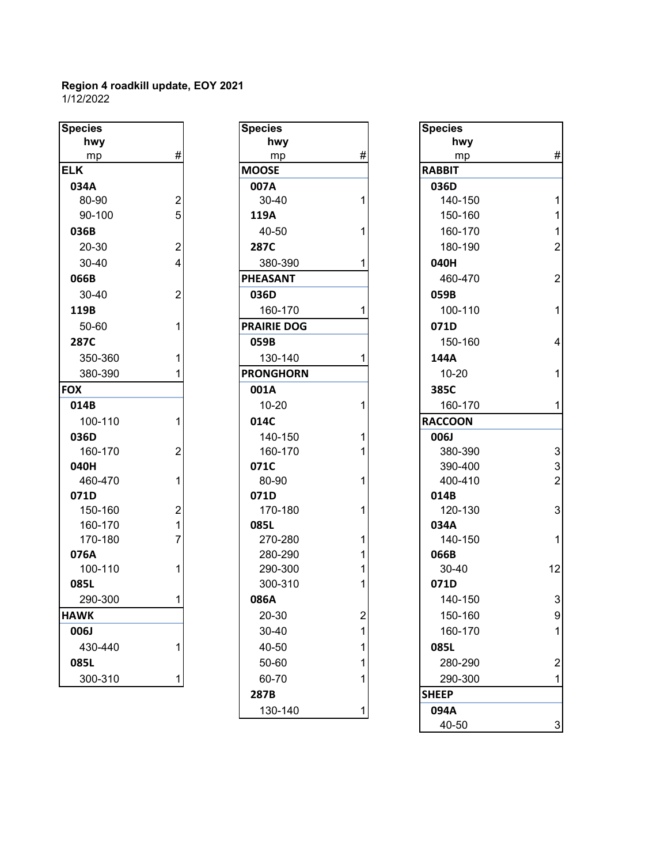| <b>Species</b> |                                                 |
|----------------|-------------------------------------------------|
| hwy            |                                                 |
| mp             | #                                               |
| <b>ELK</b>     |                                                 |
| 034A           |                                                 |
| 80-90          |                                                 |
| 90-100         |                                                 |
| 036B           | $\begin{array}{c} 2 \\ 5 \\ 2 \\ 4 \end{array}$ |
| 20-30          |                                                 |
| 30-40          |                                                 |
| 066B           |                                                 |
| 30-40          | $\overline{2}$                                  |
| 119B           |                                                 |
| 50-60          | 1                                               |
| 287C           |                                                 |
| 350-360        | 1                                               |
| 380-390        | 1                                               |
| <b>FOX</b>     |                                                 |
| 014B           |                                                 |
| 100-110        | 1                                               |
| 036D           |                                                 |
| 160-170        | $\overline{c}$                                  |
| 040H           |                                                 |
| 460-470        | $\overline{1}$                                  |
| 071D           |                                                 |
| 150-160        | $\begin{array}{c} 2 \\ 1 \\ 7 \end{array}$      |
| 160-170        |                                                 |
| 170-180        |                                                 |
| 076A           |                                                 |
| 100-110        | 1                                               |
| 085L           |                                                 |
| 290-300        | 1                                               |
| <b>HAWK</b>    |                                                 |
| 006J           |                                                 |
| 430-440        | 1                                               |
| 085L           |                                                 |
| 300-310        | 1                                               |

| <b>Species</b> |                  | <b>Species</b>     |                | <b>Species</b> |
|----------------|------------------|--------------------|----------------|----------------|
| hwy            |                  | hwy                |                | hwy            |
| mp             | $\#$             | mp                 | #              | mp             |
| <b>ELK</b>     |                  | <b>MOOSE</b>       |                | <b>RABBIT</b>  |
| 034A           |                  | 007A               |                | 036D           |
| 80-90          | $\boldsymbol{2}$ | 30-40              | 1              | 140-15         |
| 90-100         | 5                | 119A               |                | 150-16         |
| 036B           |                  | 40-50              | 1              | 160-17         |
| 20-30          | $\boldsymbol{2}$ | 287C               |                | 180-19         |
| 30-40          | $\overline{4}$   | 380-390            | 1              | 040H           |
| 066B           |                  | <b>PHEASANT</b>    |                | 460-47         |
| 30-40          | $\overline{2}$   | 036D               |                | 059B           |
| 119B           |                  | 160-170            | 1              | 100-11         |
| 50-60          | 1                | <b>PRAIRIE DOG</b> |                | 071D           |
| 287C           |                  | 059B               |                | 150-16         |
| 350-360        | 1                | 130-140            | 1              | 144A           |
| 380-390        | 1                | <b>PRONGHORN</b>   |                | $10 - 20$      |
| <b>FOX</b>     |                  | 001A               |                | 385C           |
| 014B           |                  | $10 - 20$          | 1              | 160-17         |
| 100-110        | 1                | 014C               |                | <b>RACCOON</b> |
| 036D           |                  | 140-150            | 1              | 006J           |
| 160-170        | $\overline{2}$   | 160-170            | 1              | 380-39         |
| 040H           |                  | 071C               |                | 390-40         |
| 460-470        | 1                | 80-90              | 1              | 400-41         |
| 071D           |                  | 071D               |                | 014B           |
| 150-160        | $\overline{2}$   | 170-180            | 1              | 120-13         |
| 160-170        | $\mathbf{1}$     | 085L               |                | 034A           |
| 170-180        | $\overline{7}$   | 270-280            | 1              | 140-15         |
| 076A           |                  | 280-290            | 1              | 066B           |
| 100-110        | 1                | 290-300            | 1              | 30-40          |
| 085L           |                  | 300-310            | 1              | 071D           |
| 290-300        | 1                | 086A               |                | 140-15         |
| <b>HAWK</b>    |                  | $20 - 30$          | $\overline{c}$ | 150-16         |
| 006J           |                  | 30-40              | 1              | 160-17         |
| 430-440        | 1                | 40-50              | 1              | 085L           |
| 085L           |                  | 50-60              | 1              | 280-29         |
| 300-310        | 1                | 60-70              | 1              | 290-30         |
|                |                  | 287B               |                | <b>SHEEP</b>   |
|                |                  | 130-140            | 1              | 094A           |

| <b>Species</b> |                  | <b>Species</b>     |                | <b>Species</b> |                           |
|----------------|------------------|--------------------|----------------|----------------|---------------------------|
| hwy            |                  | hwy                |                | hwy            |                           |
| mp             | $\#$             | mp                 | #              | mp             | $\#$                      |
| <b>ELK</b>     |                  | <b>MOOSE</b>       |                | <b>RABBIT</b>  |                           |
| 034A           |                  | 007A               |                | 036D           |                           |
| 80-90          | $\overline{c}$   | 30-40              |                | 140-150        | $\mathbf{1}$              |
| 90-100         | 5                | 119A               |                | 150-160        | $\mathbf{1}$              |
| 036B           |                  | 40-50              |                | 160-170        | $\mathbf{1}$              |
| 20-30          | $\overline{2}$   | 287C               |                | 180-190        | $\overline{2}$            |
| 30-40          | $\overline{4}$   | 380-390            |                | 040H           |                           |
| 066B           |                  | <b>PHEASANT</b>    |                | 460-470        | $\overline{2}$            |
| 30-40          | $\overline{2}$   | 036D               |                | 059B           |                           |
| 119B           |                  | 160-170            |                | 100-110        | $\mathbf{1}$              |
| 50-60          | 1                | <b>PRAIRIE DOG</b> |                | 071D           |                           |
| 287C           |                  | 059B               |                | 150-160        | $\overline{\mathbf{4}}$   |
| 350-360        | 1                | 130-140            |                | 144A           |                           |
| 380-390        |                  | <b>PRONGHORN</b>   |                | $10 - 20$      | $\mathbf{1}$              |
| <b>FOX</b>     |                  | 001A               |                | 385C           |                           |
| 014B           |                  | $10 - 20$          |                | 160-170        | $\mathbf{1}$              |
| 100-110        | 1                | 014C               |                | <b>RACCOON</b> |                           |
| 036D           |                  | 140-150            |                | 006J           |                           |
| 160-170        | $\overline{2}$   | 160-170            |                | 380-390        | 3                         |
| 040H           |                  | 071C               |                | 390-400        | 3                         |
| 460-470        | 1                | 80-90              |                | 400-410        | $\overline{2}$            |
| 071D           |                  | 071D               |                | 014B           |                           |
| 150-160        | $\boldsymbol{2}$ | 170-180            |                | 120-130        | 3                         |
| 160-170        | $\mathbf{1}$     | 085L               |                | 034A           |                           |
| 170-180        | $\overline{7}$   | 270-280            |                | 140-150        | $\mathbf{1}$              |
| 076A           |                  | 280-290            |                | 066B           |                           |
| 100-110        | 1                | 290-300            |                | 30-40          | 12                        |
| 085L           |                  | 300-310            |                | 071D           |                           |
| 290-300        | $\mathbf 1$      | 086A               |                | 140-150        | 3                         |
| <b>HAWK</b>    |                  | 20-30              | $\overline{c}$ | 150-160        | 9                         |
| 006J           |                  | 30-40              | 1              | 160-170        | $\mathbf{1}$              |
| 430-440        | 1                | 40-50              |                | 085L           |                           |
| 085L           |                  | 50-60              |                | 280-290        | $\boldsymbol{2}$          |
| 300-310        | 1                | 60-70              |                | 290-300        | $\mathbf{1}$              |
|                |                  | 287B               |                | <b>SHEEP</b>   |                           |
|                |                  | 130-140            | 1              | 094A           |                           |
|                |                  |                    |                | 40-50          | $\ensuremath{\mathsf{3}}$ |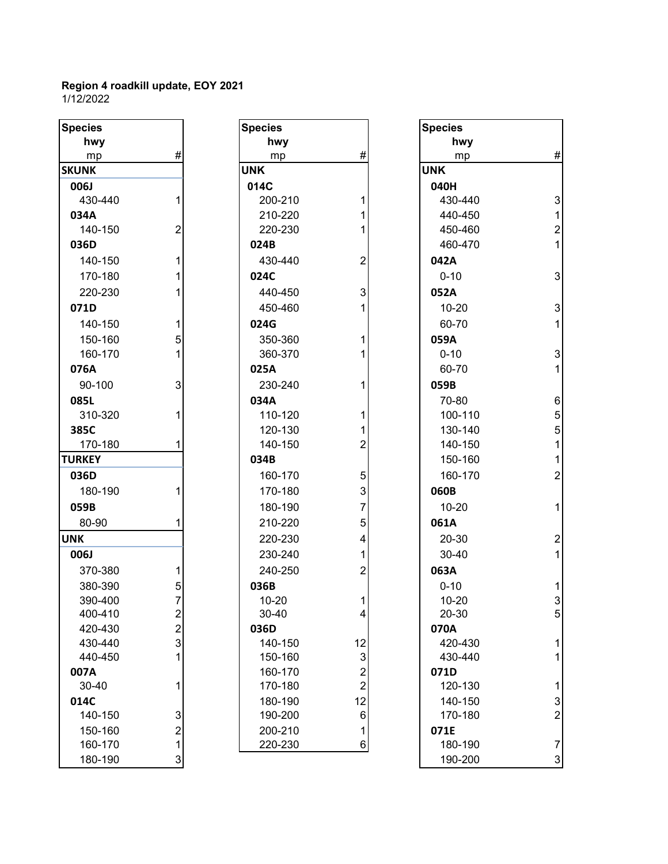| <b>Species</b> |                                                 |
|----------------|-------------------------------------------------|
| hwy            |                                                 |
| mp             | #                                               |
| <b>SKUNK</b>   |                                                 |
| <b>006J</b>    |                                                 |
| 430-440        | 1                                               |
| 034A           |                                                 |
| 140-150        | $\overline{c}$                                  |
| 036D           |                                                 |
| 140-150        | 1                                               |
| 170-180        | 1                                               |
| 220-230        | 1                                               |
| 071D           |                                                 |
| 140-150        | 1                                               |
| 150-160        | $\frac{5}{1}$                                   |
| 160-170        |                                                 |
| 076A           |                                                 |
| 90-100         | 3                                               |
| 085L           |                                                 |
| 310-320        | 1                                               |
| 385C           |                                                 |
| 170-180        | 1                                               |
| <b>TURKEY</b>  |                                                 |
| 036D           |                                                 |
| 180-190        | 1                                               |
| 059B           |                                                 |
| 80-90          | 1                                               |
| <b>UNK</b>     |                                                 |
| 006J           |                                                 |
| 370-380        |                                                 |
| 380-390        | $\begin{array}{c} 1 \\ 5 \\ 7 \end{array}$      |
| 390-400        |                                                 |
| 400-410        |                                                 |
| 420-430        | $\begin{array}{c} 2 \\ 2 \\ 3 \\ 1 \end{array}$ |
| 430-440        |                                                 |
| 440-450        |                                                 |
| 007A           |                                                 |
| 30-40          | 1                                               |
| 014C           |                                                 |
| 140-150        |                                                 |
| 150-160        | $\begin{array}{c} 3 \\ 2 \\ 1 \\ 3 \end{array}$ |
| 160-170        |                                                 |
| 180-190        |                                                 |

| <b>Species</b> |                         | <b>Species</b> |                | <b>Species</b> |
|----------------|-------------------------|----------------|----------------|----------------|
| hwy            |                         | hwy            |                | hwy            |
| mp             | #                       | mp             | #              | mp             |
| <b>SKUNK</b>   |                         | <b>UNK</b>     |                | <b>UNK</b>     |
| <b>006J</b>    |                         | 014C           |                | 040H           |
| 430-440        | 1                       | 200-210        | 1              | 430-44         |
| 034A           |                         | 210-220        | 1              | 440-45         |
| 140-150        | $\overline{2}$          | 220-230        | 1              | 450-46         |
| 036D           |                         | 024B           |                | 460-47         |
| 140-150        | 1                       | 430-440        | $\overline{2}$ | 042A           |
| 170-180        | 1                       | 024C           |                | $0 - 10$       |
| 220-230        | 1                       | 440-450        | 3              | 052A           |
| 071D           |                         | 450-460        | 1              | $10 - 20$      |
| 140-150        | 1                       | 024G           |                | 60-70          |
| 150-160        | 5                       | 350-360        | 1              | 059A           |
| 160-170        | 1                       | 360-370        | 1              | $0 - 10$       |
| 076A           |                         | 025A           |                | 60-70          |
| 90-100         | 3                       | 230-240        | 1              | 059B           |
| 085L           |                         | 034A           |                | 70-80          |
| 310-320        | 1                       | 110-120        | 1              | 100-11         |
| 385C           |                         | 120-130        | 1              | 130-14         |
| 170-180        | 1                       | 140-150        | $\overline{2}$ | 140-15         |
| <b>TURKEY</b>  |                         | 034B           |                | 150-16         |
| 036D           |                         | 160-170        | 5              | 160-17         |
| 180-190        | 1                       | 170-180        | 3              | 060B           |
| 059B           |                         | 180-190        | 7              | $10 - 20$      |
| 80-90          | 1                       | 210-220        | 5              | 061A           |
| <b>UNK</b>     |                         | 220-230        | 4              | 20-30          |
| 006J           |                         | 230-240        | 1              | 30-40          |
| 370-380        | 1                       | 240-250        | $\overline{2}$ | 063A           |
| 380-390        | 5                       | 036B           |                | $0 - 10$       |
| 390-400        | $\overline{7}$          | 10-20          | 1              | $10 - 20$      |
| 400-410        | 2                       | 30-40          | 4              | 20-30          |
| 420-430        | $\overline{\mathbf{c}}$ | 036D           |                | 070A           |
| 430-440        | 3                       | 140-150        | 12             | 420-43         |
| 440-450        | 1                       | 150-160        | 3              | 430-44         |
| 007A           |                         | 160-170        | 2              | 071D           |
| 30-40          | 1                       | 170-180        | $\overline{c}$ | 120-13         |
| 014C           |                         | 180-190        | 12             | 140-15         |
| 140-150        | 3                       | 190-200        | 6              | 170-18         |
| 150-160        | $\overline{2}$          | 200-210        | 1              | 071E           |
| 160-170        | $\mathbf{1}$            | 220-230        | 6              | 180-19         |

| <b>Species</b> |                         | <b>Species</b> |                | <b>Species</b> |                           |
|----------------|-------------------------|----------------|----------------|----------------|---------------------------|
| hwy            |                         | hwy            |                | hwy            |                           |
| mp             | #                       | mp             | #              | mp             | $\#$                      |
| <b>SKUNK</b>   |                         | <b>UNK</b>     |                | <b>UNK</b>     |                           |
| 006J           |                         | 014C           |                | 040H           |                           |
| 430-440        | 1                       | 200-210        |                | 430-440        | 3                         |
| 034A           |                         | 210-220        |                | 440-450        | 1                         |
| 140-150        | $\overline{2}$          | 220-230        |                | 450-460        | $\overline{\mathbf{c}}$   |
| 036D           |                         | 024B           |                | 460-470        | 1                         |
| 140-150        | 1                       | 430-440        | 2              | 042A           |                           |
| 170-180        | 1                       | 024C           |                | $0 - 10$       | 3                         |
| 220-230        |                         | 440-450        | 3              | 052A           |                           |
| 071D           |                         | 450-460        |                | $10 - 20$      | $\ensuremath{\mathsf{3}}$ |
| 140-150        | 1                       | 024G           |                | 60-70          | 1                         |
| 150-160        | 5                       | 350-360        |                | 059A           |                           |
| 160-170        | 1                       | 360-370        |                | $0 - 10$       | $\mathsf 3$               |
| 076A           |                         | 025A           |                | 60-70          | 1                         |
| 90-100         | 3                       | 230-240        |                | 059B           |                           |
| 085L           |                         | 034A           |                | 70-80          | 6                         |
| 310-320        | 1                       | 110-120        |                | 100-110        | 5                         |
| 385C           |                         | 120-130        |                | 130-140        | 5                         |
| 170-180        | 1                       | 140-150        | $\overline{2}$ | 140-150        | 1                         |
| <b>TURKEY</b>  |                         | 034B           |                | 150-160        | 1                         |
| 036D           |                         | 160-170        | 5              | 160-170        | $\overline{2}$            |
| 180-190        | 1                       | 170-180        | 3              | 060B           |                           |
| 059B           |                         | 180-190        | 7              | $10 - 20$      | 1                         |
| 80-90          | 1                       | 210-220        | 5              | 061A           |                           |
| <b>UNK</b>     |                         | 220-230        | 4              | 20-30          | $\boldsymbol{2}$          |
| 006J           |                         | 230-240        | 1              | 30-40          | $\mathbf{1}$              |
| 370-380        | 1                       | 240-250        | $\overline{2}$ | 063A           |                           |
| 380-390        | 5                       | 036B           |                | $0 - 10$       | 1                         |
| 390-400        | $\overline{7}$          | $10 - 20$      |                | $10 - 20$      | 3                         |
| 400-410        | $\mathbf{z}$            | 30-40          | 4              | 20-30          | 5                         |
| 420-430        | $\overline{\mathbf{c}}$ | 036D           |                | 070A           |                           |
| 430-440        | 3                       | 140-150        | 12             | 420-430        | 1                         |
| 440-450        | 1                       | 150-160        | 3              | 430-440        | 1                         |
| 007A           |                         | 160-170        | $\overline{c}$ | 071D           |                           |
| 30-40          | 1                       | 170-180        | $\overline{c}$ | 120-130        | 1                         |
| 014C           |                         | 180-190        | 12             | 140-150        | 3                         |
| 140-150        | 3                       | 190-200        | 6              | 170-180        | $\overline{2}$            |
| 150-160        | $\overline{2}$          | 200-210        | $\mathbf 1$    | 071E           |                           |
| 160-170        | $\mathbf{1}$            | 220-230        | 6              | 180-190        | $\overline{7}$            |
| 180-190        | $\mathbf{3}$            |                |                | 190-200        | 3                         |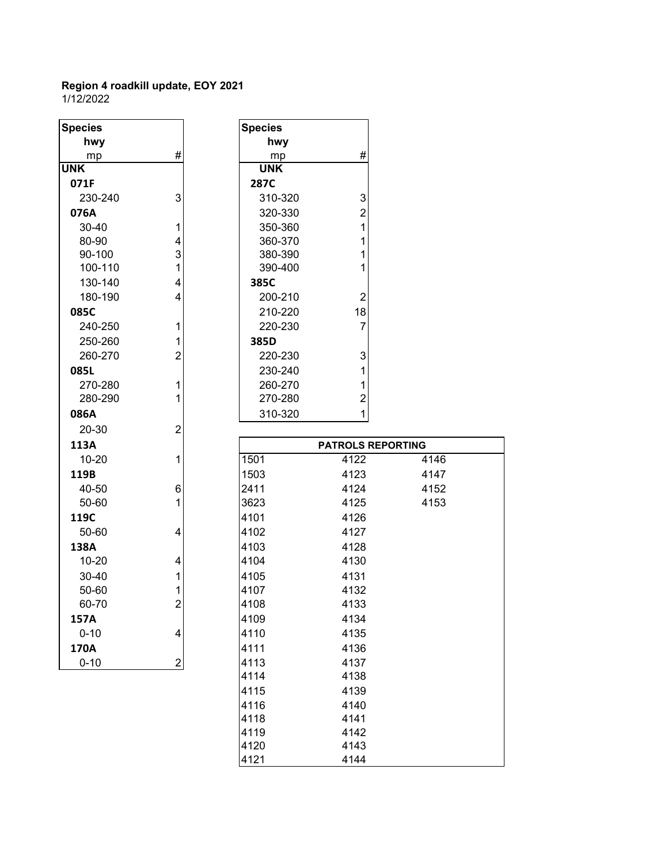1/12/2022

| <b>Species</b>   |                | <b>Species</b>     |                          |      |
|------------------|----------------|--------------------|--------------------------|------|
|                  |                |                    |                          |      |
| hwy              | #              | hwy                | #                        |      |
| mp<br><b>UNK</b> |                | mp<br><b>UNK</b>   |                          |      |
| 071F             |                | 287C               |                          |      |
|                  | 3              |                    | 3                        |      |
| 230-240          |                | 310-320            |                          |      |
| 076A             |                | 320-330            | $\overline{2}$           |      |
| 30-40            | 1              | 350-360            | $\mathbf{1}$             |      |
| 80-90<br>90-100  | 4<br>3         | 360-370<br>380-390 | 1<br>1                   |      |
| 100-110          | 1              | 390-400            | 1                        |      |
|                  |                |                    |                          |      |
| 130-140          | 4              | 385C               |                          |      |
| 180-190          | 4              | 200-210            | $\overline{2}$           |      |
| 085C             |                | 210-220            | 18                       |      |
| 240-250          | 1              | 220-230            | $\overline{7}$           |      |
| 250-260          | 1              | 385D               |                          |      |
| 260-270          | $\overline{2}$ | 220-230            | 3                        |      |
| 085L             |                | 230-240            | 1                        |      |
| 270-280          | 1              | 260-270            | 1                        |      |
| 280-290          | 1              | 270-280            | $\overline{c}$           |      |
| 086A             |                | 310-320            | 1                        |      |
| 20-30            | $\overline{2}$ |                    |                          |      |
| 113A             |                |                    | <b>PATROLS REPORTING</b> |      |
| 10-20            | 1              | 1501               | 4122                     | 4146 |
| 119B             |                | 1503               | 4123                     | 4147 |
| 40-50            | 6              | 2411               | 4124                     | 4152 |
| 50-60            | 1              | 3623               | 4125                     | 4153 |
| 119C             |                | 4101               | 4126                     |      |
| 50-60            | 4              | 4102               | 4127                     |      |
| 138A             |                | 4103               | 4128                     |      |
| $10 - 20$        | 4              | 4104               | 4130                     |      |
| 30-40            | 1              | 4105               | 4131                     |      |
| 50-60            | 1              | 4107               | 4132                     |      |
| 60-70            | $\overline{2}$ | 4108               | 4133                     |      |
| 157A             |                | 4109               | 4134                     |      |
| $0 - 10$         | 4              | 4110               | 4135                     |      |
| 170A             |                | 4111               | 4136                     |      |
| $0 - 10$         | $\overline{2}$ | 4113               | 4137                     |      |
|                  |                | 4114               | 4138                     |      |
|                  |                | 4115               | 4139                     |      |
|                  |                | 4116               | 4140                     |      |
|                  |                | 4118               | 4141                     |      |
|                  |                | 4119               | 4142                     |      |
|                  |                | 4120               | 4143                     |      |
|                  |                |                    |                          |      |

4121 4144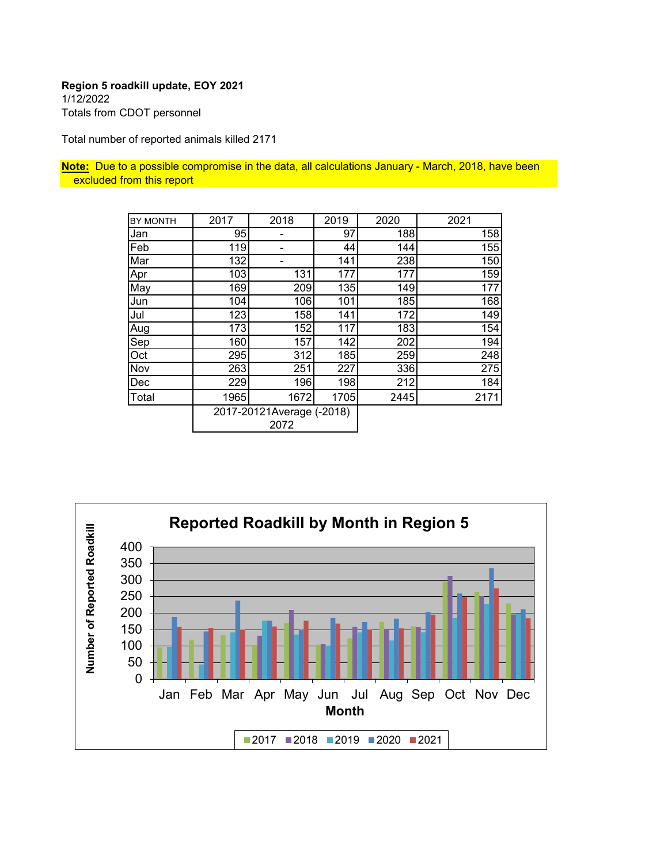#### **Region 5 roadkill update, EOY 2021** 1/12/2022 Totals from CDOT personnel

Total number of reported animals killed 2171

**Note:** Due to a possible compromise in the data, all calculations January - March, 2018, have been excluded from this report

| <b>BY MONTH</b> | 2017                              | 2018 | 2019 | 2020 | 2021 |
|-----------------|-----------------------------------|------|------|------|------|
| Jan             | 95                                |      | 97   | 188  | 158  |
| Feb             | 119                               | -    | 44   | 144  | 155  |
| Mar             | 132                               |      | 141  | 238  | 150  |
| Apr             | 103                               | 131  | 177  | 177  | 159  |
| May             | 169                               | 209  | 135  | 149  | 177  |
| Jun             | 104                               | 106  | 101  | 185  | 168  |
| Jul             | 123                               | 158  | 141  | 172  | 149  |
| Aug             | 173                               | 152  | 117  | 183  | 154  |
| Sep             | 160                               | 157  | 142  | 202  | 194  |
| Oct             | 295                               | 312  | 185  | 259  | 248  |
| Nov             | 263                               | 251  | 227  | 336  | 275  |
| Dec             | 229                               | 196  | 198  | 212  | 184  |
| Total           | 1965                              | 1672 | 1705 | 2445 | 2171 |
|                 | 2017-20121Average (-2018)<br>2072 |      |      |      |      |

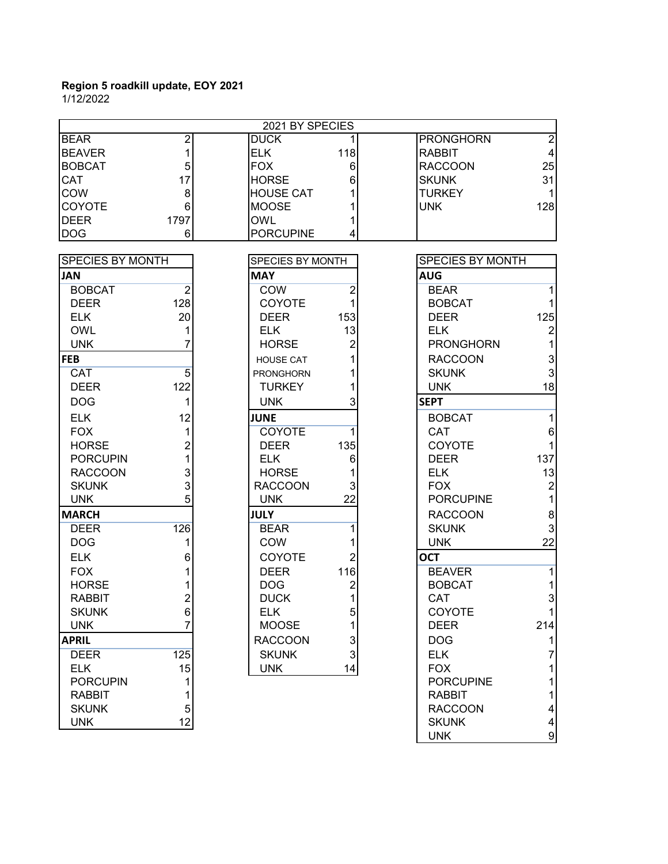|                         | 2021 BY SPECIES |                  |                |                  |                         |  |
|-------------------------|-----------------|------------------|----------------|------------------|-------------------------|--|
| <b>BEAR</b>             | $\overline{c}$  | <b>DUCK</b>      |                | <b>PRONGHORN</b> | $\overline{2}$          |  |
| <b>BEAVER</b>           | 1               | <b>ELK</b>       | 118            | <b>RABBIT</b>    | $\overline{\mathbf{4}}$ |  |
| <b>BOBCAT</b>           | 5               | <b>FOX</b>       | 6              | <b>RACCOON</b>   | 25                      |  |
| <b>CAT</b>              | 17              | <b>HORSE</b>     | 6              | <b>SKUNK</b>     | 31                      |  |
| COW                     | 8               | <b>HOUSE CAT</b> |                | <b>TURKEY</b>    |                         |  |
| <b>COYOTE</b>           | 6               | <b>MOOSE</b>     |                | <b>UNK</b>       | 128                     |  |
| <b>DEER</b>             | 1797            | <b>OWL</b>       |                |                  |                         |  |
| <b>DOG</b>              | 6               | <b>PORCUPINE</b> | 4              |                  |                         |  |
| <b>SPECIES BY MONTH</b> |                 | SPECIES BY MONTH |                | SPECIES BY MONTH |                         |  |
| <b>JAN</b>              |                 | <b>MAY</b>       |                | <b>AUG</b>       |                         |  |
| <b>BOBCAT</b>           | $\overline{2}$  | <b>COW</b>       | 2              | <b>BEAR</b>      | 1                       |  |
| <b>DEER</b>             | 128             | <b>COYOTE</b>    |                | <b>BOBCAT</b>    |                         |  |
| <b>ELK</b>              | 20              | <b>DEER</b>      | 153            | <b>DEER</b>      | 125                     |  |
| <b>OWL</b>              | 1               | <b>ELK</b>       | 13             | <b>ELK</b>       | $\overline{c}$          |  |
| <b>UNK</b>              | 7               | <b>HORSE</b>     | 2              | <b>PRONGHORN</b> | 1                       |  |
|                         |                 |                  |                |                  |                         |  |
| <b>FEB</b>              |                 | <b>HOUSE CAT</b> |                | <b>RACCOON</b>   | 3                       |  |
| CAT                     | 5               | <b>PRONGHORN</b> |                | <b>SKUNK</b>     | 3                       |  |
| <b>DEER</b>             | 122             | <b>TURKEY</b>    |                | <b>UNK</b>       | 18                      |  |
| <b>DOG</b>              | 1               | <b>UNK</b>       | 3              | <b>SEPT</b>      |                         |  |
| <b>ELK</b>              | 12              | <b>JUNE</b>      |                | <b>BOBCAT</b>    | 1                       |  |
| <b>FOX</b>              | 1               | COYOTE           | 1              | CAT              | 6                       |  |
| <b>HORSE</b>            | $\overline{2}$  | <b>DEER</b>      | 135            | COYOTE           |                         |  |
| <b>PORCUPIN</b>         |                 | <b>ELK</b>       | 6              | <b>DEER</b>      | 137                     |  |
| <b>RACCOON</b>          | 3               | <b>HORSE</b>     |                | <b>ELK</b>       | 13                      |  |
| <b>SKUNK</b>            | 3               | <b>RACCOON</b>   |                | <b>FOX</b>       | $\overline{\mathbf{c}}$ |  |
| <b>UNK</b>              | 5               | <b>UNK</b>       | 22             | <b>PORCUPINE</b> | 1                       |  |
| <b>MARCH</b>            |                 | <b>JULY</b>      |                | <b>RACCOON</b>   | 8                       |  |
| <b>DEER</b>             | 126             | <b>BEAR</b>      | 1              | <b>SKUNK</b>     | 3                       |  |
| <b>DOG</b>              | 1               | COW              |                | <b>UNK</b>       | 22                      |  |
| <b>ELK</b>              | 6               | COYOTE           | 2              | <b>OCT</b>       |                         |  |
| <b>FOX</b>              |                 | <b>DEER</b>      | 116            | <b>BEAVER</b>    | 1                       |  |
| <b>HORSE</b>            |                 | <b>DOG</b>       | $\overline{2}$ | <b>BOBCAT</b>    | 1                       |  |
| <b>RABBIT</b>           | $\overline{c}$  | <b>DUCK</b>      | 1              | CAT              | 3                       |  |
| <b>SKUNK</b>            | 6               | <b>ELK</b>       | 5              | <b>COYOTE</b>    |                         |  |
| <b>UNK</b>              | 7               | <b>MOOSE</b>     |                | <b>DEER</b>      | 214                     |  |
| <b>APRIL</b>            |                 | <b>RACCOON</b>   | 3              | <b>DOG</b>       |                         |  |
| <b>DEER</b>             | 125             | <b>SKUNK</b>     | $\mathbf{3}$   | <b>ELK</b>       |                         |  |
| <b>ELK</b>              | 15              | <b>UNK</b>       | 14             | <b>FOX</b>       |                         |  |
| <b>PORCUPIN</b>         |                 |                  |                | <b>PORCUPINE</b> |                         |  |
| <b>RABBIT</b>           |                 |                  |                | <b>RABBIT</b>    |                         |  |
| <b>SKUNK</b>            | 5               |                  |                | <b>RACCOON</b>   |                         |  |
| <b>UNK</b>              | 12              |                  |                | <b>SKUNK</b>     | 4                       |  |
|                         |                 |                  |                | <b>UNK</b>       | $\boldsymbol{9}$        |  |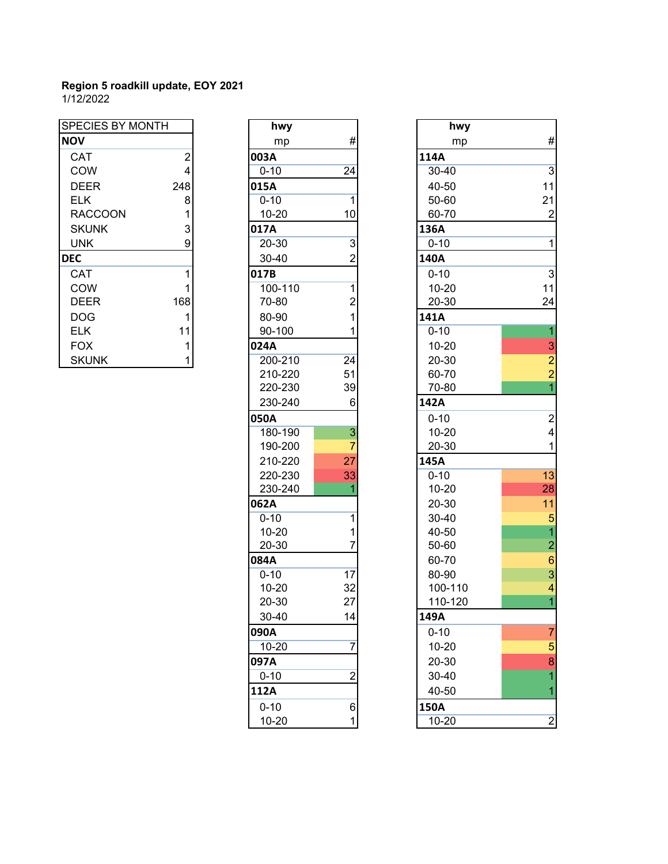| <b>SPECIES BY MONTH</b> |                | hwy       |                | hwy       |
|-------------------------|----------------|-----------|----------------|-----------|
| <b>NOV</b>              |                | mp        | #              | mp        |
| <b>CAT</b>              | $\overline{2}$ | 003A      |                | 114A      |
| COW                     | 4              | $0 - 10$  | 24             | $30 - 40$ |
| <b>DEER</b>             | 248            | 015A      |                | 40-50     |
| <b>ELK</b>              | 8              | $0 - 10$  |                | 50-60     |
| <b>RACCOON</b>          |                | 10-20     | 10             | 60-70     |
| <b>SKUNK</b>            | 3              | 017A      |                | 136A      |
| <b>UNK</b>              | 9              | 20-30     | 3              | $0 - 10$  |
| <b>DEC</b>              |                | $30 - 40$ | 2              | 140A      |
| <b>CAT</b>              |                | 017B      |                | $0 - 10$  |
| COW                     |                | 100-110   |                | $10 - 20$ |
| <b>DEER</b>             | 168            | 70-80     | $\overline{2}$ | 20-30     |
| <b>DOG</b>              |                | 80-90     |                | 141A      |
| <b>ELK</b>              | 11             | 90-100    |                | $0 - 10$  |
| <b>FOX</b>              |                | 024A      |                | $10 - 20$ |
| <b>SKUNK</b>            |                | 200-210   | 24             | 20-30     |

| hwy       |                |                 |
|-----------|----------------|-----------------|
| mp        | #              |                 |
| 003A      |                | 114A            |
| $0 - 10$  | 24             | $30 -$          |
| 015A      |                | $40 -$          |
| $0 - 10$  | 1              | $50-$           |
| 10-20     | 10             | 60-             |
| 017A      |                | 136A            |
| 20-30     | 3              | $0 - 1$         |
| 30-40     | $\overline{c}$ | 140A            |
| 017B      |                | $0 - 1$         |
| 100-110   | 1              | $10 -$          |
| 70-80     | $\overline{c}$ | $20 -$          |
| 80-90     | 1              | 141A            |
| 90-100    | 1              | $0 - 1$         |
| 024A      |                | $10 -$          |
| 200-210   | 24             | $20 -$          |
| 210-220   | 51             | $60-$           |
| 220-230   | 39             | $70-$           |
| 230-240   | 6              | 142A            |
| 050A      |                | $0 - 1$         |
| 180-190   | 3              | $10 -$          |
| 190-200   | 7              | $20-$           |
| 210-220   | 27             | 145A            |
| 220-230   | 33             | $0 - 1$         |
| 230-240   | 1              | $10 -$          |
| 062A      |                | $20 -$          |
| $0 - 10$  | 1              | $30 -$          |
| 10-20     | 1              | $40 -$          |
| 20-30     | 7              | $50-$           |
| 084A      |                | 60-             |
| $0 - 10$  | 17             | 80-             |
| 10-20     | 32             | 10 <sub>C</sub> |
| 20-30     | 27             | 110             |
| 30-40     | 14             | 149A            |
| 090A      |                | $0 - 1$         |
| $10 - 20$ | 7              | $10 -$          |
| 097A      |                | $20 -$          |
| $0 - 10$  | $\overline{2}$ | $30-$           |
| 112A      |                | 40-             |
| $0 - 10$  | 6              | 150A            |
| 10-20     | 1              | $10 -$          |

| <b>SPECIES BY MONTH</b> |                         | hwy       |                           | hwy       |                |
|-------------------------|-------------------------|-----------|---------------------------|-----------|----------------|
| <b>NOV</b>              |                         | mp        | #                         | mp        | #              |
| CAT                     | $\overline{c}$          | 003A      |                           | 114A      |                |
| COW                     | $\overline{\mathbf{4}}$ | $0 - 10$  | 24                        | 30-40     | $\overline{3}$ |
| <b>DEER</b>             | 248                     | 015A      |                           | 40-50     | 11             |
| <b>ELK</b>              | 8                       | $0 - 10$  | 1                         | 50-60     | 21             |
| <b>RACCOON</b>          |                         | $10 - 20$ | 10                        | 60-70     | $\overline{c}$ |
| <b>SKUNK</b>            | 3                       | 017A      |                           | 136A      |                |
| <b>UNK</b>              | 9                       | 20-30     | $\ensuremath{\mathsf{3}}$ | $0 - 10$  | $\mathbf 1$    |
| <b>DEC</b>              |                         | 30-40     | $\overline{c}$            | 140A      |                |
| CAT                     | 1                       | 017B      |                           | $0 - 10$  | 3              |
| COW                     | 1                       | 100-110   | 1                         | $10 - 20$ | 11             |
| <b>DEER</b>             | 168                     | 70-80     | $\overline{c}$            | 20-30     | 24             |
| <b>DOG</b>              | 1                       | 80-90     | 1                         | 141A      |                |
| <b>ELK</b>              | 11                      | 90-100    | 1                         | $0 - 10$  | $\overline{1}$ |
| <b>FOX</b>              | 1                       | 024A      |                           | $10 - 20$ | 3              |
| <b>SKUNK</b>            | 1                       | 200-210   | 24                        | 20-30     | $\overline{2}$ |
|                         |                         | 210-220   | 51                        | 60-70     | $\overline{2}$ |
|                         |                         | 220-230   | 39                        | 70-80     | $\overline{1}$ |
|                         |                         | 230-240   | 6                         | 142A      |                |
|                         |                         | 050A      |                           | $0 - 10$  | $\overline{2}$ |
|                         |                         | 180-190   | $\ensuremath{\mathsf{3}}$ | $10 - 20$ | $\overline{4}$ |
|                         |                         | 190-200   | $\overline{7}$            | 20-30     | $\mathbf 1$    |
|                         |                         | 210-220   | 27                        | 145A      |                |
|                         |                         | 220-230   | 33                        | $0 - 10$  | 13             |
|                         |                         | 230-240   |                           | $10 - 20$ | 28             |
|                         |                         | 062A      |                           | $20 - 30$ | 11             |
|                         |                         | $0 - 10$  | 1                         | 30-40     | 5              |
|                         |                         | $10 - 20$ | 1                         | 40-50     | $\overline{1}$ |
|                         |                         | 20-30     | 7                         | 50-60     | $\overline{a}$ |
|                         |                         | 084A      |                           | 60-70     | $6\phantom{a}$ |
|                         |                         | $0 - 10$  | 17                        | 80-90     | $\overline{3}$ |
|                         |                         | $10 - 20$ | 32                        | 100-110   | $\overline{4}$ |
|                         |                         | 20-30     | 27                        | 110-120   | $\overline{1}$ |
|                         |                         | 30-40     | 14                        | 149A      |                |
|                         |                         | 090A      |                           | $0 - 10$  | $\overline{7}$ |
|                         |                         | $10 - 20$ | 7                         | $10 - 20$ | 5              |
|                         |                         | 097A      |                           | 20-30     | 8              |
|                         |                         | $0 - 10$  | $\overline{\mathbf{c}}$   | 30-40     | $\overline{1}$ |
|                         |                         | 112A      |                           | 40-50     | 1              |
|                         |                         | $0 - 10$  | 6                         | 150A      |                |
|                         |                         | $10 - 20$ | 1                         | $10 - 20$ | $\overline{2}$ |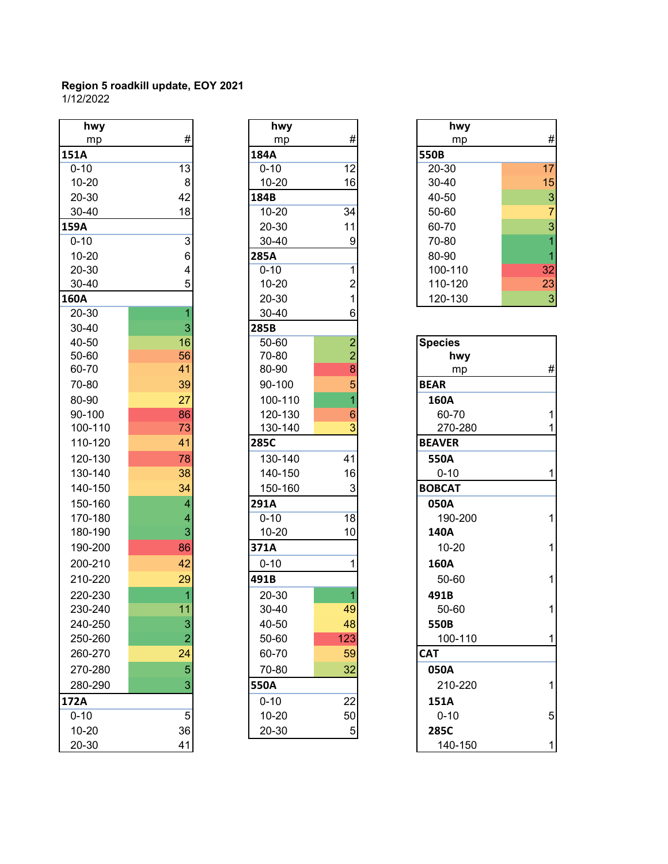| hwy       |                | hwy         |                         | hwy            |                |
|-----------|----------------|-------------|-------------------------|----------------|----------------|
| mp        | $\#$           | mp          | #                       | mp             | #              |
| 151A      |                | 184A        |                         | 550B           |                |
| $0 - 10$  | 13             | $0 - 10$    | 12                      | 20-30          | 17             |
| $10 - 20$ | $\bf 8$        | 10-20       | 16                      | 30-40          | 15             |
| 20-30     | 42             | 184B        |                         | 40-50          | 3              |
| 30-40     | 18             | $10 - 20$   | 34                      | 50-60          | $\overline{7}$ |
| 159A      |                | 20-30       | 11                      | 60-70          | 3              |
| $0 - 10$  | $\overline{3}$ | 30-40       | $\boldsymbol{9}$        | 70-80          | $\overline{1}$ |
| $10 - 20$ | 6              | <b>285A</b> |                         | 80-90          | 1              |
| 20-30     | 4              | $0 - 10$    | $\mathbf{1}$            | 100-110        | 32             |
| 30-40     | 5              | $10 - 20$   | $\overline{\mathbf{c}}$ | 110-120        | 23             |
| 160A      |                | 20-30       | $\mathbf{1}$            | 120-130        | 3              |
| $20 - 30$ | 1              | 30-40       | 6                       |                |                |
| 30-40     | 3              | 285B        |                         |                |                |
| 40-50     | 16             | $50 - 60$   | $\overline{2}$          | <b>Species</b> |                |
| 50-60     | 56             | 70-80       | $\overline{2}$          | hwy            |                |
| 60-70     | 41             | 80-90       | 8                       | mp             | #              |
| 70-80     | 39             | 90-100      | 5                       | <b>BEAR</b>    |                |
| 80-90     | 27             | 100-110     |                         | 160A           |                |
| 90-100    | 86             | 120-130     | $6\phantom{1}6$         | 60-70          | 1              |
| 100-110   | 73             | 130-140     | 3                       | 270-280        | 1              |
| 110-120   | 41             | <b>285C</b> |                         | <b>BEAVER</b>  |                |
| 120-130   | 78             | 130-140     | 41                      | 550A           |                |
| 130-140   | 38             | 140-150     | 16                      | $0 - 10$       | 1              |
| 140-150   | 34             | 150-160     | 3                       | <b>BOBCAT</b>  |                |
| 150-160   | $\overline{4}$ | 291A        |                         | 050A           |                |
| 170-180   | 4              | $0 - 10$    | 18                      | 190-200        | 1              |
| 180-190   | 3              | $10 - 20$   | 10                      | 140A           |                |
| 190-200   | 86             | 371A        |                         | $10 - 20$      | 1              |
| 200-210   | 42             | $0 - 10$    | 1                       | 160A           |                |
| 210-220   | 29             | 491B        |                         | 50-60          | 1              |
| 220-230   | $\overline{1}$ | 20-30       |                         | 491B           |                |
| 230-240   | 11             | 30-40       | 49                      | 50-60          |                |
| 240-250   | $\sqrt{3}$     | 40-50       | 48                      | 550B           |                |
| 250-260   | $\overline{2}$ | 50-60       | 123                     | 100-110        | 1              |
| 260-270   | 24             | 60-70       | 59                      | <b>CAT</b>     |                |
| 270-280   | $\overline{5}$ | 70-80       | 32                      | 050A           |                |
| 280-290   | 3              | 550A        |                         | 210-220        | 1              |
| 172A      |                | $0 - 10$    | 22                      | 151A           |                |
| $0 - 10$  | $\mathbf 5$    | $10 - 20$   | 50                      | $0 - 10$       | 5              |
| $10 - 20$ | 36             | 20-30       | $\mathbf 5$             | 285C           |                |
| 20-30     | 41             |             |                         | 140-150        | 1              |
|           |                |             |                         |                |                |

| hwy                      |                | hwy         |                | hwy            |
|--------------------------|----------------|-------------|----------------|----------------|
| mp                       | #              | mp          | #              | mp             |
| ١                        |                | 184A        |                | 550B           |
| $\overline{0}$           | 13             | $0 - 10$    | 12             | $20 - 30$      |
| -20                      | 8              | 10-20       | 16             | 30-40          |
| -30                      | 42             | 184B        |                | 40-50          |
| -40                      | 18             | 10-20       | 34             | 50-60          |
| Í.                       |                | 20-30       | 11             | 60-70          |
| $\overline{0}$           | $\overline{3}$ | 30-40       | 9              | 70-80          |
| $-20$                    | 6              | <b>285A</b> |                | 80-90          |
| $-30$                    | 4              | $0 - 10$    | $\mathbf{1}$   | 100-110        |
| -40                      | 5              | 10-20       | 2              | 110-120        |
| $\overline{\phantom{0}}$ |                | 20-30       | 1              | 120-130        |
| $-30$                    | 1              | 30-40       | 6              |                |
| -40                      | 3              | 285B        |                |                |
| $-50$                    | 16             | 50-60       | $\overline{2}$ | <b>Species</b> |
| -60                      | 56             | 70-80       | $\overline{2}$ | hwy            |
| -70                      | 41             | 80-90       | 8              | mp             |
| -80                      | 39             | 90-100      | 5              | <b>BEAR</b>    |
| -90                      | 27             | 100-110     | $\overline{1}$ | 160A           |
| $-100$                   | 86             | 120-130     | 6              | 60-70          |
| 0-110                    | 73             | 130-140     | 3              | 270-28         |
| 0-120                    | 41             | 285C        |                | <b>BEAVER</b>  |
| 0-130                    | 78             | 130-140     | 41             | 550A           |
| 0-140                    | 38             | 140-150     | 16             | $0 - 10$       |
| 0-150                    | 34             | 150-160     | 3              | <b>BOBCAT</b>  |
| 0-160                    | 4              | 291A        |                | 050A           |
| $0 - 180$                | 4              | $0 - 10$    | 18             | 190-20         |
| 0-190                    | 3              | $10 - 20$   | 10             | 140A           |
| 0-200                    | 86             | 371A        |                | $10 - 20$      |
| 0-210                    | 42             | $0 - 10$    | 1              | 160A           |
| 0-220                    | 29             | 491B        |                | 50-60          |
| 0-230                    | $\overline{1}$ | 20-30       | $\overline{1}$ | 491B           |
| 0-240                    | 11             | 30-40       | 49             | 50-60          |
| 0-250                    | 3              | 40-50       | 48             | 550B           |
| 0-260                    | $\overline{2}$ | 50-60       | 123            | 100-11         |
| 0-270                    | 24             | 60-70       | 59             | <b>CAT</b>     |
| 0-280                    | 5              | 70-80       | 32             | 050A           |
| 0-290                    | 3              | 550A        |                | 210-22         |
| V                        |                | $0 - 10$    | 22             | 151A           |
| 10                       | 5              | 10-20       | 50             | $0 - 10$       |
| $-20$                    | 36             | 20-30       | 5              | 285C           |
|                          |                |             |                |                |

|                | hwy       |    | hwy         |    |
|----------------|-----------|----|-------------|----|
| #              | mp        | #  | mp          | #  |
|                | 184A      |    | <b>550B</b> |    |
| 13             | $0 - 10$  | 12 | 20-30       | 17 |
| 8              | $10 - 20$ | 16 | $30 - 40$   | 15 |
| 42             | 184B      |    | 40-50       | 3  |
| 18             | $10 - 20$ | 34 | 50-60       | ⇁  |
|                | 20-30     | 11 | 60-70       | 3  |
| 3              | $30 - 40$ | 9  | 70-80       |    |
| 6 <sub>1</sub> | 285A      |    | 80-90       |    |
| 4              | $0 - 10$  |    | 100-110     | 32 |
| 5              | $10 - 20$ | ◠  | 110-120     | 23 |
|                | 20-30     |    | 120-130     | 3  |
|                |           |    |             |    |

|              |                |                |           |                | ⊽⊽ ⊤      |
|--------------|----------------|----------------|-----------|----------------|-----------|
|              | <b>Species</b> | $\overline{2}$ | 50-60     | 16             | 40-50     |
|              | hwy            | $\overline{2}$ | 70-80     | 56             | 50-60     |
| #            | mp             | 8              | 80-90     | 41             | 60-70     |
|              | <b>BEAR</b>    | 5              | 90-100    | 39             | 70-80     |
|              | 160A           |                | 100-110   | 27             | 80-90     |
| 1            | 60-70          | 6              | 120-130   | 86             | 90-100    |
| 1.           | 270-280        | 3              | 130-140   | 73             | 100-110   |
|              | <b>BEAVER</b>  |                | 285C      | 41             | 110-120   |
|              | 550A           | 41             | 130-140   | 78             | 120-130   |
| $\mathbf{1}$ | $0 - 10$       | 16             | 140-150   | 38             | 130-140   |
|              | <b>BOBCAT</b>  | 3              | 150-160   | 34             | 140-150   |
|              | 050A           |                | 291A      | 4              | 150-160   |
| $\mathbf{1}$ | 190-200        | 18             | $0 - 10$  | 4              | 170-180   |
|              | 140A           | 10             | $10 - 20$ | 3              | 180-190   |
| 1            | $10 - 20$      |                | 371A      | 86             | 190-200   |
|              | 160A           |                | $0 - 10$  | 42             | 200-210   |
| $\mathbf{1}$ | 50-60          |                | 491B      | 29             | 210-220   |
|              | 491B           |                | 20-30     |                | 220-230   |
| 1            | 50-60          | 49             | $30 - 40$ | 11             | 230-240   |
|              | 550B           | 48             | 40-50     | 3              | 240-250   |
| $\mathbf 1$  | 100-110        | 123            | 50-60     | $\overline{2}$ | 250-260   |
|              | <b>CAT</b>     | 59             | 60-70     | 24             | 260-270   |
|              | 050A           | 32             | 70-80     | 5              | 270-280   |
| $\mathbf{1}$ | 210-220        |                | 550A      | 3              | 280-290   |
|              | 151A           | 22             | $0 - 10$  |                | 72A       |
| 5            | $0 - 10$       | 50             | $10 - 20$ | 5              | $0 - 10$  |
|              | 285C           | $\sqrt{5}$     | 20-30     | 36             | $10 - 20$ |
| $\mathbf{1}$ | 140-150        |                |           | 41             | 20-30     |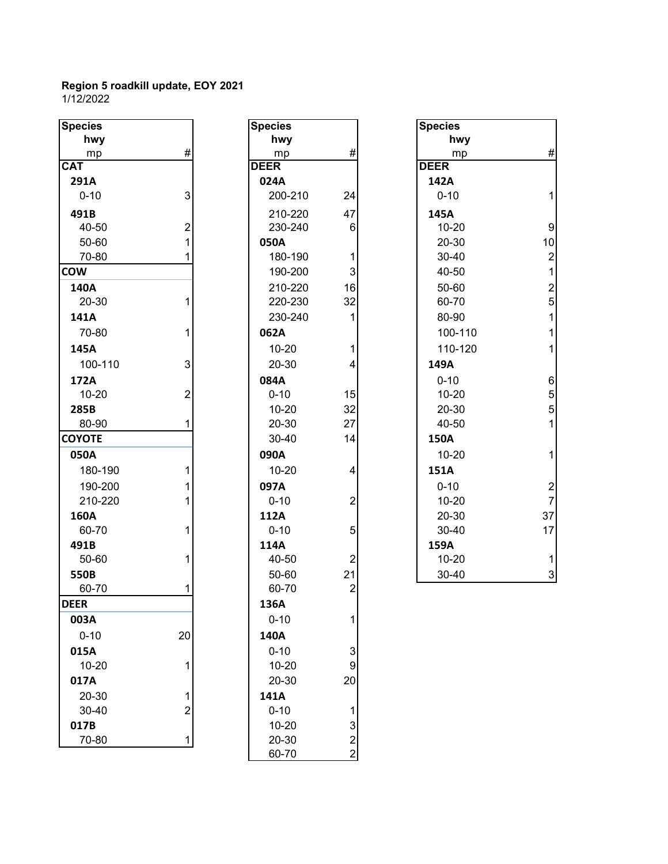| <b>Species</b> |                | <b>Species</b> |                | <b>Species</b> |
|----------------|----------------|----------------|----------------|----------------|
| hwy            |                | hwy            |                | hwy            |
| mp             | #              | mp             | #              | mp             |
| <b>CAT</b>     |                | <b>DEER</b>    |                | <b>DEER</b>    |
| 291A           |                | 024A           |                | 142A           |
| $0 - 10$       | 3              | 200-210        | 24             | $0 - 10$       |
| 491B           |                | 210-220        | 47             | 145A           |
| 40-50          | $\overline{2}$ | 230-240        | 6              | $10 - 20$      |
| 50-60          | 1              | 050A           |                | 20-30          |
| 70-80          | 1              | 180-190        | $\mathbf 1$    | 30-40          |
| <b>COW</b>     |                | 190-200        | 3              | 40-50          |
| 140A           |                | 210-220        | 16             | 50-60          |
| 20-30          | 1              | 220-230        | 32             | 60-70          |
| 141A           |                | 230-240        | 1              | 80-90          |
| 70-80          | $\mathbf{1}$   | 062A           |                | 100-11         |
| 145A           |                | $10 - 20$      | 1              | 110-12         |
| 100-110        | 3              | 20-30          | 4              | 149A           |
| 172A           |                | 084A           |                | $0 - 10$       |
| $10 - 20$      | $\overline{2}$ | $0 - 10$       | 15             | $10 - 20$      |
| 285B           |                | $10 - 20$      | 32             | 20-30          |
| 80-90          | 1              | 20-30          | 27             | 40-50          |
| <b>COYOTE</b>  |                | 30-40          | 14             | 150A           |
| 050A           |                | 090A           |                | $10 - 20$      |
| 180-190        | 1              | $10 - 20$      | 4              | 151A           |
| 190-200        | 1              | 097A           |                | $0 - 10$       |
| 210-220        | 1              | $0 - 10$       | $\overline{2}$ | $10 - 20$      |
| 160A           |                | 112A           |                | 20-30          |
| 60-70          | 1              | $0 - 10$       | 5              | 30-40          |
| 491B           |                | 114A           |                | 159A           |
| 50-60          | 1              | 40-50          | $\overline{2}$ | $10 - 20$      |
| 550B           |                | 50-60          | 21             | 30-40          |
| 60-70          | 1              | 60-70          | $\overline{2}$ |                |
| <b>DEER</b>    |                | 136A           |                |                |
| 003A           |                | $0 - 10$       | 1              |                |
| $0 - 10$       | 20             | 140A           |                |                |
| 015A           |                | $0 - 10$       | 3              |                |
| $10 - 20$      | 1              | $10 - 20$      | 9              |                |
| 017A           |                | 20-30          | 20             |                |
| 20-30          | 1              | 141A           |                |                |
| 30-40          | $\overline{2}$ | $0 - 10$       | 1              |                |
| 017B           |                | $10 - 20$      | 3              |                |
| 70-80          | 1              | 20-30          | $\overline{c}$ |                |
|                |                | co 70          |                |                |

| Species     |                                            |
|-------------|--------------------------------------------|
| hwy         |                                            |
| mp          | #                                          |
| <b>DEER</b> |                                            |
| 024A        |                                            |
| 200-210     | 24                                         |
| 210-220     | 47                                         |
| 230-240     | 6                                          |
| 050A        |                                            |
| 180-190     | 1                                          |
| 190-200     | 3                                          |
| 210-220     | 16                                         |
| 220-230     | 32                                         |
| 230-240     | 1                                          |
| 062A        |                                            |
| 10-20       | 1                                          |
| 20-30       | 4                                          |
| 084A        |                                            |
| $0 - 10$    | 15                                         |
| $10 - 20$   | 32                                         |
| 20-30       | 27                                         |
| 30-40       | 14                                         |
| 090A        |                                            |
| 10-20       | 4                                          |
| 097A        |                                            |
| $0 - 10$    | $\overline{2}$                             |
| 112A        |                                            |
| $0 - 10$    | 5                                          |
| 114A        |                                            |
| 40-50       |                                            |
| 50-60       | 21                                         |
| 60-70       |                                            |
| 136A        |                                            |
| $0 - 10$    | 1                                          |
| 140A        |                                            |
| $0 - 10$    |                                            |
| 10-20       | 3<br>9                                     |
| 20-30       | 20                                         |
| 141A        |                                            |
| $0 - 10$    |                                            |
| $10 - 20$   | $\begin{array}{c} 1 \\ 3 \\ 2 \end{array}$ |
| 20-30       |                                            |
| 60-70       |                                            |

| <b>Species</b>            |                | <b>Species</b> |                         | <b>Species</b> |                  |
|---------------------------|----------------|----------------|-------------------------|----------------|------------------|
| hwy                       |                | hwy            |                         | hwy            |                  |
| mp                        | #              | mp             | $\#$                    | mp             | $\#$             |
| $\overline{\textsf{CAT}}$ |                | <b>DEER</b>    |                         | <b>DEER</b>    |                  |
| 291A                      |                | 024A           |                         | 142A           |                  |
| $0 - 10$                  | 3              | 200-210        | 24                      | $0 - 10$       | $\mathbf{1}$     |
| 491B                      |                | 210-220        | 47                      | 145A           |                  |
| 40-50                     | $\overline{2}$ | 230-240        | 6                       | $10 - 20$      | $\boldsymbol{9}$ |
| 50-60                     |                | 050A           |                         | 20-30          | 10               |
| 70-80                     |                | 180-190        | 1                       | 30-40          | $\overline{2}$   |
| <b>COW</b>                |                | 190-200        | 3                       | 40-50          | $\mathbf{1}$     |
| 140A                      |                | 210-220        | 16                      | 50-60          | $\frac{2}{5}$    |
| 20-30                     |                | 220-230        | 32                      | 60-70          |                  |
| 141A                      |                | 230-240        |                         | 80-90          | $\overline{1}$   |
| 70-80                     |                | 062A           |                         | 100-110        | $\mathbf{1}$     |
| 145A                      |                | $10 - 20$      |                         | 110-120        | $\mathbf{1}$     |
| 100-110                   | 3              | 20-30          | 4                       | 149A           |                  |
| 172A                      |                | 084A           |                         | $0 - 10$       | $\,6$            |
| $10 - 20$                 | $\overline{2}$ | $0 - 10$       | 15                      | $10 - 20$      | 5                |
| 285B                      |                | $10 - 20$      | 32                      | 20-30          | 5                |
| 80-90                     |                | 20-30          | 27                      | 40-50          | $\mathbf{1}$     |
| <b>COYOTE</b>             |                | 30-40          | 14                      | <b>150A</b>    |                  |
| 050A                      |                | 090A           |                         | $10 - 20$      | $\mathbf{1}$     |
| 180-190                   |                | $10 - 20$      | 4                       | 151A           |                  |
| 190-200                   |                | 097A           |                         | $0 - 10$       | $\frac{2}{7}$    |
| 210-220                   |                | $0 - 10$       | $\overline{\mathbf{c}}$ | $10 - 20$      |                  |
| 160A                      |                | 112A           |                         | 20-30          | 37               |
| 60-70                     |                | $0 - 10$       | 5                       | 30-40          | 17               |
| 491B                      |                | 114A           |                         | 159A           |                  |
| 50-60                     |                | 40-50          | $\overline{c}$          | $10 - 20$      | $\mathbf{1}$     |
| 550B                      |                | 50-60          | 21                      | 30-40          | $\mathsf 3$      |
| 00.70                     |                | 00.70          | $\sim$                  |                |                  |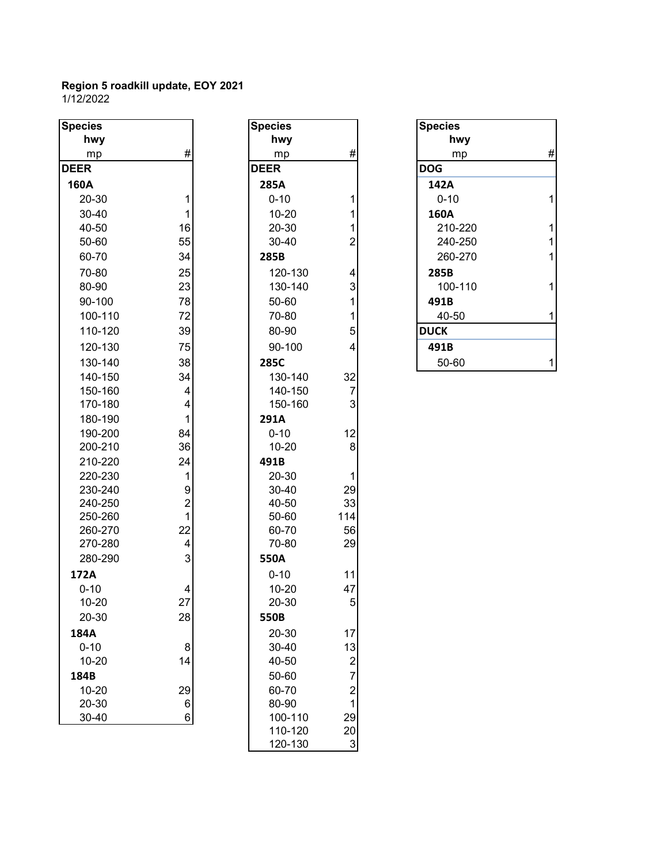| <b>Species</b>     |                                | <b>Species</b> |                         | <b>Species</b> |              |
|--------------------|--------------------------------|----------------|-------------------------|----------------|--------------|
| hwy                |                                | hwy            |                         | hwy            |              |
| mp                 | #                              | mp             | #                       | mp             | #            |
| <b>DEER</b>        |                                | <b>DEER</b>    |                         | <b>DOG</b>     |              |
| 160A               |                                | 285A           |                         | 142A           |              |
| 20-30              | 1                              | $0 - 10$       | 1                       | $0 - 10$       | 1            |
| 30-40              | $\mathbf{1}$                   | $10 - 20$      | 1                       | 160A           |              |
| 40-50              | 16                             | 20-30          | 1                       | 210-220        | $\mathbf{1}$ |
| 50-60              | 55                             | 30-40          | $\overline{c}$          | 240-250        | $\mathbf 1$  |
| 60-70              | 34                             | 285B           |                         | 260-270        | $\mathbf 1$  |
| 70-80              | 25                             | 120-130        | 4                       | 285B           |              |
| 80-90              | 23                             | 130-140        | 3                       | 100-110        | 1            |
| 90-100             | 78                             | 50-60          | 1                       | 491B           |              |
| 100-110            | 72                             | 70-80          | 1                       | 40-50          | 1            |
| 110-120            | 39                             | 80-90          | 5                       | <b>DUCK</b>    |              |
| 120-130            | 75                             | 90-100         | 4                       | 491B           |              |
| 130-140            | 38                             | 285C           |                         | 50-60          | 1            |
| 140-150            | 34                             | 130-140        | 32                      |                |              |
| 150-160            | 4                              | 140-150        | $\overline{7}$          |                |              |
| 170-180            | 4                              | 150-160        | $\mathbf{3}$            |                |              |
| 180-190            | $\mathbf{1}$                   | 291A           |                         |                |              |
| 190-200            | 84                             | $0 - 10$       | 12                      |                |              |
| 200-210            | 36                             | $10 - 20$      | 8                       |                |              |
| 210-220            | 24                             | 491B           |                         |                |              |
| 220-230            | $\mathbf{1}$                   | 20-30          | 1                       |                |              |
| 230-240            | $\boldsymbol{9}$               | 30-40          | 29                      |                |              |
| 240-250            | $\overline{c}$<br>$\mathbf{1}$ | 40-50<br>50-60 | 33<br>114               |                |              |
| 250-260<br>260-270 | 22                             | 60-70          | 56                      |                |              |
| 270-280            | $\overline{\mathbf{4}}$        | 70-80          | 29                      |                |              |
| 280-290            | 3                              | 550A           |                         |                |              |
| 172A               |                                | $0 - 10$       | 11                      |                |              |
| $0 - 10$           | 4                              | $10 - 20$      | 47                      |                |              |
| $10 - 20$          | 27                             | 20-30          | 5                       |                |              |
| 20-30              | 28                             | 550B           |                         |                |              |
| 184A               |                                | 20-30          | 17                      |                |              |
| $0 - 10$           | 8                              | 30-40          | 13                      |                |              |
| $10 - 20$          | 14                             | 40-50          | $\overline{\mathbf{c}}$ |                |              |
| 184B               |                                | 50-60          | $\overline{7}$          |                |              |
| $10 - 20$          | 29                             | 60-70          | $\overline{c}$          |                |              |
| 20-30              | $\,6$                          | 80-90          | $\overline{1}$          |                |              |
| 30-40              | $\,6$                          | 100-110        | 29                      |                |              |
|                    |                                | 110.100        | ሳስ                      |                |              |

| <b>Species</b>        |                                                             |
|-----------------------|-------------------------------------------------------------|
| hwy                   |                                                             |
| <u>mp</u>             | #                                                           |
| <b>DEER</b>           |                                                             |
| 285A                  |                                                             |
| $0 - 10$              | 1                                                           |
| 10-20                 |                                                             |
| 20-30                 |                                                             |
| 30-40                 |                                                             |
| 285B                  | $112$ $431154$                                              |
| 120-130               |                                                             |
| 130-140               |                                                             |
| 50-60                 |                                                             |
| 70-80                 |                                                             |
| 80-90                 |                                                             |
| 90-100                |                                                             |
| 285C                  |                                                             |
| 130-140               |                                                             |
| 140-150               | 32<br>7<br>3                                                |
| 150-160               |                                                             |
| 291A                  |                                                             |
| $0 - 10$              | 12                                                          |
| $10 - 20$             | 8                                                           |
| 491B                  |                                                             |
| 20-30                 | 1                                                           |
| 30-40                 | 29                                                          |
| 40-50                 | 33                                                          |
| 50-60                 | 114                                                         |
| 60-70<br>70-80        | 56<br>29                                                    |
|                       |                                                             |
| 550A                  |                                                             |
| $0 - 10$<br>$10 - 20$ | 11<br>47                                                    |
| 20-30                 | 5                                                           |
| 550B                  |                                                             |
| 20-30                 | 17                                                          |
| 30-40                 |                                                             |
| 40-50                 |                                                             |
| 50-60                 | $\begin{array}{c} 13 \\ 2 \\ 7 \\ 2 \\ 1 \\ 29 \end{array}$ |
| 60-70                 |                                                             |
| 80-90                 |                                                             |
| 100-110               |                                                             |
| 110-120               | 20                                                          |
| 120-130               |                                                             |

| <b>Species</b> |   |
|----------------|---|
| hwy            |   |
| mp             | # |
| <b>DOG</b>     |   |
| 142A           |   |
| $0 - 10$       |   |
| 160A           |   |
| 210-220        | 1 |
| 240-250        | 1 |
| 260-270        | 1 |
| 285B           |   |
| 100-110        |   |
| 491B           |   |
| 40-50          |   |
| <b>DUCK</b>    |   |
| 491B           |   |
| 50-60          |   |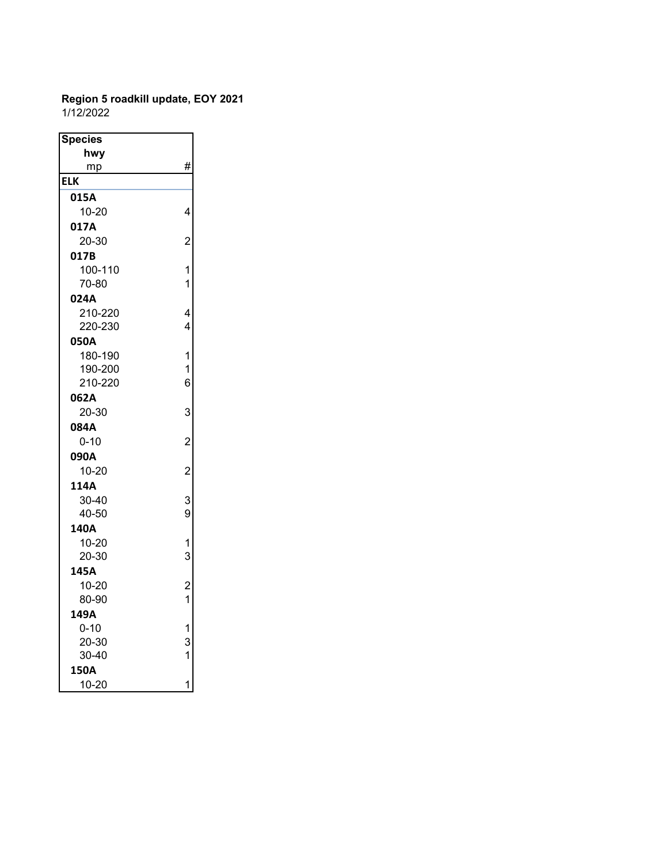#### **Region 5 roadkill update, EOY 2021** 1/12/2022

| <b>Species</b> |                                            |
|----------------|--------------------------------------------|
| hwy            |                                            |
| mp             | #                                          |
| <b>ELK</b>     |                                            |
| 015A           |                                            |
| 10-20          | 4                                          |
| 017A           |                                            |
| 20-30          | $\overline{c}$                             |
| 017B           |                                            |
| 100-110        | 1                                          |
| 70-80          | $\overline{1}$                             |
| 024A           |                                            |
| 210-220        | 4                                          |
| 220-230        | 4                                          |
| 050A           |                                            |
| 180-190        | 1                                          |
| 190-200        | 1<br>6                                     |
| 210-220        |                                            |
| 062A           |                                            |
| 20-30          | 3                                          |
| 084A           |                                            |
| $0 - 10$       | $\overline{c}$                             |
| 090A           |                                            |
| 10-20          | $\overline{c}$                             |
| 114A           |                                            |
| 30-40          | 3<br>9                                     |
| 40-50          |                                            |
| 140A           |                                            |
| 10-20          | $\frac{1}{3}$                              |
| 20-30          |                                            |
| 145A           | $\begin{array}{c} 2 \\ 1 \end{array}$      |
| $10 - 20$      |                                            |
| 80-90          |                                            |
| 149A           |                                            |
| $0 - 10$       |                                            |
| 20-30          | $\begin{array}{c} 1 \\ 3 \\ 1 \end{array}$ |
| 30-40          |                                            |
| 150A           |                                            |
| $10 - 20$      | 1                                          |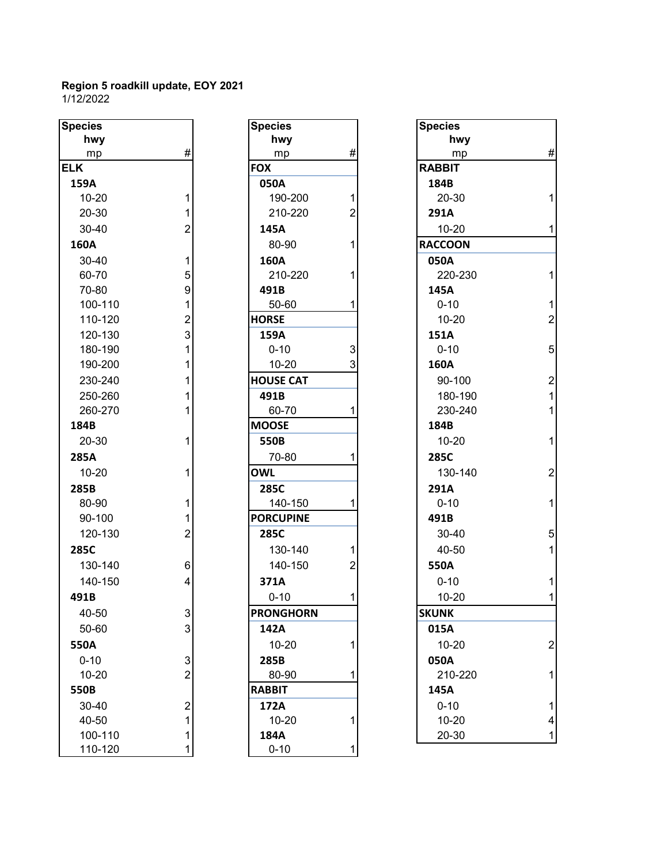| <b>Species</b> |                         | <b>Species</b>   |                | <b>Species</b> |
|----------------|-------------------------|------------------|----------------|----------------|
| hwy            |                         | hwy              |                | hwy            |
| mp             | #                       | mp               | #              | mp             |
| ELK            |                         | <b>FOX</b>       |                | <b>RABBIT</b>  |
| 159A           |                         | 050A             |                | 184B           |
| $10 - 20$      | 1                       | 190-200          | 1              | $20 - 30$      |
| 20-30          | 1                       | 210-220          | $\overline{2}$ | 291A           |
| 30-40          | $\overline{2}$          | 145A             |                | $10 - 20$      |
| 160A           |                         | 80-90            | 1              | <b>RACCOON</b> |
| 30-40          | 1                       | 160A             |                | 050A           |
| 60-70          | 5                       | 210-220          | 1              | 220-23         |
| 70-80          | 9                       | 491B             |                | 145A           |
| 100-110        | $\mathbf{1}$            | 50-60            | 1              | $0 - 10$       |
| 110-120        | $\overline{2}$          | <b>HORSE</b>     |                | $10 - 20$      |
| 120-130        | 3                       | 159A             |                | 151A           |
| 180-190        | $\mathbf{1}$            | $0 - 10$         | 3              | $0 - 10$       |
| 190-200        | 1                       | $10 - 20$        | 3              | 160A           |
| 230-240        | 1                       | <b>HOUSE CAT</b> |                | 90-100         |
| 250-260        | 1                       | 491B             |                | 180-19         |
| 260-270        | 1                       | 60-70            | 1              | 230-24         |
| 184B           |                         | <b>MOOSE</b>     |                | 184B           |
| 20-30          | 1                       | 550B             |                | $10 - 20$      |
| 285A           |                         | 70-80            | 1              | 285C           |
| $10 - 20$      | 1                       | <b>OWL</b>       |                | 130-14         |
| 285B           |                         | 285C             |                | 291A           |
| 80-90          | 1                       | 140-150          | 1              | $0 - 10$       |
| 90-100         | 1                       | <b>PORCUPINE</b> |                | 491B           |
| 120-130        | $\overline{2}$          | 285C             |                | 30-40          |
| 285C           |                         | 130-140          | 1              | 40-50          |
| 130-140        | 6                       | 140-150          | $\overline{2}$ | 550A           |
| 140-150        | 4                       | 371A             |                | $0 - 10$       |
| 491B           |                         | $0 - 10$         | 1              | 10-20          |
| 40-50          | 3                       | <b>PRONGHORN</b> |                | <b>SKUNK</b>   |
| 50-60          | 3                       | 142A             |                | 015A           |
| 550A           |                         | $10 - 20$        | 1              | 10-20          |
| $0 - 10$       | 3                       | 285B             |                | 050A           |
| $10 - 20$      | $\overline{2}$          | 80-90            | 1              | 210-22         |
| 550B           |                         | <b>RABBIT</b>    |                | 145A           |
| 30-40          | $\overline{\mathbf{c}}$ | 172A             |                | $0 - 10$       |
| 40-50          | $\mathbf{1}$            | 10-20            | 1              | $10 - 20$      |
| 100-110        | 1                       | 184A             |                | 20-30          |
| 110-120        | 1                       | $0 - 10$         | 1              |                |

| cies     |                | <b>Species</b>   |                | <b>Species</b> |
|----------|----------------|------------------|----------------|----------------|
| hwy      |                | hwy              |                | hwy            |
| mp       | #              | mp               | #              | mp             |
| C        |                | <b>FOX</b>       |                | <b>RABBIT</b>  |
| 59A      |                | 050A             |                | 184B           |
| 10-20    | 1              | 190-200          | 1              | 20-30          |
| 20-30    | 1              | 210-220          | $\overline{2}$ | 291A           |
| 30-40    | $\overline{2}$ | 145A             |                | 10-20          |
| 50A      |                | 80-90            | 1              | <b>RACCOON</b> |
| 30-40    | $\mathbf 1$    | 160A             |                | 050A           |
| 60-70    | 5              | 210-220          | 1              | 220-23         |
| 70-80    | 9              | 491B             |                | 145A           |
| 100-110  | 1              | 50-60            | 1              | $0 - 10$       |
| 110-120  | $\overline{2}$ | <b>HORSE</b>     |                | $10 - 20$      |
| 120-130  | 3              | 159A             |                | 151A           |
| 180-190  | 1              | $0 - 10$         | 3              | $0 - 10$       |
| 190-200  | $\mathbf{1}$   | $10 - 20$        | 3              | 160A           |
| 230-240  | 1              | <b>HOUSE CAT</b> |                | 90-100         |
| 250-260  | 1              | 491B             |                | 180-19         |
| 260-270  | 1              | 60-70            | 1              | 230-24         |
| 34B      |                | <b>MOOSE</b>     |                | 184B           |
| 20-30    | 1              | 550B             |                | $10 - 20$      |
| 35A      |                | 70-80            | 1              | 285C           |
| 10-20    | 1              | <b>OWL</b>       |                | 130-14         |
| 35B      |                | 285C             |                | 291A           |
| 80-90    | 1              | 140-150          | 1              | $0 - 10$       |
| 90-100   | 1              | <b>PORCUPINE</b> |                | 491B           |
| 120-130  | $\overline{2}$ | 285C             |                | $30 - 40$      |
| 35C      |                | 130-140          | 1              | 40-50          |
| 130-140  | 6              | 140-150          | $\overline{2}$ | 550A           |
| 140-150  | 4              | 371A             |                | $0 - 10$       |
| )1B      |                | $0 - 10$         | 1              | $10 - 20$      |
| 40-50    | 3              | <b>PRONGHORN</b> |                | <b>SKUNK</b>   |
| 50-60    | 3              | 142A             |                | 015A           |
| 50A      |                | $10 - 20$        | 1              | 10-20          |
| $0 - 10$ | 3              | 285B             |                | 050A           |
| 10-20    | $\overline{2}$ | 80-90            | 1              | 210-22         |
| 50B      |                | <b>RABBIT</b>    |                | 145A           |
| 30-40    | $\overline{2}$ | 172A             |                | $0 - 10$       |
| 40-50    | 1              | 10-20            | 1              | $10 - 20$      |
| 100-110  | 1              | 184A             |                | 20-30          |
| 110-120  | 1              | $0 - 10$         | 1              |                |

| pecies    |                           | <b>Species</b>   |                           | <b>Species</b> |                  |
|-----------|---------------------------|------------------|---------------------------|----------------|------------------|
| hwy       |                           | hwy              |                           | hwy            |                  |
| mp        | $\#$                      | mp               | $\#$                      | mp             | $\#$             |
| LK        |                           | <b>FOX</b>       |                           | <b>RABBIT</b>  |                  |
| 159A      |                           | 050A             |                           | 184B           |                  |
| $10 - 20$ | 1                         | 190-200          | 1                         | 20-30          | 1                |
| 20-30     | 1                         | 210-220          | $\overline{2}$            | 291A           |                  |
| 30-40     | $\overline{2}$            | 145A             |                           | $10 - 20$      | $\mathbf{1}$     |
| 160A      |                           | 80-90            | 1                         | <b>RACCOON</b> |                  |
| 30-40     | 1                         | 160A             |                           | 050A           |                  |
| 60-70     | 5                         | 210-220          |                           | 220-230        | $\mathbf{1}$     |
| 70-80     | 9                         | 491B             |                           | 145A           |                  |
| 100-110   | 1                         | 50-60            |                           | $0 - 10$       | $\mathbf{1}$     |
| 110-120   | $\overline{2}$            | <b>HORSE</b>     |                           | $10 - 20$      | $\overline{2}$   |
| 120-130   | 3                         | 159A             |                           | 151A           |                  |
| 180-190   | 1                         | $0 - 10$         | $\ensuremath{\mathsf{3}}$ | $0 - 10$       | 5                |
| 190-200   |                           | $10 - 20$        | 3                         | 160A           |                  |
| 230-240   | 1                         | <b>HOUSE CAT</b> |                           | 90-100         | $\boldsymbol{2}$ |
| 250-260   |                           | 491B             |                           | 180-190        | $\mathbf{1}$     |
| 260-270   |                           | 60-70            |                           | 230-240        | $\mathbf{1}$     |
| 184B      |                           | <b>MOOSE</b>     |                           | 184B           |                  |
| 20-30     | 1                         | 550B             |                           | $10 - 20$      | $\mathbf{1}$     |
| 285A      |                           | 70-80            |                           | 285C           |                  |
| $10 - 20$ | 1                         | <b>OWL</b>       |                           | 130-140        | $\boldsymbol{2}$ |
| 285B      |                           | 285C             |                           | 291A           |                  |
| 80-90     | 1                         | 140-150          |                           | $0 - 10$       | $\mathbf{1}$     |
| 90-100    | 1                         | <b>PORCUPINE</b> |                           | 491B           |                  |
| 120-130   | $\overline{c}$            | 285C             |                           | 30-40          | 5                |
| 285C      |                           | 130-140          | 1                         | 40-50          | $\mathbf{1}$     |
| 130-140   | 6                         | 140-150          | $\overline{2}$            | 550A           |                  |
| 140-150   | $\overline{4}$            | 371A             |                           | $0 - 10$       | $\mathbf{1}$     |
| 491B      |                           | $0 - 10$         | 1                         | $10 - 20$      | $\mathbf{1}$     |
| 40-50     | $\ensuremath{\mathsf{3}}$ | <b>PRONGHORN</b> |                           | <b>SKUNK</b>   |                  |
| 50-60     | 3                         | 142A             |                           | 015A           |                  |
| 550A      |                           | $10 - 20$        |                           | $10 - 20$      | $\overline{2}$   |
| $0 - 10$  | $\mathsf 3$               | 285B             |                           | 050A           |                  |
| $10 - 20$ | $\overline{2}$            | 80-90            | 1                         | 210-220        | 1                |
| 550B      |                           | <b>RABBIT</b>    |                           | 145A           |                  |
| 30-40     | $\overline{c}$            | 172A             |                           | $0 - 10$       | 1                |
| 40-50     | 1                         | $10 - 20$        | 1                         | $10 - 20$      | 4                |
| 100-110   | 1                         | 184A             |                           | 20-30          | 1                |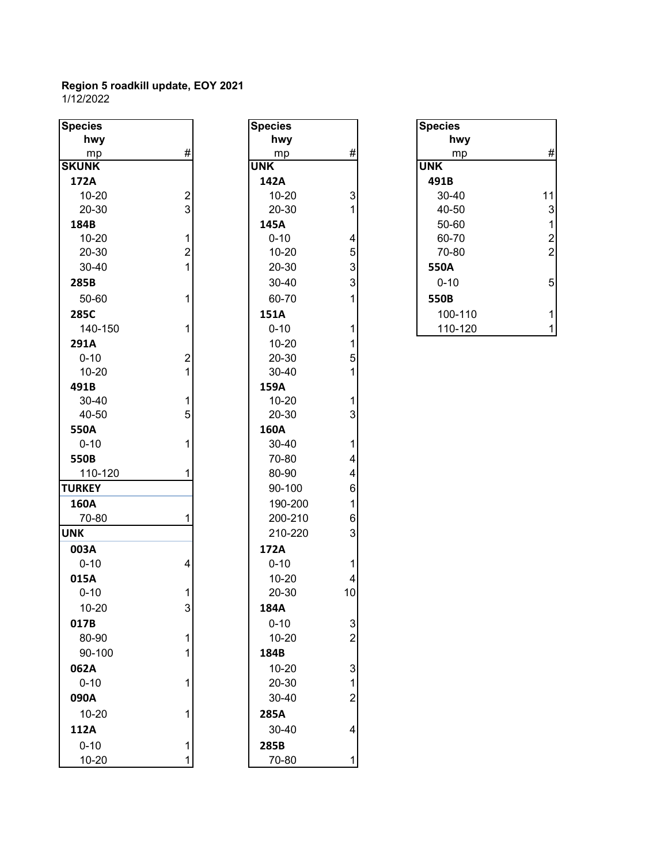| <b>Species</b>        |                         | <b>Species</b> |                | <b>Species</b> |
|-----------------------|-------------------------|----------------|----------------|----------------|
| hwy                   |                         | hwy            |                | hwy            |
| mp                    | #                       | mp             | #              | mp             |
| <b>SKUNK</b>          |                         | <b>UNK</b>     |                | <b>UNK</b>     |
| 172A                  |                         | 142A           |                | 491B           |
| $10 - 20$             | $\overline{\mathbf{c}}$ | $10 - 20$      | 3              | 30-40          |
| 20-30                 | $\overline{3}$          | 20-30          | 1              | 40-50          |
| 184B                  |                         | 145A           |                | 50-60          |
| $10 - 20$             | $\mathbf 1$             | $0 - 10$       | 4              | 60-70          |
| 20-30                 | $\overline{2}$          | $10 - 20$      | 5              | 70-80          |
| 30-40                 | $\overline{1}$          | 20-30          | 3              | 550A           |
| 285B                  |                         | 30-40          | 3              | $0 - 10$       |
| 50-60                 | 1                       | 60-70          | 1              | 550B           |
| 285C                  |                         | 151A           |                | 100-11         |
| 140-150               | 1                       | $0 - 10$       | 1              | 110-12         |
| 291A                  |                         | $10 - 20$      | 1              |                |
| $0 - 10$              | $\overline{c}$          | 20-30          | 5              |                |
| $10 - 20$             | $\overline{1}$          | 30-40          | 1              |                |
| 491B                  |                         | 159A           |                |                |
| 30-40                 | 1                       | $10 - 20$      | 1              |                |
| 40-50                 | 5                       | 20-30          | 3              |                |
| 550A                  |                         | 160A           |                |                |
| $0 - 10$              | 1                       | 30-40          | 1              |                |
| 550B                  |                         | 70-80          | 4              |                |
| 110-120               | 1                       | 80-90          | 4              |                |
| <b>TURKEY</b>         |                         | 90-100         | 6              |                |
| 160A                  |                         | 190-200        | $\mathbf{1}$   |                |
| 70-80                 | 1                       | 200-210        | 6              |                |
| <b>UNK</b>            |                         | 210-220        | 3              |                |
| 003A                  |                         | 172A           |                |                |
| $0 - 10$              | 4                       | $0 - 10$       | 1              |                |
| 015A                  |                         | $10 - 20$      | 4              |                |
| $0 - 10$              | 1                       | 20-30          | 10             |                |
| 10-20                 | 3                       | 184A           |                |                |
| 017B                  |                         | $0 - 10$       | 3              |                |
| 80-90                 | 1                       | $10 - 20$      | $\overline{2}$ |                |
| 90-100                | 1                       | 184B           |                |                |
| 062A                  |                         | $10 - 20$      | 3              |                |
| $0 - 10$              | 1                       | 20-30          | 1              |                |
| 090A                  |                         | 30-40          | $\overline{2}$ |                |
| $10 - 20$             | 1                       | 285A           |                |                |
| 112A                  |                         | 30-40          | 4              |                |
|                       |                         |                |                |                |
| $0 - 10$<br>$10 - 20$ | 1                       | 285B<br>70-80  | 1              |                |
|                       |                         |                |                |                |

| ≀cies            |                | <b>Species</b> |                         |
|------------------|----------------|----------------|-------------------------|
| hwy              |                | hwy            |                         |
| mp               | #              | mp             | #                       |
| <b>JNK</b>       |                | <b>UNK</b>     |                         |
| 72A              |                | 142A           |                         |
| 10-20            | $\overline{c}$ | 10-20          | 3                       |
| 20-30            | 3              | 20-30          | $\mathbf{1}$            |
| 34B              |                | 145A           |                         |
| 10-20            | 1              | $0 - 10$       | 4                       |
| 20-30            | 2              | $10 - 20$      | 5                       |
| 30-40            | 1              | 20-30          | 3                       |
| 35B              |                | 30-40          | 3                       |
| 50-60            | 1              | 60-70          | $\overline{1}$          |
| 35C              |                | 151A           |                         |
| 140-150          | 1              | $0 - 10$       | 1                       |
| 31A              |                | $10 - 20$      | 1                       |
| $0 - 10$         | $\overline{c}$ | 20-30          | 5                       |
| 10-20            | 1              | 30-40          | 1                       |
| )1B              |                | 159A           |                         |
| 30-40            | 1              | 10-20          | 1                       |
| 40-50            | 5              | 20-30          | 3                       |
| 50A              |                | 160A           |                         |
| $0 - 10$         | 1              | 30-40          | $\mathbf{1}$            |
| 50B              |                | 70-80          | 4                       |
| 110-120          | 1              | 80-90          | 4                       |
| <b>KEY</b>       |                | 90-100         | 6                       |
| 50A              |                | 190-200        | 1                       |
| 70-80            | 1              | 200-210        | 6                       |
| Ç                |                | 210-220        | 3                       |
| )3A              |                | 172A           |                         |
| $0 - 10$         | 4              | $0 - 10$       | 1                       |
| L5A              |                | $10 - 20$      | $\overline{\mathbf{4}}$ |
| 0-10             | 1              | 20-30<br>10    |                         |
| 10-20            | 3              | 184A           |                         |
| L7B              |                | $0 - 10$       | 3                       |
| 80-90            | 1              | 10-20          | $\overline{2}$          |
| 90-100           | 1              | 184B           |                         |
| 52A              |                | $10 - 20$      | 3                       |
| 0-10             | 1              | 20-30          | 1                       |
| )OA              |                | 30-40          | $\overline{c}$          |
| 10-20            | 1              | 285A           |                         |
| L <sub>2</sub> A |                | 30-40          | 4                       |
| $0 - 10$         | 1              | 285B           |                         |
| 10-20            | 1              | 70-80          | 1                       |
|                  |                |                |                         |

| pecies      |   | <b>Species</b> |   | <b>Species</b> |                |
|-------------|---|----------------|---|----------------|----------------|
| hwy         |   | hwy            |   | hwy            |                |
| mp          | # | mp             | # | mp             | $\#$           |
| <b>KUNK</b> |   | <b>UNK</b>     |   | <b>UNK</b>     |                |
| 172A        |   | 142A           |   | 491B           |                |
| 10-20       | 2 | $10 - 20$      | 3 | $30 - 40$      | 11             |
| 20-30       | 3 | 20-30          |   | 40-50          | 3              |
| 184B        |   | 145A           |   | 50-60          | 1              |
| $10 - 20$   |   | $0 - 10$       | 4 | 60-70          | 2              |
| 20-30       |   | $10 - 20$      | 5 | 70-80          | $\overline{2}$ |
| $30 - 40$   |   | 20-30          | 3 | 550A           |                |
| 285B        |   | $30 - 40$      | 3 | $0 - 10$       | 5              |
| 50-60       |   | 60-70          |   | 550B           |                |
| 285C        |   | 151A           |   | 100-110        |                |
| 140-150     |   | $0 - 10$       |   | 110-120        |                |
|             |   |                |   |                |                |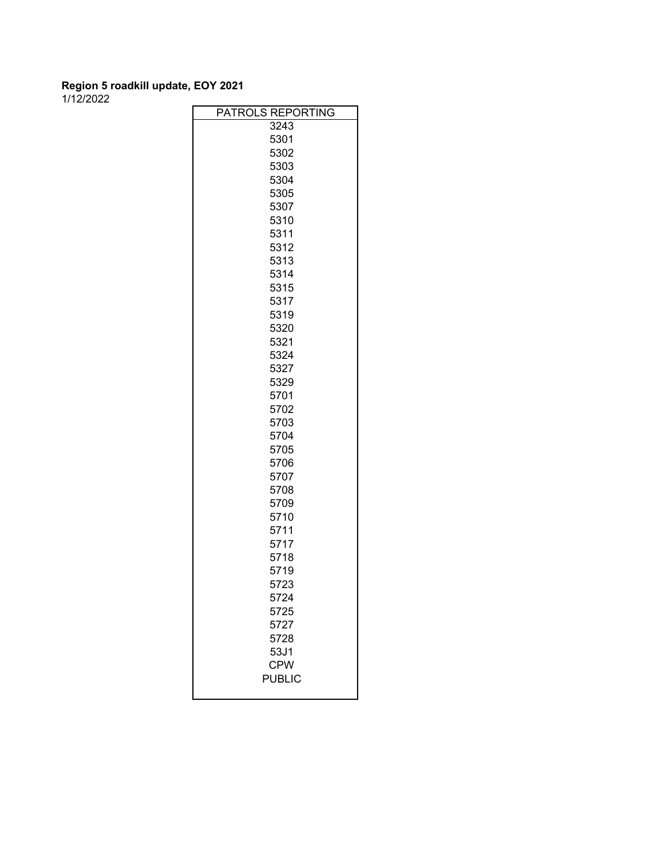| <b>PATROLS</b><br><b>REPORTING</b> |
|------------------------------------|
| 3243                               |
| 5301                               |
| 5302                               |
|                                    |
| 5303                               |
| 5304                               |
| 5305                               |
| 5307                               |
| 5310                               |
| 5311                               |
| 5312                               |
| 5313                               |
| 5314                               |
| 5315                               |
| 5317                               |
| 5319                               |
| 5320                               |
| 5321                               |
| 5324                               |
| 5327                               |
| 5329                               |
| 5701                               |
| 5702                               |
| 5703                               |
| 5704                               |
| 5705                               |
| 5706                               |
| 5707                               |
| 5708                               |
| 5709                               |
| 5710                               |
| 5711                               |
| 5717                               |
| 5718                               |
| 5719                               |
| 5723                               |
| 5724                               |
| 5725                               |
| 5727                               |
| 5728                               |
| 53J1                               |
| <b>CPW</b>                         |
| <b>PUBLIC</b>                      |
|                                    |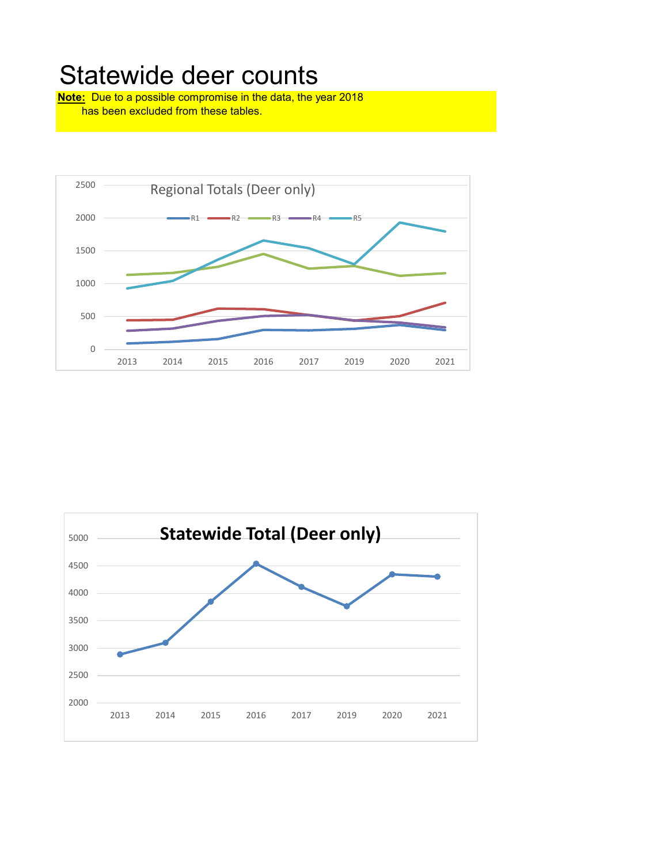# Statewide deer counts

**Note:** Due to a possible compromise in the data, the year 2018 has been excluded from these tables.



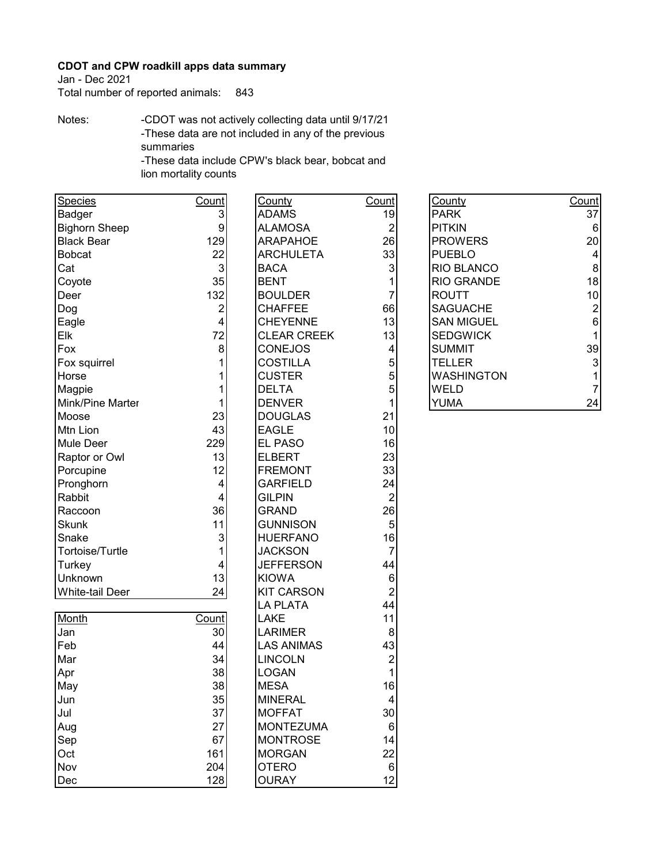Jan - Dec 2021

Total number of reported animals: 843

Notes: -CDOT was not actively collecting data until 9/17/21 -These data are not included in any of the previous summaries

-These data include CPW's black bear, bobcat and lion mortality counts

| Species                | Count            | County             | Count          | County            | Count          |
|------------------------|------------------|--------------------|----------------|-------------------|----------------|
| Badger                 | 3                | <b>ADAMS</b>       | 19             | <b>PARK</b>       | 37             |
| <b>Bighorn Sheep</b>   | $\boldsymbol{9}$ | <b>ALAMOSA</b>     | $\overline{2}$ | <b>PITKIN</b>     | 6              |
| <b>Black Bear</b>      | 129              | <b>ARAPAHOE</b>    | 26             | <b>PROWERS</b>    | 20             |
| <b>Bobcat</b>          | 22               | <b>ARCHULETA</b>   | 33             | <b>PUEBLO</b>     | $\overline{4}$ |
| Cat                    | 3                | <b>BACA</b>        | $\mathbf{3}$   | RIO BLANCO        | 8              |
| Coyote                 | 35               | <b>BENT</b>        | 1              | <b>RIO GRANDE</b> | 18             |
| Deer                   | 132              | <b>BOULDER</b>     | 7              | <b>ROUTT</b>      | 10             |
| Dog                    | 2                | <b>CHAFFEE</b>     | 66             | <b>SAGUACHE</b>   | $\overline{c}$ |
| Eagle                  | 4                | <b>CHEYENNE</b>    | 13             | <b>SAN MIGUEL</b> | 6              |
| Elk                    | 72               | <b>CLEAR CREEK</b> | 13             | <b>SEDGWICK</b>   | 1              |
| Fox                    | 8                | <b>CONEJOS</b>     | 4              | <b>SUMMIT</b>     | 39             |
| Fox squirrel           |                  | <b>COSTILLA</b>    | 5              | <b>TELLER</b>     | 3              |
| Horse                  |                  | <b>CUSTER</b>      | 5              | <b>WASHINGTON</b> | 1              |
| Magpie                 |                  | <b>DELTA</b>       | 5              | <b>WELD</b>       | $\overline{7}$ |
| Mink/Pine Marter       |                  | <b>DENVER</b>      | 1              | <b>YUMA</b>       | 24             |
| Moose                  | 23               | <b>DOUGLAS</b>     | 21             |                   |                |
| Mtn Lion               | 43               | <b>EAGLE</b>       | 10             |                   |                |
| Mule Deer              | 229              | EL PASO            | 16             |                   |                |
| Raptor or Owl          | 13               | <b>ELBERT</b>      | 23             |                   |                |
| Porcupine              | 12               | <b>FREMONT</b>     | 33             |                   |                |
| Pronghorn              | 4                | <b>GARFIELD</b>    | 24             |                   |                |
| Rabbit                 | 4                | <b>GILPIN</b>      | $\overline{2}$ |                   |                |
| Raccoon                | 36               | <b>GRAND</b>       | 26             |                   |                |
| <b>Skunk</b>           | 11               | <b>GUNNISON</b>    | 5              |                   |                |
| Snake                  | 3                | <b>HUERFANO</b>    | 16             |                   |                |
| Tortoise/Turtle        | 1                | <b>JACKSON</b>     | $\overline{7}$ |                   |                |
| Turkey                 | 4                | <b>JEFFERSON</b>   | 44             |                   |                |
| Unknown                | 13               | <b>KIOWA</b>       | 6              |                   |                |
| <b>White-tail Deer</b> | 24               | <b>KIT CARSON</b>  | $\overline{c}$ |                   |                |
|                        |                  | <b>LA PLATA</b>    | 44             |                   |                |
| Month                  | Count            | <b>LAKE</b>        | 11             |                   |                |
| Jan                    | 30               | <b>LARIMER</b>     | 8              |                   |                |
| Feb                    | 44               | <b>LAS ANIMAS</b>  | 43             |                   |                |
| Mar                    | 34               | <b>LINCOLN</b>     | 2              |                   |                |
| Apr                    | 38               | <b>LOGAN</b>       | 1              |                   |                |
| May                    | 38               | <b>MESA</b>        | 16             |                   |                |
| Jun                    | 35               | <b>MINERAL</b>     | 4              |                   |                |
| Jul                    | 37               | <b>MOFFAT</b>      | 30             |                   |                |
| Aug                    | 27               | <b>MONTEZUMA</b>   | 6              |                   |                |
| Sep                    | 67               | <b>MONTROSE</b>    | 14             |                   |                |
| Oct                    | 161              | <b>MORGAN</b>      | 22             |                   |                |
| Nov                    | 204              | <b>OTERO</b>       | $\,6$          |                   |                |
| Dec                    | 128              | <b>OURAY</b>       | 12             |                   |                |

| County            | Count |
|-------------------|-------|
| PARK              | 37    |
| <b>PITKIN</b>     | 6     |
| <b>PROWERS</b>    | 20    |
| <b>PUEBLO</b>     | 4     |
| <b>RIO BLANCO</b> | 8     |
| <b>RIO GRANDE</b> | 18    |
| ROUTT             | 10    |
| <b>SAGUACHE</b>   | 2     |
| <b>SAN MIGUEL</b> | 6     |
| <b>SEDGWICK</b>   | 1     |
| SUMMIT            | 39    |
| TELLER            | 3     |
| WASHINGTON        | 1     |
| WEI D             |       |
| YUMA              |       |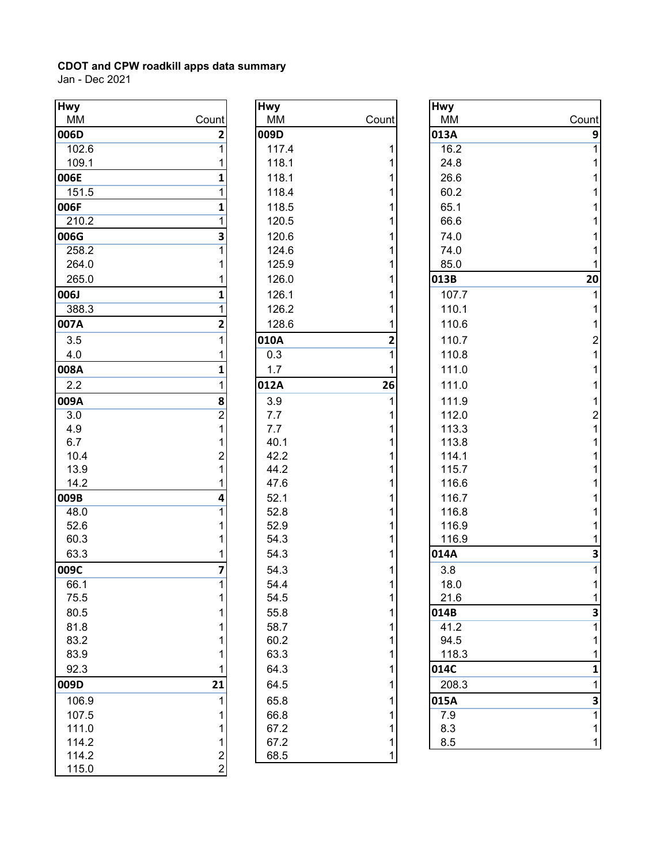| <b>Hwy</b> |                  | <b>Hwy</b> |       | <b>Hwy</b> |                |
|------------|------------------|------------|-------|------------|----------------|
| <b>MM</b>  | Count            | MM         | Count | MM         | Count          |
| 006D       | 2                | 009D       |       | 013A       | 9              |
| 102.6      |                  | 117.4      |       | 16.2       | 1              |
| 109.1      |                  | 118.1      |       | 24.8       |                |
| 006E       |                  | 118.1      |       | 26.6       |                |
| 151.5      |                  | 118.4      |       | 60.2       |                |
| 006F       | 1                | 118.5      |       | 65.1       |                |
| 210.2      |                  | 120.5      |       | 66.6       |                |
| 006G       | 3                | 120.6      |       | 74.0       |                |
| 258.2      |                  | 124.6      |       | 74.0       |                |
| 264.0      |                  | 125.9      |       | 85.0       |                |
| 265.0      |                  | 126.0      |       | 013B       | 20             |
| 006J       |                  | 126.1      |       | 107.7      |                |
| 388.3      |                  | 126.2      |       | 110.1      |                |
| 007A       | 2                | 128.6      |       | 110.6      |                |
| 3.5        | 1                | 010A       | 2     | 110.7      | $\overline{c}$ |
| 4.0        |                  | 0.3        |       | 110.8      |                |
| 008A       | 1                | 1.7        |       | 111.0      |                |
| 2.2        | 1                | 012A       | 26    | 111.0      |                |
| 009A       | 8                | 3.9        |       | 111.9      |                |
| 3.0        | $\boldsymbol{2}$ | 7.7        |       | 112.0      | $\overline{c}$ |
| 4.9        | 1                | 7.7        |       | 113.3      |                |
| 6.7        |                  | 40.1       |       | 113.8      |                |
| 10.4       | $\overline{c}$   | 42.2       |       | 114.1      |                |
| 13.9       |                  | 44.2       |       | 115.7      |                |
| 14.2       |                  | 47.6       |       | 116.6      |                |
| 009B       | 4                | 52.1       |       | 116.7      |                |
| 48.0       |                  | 52.8       |       | 116.8      |                |
| 52.6       |                  | 52.9       |       | 116.9      |                |
| 60.3       |                  | 54.3       |       | 116.9      |                |
| 63.3       |                  | 54.3       |       | 014A       | 3              |
| 009C       | 7                | 54.3       |       | 3.8        |                |
| 66.1       | 1                | 54.4       | 1     | 18.0       |                |
| 75.5       | 1                | 54.5       | 1     | 21.6       | 1              |
| 80.5       | 1                | 55.8       |       | 014B       | 3              |
| 81.8       |                  | 58.7       |       | 41.2       | 1              |
| 83.2       |                  | 60.2       |       | 94.5       |                |
| 83.9       |                  | 63.3       |       | 118.3      |                |
| 92.3       |                  | 64.3       |       | 014C       | 1              |
| 009D       | 21               | 64.5       |       | 208.3      | 1              |
| 106.9      |                  | 65.8       |       | 015A       | 3              |
| 107.5      |                  | 66.8       |       | 7.9        |                |
| 111.0      |                  | 67.2       |       | 8.3        |                |
| 114.2      | 1                | 67.2       |       | 8.5        |                |
| 114.2      | $\overline{a}$   | 68.5       | 1     |            |                |
| 115.0      | $\overline{2}$   |            |       |            |                |

| <b>Hwy</b> |                         |
|------------|-------------------------|
| МM         | Count                   |
| 009D       |                         |
| 117.4      | 1                       |
| 118.1      | 1                       |
| 118.1      | 1                       |
| 118.4      | 1                       |
| 118.5      | 1                       |
| 120.5      | 1                       |
| 120.6      | 1                       |
| 124.6      | 1                       |
| 125.9      | 1                       |
| 126.0      | 1                       |
| 126.1      | 1                       |
| 126.2      | 1                       |
| 128.6      | 1                       |
| 010A       | $\overline{\mathbf{c}}$ |
| 0.3        | $\overline{1}$          |
| 1.7        | 1                       |
| 012A       | 26                      |
| 3.9        | $\overline{1}$          |
| 7.7        | 1                       |
| 7.7        | 1                       |
| 40.1       | 1                       |
| 42.2       | 1                       |
| 44.2       | 1                       |
| 47.6       | 1                       |
| 52.1       | 1                       |
| 52.8       | 1                       |
| 52.9       | 1                       |
| 54.3       | 1                       |
| 54.3       | 1                       |
| 54.3       | $\overline{1}$          |
| 54.4       | 1                       |
| 54.5       | 1                       |
| 55.8       | 1                       |
| 58.7       | 1                       |
| 60.2       | 1                       |
| 63.3       | $\overline{1}$          |
| 64.3       | $\overline{1}$          |
| 64.5       | 1                       |
| 65.8       | 1                       |
| 66.8       | $\overline{1}$          |
| 67.2       | $\overline{1}$          |
| 67.2       | $\overline{1}$          |
| 68.5       | 1                       |

| <b>Hwy</b><br><b>Hwy</b><br>wy<br>Count<br><b>MM</b><br>Count<br>ΜМ<br>MM | Count                   |
|---------------------------------------------------------------------------|-------------------------|
|                                                                           |                         |
|                                                                           |                         |
| 06D<br>2<br>009D<br>013A                                                  | 9                       |
| 117.4<br>16.2<br>102.6                                                    | 1                       |
| 24.8<br>109.1<br>118.1                                                    | 1                       |
| 06E<br>118.1<br>26.6                                                      | 1                       |
| 60.2<br>151.5<br>118.4                                                    | 1                       |
| )6F<br>65.1<br>118.5<br>1                                                 | 1                       |
| 66.6<br>120.5<br>210.2                                                    | 1                       |
| 120.6<br>)6G<br>74.0<br>3                                                 | 1                       |
| 74.0<br>124.6<br>258.2                                                    | 1                       |
| 125.9<br>85.0<br>264.0                                                    | 1                       |
| 265.0<br>126.0<br>013B                                                    | 20                      |
| J6J<br>126.1<br>107.7                                                     | 1                       |
| 388.3<br>126.2<br>110.1                                                   | 1                       |
| )7A<br>128.6<br>110.6<br>2                                                | 1                       |
| 110.7<br>3.5<br>010A<br>2                                                 | $\overline{\mathbf{c}}$ |
| 0.3<br>110.8<br>4.0                                                       | $\overline{1}$          |
| )8A<br>111.0<br>1.7<br>1                                                  | 1                       |
| 2.2<br>26<br>111.0<br>012A                                                | 1                       |
| )9A<br>3.9<br>111.9<br>8                                                  | 1                       |
| 112.0<br>3.0<br>$\overline{c}$<br>7.7                                     | $\overline{c}$          |
| 7.7<br>113.3<br>4.9                                                       | $\mathbf 1$             |
| 40.1<br>113.8<br>6.7                                                      | $\mathbf 1$             |
| 10.4<br>42.2<br>114.1<br>2                                                | 1                       |
| 13.9<br>44.2<br>115.7                                                     | 1                       |
| 47.6<br>116.6<br>14.2                                                     | 1                       |
| )9B<br>52.1<br>116.7<br>4                                                 | 1                       |
| 52.8<br>116.8<br>48.0                                                     | 1                       |
| 52.9<br>116.9<br>52.6                                                     | 1                       |
| 116.9<br>60.3<br>54.3                                                     | 1                       |
| 54.3<br>63.3<br>014A                                                      | 3                       |
| )9C<br>54.3<br>3.8<br>7                                                   | 1                       |
| 66.1<br>54.4<br>18.0                                                      | 1                       |
| 75.5<br>54.5<br>21.6                                                      | 1                       |
| 80.5<br>55.8<br>014B                                                      | 3                       |
| 81.8<br>58.7<br>41.2                                                      | $\overline{1}$          |
| 60.2<br>83.2<br>94.5                                                      | 1                       |
| 63.3<br>83.9<br>118.3<br>014C                                             | 1                       |
| 92.3<br>64.3                                                              | 1                       |
| )9D<br>21<br>64.5<br>208.3                                                | 1                       |
| 106.9<br>65.8<br>015A                                                     | 3                       |
| 66.8<br>7.9<br>107.5                                                      | 1                       |
| 8.3<br>111.0<br>67.2                                                      | 1                       |
| 67.2<br>8.5<br>114.2<br><b>685</b><br>1112                                | 1                       |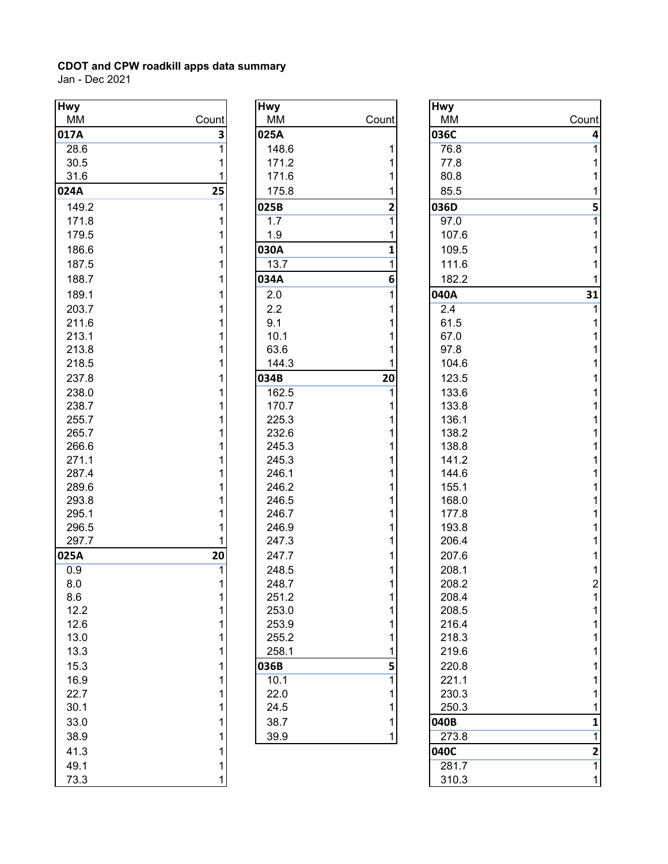| <b>Hwy</b> |       | <b>Hwy</b> |                | <b>Hwy</b>      |
|------------|-------|------------|----------------|-----------------|
| <b>MM</b>  | Count | MM         | Count          | MN              |
| 017A       | 3     | 025A       |                | 0360            |
| 28.6       | 1     | 148.6      | 1              | 76              |
| 30.5       | 1     | 171.2      | 1              | 77              |
| 31.6       | 1     | 171.6      | 1              | 80              |
| 024A       | 25    | 175.8      | 1              | 85              |
| 149.2      | 1     | 025B       | $\overline{2}$ | 0360            |
| 171.8      | 1     | 1.7        | $\overline{1}$ | 97              |
| 179.5      | 1     | 1.9        | 1              | 10              |
| 186.6      | 1     | 030A       | 1              | 10              |
| 187.5      | 1     | 13.7       | $\overline{1}$ | 11              |
| 188.7      | 1     | 034A       | 6              | 18 <sub>i</sub> |
| 189.1      | 1     | 2.0        | 1              | 040/            |
| 203.7      | 1     | 2.2        | 1              | 2.4             |
| 211.6      | 1     | 9.1        | 1              | 61              |
| 213.1      | 1     | 10.1       | 1              | 67              |
| 213.8      | 1     | 63.6       | 1              | 97              |
| 218.5      | 1     | 144.3      | 1              | 10 <sub>1</sub> |
| 237.8      | 1     | 034B       | 20             | 12              |
| 238.0      | 1     | 162.5      | 1              | 13              |
| 238.7      | 1     | 170.7      | 1              | 13              |
| 255.7      | 1     | 225.3      | 1              | 13 <sub>0</sub> |
| 265.7      | 1     | 232.6      | 1              | 13 <sub>o</sub> |
| 266.6      | 1     | 245.3      | 1              | 13 <sub>o</sub> |
| 271.1      | 1     | 245.3      | 1              | 14              |
| 287.4      | 1     | 246.1      | 1              | 14              |
| 289.6      | 1     | 246.2      | 1              | 15 <sub>5</sub> |
| 293.8      | 1     | 246.5      | 1              | 16              |
| 295.1      | 1     | 246.7      | 1              | 17              |
| 296.5      | 1     | 246.9      | 1              | 19              |
| 297.7      |       | 247.3      | 1              | 20 <sub>0</sub> |
| 025A       | 20    | 247.7      | 1              | $20^{\circ}$    |
| 0.9        | 1     | 248.5      | 1              | 20 <sub>o</sub> |
| 8.0        | 1     | 248.7      | 1              | 20 <sub>0</sub> |
| 8.6        | 1     | 251.2      | 1              | 20 <sub>o</sub> |
| 12.2       | 1     | 253.0      | 1              | 20              |
| 12.6       | 1     | 253.9      | 1              | 21              |
| 13.0       | 1     | 255.2      | 1              | 21              |
| 13.3       | 1     | 258.1      | 1              | 21              |
| 15.3       | 1     | 036B       | 5              | 22              |
| 16.9       | 1     | 10.1       | 1              | 22              |
| 22.7       | 1     | 22.0       | 1              | 23              |
| 30.1       | 1     | 24.5       | 1              | 25              |
| 33.0       | 1     | 38.7       | $\mathbf{1}$   | 040E            |
| 38.9       | 1     | 39.9       | 1              | 27              |
| 41.3       | 1     |            |                | 0400            |
| 49.1       | 1     |            |                | 28              |
| 73.3       | 1     |            |                | 31              |

| <b>Hwy</b> |                                       |
|------------|---------------------------------------|
| МM         | Count                                 |
| 025A       |                                       |
| 148.6      | 1                                     |
| 171.2      | 1                                     |
| 171.6      | $\overline{\mathbf{1}}$               |
| 175.8      | $\overline{\mathbf{1}}$               |
| 025B       | $\frac{1}{2}$                         |
| 1.7        | $\overline{1}$                        |
| 1.9        | $\overline{\mathbf{1}}$               |
| 030A       | 1                                     |
| 13.7       | $\overline{1}$                        |
| 034A       | 6                                     |
| 2.0        | $\overline{1}$                        |
| 2.2        | 1                                     |
| 9.1        |                                       |
| 10.1       | $\begin{array}{c} 1 \\ 1 \end{array}$ |
| 63.6       | $\overline{\mathbf{1}}$               |
| 144.3      | 1                                     |
| 034B       | 20                                    |
| 162.5      | $\overline{1}$                        |
| 170.7      | $\mathbf 1$                           |
| 225.3      | $\overline{1}$                        |
| 232.6      | $\overline{1}$                        |
| 245.3      | $\overline{\mathbf{1}}$               |
| 245.3      | $\mathbf 1$                           |
| 246.1      | 1                                     |
| 246.2      | 1                                     |
| 246.5      | $\mathbf{1}$                          |
| 246.7      | 1                                     |
| 246.9      | 1                                     |
| 247.3      | $\mathbf 1$                           |
| 247.7      | $\mathbf 1$                           |
| 248.5      | $\overline{1}$                        |
| 248.7      | 1                                     |
| 251.2      |                                       |
| 253.0      |                                       |
| 253.9      |                                       |
| 255.2      |                                       |
| 258.1      | $11111$<br>$115$<br>$11$              |
| 036B       |                                       |
| 10.1       |                                       |
| 22.0       |                                       |
| 24.5       |                                       |
| 38.7       | $\overline{\mathbf{1}}$               |
| 39.9       | 1                                     |

| <b>Hwy</b>   |       | <b>Hwy</b>     |       | <b>Hwy</b>     |       |
|--------------|-------|----------------|-------|----------------|-------|
| MM           | Count | MM             | Count | MM             | Count |
| 017A         | 3     | 025A           |       | 036C           | 4     |
| 28.6         |       | 148.6          |       | 76.8           |       |
| 30.5         |       | 171.2          |       | 77.8           |       |
| 31.6         |       | 171.6          |       | 80.8           |       |
| 024A         | 25    | 175.8          |       | 85.5           |       |
| 149.2        |       | 025B           | 2     | 036D           | 5     |
| 171.8        |       | 1.7            | 1     | 97.0           |       |
| 179.5        |       | 1.9            |       | 107.6          |       |
| 186.6        |       | 030A           | 1     | 109.5          |       |
| 187.5        |       | 13.7           | 1     | 111.6          |       |
| 188.7        |       | 034A           | 6     | 182.2          |       |
| 189.1        |       | 2.0            |       | 040A           | 31    |
| 203.7        |       | 2.2            |       | 2.4            |       |
| 211.6        |       | 9.1            |       | 61.5           |       |
| 213.1        |       | 10.1           |       | 67.0           |       |
| 213.8        |       | 63.6           |       | 97.8           |       |
| 218.5        |       | 144.3          |       | 104.6          |       |
| 237.8        |       | 034B           | 20    | 123.5          |       |
| 238.0        |       | 162.5          |       | 133.6          |       |
| 238.7        |       | 170.7          |       | 133.8          |       |
| 255.7        |       | 225.3          |       | 136.1          |       |
| 265.7        |       | 232.6          |       | 138.2          |       |
| 266.6        |       | 245.3          |       | 138.8          |       |
| 271.1        |       | 245.3          |       | 141.2          |       |
| 287.4        |       | 246.1          |       | 144.6          |       |
| 289.6        |       | 246.2          |       | 155.1          |       |
| 293.8        |       | 246.5          |       | 168.0          |       |
| 295.1        |       | 246.7          |       | 177.8          |       |
| 296.5        |       | 246.9          |       | 193.8          |       |
| 297.7        |       | 247.3          |       | 206.4          |       |
| 025A         | 20    | 247.7          |       | 207.6          |       |
| 0.9          |       | 248.5          |       | 208.1          | C.    |
| 8.0          | 1     | 248.7          | 1     | 208.2          |       |
| 8.6          |       | 251.2          |       | 208.4          |       |
| 12.2         |       | 253.0          |       | 208.5          |       |
| 12.6<br>13.0 |       | 253.9<br>255.2 |       | 216.4          |       |
| 13.3         |       | 258.1          |       | 218.3<br>219.6 |       |
|              |       |                |       | 220.8          |       |
| 15.3         |       | 036B           | 5     |                |       |
| 16.9         |       | 10.1           |       | 221.1          |       |
| 22.7<br>30.1 |       | 22.0<br>24.5   |       | 230.3<br>250.3 |       |
|              |       |                |       |                |       |
| 33.0         |       | 38.7           |       | 040B           | 1     |
| 38.9         |       | 39.9           | 1.    | 273.8          |       |
| 41.3         |       |                |       | 040C           | 2     |
| 49.1         |       |                |       | 281.7          |       |
| 73.3         |       |                |       | 310.3          |       |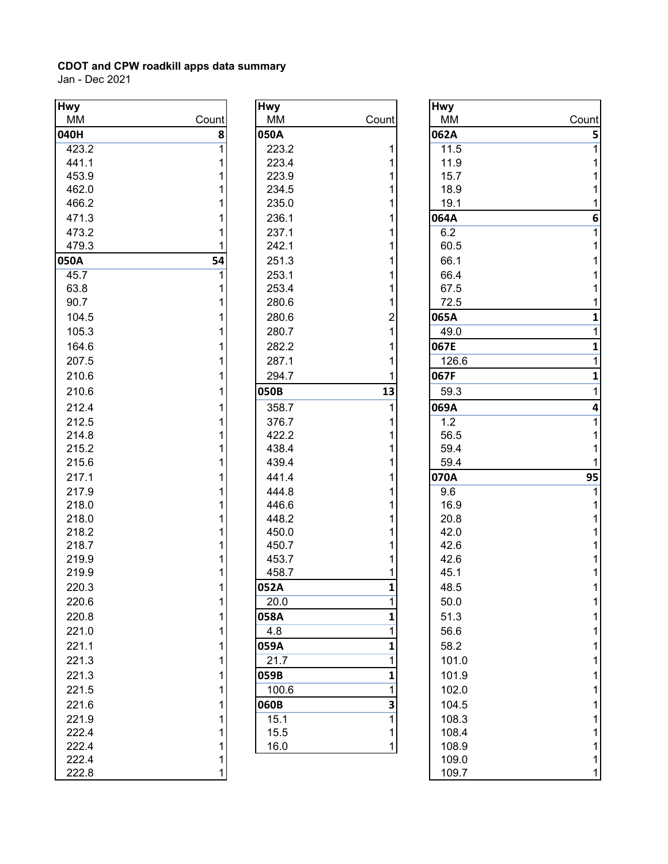| <b>Hwy</b> |                | <b>Hwy</b> |                | <b>Hwy</b>      |
|------------|----------------|------------|----------------|-----------------|
| <b>MM</b>  | Count          | MM         | Count          | ΜM              |
| 040H       | 8              | 050A       |                | 062/            |
| 423.2      | $\overline{1}$ | 223.2      | 1              | 11              |
| 441.1      | 1              | 223.4      | 1              | 11              |
| 453.9      | 1              | 223.9      | 1              | 15              |
| 462.0      | 1              | 234.5      | 1              | 18              |
| 466.2      | 1              | 235.0      | 1              | 19              |
| 471.3      | 1              | 236.1      | 1              | 064/            |
| 473.2      | 1              | 237.1      | 1              | 6.2             |
| 479.3      |                | 242.1      | 1              | 60              |
| 050A       | 54             | 251.3      | 1              | 66              |
| 45.7       | 1              | 253.1      | 1              | 66              |
| 63.8       | 1              | 253.4      | 1              | 67              |
| 90.7       | 1              | 280.6      | 1              | 72              |
| 104.5      | 1              | 280.6      | 2              | 065/            |
| 105.3      | 1              | 280.7      | $\mathbf{1}$   | 49              |
| 164.6      | 1              | 282.2      | 1              | 067E            |
| 207.5      | 1              | 287.1      | 1              | 12 <sub>0</sub> |
| 210.6      | 1              | 294.7      | 1              | 067F            |
| 210.6      | 1              | 050B       | 13             | 59              |
| 212.4      | 1              | 358.7      | 1              | 069/            |
| 212.5      | 1              | 376.7      | 1              | 1.2             |
| 214.8      | 1              | 422.2      | 1              | 56              |
| 215.2      | 1              | 438.4      | 1              | 59              |
| 215.6      | 1              | 439.4      | 1              | 59              |
| 217.1      | 1              | 441.4      | 1              | 070/            |
| 217.9      | 1              | 444.8      | 1              | 9.6             |
| 218.0      | 1              | 446.6      | 1              | 16              |
| 218.0      | 1              | 448.2      | 1              | 20              |
| 218.2      | 1              | 450.0      | 1              | 42              |
| 218.7      | 1              | 450.7      | 1              | 42              |
| 219.9      | 1              | 453.7      | 1              | 42              |
| 219.9      | 1              | 458.7      | 1              | 45              |
| 220.3      | 1              | 052A       | $\mathbf{1}$   | 48              |
| 220.6      | 1              | 20.0       | 1              | 50              |
| 220.8      | 1              | 058A       | 1              | 51              |
| 221.0      | 1              | 4.8        | 1              | 56              |
| 221.1      | 1              | 059A       | 1              | 58              |
| 221.3      | 1              | 21.7       | 1              | 10              |
| 221.3      | 1              | 059B       | 1              | 10              |
| 221.5      | 1              | 100.6      | 1              | 10 <sub>i</sub> |
| 221.6      | 1              | 060B       | 3              | 10 <sub>1</sub> |
| 221.9      | 1              | 15.1       | $\overline{1}$ | 10 <sub>1</sub> |
| 222.4      | 1              | 15.5       | 1              | 10 <sub>1</sub> |
| 222.4      | 1              | 16.0       | 1              | 10 <sub>1</sub> |
| 222.4      | 1              |            |                | 10              |
| 222.8      | 1              |            |                | 10              |

| <b>Hwy</b> |                                            |
|------------|--------------------------------------------|
| МM         | Count                                      |
| 050A       |                                            |
| 223.2      | 1                                          |
| 223.4      |                                            |
| 223.9      |                                            |
| 234.5      |                                            |
| 235.0      | $\begin{array}{c} 1 \\ 1 \\ 1 \end{array}$ |
| 236.1      | $\overline{\mathbf{1}}$                    |
| 237.1      | $\mathbf{1}$                               |
| 242.1      | $\overline{\mathbf{1}}$                    |
| 251.3      | $\overline{\mathbf{1}}$                    |
| 253.1      |                                            |
| 253.4      |                                            |
| 280.6      |                                            |
| 280.6      | 11121                                      |
| 280.7      |                                            |
| 282.2      | $\overline{\mathbf{1}}$                    |
| 287.1      | $\overline{\mathbf{1}}$                    |
| 294.7      | 1                                          |
| 050B       | 13                                         |
| 358.7      | 1                                          |
| 376.7      | 1                                          |
| 422.2      | 1                                          |
| 438.4      | $\overline{\mathbf{1}}$                    |
| 439.4      | $\overline{\mathbf{1}}$                    |
| 441.4      | $\overline{\mathbf{1}}$                    |
| 444.8      | 1                                          |
| 446.6      | $\overline{\mathbf{1}}$                    |
| 448.2      | $\overline{\mathbf{1}}$                    |
| 450.0      | $\overline{\mathbf{1}}$                    |
| 450.7      | $\overline{\mathbf{1}}$                    |
| 453.7      | $\mathbf{1}$                               |
| 458.7      | 1                                          |
| 052A       | 1                                          |
| 20.0       | $\overline{1}$                             |
| 058A       | 1                                          |
| 4.8        | $\overline{\mathbf{1}}$                    |
| 059A       | 1                                          |
| 21.7       | $\overline{1}$                             |
| 059B       | 1                                          |
| 100.6      | 1                                          |
| 060B       | 3                                          |
| 15.1       | $\overline{1}$                             |
| 15.5       | 1                                          |
| 16.0       | 1                                          |
|            |                                            |

| <b>Hwy</b> |       | <b>Hwy</b> |       | <b>Hwy</b> |       |
|------------|-------|------------|-------|------------|-------|
| MM         | Count | MM         | Count | MM         | Count |
| 040H       | 8     | 050A       |       | 062A       | 5     |
| 423.2      | 1     | 223.2      | 1     | 11.5       |       |
| 441.1      |       | 223.4      | 1     | 11.9       |       |
| 453.9      |       | 223.9      |       | 15.7       |       |
| 462.0      |       | 234.5      |       | 18.9       |       |
| 466.2      |       | 235.0      |       | 19.1       |       |
| 471.3      |       | 236.1      |       | 064A       | 6     |
| 473.2      |       | 237.1      |       | 6.2        |       |
| 479.3      |       | 242.1      |       | 60.5       |       |
| 050A       | 54    | 251.3      | 1     | 66.1       |       |
| 45.7       | 1     | 253.1      |       | 66.4       |       |
| 63.8       |       | 253.4      |       | 67.5       |       |
| 90.7       |       | 280.6      |       | 72.5       |       |
| 104.5      |       | 280.6      | 2     | 065A       |       |
| 105.3      |       | 280.7      | 1     | 49.0       |       |
| 164.6      |       | 282.2      |       | 067E       | 1     |
| 207.5      | 1     | 287.1      |       | 126.6      |       |
| 210.6      | 1     | 294.7      |       | 067F       | 1     |
| 210.6      | 1     | 050B       | 13    | 59.3       | 1     |
| 212.4      | 1     | 358.7      | 1     | 069A       | 4     |
| 212.5      |       | 376.7      |       | 1.2        |       |
| 214.8      |       | 422.2      |       | 56.5       |       |
| 215.2      |       | 438.4      |       | 59.4       |       |
| 215.6      |       | 439.4      |       | 59.4       |       |
| 217.1      |       | 441.4      | 1     | 070A       | 95    |
| 217.9      |       | 444.8      |       | 9.6        |       |
| 218.0      |       | 446.6      |       | 16.9       |       |
| 218.0      |       | 448.2      |       | 20.8       |       |
| 218.2      |       | 450.0      |       | 42.0       |       |
| 218.7      |       | 450.7      |       | 42.6       |       |
| 219.9      |       | 453.7      |       | 42.6       |       |
| 219.9      |       | 458.7      |       | 45.1       | 1     |
| 220.3      |       | 052A       |       | 48.5       |       |
| 220.6      | 1     | 20.0       |       | 50.0       |       |
| 220.8      |       | 058A       |       | 51.3       |       |
| 221.0      |       | 4.8        |       | 56.6       |       |
| 221.1      |       | 059A       |       | 58.2       |       |
| 221.3      |       | 21.7       |       | 101.0      |       |
| 221.3      |       | 059B       |       | 101.9      |       |
| 221.5      |       | 100.6      |       | 102.0      |       |
| 221.6      |       | 060B       | 3     | 104.5      |       |
| 221.9      |       | 15.1       | 1     | 108.3      |       |
| 222.4      |       | 15.5       | 1     | 108.4      |       |
| 222.4      |       | 16.0       | 1     | 108.9      |       |
| 222.4      | 1     |            |       | 109.0      |       |
| 222.8      |       |            |       | 109.7      |       |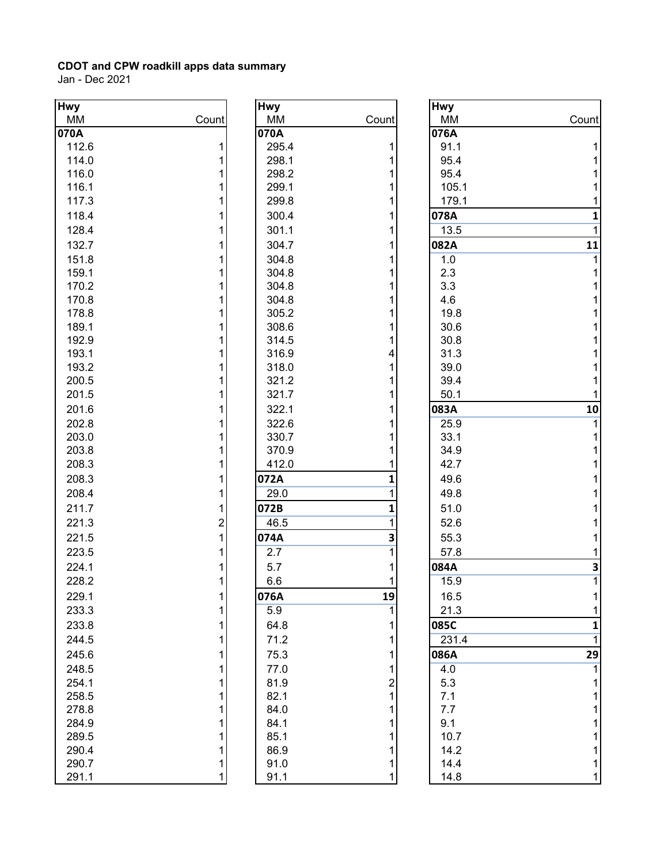| <b>Hwy</b> |       | <b>Hwy</b> |                         | <b>Hwy</b> |                |
|------------|-------|------------|-------------------------|------------|----------------|
| MM         | Count | MM         | Count                   | MM         | Count          |
| 070A       |       | 070A       |                         | 076A       |                |
| 112.6      | 1     | 295.4      | 1                       | 91.1       |                |
| 114.0      | 1     | 298.1      |                         | 95.4       |                |
| 116.0      |       | 298.2      | 1                       | 95.4       |                |
| 116.1      |       | 299.1      |                         | 105.1      |                |
| 117.3      |       | 299.8      | 1                       | 179.1      |                |
| 118.4      |       | 300.4      | 1                       | 078A       | $\mathbf{1}$   |
| 128.4      |       | 301.1      | 1                       | 13.5       | 1              |
| 132.7      |       | 304.7      | 1                       | 082A       | 11             |
| 151.8      |       | 304.8      | 1                       | 1.0        |                |
| 159.1      |       | 304.8      | 1                       | 2.3        |                |
| 170.2      |       | 304.8      | 1                       | 3.3        |                |
| 170.8      |       | 304.8      | 1                       | 4.6        |                |
| 178.8      |       | 305.2      | 1                       | 19.8       |                |
| 189.1      |       | 308.6      | 1                       | 30.6       |                |
| 192.9      |       | 314.5      | 1                       | 30.8       |                |
| 193.1      |       | 316.9      | 4                       | 31.3       |                |
| 193.2      |       | 318.0      | 1                       | 39.0       |                |
| 200.5      |       | 321.2      | 1                       | 39.4       |                |
| 201.5      |       | 321.7      | 1                       | 50.1       |                |
| 201.6      |       | 322.1      | 1                       | 083A       | 10             |
| 202.8      |       | 322.6      | 1                       | 25.9       |                |
| 203.0      |       | 330.7      | 1                       | 33.1       |                |
| 203.8      | 1     | 370.9      |                         | 34.9       |                |
| 208.3      | 1     | 412.0      |                         | 42.7       |                |
| 208.3      |       | 072A       | 1                       | 49.6       |                |
| 208.4      | 1     | 29.0       | 1                       | 49.8       |                |
| 211.7      | 1     | 072B       | $\mathbf{1}$            |            |                |
|            |       |            | 1                       | 51.0       |                |
| 221.3      | 2     | 46.5       |                         | 52.6       |                |
| 221.5      | 1     | 074A       | 3                       | 55.3       |                |
| 223.5      | 1     | 2.7        | 1                       | 57.8       |                |
| 224.1      |       | 5.7        | 1                       | 084A       | 3              |
| 228.2      | 1     | 6.6        | 1                       | 15.9       | $\overline{1}$ |
| 229.1      | 1     | 076A       | 19                      | 16.5       |                |
| 233.3      | 1     | 5.9        | 1                       | 21.3       |                |
| 233.8      | 1     | 64.8       |                         | 085C       | 1              |
| 244.5      |       | 71.2       | 1                       | 231.4      | 1              |
| 245.6      | 1     | 75.3       | 1                       | 086A       | 29             |
| 248.5      |       | 77.0       | 1                       | 4.0        |                |
| 254.1      |       | 81.9       | $\overline{\mathbf{c}}$ | 5.3        |                |
| 258.5      | 1     | 82.1       | 1                       | 7.1        |                |
| 278.8      |       | 84.0       |                         | 7.7        |                |
| 284.9      |       | 84.1       |                         | 9.1        |                |
| 289.5      |       | 85.1       |                         | 10.7       |                |
| 290.4      | 1     | 86.9       |                         | 14.2       |                |
| 290.7      | 1     | 91.0       | 1                       | 14.4       |                |
| 291.1      | 1     | 91.1       | 1                       | 14.8       |                |

| <b>Hwy</b>       |                                       |
|------------------|---------------------------------------|
| MM               | Count                                 |
| 070A             |                                       |
| 295.4            | $111$<br>$11$<br>$1$                  |
| 298.1            |                                       |
| 298.2            |                                       |
| 299.1            |                                       |
| 299.8            |                                       |
| 300.4            | $\overline{\mathbf{1}}$               |
| 301.1            | $\overline{\mathbf{1}}$               |
| 304.7            | $\overline{\mathbf{1}}$               |
| 304.8            | $\overline{\mathbf{1}}$               |
| 304.8            | $\overline{\mathbf{1}}$               |
| 304.8            | 1                                     |
| 304.8            | $\overline{\mathbf{1}}$               |
| 305.2            | $\mathbf{1}$                          |
| 308.6            | $\overline{\mathbf{1}}$               |
| 314.5            | $\overline{\mathbf{1}}$               |
| 316.9            | 4                                     |
| 318.0            | $\overline{\mathbf{1}}$               |
| 321.2            | $\begin{array}{c} 1 \\ 1 \end{array}$ |
| 321.7            |                                       |
| 322.1            | $\overline{\mathbf{1}}$               |
| 322.6            | 1                                     |
| 330.7            | 1                                     |
| 370.9            | $\overline{\mathbf{1}}$               |
| 412.0            | $\overline{\mathbf{1}}$               |
| 072A             | 1                                     |
| 29.0             | $\overline{1}$                        |
| 072B             | 1                                     |
| 46.5             | $\overline{1}$                        |
| 074A             | 3                                     |
| $\overline{2.7}$ | $\overline{1}$                        |
| 5.7              | $\overline{\mathbf{1}}$               |
| 6.6              | $\overline{\mathbf{1}}$               |
| 076A             | 19                                    |
| $\overline{5.9}$ |                                       |
| 64.8             |                                       |
| 71.2             |                                       |
|                  |                                       |
| 75.3             |                                       |
| 77.0             |                                       |
| 81.9             |                                       |
| 82.1             |                                       |
| 84.0             |                                       |
| 84.1             |                                       |
| 85.1             |                                       |
| 86.9             |                                       |
| 91.0<br>91.1     | 1 1 1 1 1 2 1 1 1 1 1 1 1 1           |
|                  |                                       |

| <b>Hwy</b>       |                         |
|------------------|-------------------------|
| МM               | Count                   |
| 076A             |                         |
| 91.1             | 1                       |
| 95.4             | $\mathbf 1$             |
| 95.4             | 1                       |
| 105.1            | 1                       |
| 179.1            | $\mathbf{1}$            |
| 078A             | $\mathbf{1}$            |
| 13.5             | $\overline{1}$          |
| 082A             | 11                      |
| 1.0              | $\overline{1}$          |
| 2.3              | 1                       |
| 3.3              | 1                       |
| 4.6              | 1                       |
| 19.8             | 1                       |
| 30.6             | $\overline{\mathbf{1}}$ |
| 30.8             | $\overline{\mathbf{1}}$ |
| 31.3             | $\overline{\mathbf{1}}$ |
| 39.0             | $\overline{\mathbf{1}}$ |
| 39.4             | $\overline{1}$          |
| 50.1             | 1                       |
| 083A             | 10                      |
| 25.9             | $\overline{1}$          |
| 33.1             | 1                       |
| 34.9             | 1                       |
| 42.7             | 1                       |
| 49.6             | $\mathbf{1}$            |
| 49.8             | $\overline{\mathbf{1}}$ |
| 51.0             | $\overline{\mathbf{1}}$ |
| 52.6             | $\overline{\mathbf{1}}$ |
| 55.3             | $\overline{1}$          |
| 57.8             | $\mathbf{1}$            |
| 084A             | 3                       |
| 15.9             | $\overline{1}$          |
|                  |                         |
| 16.5             | 1                       |
| 21.3             | 1                       |
| 085C             | 1                       |
| 231.4            | 1                       |
| 086A             | 29                      |
| $\overline{4.0}$ | $\overline{1}$          |
| 5.3              | $\overline{\mathbf{1}}$ |
| 7.1              | $\overline{\mathbf{1}}$ |
| 7.7              | $\overline{\mathbf{1}}$ |
| 9.1              | $\overline{\mathbf{1}}$ |
| 10.7             | $\overline{\mathbf{1}}$ |
| 14.2             | $\overline{\mathbf{1}}$ |
| 14.4             | $\overline{\mathbf{1}}$ |
| 14.8             | $\overline{1}$          |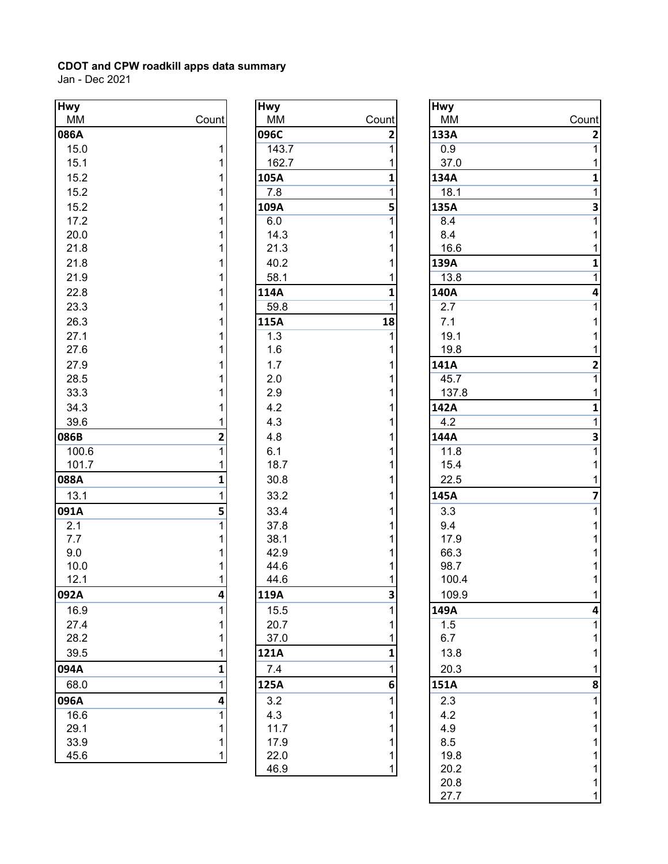| <b>Hwy</b> |                         | <b>Hwy</b>       |                | Hwy             |
|------------|-------------------------|------------------|----------------|-----------------|
| MM         | Count                   | MM               | Count          | ΜM              |
| 086A       |                         | 096C             | 2              | 133/            |
| 15.0       | 1                       | 143.7            | $\overline{1}$ | 0.9             |
| 15.1       | 1                       | 162.7            | 1              | 37              |
| 15.2       | 1                       | 105A             | $\mathbf{1}$   | 134/            |
| 15.2       | 1                       | 7.8              | 1              | 18              |
| 15.2       | 1                       | 109A             | 5              | 135/            |
| 17.2       | 1                       | 6.0              | $\overline{1}$ | 8.4             |
| 20.0       | 1                       | 14.3             | 1              | 8.4             |
| 21.8       | 1                       | 21.3             | 1              | 16              |
| 21.8       | 1                       | 40.2             | 1              | 139/            |
| 21.9       | 1                       | 58.1             | 1              | 13              |
| 22.8       | 1                       | 114A             | $\mathbf{1}$   | 140/            |
| 23.3       | 1                       | 59.8             | $\overline{1}$ | 2.7             |
| 26.3       | 1                       | 115A             | 18             | 7.1             |
| 27.1       | 1                       | 1.3              | $\overline{1}$ | 19              |
| 27.6       | 1                       | 1.6              | 1              | 19              |
| 27.9       | 1                       | 1.7              | 1              | 141/            |
| 28.5       | 1                       | 2.0              | 1              | 45              |
| 33.3       | 1                       | 2.9              | 1              | 13              |
| 34.3       | 1                       | 4.2              | 1              | 142/            |
| 39.6       | 1                       | 4.3              | 1              | 4.2             |
| 086B       | $\overline{\mathbf{c}}$ | 4.8              | 1              | 144/            |
| 100.6      | $\overline{1}$          | 6.1              | 1              | 11              |
| 101.7      | 1                       | 18.7             | 1              | 15              |
| 088A       | $\mathbf{1}$            | 30.8             | 1              | 22              |
| 13.1       | $\overline{1}$          | 33.2             | 1              | 145/            |
|            |                         |                  |                |                 |
| 091A       | 5                       | 33.4             | 1              | 3.3             |
| 2.1        | 1                       | 37.8             | 1              | 9.4             |
| 7.7<br>9.0 | 1<br>1                  | 38.1<br>42.9     | 1<br>1         | 17<br>66        |
| 10.0       | 1                       | 44.6             | 1              | 98              |
| 12.1       | 1                       | 44.6             | 1              | 10 <sub>1</sub> |
| 092A       | 4                       | 119A             | 3              | 10              |
| 16.9       |                         |                  |                | 149/            |
| 27.4       | 1<br>1                  | 15.5<br>20.7     | 1              | 1.5             |
| 28.2       | 1                       | 37.0             | 1<br>1         | 6.7             |
| 39.5       | 1                       | 121A             | 1              | 13              |
|            |                         |                  |                |                 |
| 094A       | 1                       | 7.4              | 1              | 20              |
| 68.0       | 1                       | 125A             | 6              | 151/            |
| 096A       | 4                       | 3.2              | 1              | 2.3             |
| 16.6       | 1                       | 4.3              | 1              | 4.2             |
| 29.1       | 1                       | 11.7             | 1              | 4.9             |
| 33.9       | 1                       | 17.9             | 1              | 8.5             |
| 45.6       | 1                       | 22.0<br>$AC$ $O$ | 1              | 19<br>$\Omega$  |

| Hwy              |                                            |
|------------------|--------------------------------------------|
| МM               | Count                                      |
| 096C             | $\overline{2}$                             |
| 143.7            | $\overline{1}$                             |
| 162.7            | 1                                          |
| 105A             | 1                                          |
| 7.8              | $\overline{1}$                             |
| 109A             |                                            |
| 6.0              | $rac{5}{1}$                                |
| 14.3             | $\begin{array}{c} 1 \\ 1 \end{array}$      |
| 21.3             |                                            |
| 40.2             | $\overline{\mathbf{1}}$                    |
| 58.1             | $\overline{\mathbf{1}}$                    |
| 114A             | 1                                          |
| 59.8             | $\overline{1}$                             |
| 115A             | 18                                         |
| $\overline{1.3}$ | $\overline{1}$                             |
| 1.6              | 1                                          |
| 1.7              | $\mathbf 1$                                |
| 2.0              | $\mathbf 1$                                |
| 2.9              | $\mathbf 1$                                |
| 4.2              | 1                                          |
| 4.3              | $\overline{\mathbf{1}}$                    |
| 4.8              | $\mathbf{1}$                               |
| 6.1              | $\mathbf 1$                                |
| 18.7             | $\overline{\mathbf{1}}$                    |
| 30.8             | $\overline{\mathbf{1}}$                    |
| 33.2             | $\overline{\mathbf{1}}$                    |
| 33.4             | $\mathbf 1$                                |
| 37.8             | 1                                          |
| 38.1             | $\overline{\mathbf{1}}$                    |
| 42.9             | $\overline{\mathbf{1}}$                    |
| 44.6             | $\overline{\mathbf{1}}$                    |
| 44.6             | $\overline{1}$                             |
| 119A             | $\overline{\mathbf{3}}$                    |
| 15.5             | 1                                          |
| 20.7             | $\begin{array}{c} 1 \\ 1 \end{array}$      |
| 37.0             |                                            |
| 121A             | $\mathbf{1}$                               |
| 7.4              | $\overline{\mathbf{1}}$                    |
| 125A             | 6                                          |
| 3.2              | $\overline{1}$                             |
| 4.3              |                                            |
| 11.7             | $\begin{array}{c} 1 \\ 1 \\ 1 \end{array}$ |
| 17.9             |                                            |
| 22.0             | $\overline{\mathbf{1}}$                    |
| 46.9             | $\overline{1}$                             |

| Hwy   |                | <b>Hwy</b> |       | <b>Hwy</b> |                                       |
|-------|----------------|------------|-------|------------|---------------------------------------|
| MM    | Count          | MM         | Count | MM         | Count                                 |
| 086A  |                | 096C       | 2     | 133A       |                                       |
| 15.0  | 1              | 143.7      |       | 0.9        | $\frac{2}{1}$                         |
| 15.1  |                | 162.7      |       | 37.0       | $\mathbf 1$                           |
| 15.2  |                | 105A       |       | 134A       | 1                                     |
| 15.2  |                | 7.8        |       | 18.1       | $\overline{1}$                        |
| 15.2  |                | 109A       | 5     | 135A       |                                       |
| 17.2  |                | 6.0        |       | 8.4        | $\frac{3}{1}$                         |
| 20.0  |                | 14.3       |       | 8.4        | $\mathbf 1$                           |
| 21.8  |                | 21.3       |       | 16.6       | $\mathbf 1$                           |
| 21.8  |                | 40.2       |       | 139A       | $\mathbf 1$                           |
| 21.9  |                | 58.1       |       | 13.8       | $\overline{1}$                        |
| 22.8  |                | 114A       |       | 140A       | 4                                     |
| 23.3  |                | 59.8       |       | 2.7        | $\overline{1}$                        |
| 26.3  |                | 115A       | 18    | 7.1        | $\mathbf 1$                           |
| 27.1  |                | 1.3        |       | 19.1       | 1                                     |
| 27.6  |                | 1.6        |       | 19.8       | $\mathbf 1$                           |
| 27.9  |                | 1.7        |       | 141A       |                                       |
| 28.5  |                | 2.0        |       | 45.7       | $\frac{2}{1}$                         |
| 33.3  |                | 2.9        |       | 137.8      | $\mathbf 1$                           |
| 34.3  |                | 4.2        |       | 142A       | $\mathbf 1$                           |
| 39.6  |                | 4.3        |       | 4.2        | $\overline{1}$                        |
| 086B  | 2              | 4.8        |       | 144A       |                                       |
| 100.6 | $\overline{1}$ | 6.1        |       | 11.8       | $\frac{3}{1}$                         |
| 101.7 |                | 18.7       |       | 15.4       | $\mathbf 1$                           |
| 088A  | 1              | 30.8       |       | 22.5       | $\mathbf 1$                           |
| 13.1  | 1              | 33.2       |       | 145A       | $\overline{\mathbf{z}}$               |
| 091A  | 5              | 33.4       |       | 3.3        | $\mathbf{1}$                          |
| 2.1   |                | 37.8       |       | 9.4        | $\mathbf 1$                           |
| 7.7   |                | 38.1       |       | 17.9       | $\mathbf 1$                           |
| 9.0   |                | 42.9       |       | 66.3       | $\mathbf 1$                           |
| 10.0  |                | 44.6       |       | 98.7       | $\mathbf 1$                           |
| 12.1  | 1              | 44.6       | 1     | 100.4      | $\overline{1}$                        |
| 092A  | 4              | 119A       | 3     | 109.9      | $\mathbf{1}$                          |
| 16.9  |                | 15.5       |       | 149A       | 4                                     |
| 27.4  |                | 20.7       |       | 1.5        | $\mathbf{1}$                          |
| 28.2  |                | 37.0       |       | 6.7        | 1                                     |
| 39.5  |                | 121A       |       | 13.8       | 1                                     |
| 094A  |                | 7.4        |       | 20.3       | 1                                     |
| 68.0  |                | 125A       | 6     | 151A       | 8                                     |
| 096A  | 4              | 3.2        |       | 2.3        | 1                                     |
| 16.6  |                | 4.3        |       | 4.2        | 1                                     |
| 29.1  |                | 11.7       |       | 4.9        | 1                                     |
| 33.9  |                | 17.9       |       | 8.5        | $\mathbf 1$                           |
| 45.6  |                | 22.0       |       | 19.8       | 1                                     |
|       |                | 46.9       |       | 20.2       | $\mathbf 1$                           |
|       |                |            |       | 20.8       |                                       |
|       |                |            |       | 27.7       | $\begin{array}{c} 1 \\ 1 \end{array}$ |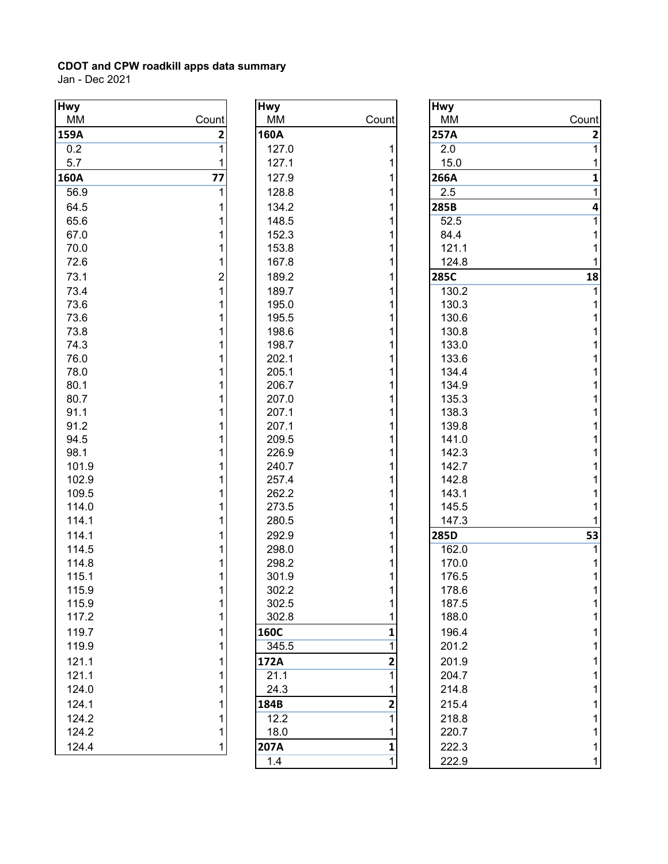| <b>Hwy</b> |       | <b>Hwy</b> |                | <b>Hwy</b> |                |
|------------|-------|------------|----------------|------------|----------------|
| MM         | Count | MM         | Count          | MM         | Count          |
| 159A       | 2     | 160A       |                | 257A       | $\overline{2}$ |
| 0.2        | 1     | 127.0      | 1              | 2.0        | 1              |
| 5.7        |       | 127.1      | 1              | 15.0       | 1              |
| 160A       | 77    | 127.9      | 1              | 266A       | $\mathbf{1}$   |
| 56.9       |       | 128.8      | 1              | 2.5        | 1              |
| 64.5       |       | 134.2      | 1              | 285B       | 4              |
| 65.6       |       | 148.5      | 1              | 52.5       |                |
| 67.0       |       | 152.3      |                | 84.4       |                |
| 70.0       |       | 153.8      | 1              | 121.1      |                |
| 72.6       |       | 167.8      |                | 124.8      |                |
| 73.1       | 2     | 189.2      | 1              | 285C       | 18             |
| 73.4       |       | 189.7      |                | 130.2      |                |
| 73.6       |       | 195.0      | 1              | 130.3      |                |
| 73.6       |       | 195.5      |                | 130.6      |                |
| 73.8       |       | 198.6      | 1              | 130.8      |                |
| 74.3       |       | 198.7      |                | 133.0      |                |
| 76.0       |       | 202.1      | 1              | 133.6      |                |
| 78.0       |       | 205.1      |                | 134.4      |                |
| 80.1       |       | 206.7      | 1              | 134.9      |                |
| 80.7       |       | 207.0      |                | 135.3      |                |
| 91.1       |       | 207.1      | 1              | 138.3      |                |
| 91.2       |       | 207.1      |                | 139.8      |                |
| 94.5       |       | 209.5      |                | 141.0      |                |
| 98.1       |       | 226.9      |                | 142.3      |                |
| 101.9      |       | 240.7      |                | 142.7      |                |
| 102.9      |       | 257.4      |                | 142.8      |                |
| 109.5      |       | 262.2      |                | 143.1      |                |
| 114.0      |       | 273.5      |                | 145.5      |                |
| 114.1      |       | 280.5      |                | 147.3      |                |
| 114.1      |       | 292.9      |                | 285D       | 53             |
| 114.5      |       | 298.0      |                | 162.0      |                |
| 114.8      |       | 298.2      |                | 170.0      |                |
| 115.1      |       | 301.9      |                | 176.5      |                |
| 115.9      |       | 302.2      |                | 178.6      |                |
| 115.9      |       | 302.5      |                | 187.5      |                |
| 117.2      |       | 302.8      |                | 188.0      |                |
| 119.7      |       | 160C       | 1              | 196.4      |                |
| 119.9      |       | 345.5      |                | 201.2      |                |
| 121.1      |       | 172A       | 2              | 201.9      |                |
| 121.1      |       | 21.1       |                | 204.7      |                |
| 124.0      |       | 24.3       |                | 214.8      |                |
| 124.1      |       | 184B       | 2              | 215.4      |                |
| 124.2      |       | 12.2       | $\overline{1}$ | 218.8      |                |
| 124.2      |       | 18.0       |                | 220.7      |                |
|            |       |            |                |            |                |
| 124.4      |       | 207A       | 1              | 222.3      |                |

| <b>Hwy</b> |                |
|------------|----------------|
| МM         | Count          |
| 160A       |                |
| 127.0      | 1              |
| 127.1      | 1              |
| 127.9      | 1              |
| 128.8      | 1              |
| 134.2      | 1              |
|            |                |
| 148.5      | 1              |
| 152.3      | 1              |
| 153.8      | 1              |
| 167.8      | 1              |
| 189.2      | 1              |
| 189.7      | 1              |
| 195.0      | 1              |
| 195.5      | 1              |
| 198.6      | 1              |
| 198.7      | 1              |
| 202.1      | 1              |
| 205.1      | 1              |
| 206.7      | 1              |
| 207.0      | 1              |
| 207.1      | 1              |
| 207.1      | 1              |
| 209.5      | 1              |
| 226.9      | 1              |
| 240.7      | 1              |
| 257.4      | 1              |
| 262.2      | 1              |
| 273.5      | 1              |
| 280.5      | 1              |
| 292.9      | 1              |
| 298.0      | 1              |
| 298.2      | 1              |
| 301.9      | 1              |
| 302.2      | 1              |
| 302.5      | 1              |
| 302.8      | 1              |
| 160C       | 1              |
| 345.5      | 1              |
| 172A       | $\overline{2}$ |
| 21.1       | 1              |
|            |                |
| 24.3       | 1              |
| 184B       | 2              |
| 12.2       | 1              |
| 18.0       | 1              |
| 207A       | $\mathbf{1}$   |
| 1.4        | $\overline{1}$ |

| wy    |              | <b>Hwy</b>  |       | <b>Hwy</b> |                |
|-------|--------------|-------------|-------|------------|----------------|
| МM    | Count        | MM          | Count | <b>MM</b>  | Count          |
| 59A   | $\mathbf{2}$ | 160A        |       | 257A       | $\mathbf 2$    |
| 0.2   |              | 127.0       |       | 2.0        | 1              |
| 5.7   |              | 127.1       |       | 15.0       | 1              |
| 50A   | 77           | 127.9       |       | 266A       | $\mathbf 1$    |
| 56.9  |              | 128.8       |       | 2.5        | $\overline{1}$ |
| 64.5  |              | 134.2       |       | 285B       | 4              |
| 65.6  |              | 148.5       |       | 52.5       | $\overline{1}$ |
| 67.0  |              | 152.3       |       | 84.4       | 1              |
| 70.0  |              | 153.8       |       | 121.1      | 1              |
| 72.6  |              | 167.8       |       | 124.8      | 1              |
| 73.1  | 2            | 189.2       |       | 285C       | 18             |
| 73.4  |              | 189.7       |       | 130.2      | 1              |
| 73.6  |              | 195.0       |       | 130.3      | 1              |
| 73.6  |              | 195.5       |       | 130.6      | 1              |
| 73.8  |              | 198.6       |       | 130.8      | 1              |
| 74.3  |              | 198.7       |       | 133.0      | 1              |
| 76.0  |              | 202.1       |       | 133.6      | 1              |
| 78.0  |              | 205.1       |       | 134.4      | 1              |
| 80.1  |              | 206.7       |       | 134.9      | 1              |
| 80.7  |              | 207.0       |       | 135.3      | 1              |
| 91.1  |              | 207.1       |       | 138.3      | 1              |
| 91.2  |              | 207.1       |       | 139.8      | 1              |
| 94.5  |              | 209.5       |       | 141.0      | 1              |
| 98.1  |              | 226.9       |       | 142.3      | 1              |
| 101.9 |              | 240.7       |       | 142.7      | 1              |
| 102.9 |              | 257.4       |       | 142.8      | 1              |
| 109.5 |              | 262.2       |       | 143.1      | $\mathbf 1$    |
| 114.0 |              | 273.5       |       | 145.5      | $\overline{1}$ |
| 114.1 |              | 280.5       |       | 147.3      | $\overline{1}$ |
| 114.1 |              | 292.9       |       | 285D       | 53             |
| 114.5 |              | 298.0       |       | 162.0      | 1              |
| 114.8 |              | 298.2       |       | 170.0      | 1              |
| 115.1 |              | 301.9       |       | 176.5      | 1              |
| 115.9 |              | 302.2       |       | 178.6      |                |
| 115.9 |              | 302.5       |       | 187.5      | 1              |
| 117.2 |              | 302.8       |       | 188.0      | 1              |
| 119.7 |              | <b>160C</b> |       | 196.4      | 1              |
| 119.9 |              | 345.5       |       | 201.2      | 1              |
| 121.1 |              | 172A        |       | 201.9      | 1              |
| 121.1 |              | 21.1        |       | 204.7      | 1              |
| 124.0 |              | 24.3        |       | 214.8      | 1              |
| 124.1 |              | 184B        | 2     | 215.4      | 1              |
| 124.2 |              | 12.2        |       | 218.8      | 1              |
| 124.2 |              | 18.0        |       | 220.7      | 1              |
| 124.4 | 1            | 207A        |       | 222.3      | 1              |
|       |              | 1.4         |       | 222.9      | $\mathbf{1}$   |
|       |              |             |       |            |                |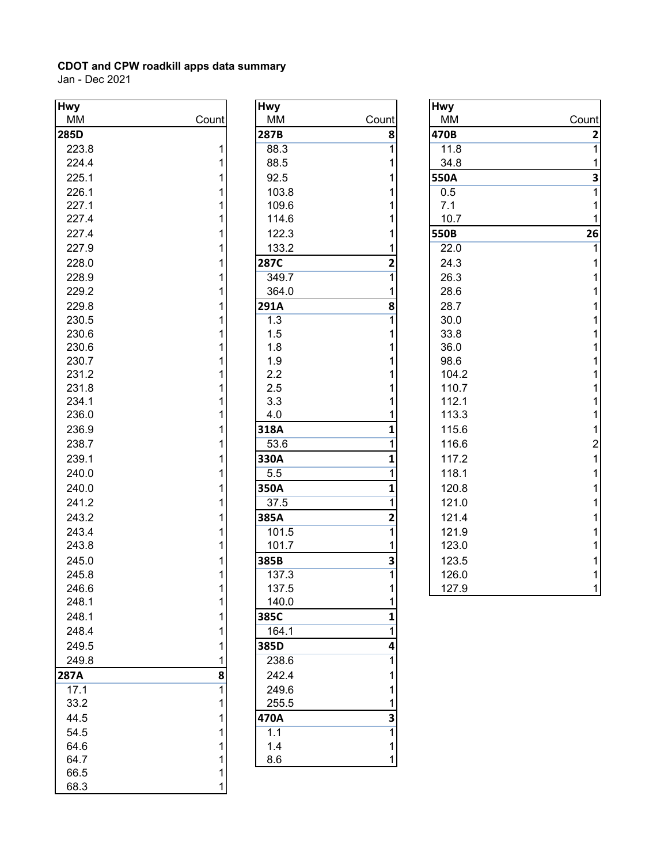| <b>Hwy</b> |       | <b>Hwy</b> |                         | <b>Hwy</b>      |
|------------|-------|------------|-------------------------|-----------------|
| MM         | Count | MM         | Count                   | ΜM              |
| 285D       |       | 287B       | 8                       | 470E            |
| 223.8      | 1     | 88.3       | $\overline{1}$          | 11              |
| 224.4      | 1     | 88.5       | 1                       | 34              |
| 225.1      | 1     | 92.5       | 1                       | 550/            |
| 226.1      | 1     | 103.8      | 1                       | 0.5             |
| 227.1      | 1     | 109.6      | 1                       | 7.1             |
| 227.4      | 1     | 114.6      | 1                       | 10              |
| 227.4      | 1     | 122.3      | 1                       | 550E            |
| 227.9      | 1     | 133.2      | 1                       | 22              |
| 228.0      | 1     | 287C       | $\overline{\mathbf{c}}$ | 24              |
| 228.9      | 1     | 349.7      | $\overline{1}$          | 26              |
| 229.2      | 1     | 364.0      | 1                       | 28              |
| 229.8      | 1     | 291A       | 8                       | 28              |
| 230.5      | 1     | 1.3        | $\mathbf{1}$            | 30              |
| 230.6      | 1     | 1.5        | 1                       | 33              |
| 230.6      | 1     | 1.8        | 1                       | 36              |
| 230.7      | 1     | 1.9        | 1                       | 98              |
| 231.2      | 1     | 2.2        | 1                       | 10 <sub>1</sub> |
| 231.8      | 1     | 2.5        | 1                       | 11              |
| 234.1      | 1     | 3.3        | 1                       | 11              |
| 236.0      | 1     | 4.0        | 1                       | 11              |
| 236.9      | 1     | 318A       | $\mathbf{1}$            | 11              |
| 238.7      | 1     | 53.6       | $\mathbf{1}$            | 11              |
| 239.1      | 1     | 330A       | $\mathbf{1}$            | 11              |
| 240.0      | 1     | 5.5        | 1                       | 11              |
| 240.0      | 1     | 350A       | $\mathbf{1}$            | 12              |
| 241.2      | 1     | 37.5       | 1                       | 12              |
| 243.2      | 1     | 385A       | $\overline{2}$          | 12              |
| 243.4      | 1     | 101.5      | $\overline{1}$          | 12              |
| 243.8      | 1     | 101.7      | 1                       | 12              |
| 245.0      | 1     | 385B       | 3                       | 12              |
| 245.8      | 1     | 137.3      | $\overline{1}$          | 12 <sub>0</sub> |
| 246.6      | 1     | 137.5      | $\overline{1}$          | 12              |
| 248.1      | 1     | 140.0      | 1                       |                 |
| 248.1      | 1     | 385C       | 1                       |                 |
| 248.4      | 1     | 164.1      | 1                       |                 |
| 249.5      | 1     | 385D       | 4                       |                 |
| 249.8      | 1     | 238.6      | $\mathbf{1}$            |                 |
| 287A       | 8     | 242.4      | 1                       |                 |
| 17.1       | 1     | 249.6      | 1                       |                 |
| 33.2       | 1     | 255.5      | 1                       |                 |
| 44.5       | 1     | 470A       | 3                       |                 |
| 54.5       | 1     | 1.1        | 1                       |                 |
| 64.6       | 1     | 1.4        | 1                       |                 |
| 64.7       | 1     | 8.6        | 1                       |                 |
| 66.5       | 1     |            |                         |                 |
| 68.3       | 1     |            |                         |                 |

| <b>Hwy</b>       |                         |
|------------------|-------------------------|
| МM               | Count                   |
| 287B             | 8                       |
| 88.3             | $\overline{1}$          |
| 88.5             | 1                       |
| 92.5             | 1                       |
| 103.8            | $\overline{1}$          |
| 109.6            | $\overline{1}$          |
| 114.6            | $\overline{1}$          |
| 122.3            | 1                       |
| 133.2            | 1                       |
| 287C             |                         |
| 349.7            | $\frac{2}{1}$           |
| 364.0            | $\overline{\mathbf{1}}$ |
| 291A             | 8                       |
| 1.3              | $\overline{1}$          |
| 1.5              | 1                       |
| 1.8              | 1                       |
| 1.9              | 1                       |
| 2.2              | $\overline{\mathbf{1}}$ |
| 2.5              | $\overline{\mathbf{1}}$ |
| 3.3              | $\overline{\mathbf{1}}$ |
| 4.0              | 1                       |
| 318A             | $\mathbf{1}$            |
| 53.6             | $\overline{1}$          |
| 330A             | $\mathbf{1}$            |
| $\overline{5.5}$ | $\overline{1}$          |
| 350A             | $\mathbf{1}$            |
| 37.5             | $\overline{1}$          |
| 385A             | $\frac{2}{1}$           |
| 101.5            |                         |
| 101.7            | $\overline{\mathbf{1}}$ |
| 385B             | $\frac{1}{3}$           |
| 137.3            |                         |
| 137.5            | $\overline{\mathbf{1}}$ |
| 140.0            | 1                       |
| 385C             | 1                       |
| 164.1            | $\overline{1}$          |
| 385D             | 4                       |
| 238.6            | $\overline{1}$          |
| 242.4            | 1                       |
| 249.6            |                         |
| 255.5            |                         |
| 470A             | 113711                  |
| 1.1              |                         |
| 1.4              |                         |
| 8.6              |                         |

| Hwy   |              | <b>Hwy</b>  |       | <b>Hwy</b> |                |
|-------|--------------|-------------|-------|------------|----------------|
| MM    | Count        | MM          | Count | MM         | Count          |
| 285D  |              | 287B        | 8     | 470B       | 2              |
| 223.8 | 1            | 88.3        | 1     | 11.8       | 1              |
| 224.4 | 1            | 88.5        | 1     | 34.8       |                |
| 225.1 |              | 92.5        | 1     | 550A       | 3              |
| 226.1 |              | 103.8       | 1     | 0.5        | 1              |
| 227.1 |              | 109.6       | 1     | 7.1        |                |
| 227.4 |              | 114.6       |       | 10.7       |                |
| 227.4 | 1            | 122.3       | 1     | 550B       | 26             |
| 227.9 | 1            | 133.2       |       | 22.0       |                |
| 228.0 | 1            | <b>287C</b> | 2     | 24.3       |                |
| 228.9 | 1            | 349.7       | 1     | 26.3       |                |
| 229.2 | 1            | 364.0       | 1     | 28.6       |                |
| 229.8 | 1            | 291A        | 8     | 28.7       |                |
| 230.5 | 1            | 1.3         | 1     | 30.0       |                |
| 230.6 |              | 1.5         | 1     | 33.8       |                |
| 230.6 | 1            | 1.8         |       | 36.0       |                |
| 230.7 | 1            | 1.9         | 1     | 98.6       |                |
| 231.2 | 1            | 2.2         | 1     | 104.2      |                |
| 231.8 | 1            | 2.5         | 1     | 110.7      |                |
| 234.1 | 1            | 3.3         | 1     | 112.1      |                |
| 236.0 | 1            | 4.0         |       | 113.3      |                |
| 236.9 | 1            | 318A        | 1     | 115.6      | 1              |
| 238.7 | 1            | 53.6        | 1     | 116.6      | $\overline{c}$ |
| 239.1 | 1            | 330A        | 1     | 117.2      | 1              |
| 240.0 | 1            | 5.5         | 1     | 118.1      |                |
| 240.0 | 1            | 350A        | 1     | 120.8      |                |
| 241.2 | 1            | 37.5        | 1     | 121.0      |                |
| 243.2 | 1            | 385A        | 2     | 121.4      |                |
| 243.4 |              | 101.5       | 1     | 121.9      |                |
| 243.8 |              | 101.7       |       | 123.0      |                |
| 245.0 |              | 385B        | 3     | 123.5      |                |
| 245.8 |              | 137.3       | 1     | 126.0      |                |
| 246.6 |              | 137.5       |       | 127.9      | 1              |
| 248.1 | $\mathbf{1}$ | 140.0       | 1     |            |                |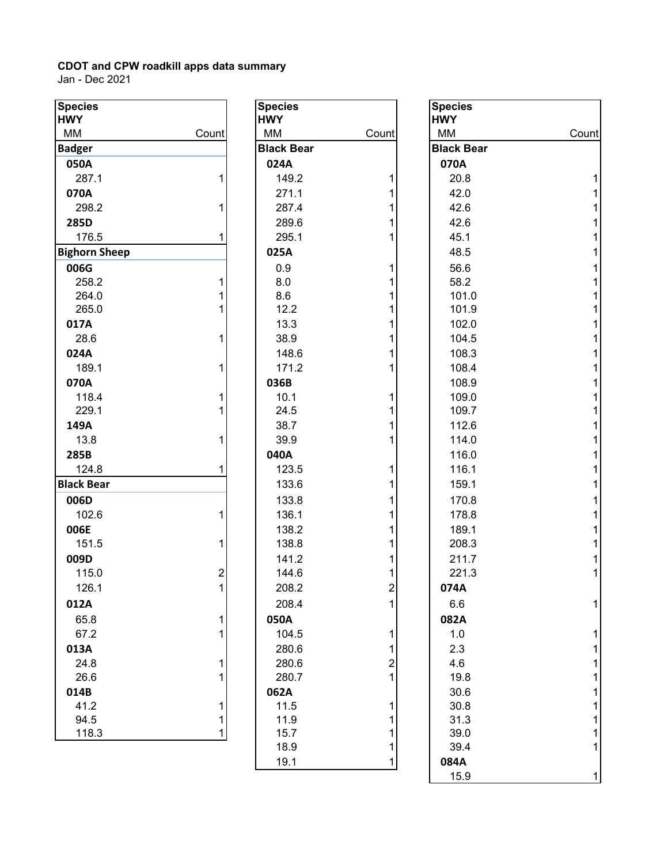| <b>Species</b>       |                | <b>Species</b>    |                  | <b>Species</b>    |       |
|----------------------|----------------|-------------------|------------------|-------------------|-------|
| <b>HWY</b>           |                | <b>HWY</b>        |                  | <b>HWY</b>        |       |
| MM                   | Count          | MM                | Count            | MM                | Count |
| <b>Badger</b>        |                | <b>Black Bear</b> |                  | <b>Black Bear</b> |       |
| 050A                 |                | 024A              |                  | 070A              |       |
| 287.1                |                | 149.2             |                  | 20.8              |       |
| 070A                 |                | 271.1             |                  | 42.0              |       |
| 298.2                |                | 287.4             |                  | 42.6              |       |
| 285D                 |                | 289.6             |                  | 42.6              |       |
| 176.5                |                | 295.1             |                  | 45.1              |       |
| <b>Bighorn Sheep</b> |                | 025A              |                  | 48.5              |       |
| 006G                 |                | 0.9               |                  | 56.6              |       |
| 258.2                |                | 8.0               |                  | 58.2              |       |
| 264.0                |                | 8.6               |                  | 101.0             |       |
| 265.0                |                | 12.2              |                  | 101.9             |       |
| 017A                 |                | 13.3              |                  | 102.0             |       |
| 28.6                 |                | 38.9              |                  | 104.5             |       |
| 024A                 |                | 148.6             |                  | 108.3             |       |
| 189.1                |                | 171.2             |                  | 108.4             |       |
| 070A                 |                | 036B              |                  | 108.9             |       |
| 118.4                |                | 10.1              |                  | 109.0             |       |
| 229.1                |                | 24.5              |                  | 109.7             |       |
| 149A                 |                | 38.7              |                  | 112.6             |       |
| 13.8                 |                | 39.9              |                  | 114.0             |       |
| 285B                 |                | 040A              |                  | 116.0             |       |
| 124.8                |                | 123.5             |                  | 116.1             |       |
| <b>Black Bear</b>    |                | 133.6             |                  | 159.1             |       |
| 006D                 |                | 133.8             |                  | 170.8             |       |
| 102.6                |                | 136.1             |                  | 178.8             |       |
| 006E                 |                | 138.2             |                  | 189.1             |       |
| 151.5                |                | 138.8             |                  | 208.3             |       |
| 009D                 |                | 141.2             |                  | 211.7             |       |
| 115.0                | $\overline{c}$ | 144.6             |                  | 221.3             |       |
| 126.1                |                | 208.2             | $\overline{c}$   | 074A              |       |
| 012A                 |                | 208.4             | 1                | 6.6               |       |
| 65.8                 |                | 050A              |                  | 082A              |       |
| 67.2                 |                | 104.5             | 1                | 1.0               |       |
| 013A                 |                | 280.6             |                  | 2.3               |       |
| 24.8                 |                | 280.6             | $\boldsymbol{2}$ | 4.6               |       |
| 26.6                 |                | 280.7             | 1                | 19.8              |       |
| 014B                 |                | 062A              |                  | 30.6              |       |
| 41.2                 |                | 11.5              |                  | 30.8              |       |
| 94.5                 | 1              | 11.9              |                  | 31.3              |       |
| 118.3                | 1              | 15.7              | 1                | 39.0              |       |
|                      |                | 18.9              | 1                | 39.4              |       |

| <b>HWY</b><br>МM<br>МM<br>Count<br><b>Black I</b><br><b>Black Bear</b><br>024A<br>070A<br>149.2<br>20.3<br>1<br>271.1<br>42.0<br>1<br>1<br>287.4<br>42.0<br>$\overline{1}$<br>289.6<br>42.0<br>$\overline{1}$<br>45.<br>295.1<br>025A<br>48.<br>0.9<br>1<br>56.0<br>58.<br>8.0<br>1<br>8.6<br>1<br>101<br>1<br>101<br>12.2<br>1<br>13.3<br>102<br>$\overline{1}$<br>104<br>38.9<br>$\overline{1}$<br>148.6<br>108<br>$\overline{1}$<br>171.2<br>108<br>108<br>036B<br>10.1<br>1<br>109<br>$\overline{1}$<br>24.5<br>109<br>$\overline{1}$<br>112<br>38.7<br>$\overline{1}$<br>39.9<br>116<br>040A<br>1<br>123.5<br>1<br>159<br>133.6<br><b>170</b><br>133.8<br>1<br>1<br>136.1<br>138.2<br>1<br>$\overline{1}$<br>138.8<br>1<br>141.2<br>1<br>144.6<br>$\overline{c}$<br>208.2<br>$\overline{1}$<br>208.4<br>6.6<br>050A<br>082A<br>104.5<br>1<br>1<br>280.6<br>$\overline{\mathbf{c}}$<br>280.6<br>1<br>280.7<br>062A<br>11.5<br>1<br>1<br>11.9<br>$\overline{1}$<br>15.7<br>1<br>18.9<br>39.4<br>1<br>19.1<br>084A<br>$\overline{E}$ | <b>Species</b> | Specie     |
|----------------------------------------------------------------------------------------------------------------------------------------------------------------------------------------------------------------------------------------------------------------------------------------------------------------------------------------------------------------------------------------------------------------------------------------------------------------------------------------------------------------------------------------------------------------------------------------------------------------------------------------------------------------------------------------------------------------------------------------------------------------------------------------------------------------------------------------------------------------------------------------------------------------------------------------------------------------------------------------------------------------------------------------|----------------|------------|
|                                                                                                                                                                                                                                                                                                                                                                                                                                                                                                                                                                                                                                                                                                                                                                                                                                                                                                                                                                                                                                        |                | <b>HWY</b> |
|                                                                                                                                                                                                                                                                                                                                                                                                                                                                                                                                                                                                                                                                                                                                                                                                                                                                                                                                                                                                                                        |                |            |
|                                                                                                                                                                                                                                                                                                                                                                                                                                                                                                                                                                                                                                                                                                                                                                                                                                                                                                                                                                                                                                        |                |            |
|                                                                                                                                                                                                                                                                                                                                                                                                                                                                                                                                                                                                                                                                                                                                                                                                                                                                                                                                                                                                                                        |                |            |
|                                                                                                                                                                                                                                                                                                                                                                                                                                                                                                                                                                                                                                                                                                                                                                                                                                                                                                                                                                                                                                        |                |            |
|                                                                                                                                                                                                                                                                                                                                                                                                                                                                                                                                                                                                                                                                                                                                                                                                                                                                                                                                                                                                                                        |                |            |
|                                                                                                                                                                                                                                                                                                                                                                                                                                                                                                                                                                                                                                                                                                                                                                                                                                                                                                                                                                                                                                        |                |            |
|                                                                                                                                                                                                                                                                                                                                                                                                                                                                                                                                                                                                                                                                                                                                                                                                                                                                                                                                                                                                                                        |                |            |
|                                                                                                                                                                                                                                                                                                                                                                                                                                                                                                                                                                                                                                                                                                                                                                                                                                                                                                                                                                                                                                        |                |            |
|                                                                                                                                                                                                                                                                                                                                                                                                                                                                                                                                                                                                                                                                                                                                                                                                                                                                                                                                                                                                                                        |                |            |
|                                                                                                                                                                                                                                                                                                                                                                                                                                                                                                                                                                                                                                                                                                                                                                                                                                                                                                                                                                                                                                        |                |            |
|                                                                                                                                                                                                                                                                                                                                                                                                                                                                                                                                                                                                                                                                                                                                                                                                                                                                                                                                                                                                                                        |                |            |
|                                                                                                                                                                                                                                                                                                                                                                                                                                                                                                                                                                                                                                                                                                                                                                                                                                                                                                                                                                                                                                        |                |            |
|                                                                                                                                                                                                                                                                                                                                                                                                                                                                                                                                                                                                                                                                                                                                                                                                                                                                                                                                                                                                                                        |                |            |
|                                                                                                                                                                                                                                                                                                                                                                                                                                                                                                                                                                                                                                                                                                                                                                                                                                                                                                                                                                                                                                        |                |            |
|                                                                                                                                                                                                                                                                                                                                                                                                                                                                                                                                                                                                                                                                                                                                                                                                                                                                                                                                                                                                                                        |                |            |
|                                                                                                                                                                                                                                                                                                                                                                                                                                                                                                                                                                                                                                                                                                                                                                                                                                                                                                                                                                                                                                        |                |            |
|                                                                                                                                                                                                                                                                                                                                                                                                                                                                                                                                                                                                                                                                                                                                                                                                                                                                                                                                                                                                                                        |                |            |
|                                                                                                                                                                                                                                                                                                                                                                                                                                                                                                                                                                                                                                                                                                                                                                                                                                                                                                                                                                                                                                        |                |            |
|                                                                                                                                                                                                                                                                                                                                                                                                                                                                                                                                                                                                                                                                                                                                                                                                                                                                                                                                                                                                                                        |                |            |
|                                                                                                                                                                                                                                                                                                                                                                                                                                                                                                                                                                                                                                                                                                                                                                                                                                                                                                                                                                                                                                        |                |            |
|                                                                                                                                                                                                                                                                                                                                                                                                                                                                                                                                                                                                                                                                                                                                                                                                                                                                                                                                                                                                                                        |                | 114        |
|                                                                                                                                                                                                                                                                                                                                                                                                                                                                                                                                                                                                                                                                                                                                                                                                                                                                                                                                                                                                                                        |                |            |
|                                                                                                                                                                                                                                                                                                                                                                                                                                                                                                                                                                                                                                                                                                                                                                                                                                                                                                                                                                                                                                        |                | 116        |
|                                                                                                                                                                                                                                                                                                                                                                                                                                                                                                                                                                                                                                                                                                                                                                                                                                                                                                                                                                                                                                        |                |            |
|                                                                                                                                                                                                                                                                                                                                                                                                                                                                                                                                                                                                                                                                                                                                                                                                                                                                                                                                                                                                                                        |                |            |
|                                                                                                                                                                                                                                                                                                                                                                                                                                                                                                                                                                                                                                                                                                                                                                                                                                                                                                                                                                                                                                        |                | 178        |
|                                                                                                                                                                                                                                                                                                                                                                                                                                                                                                                                                                                                                                                                                                                                                                                                                                                                                                                                                                                                                                        |                | 189        |
|                                                                                                                                                                                                                                                                                                                                                                                                                                                                                                                                                                                                                                                                                                                                                                                                                                                                                                                                                                                                                                        |                | 208        |
|                                                                                                                                                                                                                                                                                                                                                                                                                                                                                                                                                                                                                                                                                                                                                                                                                                                                                                                                                                                                                                        |                | 211        |
|                                                                                                                                                                                                                                                                                                                                                                                                                                                                                                                                                                                                                                                                                                                                                                                                                                                                                                                                                                                                                                        |                | 221        |
|                                                                                                                                                                                                                                                                                                                                                                                                                                                                                                                                                                                                                                                                                                                                                                                                                                                                                                                                                                                                                                        |                | 074A       |
|                                                                                                                                                                                                                                                                                                                                                                                                                                                                                                                                                                                                                                                                                                                                                                                                                                                                                                                                                                                                                                        |                |            |
|                                                                                                                                                                                                                                                                                                                                                                                                                                                                                                                                                                                                                                                                                                                                                                                                                                                                                                                                                                                                                                        |                |            |
|                                                                                                                                                                                                                                                                                                                                                                                                                                                                                                                                                                                                                                                                                                                                                                                                                                                                                                                                                                                                                                        |                | 1.0        |
|                                                                                                                                                                                                                                                                                                                                                                                                                                                                                                                                                                                                                                                                                                                                                                                                                                                                                                                                                                                                                                        |                | 2.3        |
|                                                                                                                                                                                                                                                                                                                                                                                                                                                                                                                                                                                                                                                                                                                                                                                                                                                                                                                                                                                                                                        |                | 4.6        |
|                                                                                                                                                                                                                                                                                                                                                                                                                                                                                                                                                                                                                                                                                                                                                                                                                                                                                                                                                                                                                                        |                | 19.3       |
|                                                                                                                                                                                                                                                                                                                                                                                                                                                                                                                                                                                                                                                                                                                                                                                                                                                                                                                                                                                                                                        |                | 30.0       |
|                                                                                                                                                                                                                                                                                                                                                                                                                                                                                                                                                                                                                                                                                                                                                                                                                                                                                                                                                                                                                                        |                | 30.3       |
|                                                                                                                                                                                                                                                                                                                                                                                                                                                                                                                                                                                                                                                                                                                                                                                                                                                                                                                                                                                                                                        |                | 31.3       |
|                                                                                                                                                                                                                                                                                                                                                                                                                                                                                                                                                                                                                                                                                                                                                                                                                                                                                                                                                                                                                                        |                | 39.0       |
|                                                                                                                                                                                                                                                                                                                                                                                                                                                                                                                                                                                                                                                                                                                                                                                                                                                                                                                                                                                                                                        |                |            |
|                                                                                                                                                                                                                                                                                                                                                                                                                                                                                                                                                                                                                                                                                                                                                                                                                                                                                                                                                                                                                                        |                |            |

| pecies      |                         | <b>Species</b>    |                  | <b>Species</b>    |       |
|-------------|-------------------------|-------------------|------------------|-------------------|-------|
| WY<br>ИΜ    | Count                   | <b>HWY</b><br>MM  | Count            | <b>HWY</b><br>MM  | Count |
| adger       |                         | <b>Black Bear</b> |                  | <b>Black Bear</b> |       |
| 050A        |                         | 024A              |                  | 070A              |       |
| 287.1       |                         | 149.2             |                  | 20.8              |       |
| 070A        |                         | 271.1             |                  | 42.0              |       |
| 298.2       |                         | 287.4             |                  | 42.6              |       |
| 285D        |                         | 289.6             |                  | 42.6              |       |
| 176.5       |                         | 295.1             |                  | 45.1              |       |
| ghorn Sheep |                         | 025A              |                  | 48.5              |       |
| 006G        |                         | 0.9               |                  | 56.6              |       |
| 258.2       |                         | 8.0               |                  | 58.2              |       |
| 264.0       |                         | 8.6               |                  | 101.0             |       |
| 265.0       |                         | 12.2              |                  | 101.9             |       |
| 017A        |                         | 13.3              |                  | 102.0             |       |
| 28.6        |                         | 38.9              |                  | 104.5             |       |
| 024A        |                         | 148.6             |                  | 108.3             |       |
| 189.1       |                         | 171.2             |                  | 108.4             |       |
| 070A        |                         | 036B              |                  | 108.9             |       |
| 118.4       |                         | 10.1              |                  | 109.0             |       |
| 229.1       |                         | 24.5              |                  | 109.7             |       |
| 149A        |                         | 38.7              |                  | 112.6             |       |
| 13.8        |                         | 39.9              |                  | 114.0             |       |
| 285B        |                         | 040A              |                  | 116.0             |       |
| 124.8       |                         | 123.5             |                  | 116.1             |       |
| ack Bear    |                         | 133.6             |                  | 159.1             |       |
| 006D        |                         | 133.8             |                  | 170.8             |       |
| 102.6       |                         | 136.1             |                  | 178.8             |       |
| 006E        |                         | 138.2             |                  | 189.1             |       |
| 151.5       |                         | 138.8             |                  | 208.3             |       |
| 009D        |                         | 141.2             |                  | 211.7             |       |
| 115.0       | $\overline{\mathbf{c}}$ | 144.6             |                  | 221.3             |       |
| 126.1       | 1                       | 208.2             | $\overline{c}$   | 074A              |       |
| 012A        |                         | 208.4             | 1                | 6.6               | 1     |
| 65.8        |                         | 050A              |                  | 082A              |       |
| 67.2        |                         | 104.5             | 1                | 1.0               |       |
| 013A        |                         | 280.6             | 1                | 2.3               |       |
| 24.8        |                         | 280.6             | $\boldsymbol{2}$ | 4.6               |       |
| 26.6        |                         | 280.7             | 1                | 19.8              |       |
| 014B        |                         | 062A              |                  | 30.6              |       |
| 41.2        |                         | 11.5              | 1                | 30.8              |       |
| 94.5        |                         | 11.9              |                  | 31.3              |       |
| 118.3       |                         | 15.7              |                  | 39.0              |       |
|             |                         | 18.9              | 1                | 39.4              | 1     |
|             |                         | 19.1              | 1                | 084A              |       |
|             |                         |                   |                  | 15.9              |       |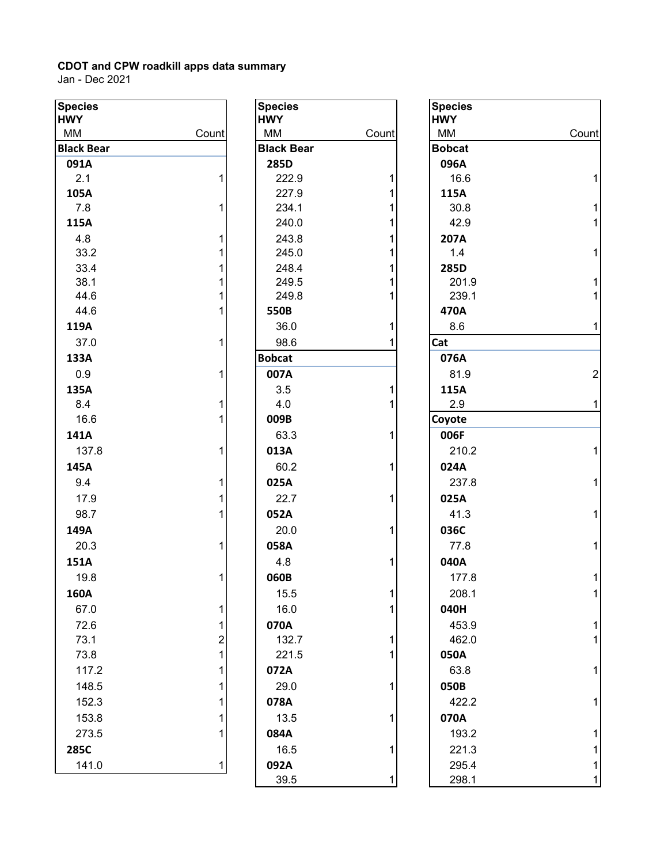| <b>Species</b>    |              | <b>Species</b>    |        | <b>Species</b> |
|-------------------|--------------|-------------------|--------|----------------|
| <b>HWY</b>        |              | <b>HWY</b>        |        | <b>HWY</b>     |
| MM                | Count        | MM                | Count  | MM             |
| <b>Black Bear</b> |              | <b>Black Bear</b> |        | <b>Bobcat</b>  |
| 091A              |              | 285D              |        | 096A           |
| 2.1               | 1            | 222.9             | 1      | 16.6           |
| 105A              |              | 227.9             | 1      | 115A           |
| 7.8               | 1            | 234.1             | 1      | 30.8           |
| 115A              |              | 240.0             | 1      | 42.9           |
| 4.8               | 1            | 243.8             | 1      | 207A           |
| 33.2              | 1            | 245.0             | 1      | 1.4            |
| 33.4              | 1            | 248.4             | 1      | 285D           |
| 38.1<br>44.6      | 1<br>1       | 249.5<br>249.8    | 1<br>1 | 201.9<br>239.  |
| 44.6              | 1            | 550B              |        | 470A           |
| 119A              |              | 36.0              | 1      | 8.6            |
| 37.0              | 1            | 98.6              | 1      | Cat            |
| 133A              |              | <b>Bobcat</b>     |        | 076A           |
| 0.9               | 1            | 007A              |        | 81.9           |
| 135A              |              | 3.5               | 1      | 115A           |
| 8.4               | $\mathbf{1}$ | 4.0               | 1      | 2.9            |
| 16.6              | 1            | 009B              |        | Coyote         |
| 141A              |              | 63.3              | 1      | 006F           |
| 137.8             | 1            | 013A              |        | 210.2          |
| 145A              |              | 60.2              | 1      | 024A           |
| 9.4               | 1            | 025A              |        | 237.           |
| 17.9              | 1            | 22.7              | 1      | 025A           |
| 98.7              | 1            | 052A              |        | 41.3           |
|                   |              |                   | 1      |                |
| 149A              |              | 20.0              |        | 036C           |
| 20.3              | 1            | 058A              |        | 77.8           |
| 151A              |              | 4.8               | 1      | 040A           |
| 19.8              | 1            | 060B              |        | 177.           |
| 160A              |              | 15.5              | 1      | 208.7          |
| 67.0              | 1            | 16.0              | 1      | 040H           |
| 72.6              | 1            | 070A              |        | 453.           |
| 73.1              | 2            | 132.7             | 1      | 462.           |
| 73.8              | $\mathbf{1}$ | 221.5             | 1      | 050A           |
| 117.2             | 1            | 072A              |        | 63.8           |
| 148.5             | 1            | 29.0              | 1      | 050B           |
| 152.3             | 1            | 078A              |        | 422.           |
| 153.8             | 1            | 13.5              | 1      | 070A           |
| 273.5             | 1            | 084A              |        | 193.           |
| 285C              |              | 16.5              | 1      | 221.3          |
| 141.0             | $\mathbf{1}$ | 092A              |        | 295.4          |
|                   |              | 39.5              |        | 298.           |

| cies         |                         | <b>Species</b>    |              | <b>Specie</b> |
|--------------|-------------------------|-------------------|--------------|---------------|
| Y            |                         | <b>HWY</b>        |              | <b>HWY</b>    |
| V            | Count                   | MM                | Count        | MM            |
| ck Bear      |                         | <b>Black Bear</b> |              | <b>Bobcat</b> |
| )1A          |                         | 285D              |              | 096A          |
| 2.1          | $\mathbf 1$             | 222.9             | $\mathbf{1}$ | 16.6          |
| )5A          | $\mathbf{1}$            | 227.9             | 1            | 115A          |
| 7.8<br>L5A   |                         | 234.1             | 1<br>1       | 30.8          |
|              |                         | 240.0             |              | 42.           |
| 4.8          | 1                       | 243.8             | 1            | 207A<br>1.4   |
| 33.2         | 1                       | 245.0             | 1            |               |
| 33.4<br>38.1 | 1<br>1                  | 248.4<br>249.5    | 1<br>1       | 285D<br>201   |
| 44.6         | 1                       | 249.8             | 1            | 239           |
| 44.6         | 1                       | 550B              |              | 470A          |
| L9A          |                         | 36.0              | 1            | 8.6           |
| 37.0         | 1                       | 98.6              | 1            | Cat           |
| 33A          |                         | <b>Bobcat</b>     |              | 076A          |
| 0.9          | 1                       | 007A              |              | 81.9          |
| 35A          |                         | 3.5               | 1            | 115A          |
| 8.4          | 1                       | 4.0               | 1            | 2.9           |
| 16.6         | 1                       | 009B              |              | Coyote        |
| 11 A         |                         | 63.3              | 1            | 006F          |
|              | 1                       |                   |              |               |
| 137.8        |                         | 013A              |              | 210           |
| 15A          |                         | 60.2              | $\mathbf{1}$ | 024A          |
| 9.4          | 1                       | 025A              |              | 237           |
| 17.9         | 1                       | 22.7              | 1            | 025A          |
| 98.7         | 1                       | 052A              |              | 41.3          |
| 19A          |                         | 20.0              | $\mathbf 1$  | 036C          |
| 20.3         | 1                       | 058A              |              | 77.8          |
| 51A          |                         | 4.8               | $\mathbf{1}$ | 040A          |
| 19.8         | 1                       | 060B              |              | 177           |
| 50A          |                         | 15.5              | 1            | 208           |
| 67.0         | $\mathbf{1}$            | 16.0              | 1            | 040H          |
| 72.6         | 1                       | 070A              |              | 453           |
| 73.1         | $\overline{\mathbf{c}}$ | 132.7             | 1            | 462           |
| 73.8         | 1                       | 221.5             | 1            | 050A          |
| 117.2        | 1                       | 072A              |              | 63.8          |
| 148.5        | 1                       | 29.0              | $\mathbf{1}$ | 050B          |
| 152.3        | 1                       | 078A              |              | 422           |
| 153.8        | 1                       | 13.5              | 1            | 070A          |
| 273.5        | 1                       | 084A              |              | 193           |
| 35C          |                         | 16.5              | 1            | 221           |
| 141.0        | 1                       | 092A              |              | 295           |
|              |                         | 39.5              | 1            | 298           |
|              |                         |                   |              |               |

| <b>Species</b><br><b>HWY</b> |       | <b>Species</b><br><b>HWY</b> |       | <b>Species</b><br><b>HWY</b> |                |
|------------------------------|-------|------------------------------|-------|------------------------------|----------------|
| МM                           | Count | MM                           | Count | MM                           | Count          |
| <b>Black Bear</b>            |       | <b>Black Bear</b>            |       | <b>Bobcat</b>                |                |
| 091A                         |       | 285D                         |       | 096A                         |                |
| 2.1                          |       | 222.9                        |       | 16.6                         |                |
| 105A                         |       | 227.9                        |       | 115A                         |                |
| 7.8                          |       | 234.1                        |       | 30.8                         |                |
| 115A                         |       | 240.0                        |       | 42.9                         |                |
| 4.8                          |       | 243.8                        |       | 207A                         |                |
| 33.2                         |       | 245.0                        |       | 1.4                          |                |
| 33.4                         |       | 248.4                        |       | 285D                         |                |
| 38.1                         |       | 249.5                        |       | 201.9                        |                |
| 44.6                         |       | 249.8                        |       | 239.1                        |                |
| 44.6                         |       | 550B                         |       | 470A                         |                |
| 119A                         |       | 36.0                         | 1     | 8.6                          | 1              |
| 37.0                         |       | 98.6                         |       | Cat                          |                |
| 133A                         |       | <b>Bobcat</b>                |       | 076A                         |                |
| 0.9                          |       | 007A                         |       | 81.9                         | $\overline{a}$ |
| 135A                         |       | 3.5                          |       | 115A                         |                |
| 8.4                          | 1     | 4.0                          |       | 2.9                          | 1              |
| 16.6                         |       | 009B                         |       | Coyote                       |                |
| 141A                         |       | 63.3                         | 1     | 006F                         |                |
| 137.8                        | 1     | 013A                         |       | 210.2                        | 1              |
| 145A                         |       | 60.2                         | 1     | 024A                         |                |
| 9.4                          | 1     | 025A                         |       | 237.8                        |                |
| 17.9                         |       | 22.7                         |       | 025A                         |                |
| 98.7                         |       | 052A                         |       | 41.3                         |                |
| 149A                         |       | 20.0                         | 1     | 036C                         |                |
| 20.3                         |       | 058A                         |       | 77.8                         |                |
| 151A                         |       | 4.8                          | 1     | 040A                         |                |
| 19.8                         |       | 060B                         |       | 177.8                        |                |
| 160A                         |       | 15.5                         | 1     | 208.1                        | 1              |
| 67.0                         | 1     | 16.0                         |       | 040H                         |                |
| 72.6                         |       | 070A                         |       | 453.9                        |                |
| 73.1                         | 2     | 132.7                        |       | 462.0                        |                |
| 73.8                         |       | 221.5                        |       | 050A                         |                |
| 117.2                        |       | 072A                         |       | 63.8                         |                |
| 148.5                        |       | 29.0                         | 1     | 050B                         |                |
| 152.3                        |       | 078A                         |       | 422.2                        |                |
| 153.8                        |       | 13.5                         | 1     | 070A                         |                |
| 273.5                        |       | 084A                         |       | 193.2                        |                |
| 285C                         |       |                              |       |                              |                |
|                              |       | 16.5                         |       | 221.3                        |                |
| 141.0                        | 1     | 092A                         |       | 295.4                        |                |
|                              |       | 39.5                         |       | 298.1                        |                |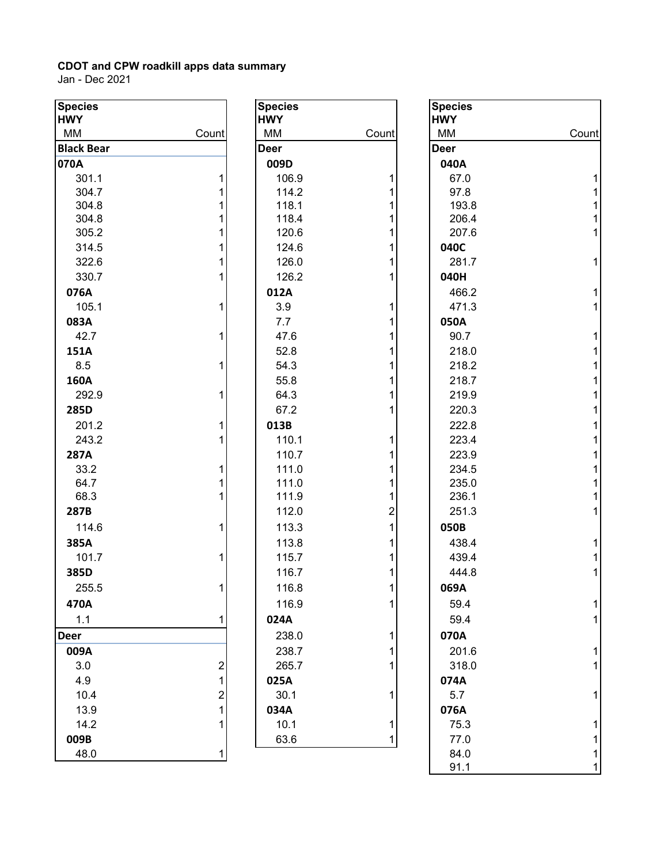| <b>Species</b>    |                         | <b>Species</b> |       | <b>Species</b> |        |
|-------------------|-------------------------|----------------|-------|----------------|--------|
| <b>HWY</b>        |                         | <b>HWY</b>     |       | <b>HWY</b>     |        |
| MM                | Count                   | МM             | Count | MM             | Count  |
| <b>Black Bear</b> |                         | <b>Deer</b>    |       | <b>Deer</b>    |        |
| 070A              |                         | 009D           |       | 040A           |        |
| 301.1             |                         | 106.9          |       | 67.0           |        |
| 304.7             |                         | 114.2          |       | 97.8           |        |
| 304.8<br>304.8    |                         | 118.1<br>118.4 |       | 193.8<br>206.4 |        |
| 305.2             |                         | 120.6          |       | 207.6          | 1<br>1 |
| 314.5             |                         | 124.6          |       | 040C           |        |
| 322.6             |                         | 126.0          |       | 281.7          | 1      |
| 330.7             |                         | 126.2          |       | 040H           |        |
| 076A              |                         |                |       | 466.2          |        |
| 105.1             |                         | 012A<br>3.9    |       | 471.3          |        |
|                   |                         | 7.7            |       | 050A           |        |
| 083A<br>42.7      |                         | 47.6           |       | 90.7           |        |
|                   |                         |                |       |                |        |
| 151A              |                         | 52.8<br>54.3   |       | 218.0<br>218.2 |        |
| 8.5               |                         |                |       |                |        |
| 160A              |                         | 55.8           |       | 218.7          |        |
| 292.9             |                         | 64.3           |       | 219.9          |        |
| 285D              |                         | 67.2           |       | 220.3          |        |
| 201.2             |                         | 013B           |       | 222.8          |        |
| 243.2             |                         | 110.1          |       | 223.4          |        |
| 287A              |                         | 110.7          |       | 223.9          |        |
| 33.2              |                         | 111.0          |       | 234.5          |        |
| 64.7              |                         | 111.0          |       | 235.0          |        |
| 68.3              |                         | 111.9          |       | 236.1          |        |
| 287B              |                         | 112.0          | 2     | 251.3          |        |
| 114.6             |                         | 113.3          |       | 050B           |        |
| 385A              |                         | 113.8          |       | 438.4          |        |
| 101.7             |                         | 115.7          |       | 439.4          |        |
| 385D              |                         | 116.7          |       | 444.8          |        |
| 255.5             |                         | 116.8          |       | 069A           |        |
| 470A              |                         | 116.9          |       | 59.4           |        |
| 1.1               |                         | 024A           |       | 59.4           |        |
| <b>Deer</b>       |                         | 238.0          |       | 070A           |        |
| 009A              |                         | 238.7          |       | 201.6          |        |
| 3.0               | $\overline{\mathbf{c}}$ | 265.7          |       | 318.0          |        |
| 4.9               |                         | 025A           |       | 074A           |        |
| 10.4              | 2                       | 30.1           |       | 5.7            |        |
| 13.9              |                         | 034A           |       | 076A           |        |
| 14.2              |                         | 10.1           | 1     | 75.3           |        |
| 009B              |                         | 63.6           | 1     | 77.0           |        |
| 48.0              |                         |                |       | 84.0           |        |

| <b>Species</b>   |                                                 |
|------------------|-------------------------------------------------|
| <b>HWY</b><br>ΜМ | Count                                           |
| Deer             |                                                 |
| 009D             |                                                 |
| 106.9            | 1                                               |
| 114.2            | 1                                               |
| 118.1            | $\mathbf 1$                                     |
| 118.4            | 1                                               |
| 120.6            | $\mathbf{1}$                                    |
| 124.6            | $\overline{\mathbf{1}}$                         |
| 126.0            | $\overline{\mathbf{1}}$                         |
| 126.2            | $\overline{1}$                                  |
| 012A             |                                                 |
| 3.9              | 1                                               |
| 7.7              | 1                                               |
| 47.6             | 1                                               |
| 52.8             | 1                                               |
| 54.3             | $\mathbf{1}$                                    |
| 55.8             | $\mathbf{1}$                                    |
| 64.3             | $\overline{\mathbf{1}}$                         |
| 67.2             | $\overline{1}$                                  |
| 013B             |                                                 |
| 110.1            | 1                                               |
| 110.7            | $\overline{1}$                                  |
| 111.0            | $\overline{\mathbf{1}}$                         |
| 111.0            |                                                 |
| 111.9            |                                                 |
| 112.0            | $\begin{array}{c} 1 \\ 1 \\ 2 \\ 1 \end{array}$ |
| 113.3            |                                                 |
| 113.8            | $\overline{1}$                                  |
| 115.7            | $\overline{\mathbf{1}}$                         |
| 116.7            | $\overline{1}$                                  |
| 116.8            | 1                                               |
| 116.9            | 1                                               |
| 024A             |                                                 |
| 238.0            | 1                                               |
| 238.7            | 1                                               |
| 265.7            | $\overline{1}$                                  |
| 025A             |                                                 |
| 30.1             | 1                                               |
| 034A             |                                                 |
| 10.1             | 1                                               |
| 63.6             | 1                                               |

| pecies<br>WY |                         | <b>Species</b><br><b>HWY</b> |                  | <b>Species</b><br><b>HWY</b> |       |
|--------------|-------------------------|------------------------------|------------------|------------------------------|-------|
| ИΜ           | Count                   | MM                           | Count            | MM                           | Count |
| ack Bear     |                         | Deer                         |                  | <b>Deer</b>                  |       |
| 70A          |                         | 009D                         |                  | 040A                         |       |
| 301.1        |                         | 106.9                        | 1                | 67.0                         |       |
| 304.7        |                         | 114.2                        |                  | 97.8                         |       |
| 304.8        |                         | 118.1                        |                  | 193.8                        |       |
| 304.8        |                         | 118.4                        |                  | 206.4                        |       |
| 305.2        |                         | 120.6                        |                  | 207.6                        |       |
| 314.5        |                         | 124.6                        |                  | 040C                         |       |
| 322.6        |                         | 126.0                        |                  | 281.7                        |       |
| 330.7        |                         | 126.2                        |                  | 040H                         |       |
| 076A         |                         | 012A                         |                  | 466.2                        |       |
| 105.1        | 1                       | 3.9                          | 1                | 471.3                        |       |
| 083A         |                         | 7.7                          |                  | 050A                         |       |
| 42.7         | 1                       | 47.6                         |                  | 90.7                         |       |
| 151A         |                         | 52.8                         |                  | 218.0                        |       |
| 8.5          |                         | 54.3                         |                  | 218.2                        |       |
| 160A         |                         | 55.8                         |                  | 218.7                        |       |
| 292.9        |                         | 64.3                         |                  | 219.9                        |       |
| 285D         |                         | 67.2                         |                  | 220.3                        |       |
| 201.2        |                         | 013B                         |                  | 222.8                        |       |
| 243.2        |                         | 110.1                        |                  | 223.4                        |       |
| 287A         |                         | 110.7                        |                  | 223.9                        |       |
| 33.2         |                         | 111.0                        |                  | 234.5                        |       |
| 64.7         |                         | 111.0                        |                  | 235.0                        |       |
| 68.3         |                         | 111.9                        | 1                | 236.1                        |       |
| 287B         |                         | 112.0                        | $\boldsymbol{2}$ | 251.3                        |       |
| 114.6        |                         | 113.3                        | 1                | 050B                         |       |
|              |                         |                              |                  |                              |       |
| 385A         |                         | 113.8                        |                  | 438.4                        |       |
| 101.7        | 1                       | 115.7                        |                  | 439.4                        |       |
| 385D         |                         | 116.7                        |                  | 444.8                        |       |
| 255.5        |                         | 116.8                        | 1                | 069A                         |       |
| 470A         |                         | 116.9                        |                  | 59.4                         | 1     |
| 1.1          |                         | 024A                         |                  | 59.4                         |       |
| eer          |                         | 238.0                        |                  | 070A                         |       |
| 009A         |                         | 238.7                        |                  | 201.6                        |       |
| 3.0          | $\overline{\mathbf{c}}$ | 265.7                        |                  | 318.0                        |       |
| 4.9          |                         | 025A                         |                  | 074A                         |       |
| 10.4         | 2                       | 30.1                         | 1                | 5.7                          |       |
| 13.9         |                         | 034A                         |                  | 076A                         |       |
| 14.2         |                         | 10.1                         | 1                | 75.3                         |       |
| 009B         |                         | 63.6                         | 1                | 77.0                         |       |
| 48.0         |                         |                              |                  | 84.0                         |       |
|              |                         |                              |                  | 91.1                         |       |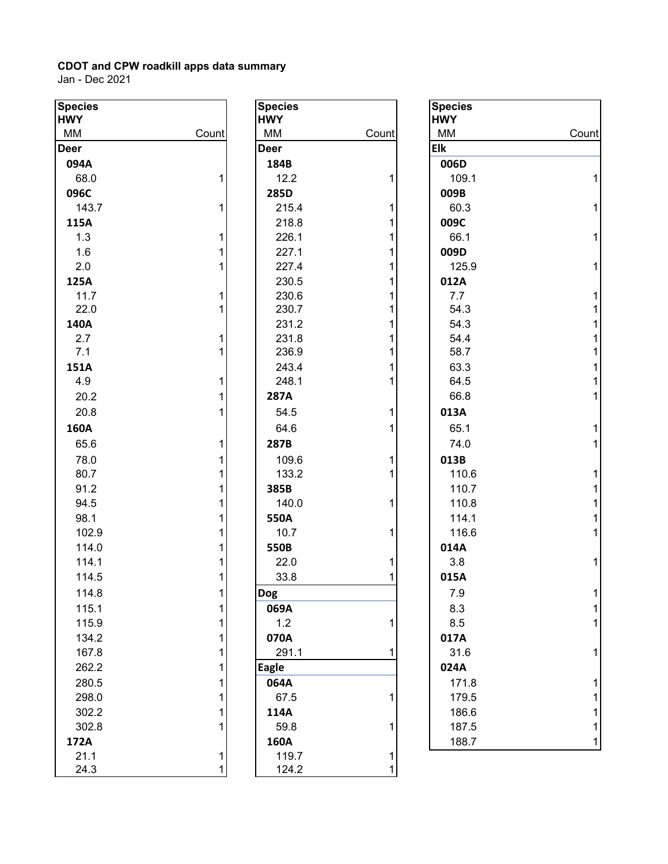| <b>Species</b> |       | <b>Species</b> |       | <b>Species</b> |       |
|----------------|-------|----------------|-------|----------------|-------|
| <b>HWY</b>     |       | <b>HWY</b>     |       | <b>HWY</b>     |       |
| MM             | Count | MM             | Count | MM             | Count |
| <b>Deer</b>    |       | <b>Deer</b>    |       | <b>Elk</b>     |       |
| 094A           |       | 184B           |       | 006D           |       |
| 68.0           |       | 12.2           |       | 109.1          |       |
| 096C           |       | 285D           |       | 009B           |       |
| 143.7          | 1     | 215.4          |       | 60.3           | 1     |
| 115A           |       | 218.8          |       | 009C           |       |
| 1.3            | 1     | 226.1          |       | 66.1           | 1     |
| 1.6            |       | 227.1          |       | 009D           |       |
| 2.0            |       | 227.4          |       | 125.9          | 1     |
| 125A           |       | 230.5          |       | 012A           |       |
| 11.7           |       | 230.6          |       | 7.7            |       |
| 22.0           |       | 230.7          |       | 54.3           |       |
| 140A           |       | 231.2          |       | 54.3           |       |
| 2.7            |       | 231.8          |       | 54.4           |       |
| 7.1            |       | 236.9          |       | 58.7           |       |
| 151A           |       | 243.4          |       | 63.3           |       |
| 4.9            | 1     | 248.1          |       | 64.5           |       |
| 20.2           |       | 287A           |       | 66.8           |       |
| 20.8           |       | 54.5           |       | 013A           |       |
| 160A           |       | 64.6           |       | 65.1           |       |
| 65.6           |       | 287B           |       | 74.0           | 1     |
| 78.0           |       | 109.6          |       | 013B           |       |
| 80.7           |       | 133.2          |       | 110.6          |       |
| 91.2           |       | 385B           |       | 110.7          |       |
| 94.5           |       | 140.0          |       | 110.8          |       |
| 98.1           |       | 550A           |       | 114.1          |       |
| 102.9          |       | 10.7           |       | 116.6          |       |
| 114.0          |       | 550B           |       | 014A           |       |
| 114.1          |       | 22.0           |       | 3.8            | 1     |
| 114.5          | 1     | 33.8           |       | 015A           |       |
|                |       |                |       |                |       |
| 114.8          | 11    | <b>Dog</b>     |       | 7.9            |       |
| 115.1          | 1     | 069A           |       | 8.3            |       |
| 115.9          | 1     | 1.2            |       | 8.5            |       |
| 134.2          | 1     | 070A           |       | 017A           |       |
| 167.8          |       | 291.1          |       | 31.6           |       |
| 262.2          | 1     | <b>Eagle</b>   |       | 024A           |       |
| 280.5          | 1     | 064A           |       | 171.8          |       |
| 298.0          |       | 67.5           |       | 179.5          |       |
| 302.2          |       | 114A           |       | 186.6          |       |
| 302.8          |       | 59.8           |       | 187.5          |       |
| 172A           |       | 160A           |       | 188.7          |       |
| 21.1           | 1     | 119.7          |       |                |       |
| 24.3           |       | 124.2          |       |                |       |

| <b>Species</b> |                     |
|----------------|---------------------|
| <b>HWY</b>     |                     |
| МM             | Count               |
| <b>Deer</b>    |                     |
| 184B           |                     |
| 12.2           | 1                   |
| 285D           |                     |
| 215.4<br>218.8 | 1                   |
| 226.1          | 1<br>$\overline{1}$ |
| 227.1          | 1                   |
| 227.4          | 1                   |
| 230.5          | 1                   |
| 230.6          | $\overline{1}$      |
| 230.7          | $\overline{1}$      |
| 231.2          | 1                   |
| 231.8          | 1                   |
| 236.9          | 1                   |
| 243.4          | 1                   |
| 248.1          | 1                   |
| 287A           |                     |
| 54.5           | 1                   |
| 64.6           | $\overline{1}$      |
| 287B           |                     |
| 109.6          | 1                   |
| 133.2          | 1                   |
| 385B           |                     |
| 140.0          | 1                   |
| 550A           |                     |
| 10.7           | 1                   |
| 550B           |                     |
| 22.0           | 1                   |
| 33.8           | $\overline{1}$      |
| Dog            |                     |
| 069A           |                     |
| 1.2            | 1                   |
| 070A           |                     |
| 291.1          | 1                   |
| <b>Eagle</b>   |                     |
| 064A           |                     |
| 67.5           | 1                   |
| 114A           |                     |
| 59.8           | 1                   |
| 160A           |                     |
| 119.7          | 1                   |
| 124.2          |                     |

| cies  |       | <b>Species</b> |       | <b>Species</b> |       |
|-------|-------|----------------|-------|----------------|-------|
| Y     |       | <b>HWY</b>     |       | <b>HWY</b>     |       |
| VI.   | Count | MM             | Count | MM             | Count |
| r.    |       | <b>Deer</b>    |       | Elk            |       |
| )4A   |       | 184B           |       | 006D           |       |
| 68.0  |       | 12.2           |       | 109.1          |       |
| 96C   |       | 285D           |       | 009B           |       |
| 143.7 | 1     | 215.4          | 1     | 60.3           |       |
| L5A   |       | 218.8          |       | 009C           |       |
| 1.3   |       | 226.1          |       | 66.1           |       |
| 1.6   |       | 227.1          |       | 009D           |       |
| 2.0   |       | 227.4          |       | 125.9          |       |
| 25A   |       | 230.5          |       | 012A           |       |
| 11.7  |       | 230.6          |       | 7.7            |       |
| 22.0  |       | 230.7          |       | 54.3           |       |
| 10A   |       | 231.2          |       | 54.3           |       |
| 2.7   |       | 231.8          |       | 54.4           |       |
| 7.1   |       | 236.9          |       | 58.7           |       |
| 51A   |       | 243.4          |       | 63.3           |       |
| 4.9   |       | 248.1          |       | 64.5           |       |
| 20.2  |       | 287A           |       | 66.8           |       |
| 20.8  |       | 54.5           | 1     | 013A           |       |
| 50A   |       | 64.6           |       | 65.1           |       |
| 65.6  |       | 287B           |       | 74.0           |       |
| 78.0  |       | 109.6          |       | 013B           |       |
| 80.7  |       | 133.2          |       | 110.6          |       |
| 91.2  |       | 385B           |       | 110.7          |       |
| 94.5  |       | 140.0          | 1     | 110.8          |       |
| 98.1  |       | 550A           |       | 114.1          |       |
| 102.9 |       | 10.7           |       | 116.6          |       |
| 114.0 |       | 550B           |       | 014A           |       |
| 114.1 |       | 22.0           |       | 3.8            |       |
| 114.5 | 1     | 33.8           | 1     | 015A           |       |
| 114.8 |       | <b>Dog</b>     |       | 7.9            |       |
| 115.1 |       | 069A           |       | 8.3            |       |
| 115.9 |       | 1.2            | 1     | 8.5            |       |
| 134.2 |       | 070A           |       | 017A           |       |
| 167.8 |       | 291.1          |       | 31.6           |       |
| 262.2 |       | <b>Eagle</b>   |       | 024A           |       |
| 280.5 |       | 064A           |       | 171.8          |       |
| 298.0 |       | 67.5           |       | 179.5          |       |
| 302.2 |       | 114A           |       | 186.6          |       |
| 302.8 |       | 59.8           |       | 187.5          |       |
| 72A   |       | 160A           |       | 188.7          |       |
| 211   |       | 1197           |       |                |       |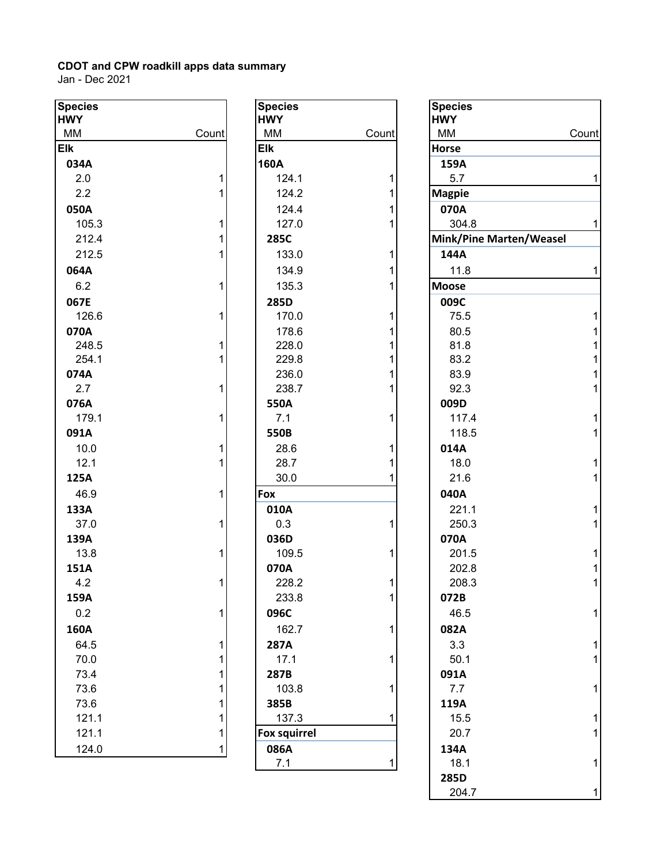| <b>Species</b> |       | <b>Species</b>      |              | <b>Species</b> |
|----------------|-------|---------------------|--------------|----------------|
| <b>HWY</b>     |       | <b>HWY</b>          |              | <b>HWY</b>     |
| MM             | Count | MM                  | Count        | MM             |
| <b>Elk</b>     |       | <b>Elk</b>          |              | <b>Horse</b>   |
| 034A           |       | 160A                |              | 159A           |
| 2.0            | 1     | 124.1               | 1            | 5.7            |
| 2.2            | 1     | 124.2               | 1            | <b>Magpie</b>  |
| 050A           |       | 124.4               | 1            | 070A           |
| 105.3          | 1     | 127.0               | 1            | 304.           |
| 212.4          | 1     | 285C                |              | Mink/Pi        |
| 212.5          | 1     | 133.0               | 1            | 144A           |
| 064A           |       | 134.9               | 1            | 11.8           |
| 6.2            | 1     | 135.3               | $\mathbf{1}$ | <b>Moose</b>   |
| 067E           |       | 285D                |              | 009C           |
| 126.6          | 1     | 170.0               | 1            | 75.5           |
| 070A           |       | 178.6               | 1            | 80.5           |
| 248.5          | 1     | 228.0               | 1            | 81.8           |
| 254.1          | 1     | 229.8               | 1            | 83.2           |
| 074A           |       | 236.0               | 1            | 83.9           |
| 2.7            | 1     | 238.7               | 1            | 92.3           |
| 076A           |       | 550A                |              | 009D           |
| 179.1          | 1     | 7.1                 | 1            | 117.4          |
| 091A           |       | 550B                |              | 118.           |
| 10.0           | 1     | 28.6                | 1            | 014A           |
| 12.1           | 1     | 28.7                | 1            | 18.0           |
| 125A           |       | 30.0                | 1            | 21.6           |
| 46.9           | 1     | Fox                 |              | 040A           |
| 133A           |       | 010A                |              | 221.7          |
| 37.0           | 1     | 0.3                 | 1            | 250.3          |
| 139A           |       | 036D                |              | 070A           |
| 13.8           | 1     | 109.5               | 1            | 201.           |
| 151A           |       | 070A                |              | 202.8          |
| 4.2            | 1     | 228.2               | 1            | 208.           |
| 159A           |       | 233.8               | 1            | 072B           |
| 0.2            | 1     | 096C                |              | 46.5           |
| 160A           |       | 162.7               | 1            | 082A           |
| 64.5           | 1     | <b>287A</b>         |              | 3.3            |
| 70.0           | 1     | 17.1                | 1            | 50.1           |
| 73.4           | 1     | 287B                |              | 091A           |
| 73.6           | 1     | 103.8               | 1            | 7.7            |
| 73.6           | 1     | 385B                |              | 119A           |
| 121.1          | 1     | 137.3               | 1            | 15.5           |
| 121.1          | 1     | <b>Fox squirrel</b> |              | 20.7           |
| 124.0          | 1     | 086A                |              | 134A           |
|                |       | 7 <sub>1</sub>      |              | 181            |

| cies    |              | <b>Species</b>      |       | <b>Species</b>          |  |
|---------|--------------|---------------------|-------|-------------------------|--|
| Y       |              | <b>HWY</b>          |       | <b>HWY</b>              |  |
| V       | Count        | MM                  | Count | MM                      |  |
|         |              | <b>Elk</b>          |       | <b>Horse</b>            |  |
| 34A     |              | 160A                |       | 159A                    |  |
| $2.0\,$ | $\mathbf{1}$ | 124.1               | 1     | 5.7                     |  |
| $2.2\,$ | $\mathbf{1}$ | 124.2               | 1     | <b>Magpie</b>           |  |
| 50A     |              | 124.4               | 1     | 070A                    |  |
| 105.3   | $\mathbf{1}$ | 127.0               | 1     | 304.8                   |  |
| 212.4   | $\mathbf{1}$ | 285C                |       | Mink/Pine Marten/Weasel |  |
| 212.5   | $\mathbf{1}$ | 133.0               | 1     | 144A                    |  |
| 54A     |              | 134.9               | 1     | 11.8                    |  |
| 6.2     | $\mathbf{1}$ | 135.3               | 1     | <b>Moose</b>            |  |
| 57E     |              | 285D                |       | 009C                    |  |
| 126.6   | $\mathbf{1}$ | 170.0               | 1     | 75.5                    |  |
| 70A     |              | 178.6               | 1     | 80.5                    |  |
| 248.5   | $\mathbf{1}$ | 228.0               | 1     | 81.8                    |  |
| 254.1   | $\mathbf{1}$ | 229.8               | 1     | 83.2                    |  |
| 74A     |              | 236.0               | 1     | 83.9                    |  |
| $2.7\,$ | $\mathbf{1}$ | 238.7               | 1     | 92.3                    |  |
| 76A     |              | 550A                |       | 009D                    |  |
| 179.1   | $\mathbf{1}$ | 7.1                 | 1     | 117.4                   |  |
| )1A     |              | 550B                |       | 118.5                   |  |
| 10.0    | $\mathbf{1}$ | 28.6                | 1     | 014A                    |  |
| 12.1    | $\mathbf{1}$ | 28.7                |       | 18.0                    |  |
| 25A     |              | 30.0                | 1     | 21.6                    |  |
| 46.9    | 1            | Fox                 |       | 040A                    |  |
| 33A     |              | 010A                |       | 221.1                   |  |
| 37.0    | $\mathbf{1}$ | 0.3                 | 1     | 250.3                   |  |
| 39A     |              | 036D                |       | 070A                    |  |
| 13.8    | $\mathbf{1}$ | 109.5               | 1     | 201.5                   |  |
| 51A     |              | 070A                |       | 202.8                   |  |
| 4.2     | 1            | 228.2               | 1     | 208.3                   |  |
| 59A     |              | 233.8               | 1     | 072B                    |  |
| 0.2     | $\mathbf{1}$ | 096C                |       | 46.5                    |  |
| 50A     |              | 162.7               | 1     | 082A                    |  |
| 64.5    | $\mathbf{1}$ | 287A                |       | 3.3                     |  |
| 70.0    | 1            | 17.1                | 1     | 50.1                    |  |
| 73.4    | $\mathbf{1}$ | 287B                |       | 091A                    |  |
| 73.6    | $\mathbf{1}$ | 103.8               | 1     | 7.7                     |  |
| 73.6    | $\mathbf{1}$ | 385B                |       | 119A                    |  |
| 121.1   | $\mathbf{1}$ | 137.3               |       | 15.5                    |  |
| 121.1   | 1            | <b>Fox squirrel</b> |       | 20.7                    |  |
| 124.0   | 1            | 086A                |       | 134A                    |  |
|         |              | 7.1                 | 1     | 18.1                    |  |
|         |              |                     |       | norn                    |  |

| Species<br><b>HWY</b> |       | <b>Species</b><br><b>HWY</b> |       | <b>Species</b><br><b>HWY</b> |       |
|-----------------------|-------|------------------------------|-------|------------------------------|-------|
| MM                    | Count | MM                           | Count | MM                           | Count |
| Elk                   |       | <b>Elk</b>                   |       | Horse                        |       |
| 034A                  |       | 160A                         |       | 159A                         |       |
| 2.0                   |       | 124.1                        |       | 5.7                          | 1     |
| 2.2                   |       | 124.2                        |       | <b>Magpie</b>                |       |
| 050A                  |       | 124.4                        |       | 070A                         |       |
| 105.3                 |       | 127.0                        |       | 304.8                        |       |
| 212.4                 |       | 285C                         |       | Mink/Pine Marten/Weasel      |       |
| 212.5                 |       | 133.0                        |       | 144A                         |       |
| 064A                  |       | 134.9                        |       | 11.8                         |       |
| 6.2                   |       | 135.3                        |       | <b>Moose</b>                 |       |
| 067E                  |       | 285D                         |       | 009C                         |       |
| 126.6                 |       | 170.0                        |       | 75.5                         |       |
| 070A                  |       | 178.6                        |       | 80.5                         |       |
| 248.5                 |       | 228.0                        |       | 81.8                         |       |
| 254.1                 |       | 229.8                        |       | 83.2                         |       |
| 074A                  |       | 236.0                        |       | 83.9                         |       |
| 2.7                   |       | 238.7                        |       | 92.3                         |       |
| 076A                  |       | 550A                         |       | 009D                         |       |
| 179.1                 |       | 7.1                          |       | 117.4                        |       |
| 091A                  |       | 550B                         |       | 118.5                        |       |
| 10.0                  |       | 28.6                         |       | 014A                         |       |
| 12.1                  |       | 28.7                         |       | 18.0                         |       |
| 125A                  |       | 30.0                         |       | 21.6                         |       |
| 46.9                  | 1     | Fox                          |       | 040A                         |       |
| 133A                  |       | 010A                         |       | 221.1                        |       |
| 37.0                  | 1     | 0.3                          | 1     | 250.3                        |       |
| 139A                  |       | 036D                         |       | 070A                         |       |
| 13.8                  |       | 109.5                        | 1     | 201.5                        |       |
| 151A                  |       | 070A                         |       | 202.8                        |       |
| 4.2                   | 1     | 228.2                        | 1     | 208.3                        |       |
| 159A                  |       | 233.8                        | 1     | 072B                         |       |
| 0.2                   |       | 096C                         |       | 46.5                         |       |
| 160A                  |       | 162.7                        | 1     | 082A                         |       |
| 64.5                  |       | 287A                         |       | 3.3                          |       |
| 70.0                  |       | 17.1                         |       | 50.1                         |       |
| 73.4                  |       | 287B                         |       | 091A                         |       |
| 73.6                  |       | 103.8                        |       | 7.7                          | 1     |
| 73.6                  |       | 385B                         |       | 119A                         |       |
| 121.1                 |       | 137.3                        |       | 15.5                         |       |
| 121.1                 |       | Fox squirrel                 |       | 20.7                         |       |
| 124.0                 |       | 086A                         |       | 134A                         |       |
|                       |       | 7.1                          | 1     | 18.1                         |       |
|                       |       |                              |       | 285D                         |       |
|                       |       |                              |       | 204.7                        | 1     |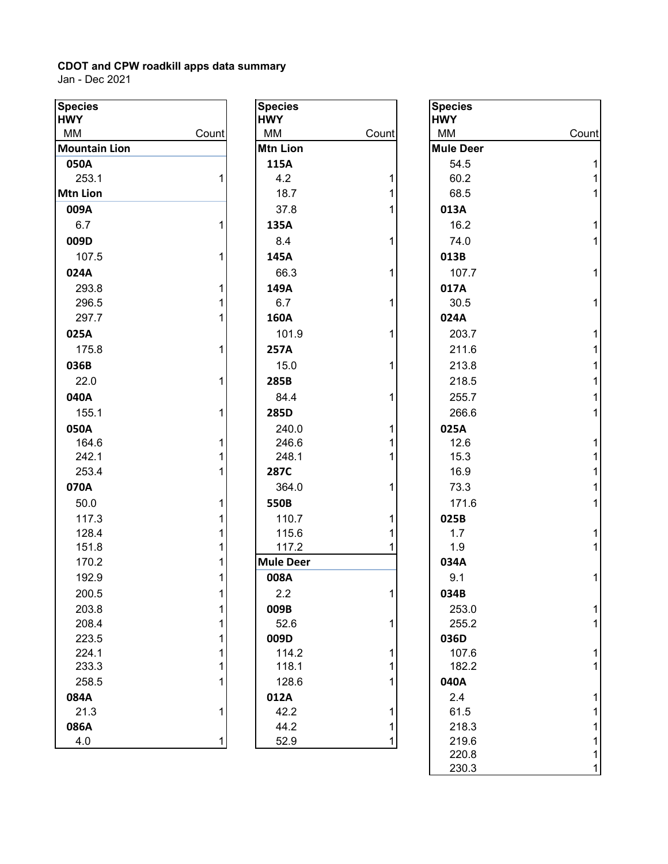| MM<br>MM<br>MM<br>Count<br>Count<br>Count<br><b>Mountain Lion</b><br><b>Mtn Lion</b><br><b>Mule Deer</b><br>115A<br>050A<br>54.5<br>4.2<br>253.1<br>60.2<br><b>Mtn Lion</b><br>18.7<br>68.5<br>1<br>37.8<br>009A<br>013A<br>6.7<br>16.2<br>135A<br>1<br>1<br>74.0<br>009D<br>8.4<br>1<br>107.5<br>145A<br>013B<br>024A<br>66.3<br>107.7<br>1<br>293.8<br>149A<br>017A<br>296.5<br>6.7<br>30.5<br>1<br>297.7<br>160A<br>024A<br>101.9<br>203.7<br>025A<br>211.6<br>175.8<br>257A<br>036B<br>15.0<br>213.8<br>22.0<br>285B<br>218.5<br>040A<br>84.4<br>255.7<br>155.1<br>266.6<br>285D<br>050A<br>240.0<br>025A<br>246.6<br>164.6<br>12.6<br>242.1<br>248.1<br>15.3<br>253.4<br>16.9<br>287C<br>070A<br>364.0<br>73.3<br>50.0<br>171.6<br>550B<br>117.3<br>110.7<br>025B<br>115.6<br>128.4<br>1.7<br>1<br>151.8<br>117.2<br>1.9<br>1<br>170.2<br><b>Mule Deer</b><br>034A<br>192.9<br>008A<br>9.1<br>1<br>200.5<br>2.2<br>034B<br>$\mathbf{1}$<br>1<br>203.8<br>009B<br>1<br>253.0<br>208.4<br>52.6<br>255.2<br>009D<br>223.5<br>036D<br>224.1<br>114.2<br>107.6<br>182.2<br>233.3<br>118.1<br>128.6<br>258.5<br>040A<br>084A<br>012A<br>2.4<br>21.3<br>42.2<br>61.5<br>1<br>086A<br>44.2<br>218.3<br>4.0<br>219.6<br>52.9<br>1<br>2200 | <b>Species</b><br><b>HWY</b> | <b>Species</b><br><b>HWY</b> | <b>Species</b><br><b>HWY</b> |  |
|---------------------------------------------------------------------------------------------------------------------------------------------------------------------------------------------------------------------------------------------------------------------------------------------------------------------------------------------------------------------------------------------------------------------------------------------------------------------------------------------------------------------------------------------------------------------------------------------------------------------------------------------------------------------------------------------------------------------------------------------------------------------------------------------------------------------------------------------------------------------------------------------------------------------------------------------------------------------------------------------------------------------------------------------------------------------------------------------------------------------------------------------------------------------------------------------------------------------------------------|------------------------------|------------------------------|------------------------------|--|
|                                                                                                                                                                                                                                                                                                                                                                                                                                                                                                                                                                                                                                                                                                                                                                                                                                                                                                                                                                                                                                                                                                                                                                                                                                       |                              |                              |                              |  |
|                                                                                                                                                                                                                                                                                                                                                                                                                                                                                                                                                                                                                                                                                                                                                                                                                                                                                                                                                                                                                                                                                                                                                                                                                                       |                              |                              |                              |  |
|                                                                                                                                                                                                                                                                                                                                                                                                                                                                                                                                                                                                                                                                                                                                                                                                                                                                                                                                                                                                                                                                                                                                                                                                                                       |                              |                              |                              |  |
|                                                                                                                                                                                                                                                                                                                                                                                                                                                                                                                                                                                                                                                                                                                                                                                                                                                                                                                                                                                                                                                                                                                                                                                                                                       |                              |                              |                              |  |
|                                                                                                                                                                                                                                                                                                                                                                                                                                                                                                                                                                                                                                                                                                                                                                                                                                                                                                                                                                                                                                                                                                                                                                                                                                       |                              |                              |                              |  |
|                                                                                                                                                                                                                                                                                                                                                                                                                                                                                                                                                                                                                                                                                                                                                                                                                                                                                                                                                                                                                                                                                                                                                                                                                                       |                              |                              |                              |  |
|                                                                                                                                                                                                                                                                                                                                                                                                                                                                                                                                                                                                                                                                                                                                                                                                                                                                                                                                                                                                                                                                                                                                                                                                                                       |                              |                              |                              |  |
|                                                                                                                                                                                                                                                                                                                                                                                                                                                                                                                                                                                                                                                                                                                                                                                                                                                                                                                                                                                                                                                                                                                                                                                                                                       |                              |                              |                              |  |
|                                                                                                                                                                                                                                                                                                                                                                                                                                                                                                                                                                                                                                                                                                                                                                                                                                                                                                                                                                                                                                                                                                                                                                                                                                       |                              |                              |                              |  |
|                                                                                                                                                                                                                                                                                                                                                                                                                                                                                                                                                                                                                                                                                                                                                                                                                                                                                                                                                                                                                                                                                                                                                                                                                                       |                              |                              |                              |  |
|                                                                                                                                                                                                                                                                                                                                                                                                                                                                                                                                                                                                                                                                                                                                                                                                                                                                                                                                                                                                                                                                                                                                                                                                                                       |                              |                              |                              |  |
|                                                                                                                                                                                                                                                                                                                                                                                                                                                                                                                                                                                                                                                                                                                                                                                                                                                                                                                                                                                                                                                                                                                                                                                                                                       |                              |                              |                              |  |
|                                                                                                                                                                                                                                                                                                                                                                                                                                                                                                                                                                                                                                                                                                                                                                                                                                                                                                                                                                                                                                                                                                                                                                                                                                       |                              |                              |                              |  |
|                                                                                                                                                                                                                                                                                                                                                                                                                                                                                                                                                                                                                                                                                                                                                                                                                                                                                                                                                                                                                                                                                                                                                                                                                                       |                              |                              |                              |  |
|                                                                                                                                                                                                                                                                                                                                                                                                                                                                                                                                                                                                                                                                                                                                                                                                                                                                                                                                                                                                                                                                                                                                                                                                                                       |                              |                              |                              |  |
|                                                                                                                                                                                                                                                                                                                                                                                                                                                                                                                                                                                                                                                                                                                                                                                                                                                                                                                                                                                                                                                                                                                                                                                                                                       |                              |                              |                              |  |
|                                                                                                                                                                                                                                                                                                                                                                                                                                                                                                                                                                                                                                                                                                                                                                                                                                                                                                                                                                                                                                                                                                                                                                                                                                       |                              |                              |                              |  |
|                                                                                                                                                                                                                                                                                                                                                                                                                                                                                                                                                                                                                                                                                                                                                                                                                                                                                                                                                                                                                                                                                                                                                                                                                                       |                              |                              |                              |  |
|                                                                                                                                                                                                                                                                                                                                                                                                                                                                                                                                                                                                                                                                                                                                                                                                                                                                                                                                                                                                                                                                                                                                                                                                                                       |                              |                              |                              |  |
|                                                                                                                                                                                                                                                                                                                                                                                                                                                                                                                                                                                                                                                                                                                                                                                                                                                                                                                                                                                                                                                                                                                                                                                                                                       |                              |                              |                              |  |
|                                                                                                                                                                                                                                                                                                                                                                                                                                                                                                                                                                                                                                                                                                                                                                                                                                                                                                                                                                                                                                                                                                                                                                                                                                       |                              |                              |                              |  |
|                                                                                                                                                                                                                                                                                                                                                                                                                                                                                                                                                                                                                                                                                                                                                                                                                                                                                                                                                                                                                                                                                                                                                                                                                                       |                              |                              |                              |  |
|                                                                                                                                                                                                                                                                                                                                                                                                                                                                                                                                                                                                                                                                                                                                                                                                                                                                                                                                                                                                                                                                                                                                                                                                                                       |                              |                              |                              |  |
|                                                                                                                                                                                                                                                                                                                                                                                                                                                                                                                                                                                                                                                                                                                                                                                                                                                                                                                                                                                                                                                                                                                                                                                                                                       |                              |                              |                              |  |
|                                                                                                                                                                                                                                                                                                                                                                                                                                                                                                                                                                                                                                                                                                                                                                                                                                                                                                                                                                                                                                                                                                                                                                                                                                       |                              |                              |                              |  |
|                                                                                                                                                                                                                                                                                                                                                                                                                                                                                                                                                                                                                                                                                                                                                                                                                                                                                                                                                                                                                                                                                                                                                                                                                                       |                              |                              |                              |  |
|                                                                                                                                                                                                                                                                                                                                                                                                                                                                                                                                                                                                                                                                                                                                                                                                                                                                                                                                                                                                                                                                                                                                                                                                                                       |                              |                              |                              |  |
|                                                                                                                                                                                                                                                                                                                                                                                                                                                                                                                                                                                                                                                                                                                                                                                                                                                                                                                                                                                                                                                                                                                                                                                                                                       |                              |                              |                              |  |
|                                                                                                                                                                                                                                                                                                                                                                                                                                                                                                                                                                                                                                                                                                                                                                                                                                                                                                                                                                                                                                                                                                                                                                                                                                       |                              |                              |                              |  |
|                                                                                                                                                                                                                                                                                                                                                                                                                                                                                                                                                                                                                                                                                                                                                                                                                                                                                                                                                                                                                                                                                                                                                                                                                                       |                              |                              |                              |  |
|                                                                                                                                                                                                                                                                                                                                                                                                                                                                                                                                                                                                                                                                                                                                                                                                                                                                                                                                                                                                                                                                                                                                                                                                                                       |                              |                              |                              |  |
|                                                                                                                                                                                                                                                                                                                                                                                                                                                                                                                                                                                                                                                                                                                                                                                                                                                                                                                                                                                                                                                                                                                                                                                                                                       |                              |                              |                              |  |
|                                                                                                                                                                                                                                                                                                                                                                                                                                                                                                                                                                                                                                                                                                                                                                                                                                                                                                                                                                                                                                                                                                                                                                                                                                       |                              |                              |                              |  |
|                                                                                                                                                                                                                                                                                                                                                                                                                                                                                                                                                                                                                                                                                                                                                                                                                                                                                                                                                                                                                                                                                                                                                                                                                                       |                              |                              |                              |  |
|                                                                                                                                                                                                                                                                                                                                                                                                                                                                                                                                                                                                                                                                                                                                                                                                                                                                                                                                                                                                                                                                                                                                                                                                                                       |                              |                              |                              |  |
|                                                                                                                                                                                                                                                                                                                                                                                                                                                                                                                                                                                                                                                                                                                                                                                                                                                                                                                                                                                                                                                                                                                                                                                                                                       |                              |                              |                              |  |
|                                                                                                                                                                                                                                                                                                                                                                                                                                                                                                                                                                                                                                                                                                                                                                                                                                                                                                                                                                                                                                                                                                                                                                                                                                       |                              |                              |                              |  |
|                                                                                                                                                                                                                                                                                                                                                                                                                                                                                                                                                                                                                                                                                                                                                                                                                                                                                                                                                                                                                                                                                                                                                                                                                                       |                              |                              |                              |  |
|                                                                                                                                                                                                                                                                                                                                                                                                                                                                                                                                                                                                                                                                                                                                                                                                                                                                                                                                                                                                                                                                                                                                                                                                                                       |                              |                              |                              |  |
|                                                                                                                                                                                                                                                                                                                                                                                                                                                                                                                                                                                                                                                                                                                                                                                                                                                                                                                                                                                                                                                                                                                                                                                                                                       |                              |                              |                              |  |
|                                                                                                                                                                                                                                                                                                                                                                                                                                                                                                                                                                                                                                                                                                                                                                                                                                                                                                                                                                                                                                                                                                                                                                                                                                       |                              |                              |                              |  |
|                                                                                                                                                                                                                                                                                                                                                                                                                                                                                                                                                                                                                                                                                                                                                                                                                                                                                                                                                                                                                                                                                                                                                                                                                                       |                              |                              |                              |  |

| <b>Species</b><br><b>HWY</b> |                              |
|------------------------------|------------------------------|
| MM                           | Count                        |
| <b>Mtn Lion</b>              |                              |
| 115A                         |                              |
| 4.2                          | 1                            |
| 18.7                         | 1                            |
| 37.8                         | $\overline{1}$               |
| 135A                         |                              |
| 8.4                          | 1                            |
| 145A                         |                              |
| 66.3                         | 1                            |
| 149A                         |                              |
| 6.7                          | 1                            |
| 160A                         |                              |
| 101.9                        | 1                            |
| 257A                         |                              |
| 15.0                         | 1                            |
| 285B                         |                              |
| 84.4                         | 1                            |
| 285D                         |                              |
| 240.0                        | 1                            |
| 246.6                        | 1                            |
| 248.1                        | $\overline{1}$               |
| 287C                         |                              |
| 364.0                        | 1                            |
| 550B                         |                              |
| 110.7                        | 1                            |
| 115.6                        | $\overline{\mathbf{1}}$<br>1 |
| 117.2<br><b>Mule Deer</b>    |                              |
| 008A                         |                              |
| 2.2                          | 1                            |
| 009B                         |                              |
| 52.6                         | 1                            |
| 009D                         |                              |
| 114.2                        | 1                            |
| 118.1                        | 1                            |
| 128.6                        | $\overline{1}$               |
| 012A                         |                              |
| 42.2                         | 1                            |
| 44.2                         | 1                            |
| 52.9                         | 1                            |

| $\overline{pecies}$<br>WY |       | <b>Species</b><br><b>HWY</b> |       | <b>Species</b><br><b>HWY</b> |       |
|---------------------------|-------|------------------------------|-------|------------------------------|-------|
| ИΜ                        | Count | MM                           | Count | MM                           | Count |
| <b>Jountain Lion</b>      |       | <b>Mtn Lion</b>              |       | <b>Mule Deer</b>             |       |
| 050A                      |       | 115A                         |       | 54.5                         |       |
| 253.1                     |       | 4.2                          |       | 60.2                         |       |
| Itn Lion                  |       | 18.7                         |       | 68.5                         |       |
| 009A                      |       | 37.8                         |       | 013A                         |       |
| 6.7                       |       | 135A                         |       | 16.2                         |       |
| 009D                      |       | 8.4                          | 1     | 74.0                         |       |
| 107.5                     |       | 145A                         |       | 013B                         |       |
| 024A                      |       | 66.3                         | 1     | 107.7                        |       |
| 293.8                     |       | 149A                         |       | 017A                         |       |
| 296.5                     |       | 6.7                          |       | 30.5                         |       |
| 297.7                     |       | 160A                         |       | 024A                         |       |
| 025A                      |       | 101.9                        | 1     | 203.7                        |       |
| 175.8                     |       | 257A                         |       | 211.6                        |       |
| 036B                      |       | 15.0                         | 1     | 213.8                        |       |
| 22.0                      |       | 285B                         |       | 218.5                        |       |
| 040A                      |       | 84.4                         |       | 255.7                        |       |
| 155.1                     |       | 285D                         |       | 266.6                        |       |
| 050A                      |       | 240.0                        |       | 025A                         |       |
| 164.6                     |       | 246.6                        |       | 12.6                         |       |
| 242.1                     |       | 248.1                        |       | 15.3                         |       |
| 253.4                     |       | 287C                         |       | 16.9                         |       |
| 070A                      |       | 364.0                        |       | 73.3                         |       |
| 50.0                      |       | 550B                         |       | 171.6                        |       |
| 117.3                     |       | 110.7                        |       | 025B                         |       |
| 128.4                     |       | 115.6                        |       | 1.7                          |       |
| 151.8                     |       | 117.2                        |       | 1.9                          |       |
| 170.2                     |       | <b>Mule Deer</b>             |       | 034A                         |       |
| 192.9                     |       | 008A                         |       | 9.1                          | 1     |
| 200.5                     |       | 2.2                          | 1     | 034B                         |       |
| 203.8                     |       | 009B                         |       | 253.0                        | 1     |
| 208.4                     |       | 52.6                         | 1     | 255.2                        |       |
| 223.5                     |       | 009D                         |       | 036D                         |       |
| 224.1                     |       | 114.2                        | 1     | 107.6                        |       |
| 233.3                     |       | 118.1                        |       | 182.2                        |       |
| 258.5                     |       | 128.6                        |       | 040A                         |       |
| 084A                      |       | 012A                         |       | 2.4                          |       |
| 21.3                      |       | 42.2                         | 1     | 61.5                         |       |
| 086A                      |       | 44.2                         |       | 218.3                        |       |
| 4.0                       |       | 52.9                         | 1     | 219.6<br>220.8               |       |
|                           |       |                              |       | 230.3                        |       |
|                           |       |                              |       |                              |       |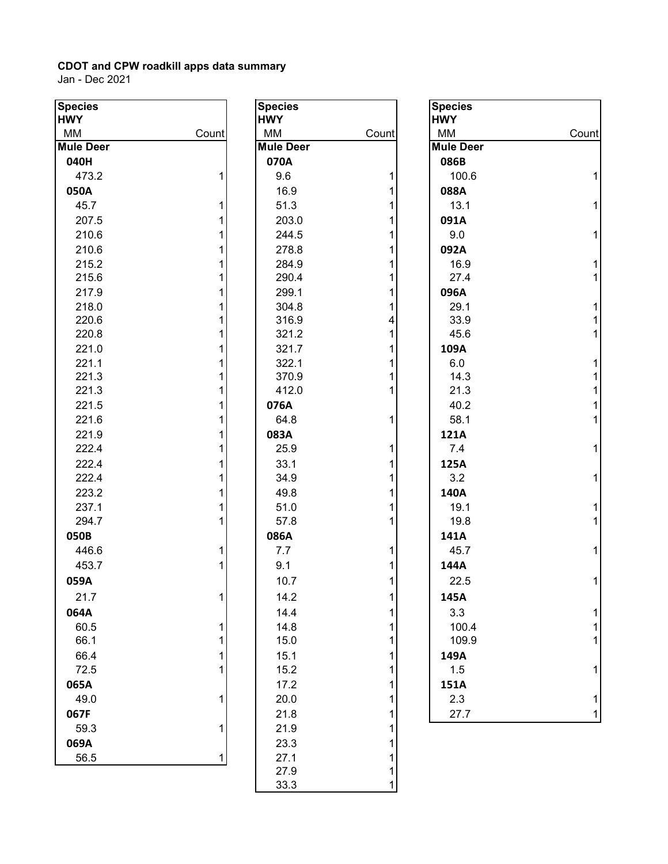| <b>Species</b>         |        | <b>Species</b>         |       | <b>Species</b>         |       |
|------------------------|--------|------------------------|-------|------------------------|-------|
| <b>HWY</b>             |        | <b>HWY</b>             |       | <b>HWY</b>             |       |
| MM<br><b>Mule Deer</b> | Count  | MM<br><b>Mule Deer</b> | Count | MM<br><b>Mule Deer</b> | Count |
|                        |        | 070A                   |       |                        |       |
| 040H<br>473.2          |        | 9.6                    |       | 086B<br>100.6          |       |
|                        |        |                        |       |                        |       |
| 050A                   |        | 16.9<br>51.3           |       | 088A<br>13.1           |       |
| 45.7                   |        |                        |       |                        | 1     |
| 207.5                  |        | 203.0                  |       | 091A                   |       |
| 210.6                  |        | 244.5                  |       | 9.0                    | 1     |
| 210.6                  |        | 278.8                  |       | 092A                   |       |
| 215.2                  |        | 284.9<br>290.4         |       | 16.9<br>27.4           | 1     |
| 215.6                  |        |                        |       |                        |       |
| 217.9                  |        | 299.1                  |       | 096A                   |       |
| 218.0<br>220.6         |        | 304.8<br>316.9         |       | 29.1<br>33.9           |       |
| 220.8                  |        | 321.2                  |       | 45.6                   | 1     |
| 221.0                  |        | 321.7                  |       | 109A                   |       |
| 221.1                  |        | 322.1                  |       | 6.0                    |       |
| 221.3                  |        | 370.9                  |       | 14.3                   |       |
| 221.3                  |        | 412.0                  |       | 21.3                   |       |
| 221.5                  |        | 076A                   |       | 40.2                   |       |
| 221.6                  |        | 64.8                   |       | 58.1                   | 1     |
| 221.9                  |        | 083A                   |       | 121A                   |       |
| 222.4                  |        | 25.9                   |       | 7.4                    | 1     |
| 222.4                  |        | 33.1                   |       | 125A                   |       |
| 222.4                  |        | 34.9                   |       | 3.2                    | 1     |
| 223.2                  |        | 49.8                   |       | 140A                   |       |
| 237.1                  |        | 51.0                   |       | 19.1                   |       |
| 294.7                  |        | 57.8                   |       | 19.8                   |       |
| 050B                   |        | 086A                   |       | 141A                   |       |
| 446.6                  | 1      | 7.7                    |       | 45.7                   | 1     |
| 453.7                  |        | 9.1                    |       | 144A                   |       |
| 059A                   |        | 10.7                   |       | 22.5                   | 1     |
| 21.7                   | 1      | 14.2                   |       | 145A                   |       |
|                        |        |                        |       |                        |       |
| 064A                   |        | 14.4                   |       | 3.3                    |       |
| 60.5<br>66.1           | 1<br>1 | 14.8<br>15.0           |       | 100.4<br>109.9         |       |
|                        |        |                        |       |                        |       |
| 66.4                   |        | 15.1                   |       | 149A                   |       |
| 72.5                   |        | 15.2                   |       | 1.5                    |       |
| 065A                   |        | 17.2                   |       | 151A                   |       |
| 49.0                   | 1      | 20.0                   |       | 2.3                    |       |
| 067F                   |        | 21.8                   |       | 27.7                   | 1     |
| 59.3                   | 1      | 21.9                   |       |                        |       |
| 069A                   |        | 23.3                   |       |                        |       |
| 56.5                   | 1      | 27.1                   |       |                        |       |
|                        |        | 27.9                   |       |                        |       |

| <b>Species</b>   |                         |
|------------------|-------------------------|
| <b>HWY</b>       |                         |
| MМ               | Count                   |
| <b>Mule Deer</b> |                         |
| 070A             |                         |
| 9.6              | 1                       |
| 16.9             | $\overline{\mathbf{1}}$ |
| 51.3             | $\overline{\mathbf{1}}$ |
| 203.0            | $\overline{1}$          |
| 244.5            | $\overline{1}$          |
| 278.8            | 1                       |
| 284.9            | 1                       |
| 290.4            | $\overline{\mathbf{1}}$ |
| 299.1            | $\overline{\mathbf{1}}$ |
| 304.8            | $\mathbf 1$             |
| 316.9            | 4                       |
| 321.2            | 1                       |
| 321.7            | $\mathbf 1$             |
| 322.1            | $\mathbf 1$             |
| 370.9            | $\overline{1}$          |
| 412.0            | $\overline{1}$          |
| 076A             |                         |
| 64.8             | 1                       |
| 083A             |                         |
| 25.9             | 1                       |
| 33.1             | $\overline{\mathbf{1}}$ |
| 34.9             | 1                       |
| 49.8             | 1                       |
| 51.0             | $\overline{1}$          |
| 57.8             | $\overline{1}$          |
| 086A             |                         |
| 7.7              | 1                       |
| 9.1              | 1                       |
| 10.7             | $\overline{1}$          |
| 14.2             | 1                       |
| 14.4             | $\mathbf{1}$            |
| 14.8             | $\mathbf{1}$            |
| 15.0             | $\overline{\mathbf{1}}$ |
| 15.1             | $\overline{\mathbf{1}}$ |
| 15.2             | $\overline{\mathbf{1}}$ |
| 17.2             | $\overline{\mathbf{1}}$ |
| 20.0             | $\overline{\mathbf{1}}$ |
| 21.8             | 1                       |
| 21.9             | $\mathbf{1}$            |
| 23.3             | $\mathbf{1}$            |
| 27.1             | $\overline{\mathbf{1}}$ |
| 27.9             | 1                       |
| 33.3             | $\overline{1}$          |

| <b>Species</b><br><b>HWY</b> |                         |
|------------------------------|-------------------------|
| МM                           | Count                   |
| <b>Mule Deer</b>             |                         |
| 086B                         |                         |
| 100.6                        | 1                       |
| 088A                         |                         |
| 13.1                         | 1                       |
| 091A                         |                         |
| 9.0                          | 1                       |
| 092A                         |                         |
| 16.9                         | 1                       |
| 27.4                         | 1                       |
| 096A                         |                         |
| 29.1                         | 1                       |
| 33.9                         | 1                       |
| 45.6                         | $\overline{1}$          |
| 109A                         |                         |
| 6.0                          | 1                       |
| 14.3                         | 1<br>1                  |
| 21.3                         | $\overline{\mathbf{1}}$ |
| 40.2<br>58.1                 | $\overline{1}$          |
|                              |                         |
| 121A<br>7.4                  | 1                       |
| 125A                         |                         |
| 3.2                          | 1                       |
| 140A                         |                         |
| 19.1                         | 1                       |
| 19.8                         | 1                       |
| 141A                         |                         |
| 45.7                         | 1                       |
| 144A                         |                         |
| 22.5                         | 1                       |
| 145A                         |                         |
| 3.3                          | 1                       |
| 100.4                        | $\mathbf 1$             |
| 109.9                        | 1                       |
| 149A                         |                         |
| 1.5                          | 1                       |
| 151A                         |                         |
| 2.3                          | 1                       |
| 27.7                         | 1                       |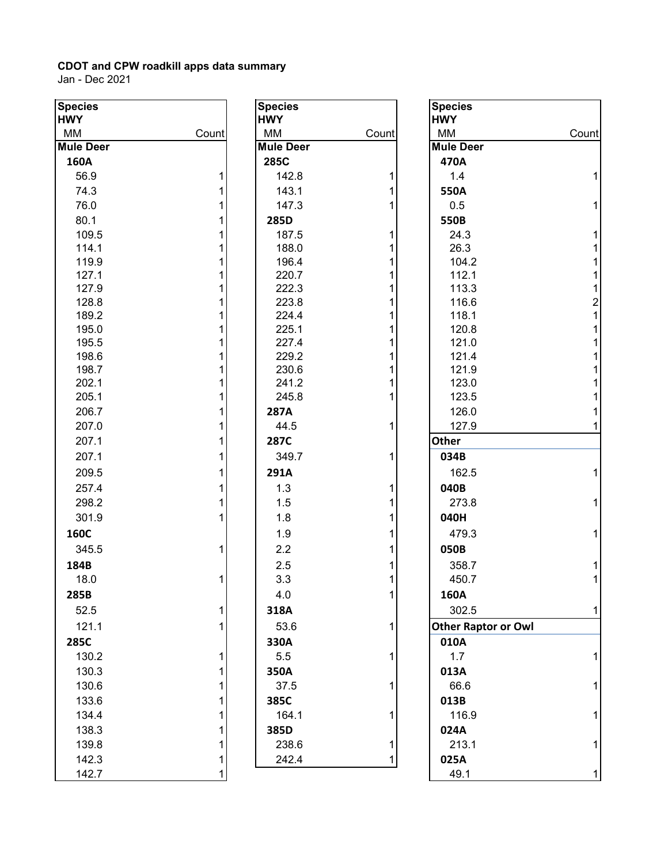Jan - Dec 2021

ı

| <b>Species</b><br><b>HWY</b> |       | <b>Species</b><br><b>HWY</b> |       | <b>Species</b><br><b>HWY</b> |                |
|------------------------------|-------|------------------------------|-------|------------------------------|----------------|
| MM                           | Count | МM                           | Count | MM                           | Count          |
| <b>Mule Deer</b>             |       | <b>Mule Deer</b>             |       | <b>Mule Deer</b>             |                |
| 160A                         |       | 285C                         |       | 470A                         |                |
| 56.9                         |       | 142.8                        | 1     | 1.4                          | 1              |
| 74.3                         |       | 143.1                        |       | 550A                         |                |
| 76.0                         |       | 147.3                        |       | 0.5                          | 1              |
| 80.1                         |       | 285D                         |       | 550B                         |                |
| 109.5                        |       | 187.5                        | 1     | 24.3                         | 1              |
| 114.1                        |       | 188.0                        |       | 26.3                         |                |
| 119.9                        |       | 196.4                        |       | 104.2                        |                |
| 127.1                        |       | 220.7                        |       | 112.1                        | 1              |
| 127.9                        |       | 222.3                        |       | 113.3                        | 1              |
| 128.8                        |       | 223.8                        |       | 116.6                        | $\overline{a}$ |
| 189.2                        |       | 224.4                        |       | 118.1                        |                |
| 195.0                        |       | 225.1                        |       | 120.8                        |                |
| 195.5                        |       | 227.4                        |       | 121.0                        |                |
| 198.6                        |       | 229.2                        |       | 121.4                        |                |
| 198.7                        |       | 230.6                        |       | 121.9                        |                |
| 202.1                        |       | 241.2                        |       | 123.0                        |                |
| 205.1                        |       | 245.8                        |       | 123.5                        |                |
| 206.7                        |       | 287A                         |       | 126.0                        |                |
| 207.0                        |       | 44.5                         | 1     | 127.9                        | 1              |
| 207.1                        |       | 287C                         |       | Other                        |                |
| 207.1                        |       | 349.7                        | 1     | 034B                         |                |
| 209.5                        |       | 291A                         |       | 162.5                        | 1              |
| 257.4                        |       | 1.3                          | 1     | 040B                         |                |
| 298.2                        |       | 1.5                          |       | 273.8                        | 1              |
| 301.9                        |       | 1.8                          |       | 040H                         |                |
| <b>160C</b>                  |       | 1.9                          |       | 479.3                        | 1              |
| 345.5                        |       | 2.2                          |       | 050B                         |                |
| 184B                         |       | 2.5                          |       | 358.7                        |                |
| 18.0                         |       | 3.3                          |       | 450.7                        |                |
| 285B                         |       | 4.0                          | 1     |                              |                |
|                              |       |                              |       | 160A                         |                |
| 52.5                         |       | 318A                         |       | 302.5                        | 1              |
| 121.1                        |       | 53.6                         | 1     | <b>Other Raptor or Owl</b>   |                |
| 285C                         |       | 330A                         |       | 010A                         |                |
| 130.2                        |       | 5.5                          | 1     | 1.7                          |                |
| 130.3                        |       | 350A                         |       | 013A                         |                |
| 130.6                        |       | 37.5                         | 1     | 66.6                         |                |
| 133.6                        |       | 385C                         |       | 013B                         |                |
| 134.4                        |       | 164.1                        |       | 116.9                        |                |
| 138.3                        |       | 385D                         |       | 024A                         |                |
| 139.8                        |       | 238.6                        |       | 213.1                        |                |
| 142.3                        |       | 242.4                        |       | 025A                         |                |
|                              |       |                              |       |                              |                |

| cies<br>Y      |       | <b>Species</b>         |       | <b>Species</b>             |       |
|----------------|-------|------------------------|-------|----------------------------|-------|
|                |       | <b>HWY</b>             |       | <b>HWY</b>                 | Count |
| VI.<br>e Deer  | Count | МM<br><b>Mule Deer</b> | Count | MM<br><b>Mule Deer</b>     |       |
| 50A            |       | 285C                   |       | 470A                       |       |
| 56.9           |       | 142.8                  |       | 1.4                        |       |
|                |       |                        |       |                            |       |
| 74.3           |       | 143.1                  |       | 550A                       |       |
| 76.0           |       | 147.3                  |       | 0.5                        |       |
| 80.1           |       | 285D                   |       | 550B                       |       |
| 109.5          |       | 187.5                  |       | 24.3                       |       |
| 114.1          |       | 188.0                  |       | 26.3                       |       |
| 119.9          |       | 196.4                  |       | 104.2                      |       |
| 127.1          |       | 220.7<br>222.3         |       | 112.1                      |       |
| 127.9<br>128.8 |       | 223.8                  |       | 113.3<br>116.6             |       |
| 189.2          |       | 224.4                  |       | 118.1                      | 2     |
| 195.0          |       | 225.1                  |       | 120.8                      |       |
| 195.5          |       | 227.4                  |       | 121.0                      |       |
| 198.6          |       | 229.2                  |       | 121.4                      |       |
| 198.7          |       | 230.6                  |       | 121.9                      |       |
| 202.1          |       | 241.2                  |       | 123.0                      |       |
| 205.1          |       | 245.8                  |       | 123.5                      |       |
| 206.7          |       | 287A                   |       | 126.0                      |       |
| 207.0          |       | 44.5                   |       | 127.9                      |       |
| 207.1          |       | 287C                   |       | Other                      |       |
| 207.1          |       | 349.7                  |       | 034B                       |       |
| 209.5          |       | 291A                   |       | 162.5                      |       |
| 257.4          |       | 1.3                    |       | 040B                       |       |
| 298.2          |       | 1.5                    |       | 273.8                      |       |
| 301.9          |       | 1.8                    |       | 040H                       |       |
| 50C            |       | 1.9                    |       | 479.3                      |       |
| 345.5          | 1     | 2.2                    |       | 050B                       |       |
|                |       |                        |       |                            |       |
| 34B            |       | 2.5                    |       | 358.7                      |       |
| 18.0           | 1     | 3.3                    |       | 450.7                      |       |
| 35B            |       | 4.0                    |       | 160A                       |       |
| 52.5           | 1     | 318A                   |       | 302.5                      | 1     |
| 121.1          |       | 53.6                   |       | <b>Other Raptor or Owl</b> |       |
| 35C            |       | 330A                   |       | 010A                       |       |
| 130.2          |       | 5.5                    |       | 1.7                        |       |
| 130.3          |       | 350A                   |       | 013A                       |       |
| 130.6          |       | 37.5                   |       | 66.6                       |       |
| 133.6          |       | 385C                   |       | 013B                       |       |
| 134.4          |       | 164.1                  |       | 116.9                      |       |
| 138.3          |       | 385D                   |       | 024A                       |       |
| 139.8          |       | 238.6                  |       | 213.1                      |       |
| 142.3          | 1     | 242.4                  |       | 025A                       |       |
| 142.7          | 1     |                        |       | 49.1                       | 1     |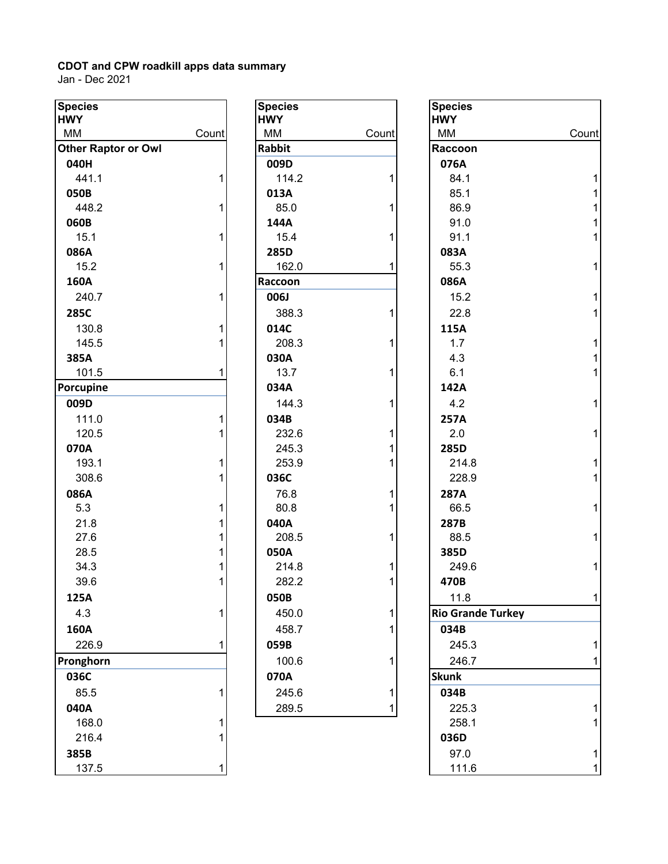| <b>Species</b>             |       | <b>Species</b> |       | <b>Species</b>   |
|----------------------------|-------|----------------|-------|------------------|
| <b>HWY</b>                 |       | <b>HWY</b>     |       | <b>HWY</b>       |
| MM                         | Count | <b>MM</b>      | Count | MM               |
| <b>Other Raptor or Owl</b> |       | <b>Rabbit</b>  |       | Raccoon          |
| 040H                       |       | 009D           |       | 076A             |
| 441.1                      | 1     | 114.2          | 1     | 84.1             |
| 050B                       |       | 013A           |       | 85.1             |
| 448.2                      | 1     | 85.0           | 1     | 86.9             |
| 060B                       |       | 144A           |       | 91.0             |
| 15.1                       | 1     | 15.4           | 1     | 91.1             |
| 086A                       |       | 285D           |       | 083A             |
| 15.2                       | 1     | 162.0          | 1     | 55.3             |
| 160A                       |       | Raccoon        |       | 086A             |
| 240.7                      | 1     | 006J           |       | 15.2             |
| 285C                       |       | 388.3          | 1     | 22.8             |
| 130.8                      | 1     | 014C           |       | 115A             |
| 145.5                      | 1     | 208.3          | 1     | 1.7              |
| 385A                       |       | 030A           |       | 4.3              |
| 101.5                      | 1     | 13.7           | 1     | 6.1              |
| Porcupine                  |       | 034A           |       | 142A             |
| 009D                       |       | 144.3          | 1     | 4.2              |
| 111.0                      | 1     | 034B           |       | 257A             |
| 120.5                      |       | 232.6          | 1     | 2.0              |
| 070A                       |       | 245.3          | 1     | 285D             |
| 193.1                      | 1     | 253.9          | 1     | 214.8            |
| 308.6                      | 1     | 036C           |       | 228.9            |
| 086A                       |       | 76.8           | 1     | 287A             |
| 5.3                        | 1     | 80.8           | 1     | 66.5             |
| 21.8                       |       | 040A           |       | 287B             |
| 27.6                       |       | 208.5          | 1     | 88.5             |
| 28.5                       |       | 050A           |       | 385D             |
| 34.3                       |       | 214.8          | 1     | 249.6            |
| 39.6                       | 1     | 282.2          | 1     | 470B             |
| 125A                       |       | 050B           |       | 11.8             |
| 4.3                        | 1     | 450.0          | 1     | <b>Rio Grand</b> |
| 160A                       |       | 458.7          | 1     | 034B             |
| 226.9                      | 1     | 059B           |       | 245.3            |
| Pronghorn                  |       | 100.6          | 1     | 246.7            |
| 036C                       |       | 070A           |       | <b>Skunk</b>     |
| 85.5                       | 1     | 245.6          | 1     | 034B             |
| 040A                       |       | 289.5          | 1     | 225.3            |
| 168.0                      |       |                |       | 258.1            |
| 216.4                      | 1     |                |       | 036D             |
| 385B                       |       |                |       | 97.0             |
| 137.5                      | 1     |                |       | 111.6            |

| cies<br>Y        |       | <b>Species</b><br><b>HWY</b> |       | <b>Species</b><br><b>HWY</b> |  |
|------------------|-------|------------------------------|-------|------------------------------|--|
| VI.              | Count | MM                           | Count | МM                           |  |
| er Raptor or Owl |       | <b>Rabbit</b>                |       | <b>Raccoon</b>               |  |
| 10H              |       | 009D                         |       | 076A                         |  |
| 441.1            | 1     | 114.2                        | 1     | 84.1                         |  |
| 50B              |       | 013A                         |       | 85.1                         |  |
| 448.2            | 1     | 85.0                         | 1     | 86.9                         |  |
| 50B              |       | 144A                         |       | 91.0                         |  |
| 15.1             | 1     | 15.4                         | 1     | 91.1                         |  |
| 36A              |       | 285D                         |       | 083A                         |  |
| 15.2             | 1     | 162.0                        | 1     | 55.3                         |  |
| 50A              |       | Raccoon                      |       | 086A                         |  |
| 240.7            | 1     | 006J                         |       | 15.2                         |  |
| 35C              |       | 388.3                        | 1     | 22.8                         |  |
| 130.8            | 1     | 014C                         |       | 115A                         |  |
| 145.5            | 1     | 208.3                        | 1     | 1.7                          |  |
| 35A              |       | 030A                         |       | 4.3                          |  |
| 101.5            | 1     | 13.7                         | 1     | 6.1                          |  |
| cupine           |       | 034A                         |       | 142A                         |  |
| )9D              |       | 144.3                        | 1     | 4.2                          |  |
| 111.0            | 1     | 034B                         |       | 257A                         |  |
| 120.5            | 1     | 232.6                        | 1     | 2.0                          |  |
| 70A              |       | 245.3                        | 1     | 285D                         |  |
| 193.1            | 1     | 253.9                        | 1     | 214.8                        |  |
| 308.6            | 1     | 036C                         |       | 228.9                        |  |
| 36A              |       | 76.8                         | 1     | 287A                         |  |
| 5.3              | 1     | 80.8                         | 1     | 66.5                         |  |
| 21.8             | 1     | 040A                         |       | 287B                         |  |
| 27.6             | 1     | 208.5                        | 1     | 88.5                         |  |
| 28.5             | 1     | 050A                         |       | 385D                         |  |
| 34.3             | 1     | 214.8                        | 1     | 249.6                        |  |
| 39.6             | 1     | 282.2                        | 1     | 470B                         |  |
| 25A              |       | 050B                         |       | 11.8                         |  |
| 4.3              | 1     | 450.0                        | 1     | <b>Rio Grande Turkey</b>     |  |
| 50A              |       | 458.7                        | 1     | 034B                         |  |
| 226.9            | 1     | 059B                         |       | 245.3                        |  |
| nghorn           |       | 100.6                        | 1     | 246.7                        |  |
| 36C              |       | 070A                         |       | <b>Skunk</b>                 |  |
| 85.5             | 1     | 245.6                        | 1     | 034B                         |  |
| 10A              |       | 289.5                        |       | 225.3                        |  |
|                  |       |                              |       |                              |  |

| <b>Species</b><br><b>HWY</b> |       | <b>Species</b><br><b>HWY</b> |       | <b>Species</b><br><b>HWY</b> |       |
|------------------------------|-------|------------------------------|-------|------------------------------|-------|
| MM                           | Count | MM                           | Count | MM                           | Count |
| <b>Other Raptor or Owl</b>   |       | <b>Rabbit</b>                |       | Raccoon                      |       |
| 040H                         |       | 009D                         |       | 076A                         |       |
| 441.1                        |       | 114.2                        |       | 84.1                         |       |
| 050B                         |       | 013A                         |       | 85.1                         |       |
| 448.2                        | 1     | 85.0                         |       | 86.9                         |       |
| 060B                         |       | 144A                         |       | 91.0                         |       |
| 15.1                         | 1     | 15.4                         |       | 91.1                         |       |
| 086A                         |       | 285D                         |       | 083A                         |       |
| 15.2                         | 1     | 162.0                        |       | 55.3                         |       |
| 160A                         |       | Raccoon                      |       | 086A                         |       |
| 240.7                        |       | 006J                         |       | 15.2                         |       |
| 285C                         |       | 388.3                        |       | 22.8                         |       |
| 130.8                        |       | 014C                         |       | 115A                         |       |
| 145.5                        |       | 208.3                        |       | 1.7                          |       |
| 385A                         |       | 030A                         |       | 4.3                          |       |
| 101.5                        |       | 13.7                         |       | 6.1                          |       |
| Porcupine                    |       | 034A                         |       | 142A                         |       |
| 009D                         |       | 144.3                        |       | 4.2                          |       |
| 111.0                        |       | 034B                         |       | 257A                         |       |
| 120.5                        |       | 232.6                        |       | 2.0                          |       |
| 070A                         |       | 245.3                        |       | 285D                         |       |
| 193.1                        |       | 253.9                        |       | 214.8                        |       |
| 308.6                        |       | 036C                         |       | 228.9                        |       |
| 086A                         |       | 76.8                         |       | 287A                         |       |
| 5.3                          |       | 80.8                         |       | 66.5                         |       |
| 21.8                         |       | 040A                         |       | 287B                         |       |
| 27.6                         |       | 208.5                        |       | 88.5                         |       |
| 28.5                         |       | 050A                         |       | 385D                         |       |
| 34.3                         |       | 214.8                        |       | 249.6                        |       |
| 39.6                         |       | 282.2                        |       | 470B                         |       |
| 125A                         |       | 050B                         |       | 11.8                         | 1     |
| 4.3                          |       | 450.0                        |       | <b>Rio Grande Turkey</b>     |       |
| 160A                         |       | 458.7                        |       | 034B                         |       |
| 226.9                        |       | 059B                         |       | 245.3                        |       |
| Pronghorn                    |       | 100.6                        |       | 246.7                        |       |
| 036C                         |       | 070A                         |       | <b>Skunk</b>                 |       |
| 85.5                         |       | 245.6                        |       | 034B                         |       |
| 040A                         |       | 289.5                        |       | 225.3                        |       |
| 168.0                        |       |                              |       | 258.1                        |       |
| 216.4                        |       |                              |       | 036D                         |       |
| 385B                         |       |                              |       | 97.0                         |       |
| 137.5                        |       |                              |       | 111.6                        |       |